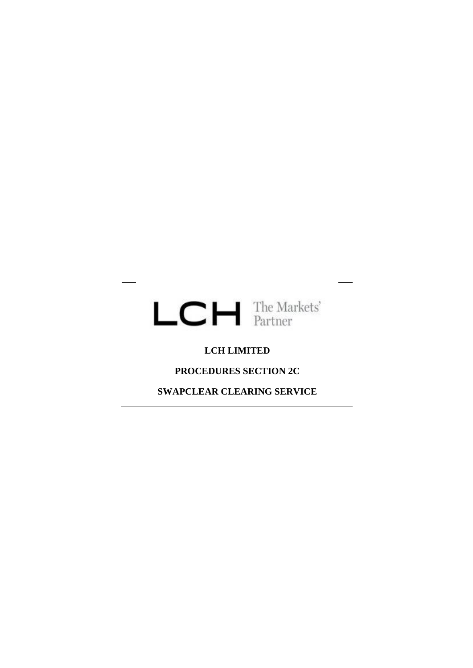

# **LCH LIMITED**

**PROCEDURES SECTION 2C**

**SWAPCLEAR CLEARING SERVICE**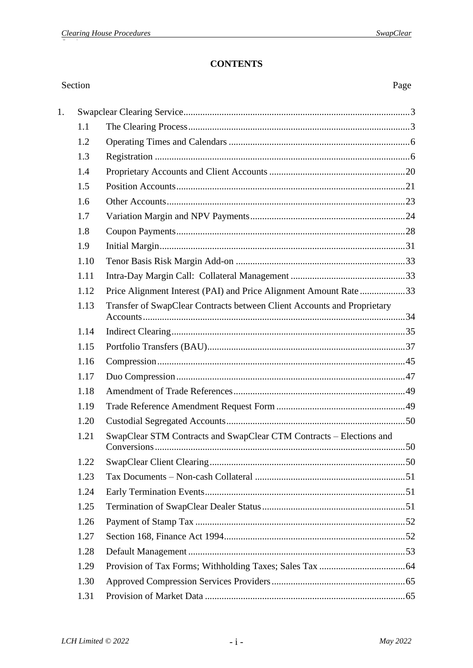# **CONTENTS**

#### Section Page  $1<sup>1</sup>$  $1.1$  $12$  $1.3$  $1.4$  $1.5$  $1.6$  $1.7$ 1.8 1.9  $1.10$  $1.11$ 1.12 Price Alignment Interest (PAI) and Price Alignment Amount Rate...................33 1.13 Transfer of SwapClear Contracts between Client Accounts and Proprietary 1.14 1.15 1.16 1.17 1.18 1 1 9 1.20  $1.21$ SwapClear STM Contracts and SwapClear CTM Contracts – Elections and 1.22 1.23  $1.24$ 1.25  $1.26$  $1.27$ 1.28 1 29 1.30 1.31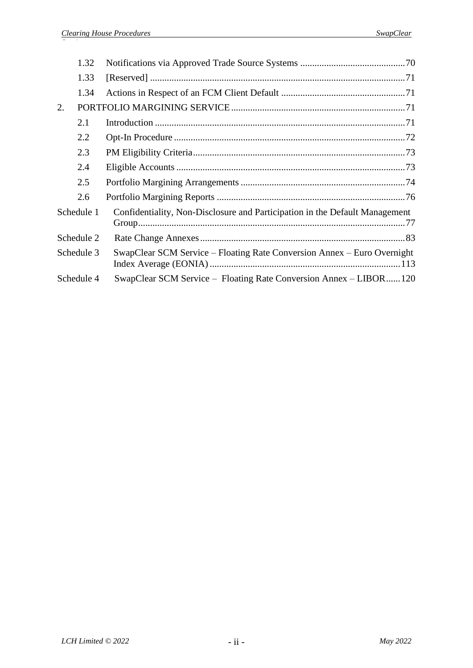|            | 1.32       |                                                                             |
|------------|------------|-----------------------------------------------------------------------------|
|            | 1.33       |                                                                             |
|            | 1.34       |                                                                             |
| 2.         |            |                                                                             |
|            | 2.1        |                                                                             |
|            | 2.2        |                                                                             |
|            | 2.3        |                                                                             |
|            | 2.4        |                                                                             |
|            | 2.5        |                                                                             |
|            | 2.6        |                                                                             |
|            | Schedule 1 | Confidentiality, Non-Disclosure and Participation in the Default Management |
|            | Schedule 2 |                                                                             |
| Schedule 3 |            | SwapClear SCM Service – Floating Rate Conversion Annex – Euro Overnight     |
|            | Schedule 4 | SwapClear SCM Service – Floating Rate Conversion Annex – LIBOR120           |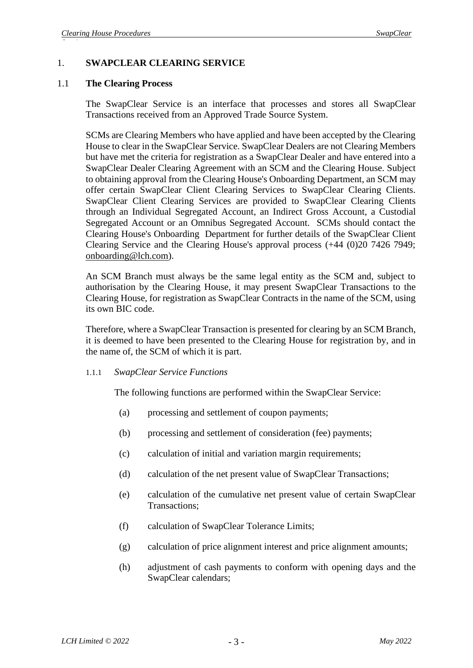### 1. **SWAPCLEAR CLEARING SERVICE**

#### 1.1 **The Clearing Process**

The SwapClear Service is an interface that processes and stores all SwapClear Transactions received from an Approved Trade Source System.

SCMs are Clearing Members who have applied and have been accepted by the Clearing House to clear in the SwapClear Service. SwapClear Dealers are not Clearing Members but have met the criteria for registration as a SwapClear Dealer and have entered into a SwapClear Dealer Clearing Agreement with an SCM and the Clearing House. Subject to obtaining approval from the Clearing House's Onboarding Department, an SCM may offer certain SwapClear Client Clearing Services to SwapClear Clearing Clients. SwapClear Client Clearing Services are provided to SwapClear Clearing Clients through an Individual Segregated Account, an Indirect Gross Account, a Custodial Segregated Account or an Omnibus Segregated Account. SCMs should contact the Clearing House's Onboarding Department for further details of the SwapClear Client Clearing Service and the Clearing House's approval process (+44 (0)20 7426 7949; [onboarding@lch.com\)](mailto:membership@lch.com).

An SCM Branch must always be the same legal entity as the SCM and, subject to authorisation by the Clearing House, it may present SwapClear Transactions to the Clearing House, for registration as SwapClear Contracts in the name of the SCM, using its own BIC code.

Therefore, where a SwapClear Transaction is presented for clearing by an SCM Branch, it is deemed to have been presented to the Clearing House for registration by, and in the name of, the SCM of which it is part.

#### 1.1.1 *SwapClear Service Functions*

The following functions are performed within the SwapClear Service:

- (a) processing and settlement of coupon payments;
- (b) processing and settlement of consideration (fee) payments;
- (c) calculation of initial and variation margin requirements;
- (d) calculation of the net present value of SwapClear Transactions;
- (e) calculation of the cumulative net present value of certain SwapClear Transactions;
- (f) calculation of SwapClear Tolerance Limits;
- (g) calculation of price alignment interest and price alignment amounts;
- (h) adjustment of cash payments to conform with opening days and the SwapClear calendars;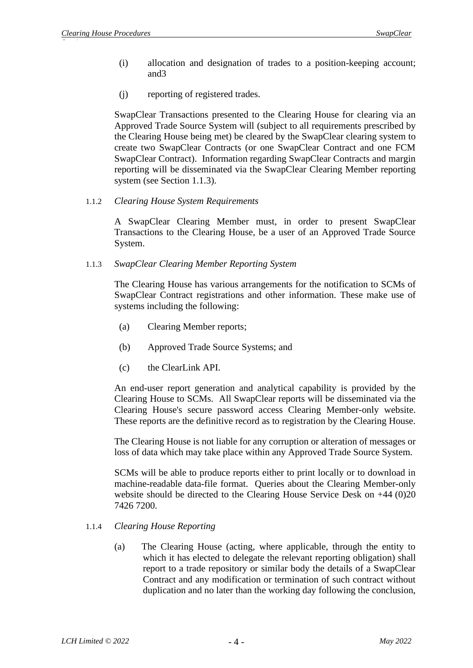- (i) allocation and designation of trades to a position-keeping account; and3
- (j) reporting of registered trades.

SwapClear Transactions presented to the Clearing House for clearing via an Approved Trade Source System will (subject to all requirements prescribed by the Clearing House being met) be cleared by the SwapClear clearing system to create two SwapClear Contracts (or one SwapClear Contract and one FCM SwapClear Contract). Information regarding SwapClear Contracts and margin reporting will be disseminated via the SwapClear Clearing Member reporting system (see Section [1.1.3\)](#page-4-0).

1.1.2 *Clearing House System Requirements*

A SwapClear Clearing Member must, in order to present SwapClear Transactions to the Clearing House, be a user of an Approved Trade Source System.

<span id="page-4-0"></span>1.1.3 *SwapClear Clearing Member Reporting System*

The Clearing House has various arrangements for the notification to SCMs of SwapClear Contract registrations and other information. These make use of systems including the following:

- (a) Clearing Member reports;
- (b) Approved Trade Source Systems; and
- (c) the ClearLink API.

An end-user report generation and analytical capability is provided by the Clearing House to SCMs. All SwapClear reports will be disseminated via the Clearing House's secure password access Clearing Member-only website. These reports are the definitive record as to registration by the Clearing House.

The Clearing House is not liable for any corruption or alteration of messages or loss of data which may take place within any Approved Trade Source System.

SCMs will be able to produce reports either to print locally or to download in machine-readable data-file format. Queries about the Clearing Member-only website should be directed to the Clearing House Service Desk on +44 (0)20 7426 7200.

## 1.1.4 *Clearing House Reporting*

(a) The Clearing House (acting, where applicable, through the entity to which it has elected to delegate the relevant reporting obligation) shall report to a trade repository or similar body the details of a SwapClear Contract and any modification or termination of such contract without duplication and no later than the working day following the conclusion,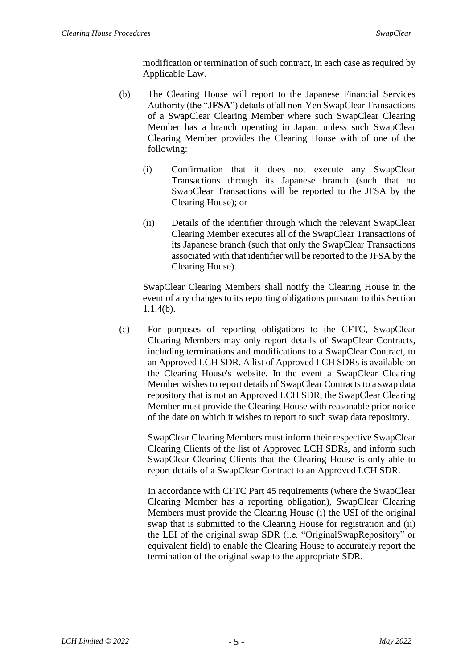modification or termination of such contract, in each case as required by Applicable Law.

- (b) The Clearing House will report to the Japanese Financial Services Authority (the "**JFSA**") details of all non-Yen SwapClear Transactions of a SwapClear Clearing Member where such SwapClear Clearing Member has a branch operating in Japan, unless such SwapClear Clearing Member provides the Clearing House with of one of the following:
	- (i) Confirmation that it does not execute any SwapClear Transactions through its Japanese branch (such that no SwapClear Transactions will be reported to the JFSA by the Clearing House); or
	- (ii) Details of the identifier through which the relevant SwapClear Clearing Member executes all of the SwapClear Transactions of its Japanese branch (such that only the SwapClear Transactions associated with that identifier will be reported to the JFSA by the Clearing House).

SwapClear Clearing Members shall notify the Clearing House in the event of any changes to its reporting obligations pursuant to this Section 1.1.4(b).

(c) For purposes of reporting obligations to the CFTC, SwapClear Clearing Members may only report details of SwapClear Contracts, including terminations and modifications to a SwapClear Contract, to an Approved LCH SDR. A list of Approved LCH SDRs is available on the Clearing House's website. In the event a SwapClear Clearing Member wishes to report details of SwapClear Contracts to a swap data repository that is not an Approved LCH SDR, the SwapClear Clearing Member must provide the Clearing House with reasonable prior notice of the date on which it wishes to report to such swap data repository.

SwapClear Clearing Members must inform their respective SwapClear Clearing Clients of the list of Approved LCH SDRs, and inform such SwapClear Clearing Clients that the Clearing House is only able to report details of a SwapClear Contract to an Approved LCH SDR.

In accordance with CFTC Part 45 requirements (where the SwapClear Clearing Member has a reporting obligation), SwapClear Clearing Members must provide the Clearing House (i) the USI of the original swap that is submitted to the Clearing House for registration and (ii) the LEI of the original swap SDR (i.e. "OriginalSwapRepository" or equivalent field) to enable the Clearing House to accurately report the termination of the original swap to the appropriate SDR.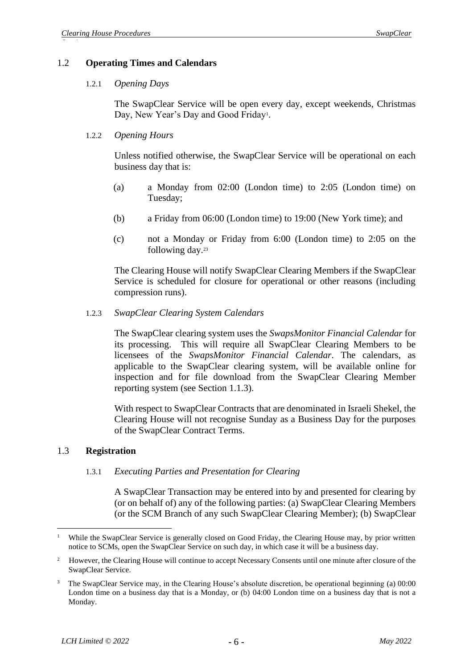#### 1.2 **Operating Times and Calendars**

#### 1.2.1 *Opening Days*

The SwapClear Service will be open every day, except weekends, Christmas Day, New Year's Day and Good Friday<sup>1</sup>.

#### 1.2.2 *Opening Hours*

Unless notified otherwise, the SwapClear Service will be operational on each business day that is:

- (a) a Monday from 02:00 (London time) to 2:05 (London time) on Tuesday;
- (b) a Friday from 06:00 (London time) to 19:00 (New York time); and
- (c) not a Monday or Friday from 6:00 (London time) to 2:05 on the following day.<sup>23</sup>

The Clearing House will notify SwapClear Clearing Members if the SwapClear Service is scheduled for closure for operational or other reasons (including compression runs).

<span id="page-6-1"></span>1.2.3 *SwapClear Clearing System Calendars*

The SwapClear clearing system uses the *SwapsMonitor Financial Calendar* for its processing. This will require all SwapClear Clearing Members to be licensees of the *SwapsMonitor Financial Calendar*. The calendars, as applicable to the SwapClear clearing system, will be available online for inspection and for file download from the SwapClear Clearing Member reporting system (see Section [1.1.3\)](#page-4-0).

With respect to SwapClear Contracts that are denominated in Israeli Shekel, the Clearing House will not recognise Sunday as a Business Day for the purposes of the SwapClear Contract Terms.

#### <span id="page-6-0"></span>1.3 **Registration**

#### 1.3.1 *Executing Parties and Presentation for Clearing*

A SwapClear Transaction may be entered into by and presented for clearing by (or on behalf of) any of the following parties: (a) SwapClear Clearing Members (or the SCM Branch of any such SwapClear Clearing Member); (b) SwapClear

<sup>&</sup>lt;sup>1</sup> While the SwapClear Service is generally closed on Good Friday, the Clearing House may, by prior written notice to SCMs, open the SwapClear Service on such day, in which case it will be a business day.

<sup>2</sup> However, the Clearing House will continue to accept Necessary Consents until one minute after closure of the SwapClear Service.

<sup>3</sup> The SwapClear Service may, in the Clearing House's absolute discretion, be operational beginning (a) 00:00 London time on a business day that is a Monday, or (b) 04:00 London time on a business day that is not a Monday.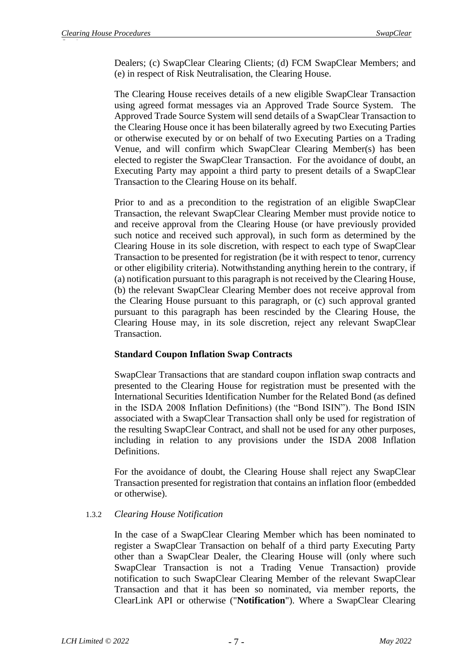Dealers; (c) SwapClear Clearing Clients; (d) FCM SwapClear Members; and (e) in respect of Risk Neutralisation, the Clearing House.

The Clearing House receives details of a new eligible SwapClear Transaction using agreed format messages via an Approved Trade Source System. The Approved Trade Source System will send details of a SwapClear Transaction to the Clearing House once it has been bilaterally agreed by two Executing Parties or otherwise executed by or on behalf of two Executing Parties on a Trading Venue, and will confirm which SwapClear Clearing Member(s) has been elected to register the SwapClear Transaction. For the avoidance of doubt, an Executing Party may appoint a third party to present details of a SwapClear Transaction to the Clearing House on its behalf.

Prior to and as a precondition to the registration of an eligible SwapClear Transaction, the relevant SwapClear Clearing Member must provide notice to and receive approval from the Clearing House (or have previously provided such notice and received such approval), in such form as determined by the Clearing House in its sole discretion, with respect to each type of SwapClear Transaction to be presented for registration (be it with respect to tenor, currency or other eligibility criteria). Notwithstanding anything herein to the contrary, if (a) notification pursuant to this paragraph is not received by the Clearing House, (b) the relevant SwapClear Clearing Member does not receive approval from the Clearing House pursuant to this paragraph, or (c) such approval granted pursuant to this paragraph has been rescinded by the Clearing House, the Clearing House may, in its sole discretion, reject any relevant SwapClear Transaction.

#### **Standard Coupon Inflation Swap Contracts**

SwapClear Transactions that are standard coupon inflation swap contracts and presented to the Clearing House for registration must be presented with the International Securities Identification Number for the Related Bond (as defined in the ISDA 2008 Inflation Definitions) (the "Bond ISIN"). The Bond ISIN associated with a SwapClear Transaction shall only be used for registration of the resulting SwapClear Contract, and shall not be used for any other purposes, including in relation to any provisions under the ISDA 2008 Inflation Definitions.

For the avoidance of doubt, the Clearing House shall reject any SwapClear Transaction presented for registration that contains an inflation floor (embedded or otherwise).

#### 1.3.2 *Clearing House Notification*

In the case of a SwapClear Clearing Member which has been nominated to register a SwapClear Transaction on behalf of a third party Executing Party other than a SwapClear Dealer, the Clearing House will (only where such SwapClear Transaction is not a Trading Venue Transaction) provide notification to such SwapClear Clearing Member of the relevant SwapClear Transaction and that it has been so nominated, via member reports, the ClearLink API or otherwise ("**Notification**"). Where a SwapClear Clearing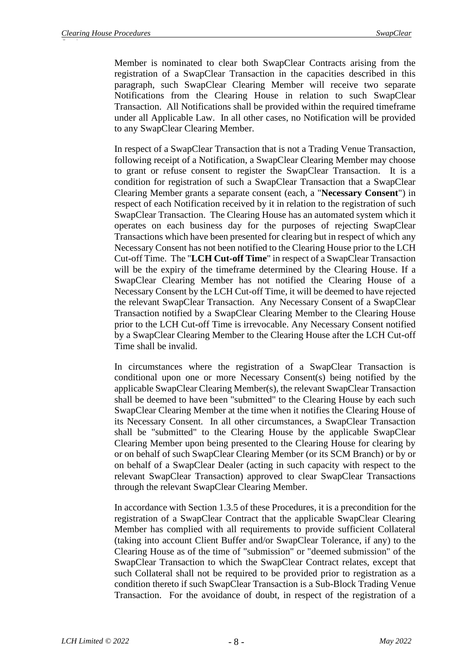Member is nominated to clear both SwapClear Contracts arising from the registration of a SwapClear Transaction in the capacities described in this paragraph, such SwapClear Clearing Member will receive two separate Notifications from the Clearing House in relation to such SwapClear Transaction. All Notifications shall be provided within the required timeframe under all Applicable Law. In all other cases, no Notification will be provided to any SwapClear Clearing Member.

In respect of a SwapClear Transaction that is not a Trading Venue Transaction, following receipt of a Notification, a SwapClear Clearing Member may choose to grant or refuse consent to register the SwapClear Transaction. It is a condition for registration of such a SwapClear Transaction that a SwapClear Clearing Member grants a separate consent (each, a "**Necessary Consent**") in respect of each Notification received by it in relation to the registration of such SwapClear Transaction. The Clearing House has an automated system which it operates on each business day for the purposes of rejecting SwapClear Transactions which have been presented for clearing but in respect of which any Necessary Consent has not been notified to the Clearing House prior to the LCH Cut-off Time. The "**LCH Cut-off Time**" in respect of a SwapClear Transaction will be the expiry of the timeframe determined by the Clearing House. If a SwapClear Clearing Member has not notified the Clearing House of a Necessary Consent by the LCH Cut-off Time, it will be deemed to have rejected the relevant SwapClear Transaction. Any Necessary Consent of a SwapClear Transaction notified by a SwapClear Clearing Member to the Clearing House prior to the LCH Cut-off Time is irrevocable. Any Necessary Consent notified by a SwapClear Clearing Member to the Clearing House after the LCH Cut-off Time shall be invalid.

In circumstances where the registration of a SwapClear Transaction is conditional upon one or more Necessary Consent(s) being notified by the applicable SwapClear Clearing Member(s), the relevant SwapClear Transaction shall be deemed to have been "submitted" to the Clearing House by each such SwapClear Clearing Member at the time when it notifies the Clearing House of its Necessary Consent. In all other circumstances, a SwapClear Transaction shall be "submitted" to the Clearing House by the applicable SwapClear Clearing Member upon being presented to the Clearing House for clearing by or on behalf of such SwapClear Clearing Member (or its SCM Branch) or by or on behalf of a SwapClear Dealer (acting in such capacity with respect to the relevant SwapClear Transaction) approved to clear SwapClear Transactions through the relevant SwapClear Clearing Member.

In accordance with Sectio[n 1.3.5](#page-15-0) of these Procedures, it is a precondition for the registration of a SwapClear Contract that the applicable SwapClear Clearing Member has complied with all requirements to provide sufficient Collateral (taking into account Client Buffer and/or SwapClear Tolerance, if any) to the Clearing House as of the time of "submission" or "deemed submission" of the SwapClear Transaction to which the SwapClear Contract relates, except that such Collateral shall not be required to be provided prior to registration as a condition thereto if such SwapClear Transaction is a Sub-Block Trading Venue Transaction. For the avoidance of doubt, in respect of the registration of a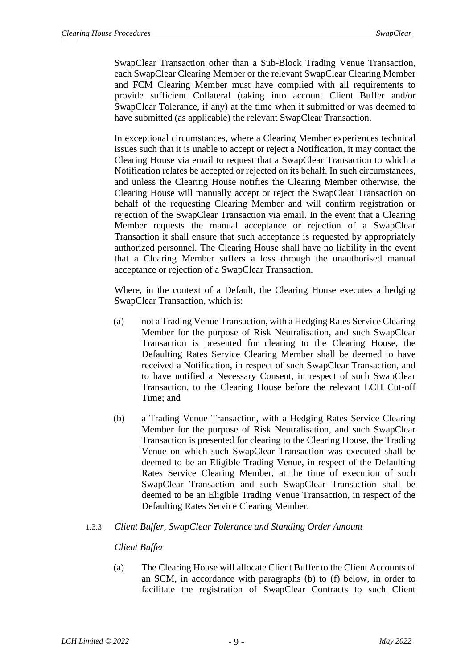SwapClear Transaction other than a Sub-Block Trading Venue Transaction, each SwapClear Clearing Member or the relevant SwapClear Clearing Member and FCM Clearing Member must have complied with all requirements to provide sufficient Collateral (taking into account Client Buffer and/or SwapClear Tolerance, if any) at the time when it submitted or was deemed to have submitted (as applicable) the relevant SwapClear Transaction.

In exceptional circumstances, where a Clearing Member experiences technical issues such that it is unable to accept or reject a Notification, it may contact the Clearing House via email to request that a SwapClear Transaction to which a Notification relates be accepted or rejected on its behalf. In such circumstances, and unless the Clearing House notifies the Clearing Member otherwise, the Clearing House will manually accept or reject the SwapClear Transaction on behalf of the requesting Clearing Member and will confirm registration or rejection of the SwapClear Transaction via email. In the event that a Clearing Member requests the manual acceptance or rejection of a SwapClear Transaction it shall ensure that such acceptance is requested by appropriately authorized personnel. The Clearing House shall have no liability in the event that a Clearing Member suffers a loss through the unauthorised manual acceptance or rejection of a SwapClear Transaction.

Where, in the context of a Default, the Clearing House executes a hedging SwapClear Transaction, which is:

- (a) not a Trading Venue Transaction, with a Hedging Rates Service Clearing Member for the purpose of Risk Neutralisation, and such SwapClear Transaction is presented for clearing to the Clearing House, the Defaulting Rates Service Clearing Member shall be deemed to have received a Notification, in respect of such SwapClear Transaction, and to have notified a Necessary Consent, in respect of such SwapClear Transaction, to the Clearing House before the relevant LCH Cut-off Time; and
- (b) a Trading Venue Transaction, with a Hedging Rates Service Clearing Member for the purpose of Risk Neutralisation, and such SwapClear Transaction is presented for clearing to the Clearing House, the Trading Venue on which such SwapClear Transaction was executed shall be deemed to be an Eligible Trading Venue, in respect of the Defaulting Rates Service Clearing Member, at the time of execution of such SwapClear Transaction and such SwapClear Transaction shall be deemed to be an Eligible Trading Venue Transaction, in respect of the Defaulting Rates Service Clearing Member.

## 1.3.3 *Client Buffer, SwapClear Tolerance and Standing Order Amount*

## *Client Buffer*

(a) The Clearing House will allocate Client Buffer to the Client Accounts of an SCM, in accordance with paragraphs (b) to (f) below, in order to facilitate the registration of SwapClear Contracts to such Client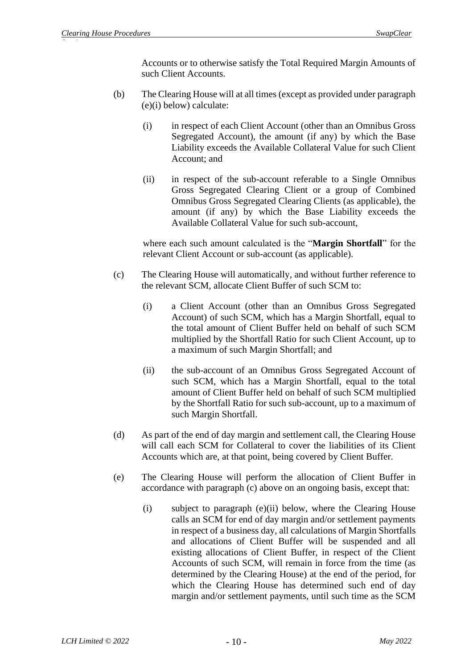Accounts or to otherwise satisfy the Total Required Margin Amounts of such Client Accounts.

- (b) The Clearing House will at all times (except as provided under paragraph (e)(i) below) calculate:
	- (i) in respect of each Client Account (other than an Omnibus Gross Segregated Account), the amount (if any) by which the Base Liability exceeds the Available Collateral Value for such Client Account; and
	- (ii) in respect of the sub-account referable to a Single Omnibus Gross Segregated Clearing Client or a group of Combined Omnibus Gross Segregated Clearing Clients (as applicable), the amount (if any) by which the Base Liability exceeds the Available Collateral Value for such sub-account,

where each such amount calculated is the "**Margin Shortfall**" for the relevant Client Account or sub-account (as applicable).

- (c) The Clearing House will automatically, and without further reference to the relevant SCM, allocate Client Buffer of such SCM to:
	- (i) a Client Account (other than an Omnibus Gross Segregated Account) of such SCM, which has a Margin Shortfall, equal to the total amount of Client Buffer held on behalf of such SCM multiplied by the Shortfall Ratio for such Client Account, up to a maximum of such Margin Shortfall; and
	- (ii) the sub-account of an Omnibus Gross Segregated Account of such SCM, which has a Margin Shortfall, equal to the total amount of Client Buffer held on behalf of such SCM multiplied by the Shortfall Ratio for such sub-account, up to a maximum of such Margin Shortfall.
- (d) As part of the end of day margin and settlement call, the Clearing House will call each SCM for Collateral to cover the liabilities of its Client Accounts which are, at that point, being covered by Client Buffer.
- (e) The Clearing House will perform the allocation of Client Buffer in accordance with paragraph (c) above on an ongoing basis, except that:
	- (i) subject to paragraph (e)(ii) below, where the Clearing House calls an SCM for end of day margin and/or settlement payments in respect of a business day, all calculations of Margin Shortfalls and allocations of Client Buffer will be suspended and all existing allocations of Client Buffer, in respect of the Client Accounts of such SCM, will remain in force from the time (as determined by the Clearing House) at the end of the period, for which the Clearing House has determined such end of day margin and/or settlement payments, until such time as the SCM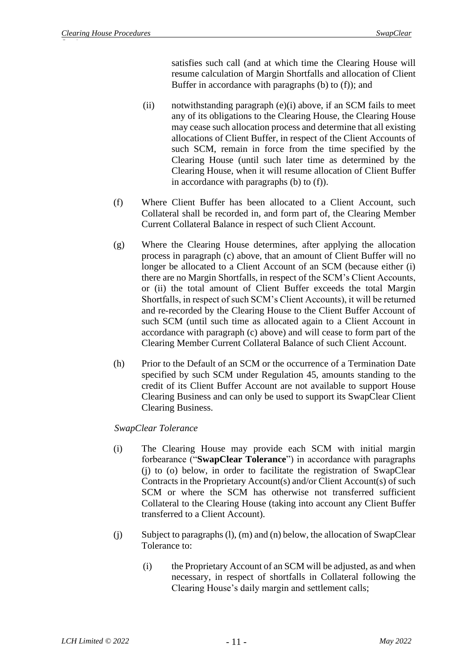satisfies such call (and at which time the Clearing House will resume calculation of Margin Shortfalls and allocation of Client Buffer in accordance with paragraphs (b) to (f)); and

- (ii) notwithstanding paragraph  $(e)(i)$  above, if an SCM fails to meet any of its obligations to the Clearing House, the Clearing House may cease such allocation process and determine that all existing allocations of Client Buffer, in respect of the Client Accounts of such SCM, remain in force from the time specified by the Clearing House (until such later time as determined by the Clearing House, when it will resume allocation of Client Buffer in accordance with paragraphs (b) to (f)).
- (f) Where Client Buffer has been allocated to a Client Account, such Collateral shall be recorded in, and form part of, the Clearing Member Current Collateral Balance in respect of such Client Account.
- (g) Where the Clearing House determines, after applying the allocation process in paragraph (c) above, that an amount of Client Buffer will no longer be allocated to a Client Account of an SCM (because either (i) there are no Margin Shortfalls, in respect of the SCM's Client Accounts, or (ii) the total amount of Client Buffer exceeds the total Margin Shortfalls, in respect of such SCM's Client Accounts), it will be returned and re-recorded by the Clearing House to the Client Buffer Account of such SCM (until such time as allocated again to a Client Account in accordance with paragraph (c) above) and will cease to form part of the Clearing Member Current Collateral Balance of such Client Account.
- (h) Prior to the Default of an SCM or the occurrence of a Termination Date specified by such SCM under Regulation 45, amounts standing to the credit of its Client Buffer Account are not available to support House Clearing Business and can only be used to support its SwapClear Client Clearing Business.

# *SwapClear Tolerance*

- (i) The Clearing House may provide each SCM with initial margin forbearance ("**SwapClear Tolerance**") in accordance with paragraphs (j) to (o) below, in order to facilitate the registration of SwapClear Contracts in the Proprietary Account(s) and/or Client Account(s) of such SCM or where the SCM has otherwise not transferred sufficient Collateral to the Clearing House (taking into account any Client Buffer transferred to a Client Account).
- (j) Subject to paragraphs (l), (m) and (n) below, the allocation of SwapClear Tolerance to:
	- (i) the Proprietary Account of an SCM will be adjusted, as and when necessary, in respect of shortfalls in Collateral following the Clearing House's daily margin and settlement calls;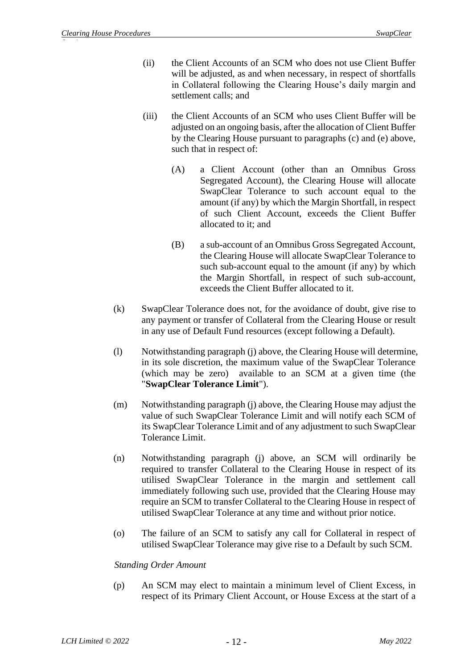- (ii) the Client Accounts of an SCM who does not use Client Buffer will be adjusted, as and when necessary, in respect of shortfalls in Collateral following the Clearing House's daily margin and settlement calls; and
- (iii) the Client Accounts of an SCM who uses Client Buffer will be adjusted on an ongoing basis, after the allocation of Client Buffer by the Clearing House pursuant to paragraphs (c) and (e) above, such that in respect of:
	- (A) a Client Account (other than an Omnibus Gross Segregated Account), the Clearing House will allocate SwapClear Tolerance to such account equal to the amount (if any) by which the Margin Shortfall, in respect of such Client Account, exceeds the Client Buffer allocated to it; and
	- (B) a sub-account of an Omnibus Gross Segregated Account, the Clearing House will allocate SwapClear Tolerance to such sub-account equal to the amount (if any) by which the Margin Shortfall, in respect of such sub-account, exceeds the Client Buffer allocated to it.
- (k) SwapClear Tolerance does not, for the avoidance of doubt, give rise to any payment or transfer of Collateral from the Clearing House or result in any use of Default Fund resources (except following a Default).
- (l) Notwithstanding paragraph (j) above, the Clearing House will determine, in its sole discretion, the maximum value of the SwapClear Tolerance (which may be zero) available to an SCM at a given time (the "**SwapClear Tolerance Limit**").
- (m) Notwithstanding paragraph (j) above, the Clearing House may adjust the value of such SwapClear Tolerance Limit and will notify each SCM of its SwapClear Tolerance Limit and of any adjustment to such SwapClear Tolerance Limit.
- (n) Notwithstanding paragraph (j) above, an SCM will ordinarily be required to transfer Collateral to the Clearing House in respect of its utilised SwapClear Tolerance in the margin and settlement call immediately following such use, provided that the Clearing House may require an SCM to transfer Collateral to the Clearing House in respect of utilised SwapClear Tolerance at any time and without prior notice.
- (o) The failure of an SCM to satisfy any call for Collateral in respect of utilised SwapClear Tolerance may give rise to a Default by such SCM.

## *Standing Order Amount*

(p) An SCM may elect to maintain a minimum level of Client Excess, in respect of its Primary Client Account, or House Excess at the start of a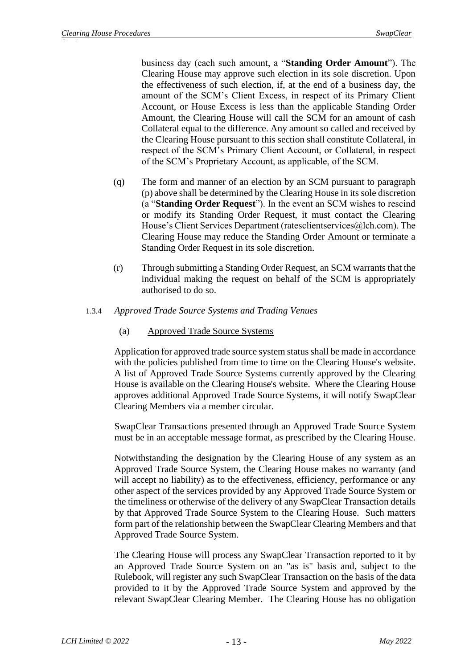business day (each such amount, a "**Standing Order Amount**"). The Clearing House may approve such election in its sole discretion. Upon the effectiveness of such election, if, at the end of a business day, the amount of the SCM's Client Excess, in respect of its Primary Client Account, or House Excess is less than the applicable Standing Order Amount, the Clearing House will call the SCM for an amount of cash Collateral equal to the difference. Any amount so called and received by the Clearing House pursuant to this section shall constitute Collateral, in respect of the SCM's Primary Client Account, or Collateral, in respect of the SCM's Proprietary Account, as applicable, of the SCM.

- (q) The form and manner of an election by an SCM pursuant to paragraph (p) above shall be determined by the Clearing House in its sole discretion (a "**Standing Order Request**"). In the event an SCM wishes to rescind or modify its Standing Order Request, it must contact the Clearing House's Client Services Department (ratesclientservices@lch.com). The Clearing House may reduce the Standing Order Amount or terminate a Standing Order Request in its sole discretion.
- (r) Through submitting a Standing Order Request, an SCM warrants that the individual making the request on behalf of the SCM is appropriately authorised to do so.
- 1.3.4 *Approved Trade Source Systems and Trading Venues*
	- (a) Approved Trade Source Systems

Application for approved trade source system status shall be made in accordance with the policies published from time to time on the Clearing House's website. A list of Approved Trade Source Systems currently approved by the Clearing House is available on the Clearing House's website. Where the Clearing House approves additional Approved Trade Source Systems, it will notify SwapClear Clearing Members via a member circular.

SwapClear Transactions presented through an Approved Trade Source System must be in an acceptable message format, as prescribed by the Clearing House.

Notwithstanding the designation by the Clearing House of any system as an Approved Trade Source System, the Clearing House makes no warranty (and will accept no liability) as to the effectiveness, efficiency, performance or any other aspect of the services provided by any Approved Trade Source System or the timeliness or otherwise of the delivery of any SwapClear Transaction details by that Approved Trade Source System to the Clearing House. Such matters form part of the relationship between the SwapClear Clearing Members and that Approved Trade Source System.

The Clearing House will process any SwapClear Transaction reported to it by an Approved Trade Source System on an "as is" basis and, subject to the Rulebook, will register any such SwapClear Transaction on the basis of the data provided to it by the Approved Trade Source System and approved by the relevant SwapClear Clearing Member. The Clearing House has no obligation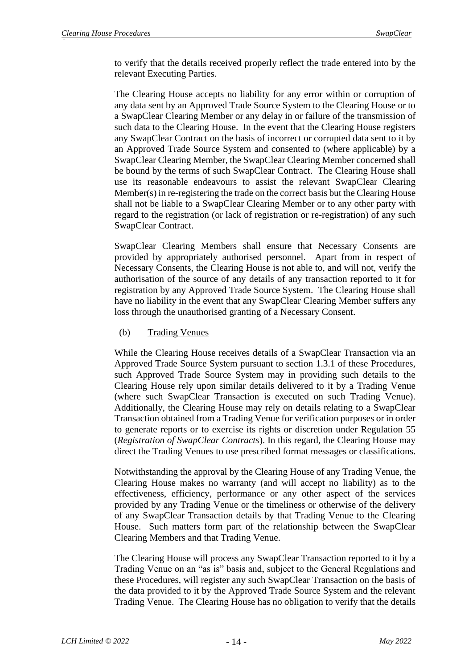to verify that the details received properly reflect the trade entered into by the relevant Executing Parties.

The Clearing House accepts no liability for any error within or corruption of any data sent by an Approved Trade Source System to the Clearing House or to a SwapClear Clearing Member or any delay in or failure of the transmission of such data to the Clearing House. In the event that the Clearing House registers any SwapClear Contract on the basis of incorrect or corrupted data sent to it by an Approved Trade Source System and consented to (where applicable) by a SwapClear Clearing Member, the SwapClear Clearing Member concerned shall be bound by the terms of such SwapClear Contract. The Clearing House shall use its reasonable endeavours to assist the relevant SwapClear Clearing Member(s) in re-registering the trade on the correct basis but the Clearing House shall not be liable to a SwapClear Clearing Member or to any other party with regard to the registration (or lack of registration or re-registration) of any such SwapClear Contract.

SwapClear Clearing Members shall ensure that Necessary Consents are provided by appropriately authorised personnel. Apart from in respect of Necessary Consents, the Clearing House is not able to, and will not, verify the authorisation of the source of any details of any transaction reported to it for registration by any Approved Trade Source System. The Clearing House shall have no liability in the event that any SwapClear Clearing Member suffers any loss through the unauthorised granting of a Necessary Consent.

### (b) Trading Venues

While the Clearing House receives details of a SwapClear Transaction via an Approved Trade Source System pursuant to section [1.3.1](#page-6-0) of these Procedures, such Approved Trade Source System may in providing such details to the Clearing House rely upon similar details delivered to it by a Trading Venue (where such SwapClear Transaction is executed on such Trading Venue). Additionally, the Clearing House may rely on details relating to a SwapClear Transaction obtained from a Trading Venue for verification purposes or in order to generate reports or to exercise its rights or discretion under Regulation 55 (*Registration of SwapClear Contracts*). In this regard, the Clearing House may direct the Trading Venues to use prescribed format messages or classifications.

Notwithstanding the approval by the Clearing House of any Trading Venue, the Clearing House makes no warranty (and will accept no liability) as to the effectiveness, efficiency, performance or any other aspect of the services provided by any Trading Venue or the timeliness or otherwise of the delivery of any SwapClear Transaction details by that Trading Venue to the Clearing House. Such matters form part of the relationship between the SwapClear Clearing Members and that Trading Venue.

The Clearing House will process any SwapClear Transaction reported to it by a Trading Venue on an "as is" basis and, subject to the General Regulations and these Procedures, will register any such SwapClear Transaction on the basis of the data provided to it by the Approved Trade Source System and the relevant Trading Venue. The Clearing House has no obligation to verify that the details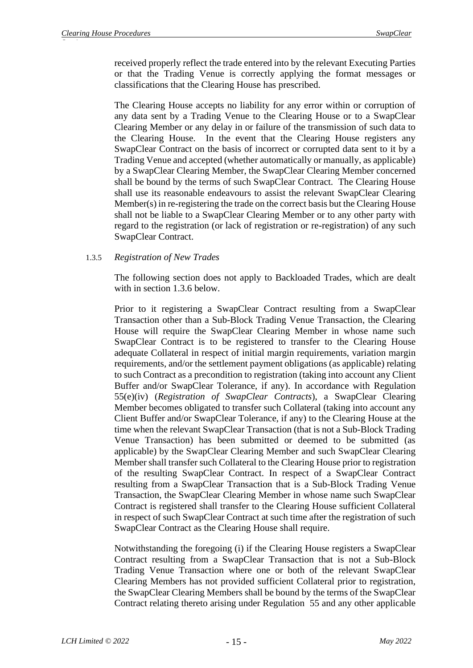received properly reflect the trade entered into by the relevant Executing Parties or that the Trading Venue is correctly applying the format messages or classifications that the Clearing House has prescribed.

The Clearing House accepts no liability for any error within or corruption of any data sent by a Trading Venue to the Clearing House or to a SwapClear Clearing Member or any delay in or failure of the transmission of such data to the Clearing House. In the event that the Clearing House registers any SwapClear Contract on the basis of incorrect or corrupted data sent to it by a Trading Venue and accepted (whether automatically or manually, as applicable) by a SwapClear Clearing Member, the SwapClear Clearing Member concerned shall be bound by the terms of such SwapClear Contract. The Clearing House shall use its reasonable endeavours to assist the relevant SwapClear Clearing Member(s) in re-registering the trade on the correct basis but the Clearing House shall not be liable to a SwapClear Clearing Member or to any other party with regard to the registration (or lack of registration or re-registration) of any such SwapClear Contract.

## <span id="page-15-0"></span>1.3.5 *Registration of New Trades*

The following section does not apply to Backloaded Trades, which are dealt with in section [1.3.6](#page-16-0) below.

Prior to it registering a SwapClear Contract resulting from a SwapClear Transaction other than a Sub-Block Trading Venue Transaction, the Clearing House will require the SwapClear Clearing Member in whose name such SwapClear Contract is to be registered to transfer to the Clearing House adequate Collateral in respect of initial margin requirements, variation margin requirements, and/or the settlement payment obligations (as applicable) relating to such Contract as a precondition to registration (taking into account any Client Buffer and/or SwapClear Tolerance, if any). In accordance with Regulation 55(e)(iv) (*Registration of SwapClear Contracts*), a SwapClear Clearing Member becomes obligated to transfer such Collateral (taking into account any Client Buffer and/or SwapClear Tolerance, if any) to the Clearing House at the time when the relevant SwapClear Transaction (that is not a Sub-Block Trading Venue Transaction) has been submitted or deemed to be submitted (as applicable) by the SwapClear Clearing Member and such SwapClear Clearing Member shall transfer such Collateral to the Clearing House prior to registration of the resulting SwapClear Contract. In respect of a SwapClear Contract resulting from a SwapClear Transaction that is a Sub-Block Trading Venue Transaction, the SwapClear Clearing Member in whose name such SwapClear Contract is registered shall transfer to the Clearing House sufficient Collateral in respect of such SwapClear Contract at such time after the registration of such SwapClear Contract as the Clearing House shall require.

Notwithstanding the foregoing (i) if the Clearing House registers a SwapClear Contract resulting from a SwapClear Transaction that is not a Sub-Block Trading Venue Transaction where one or both of the relevant SwapClear Clearing Members has not provided sufficient Collateral prior to registration, the SwapClear Clearing Members shall be bound by the terms of the SwapClear Contract relating thereto arising under Regulation 55 and any other applicable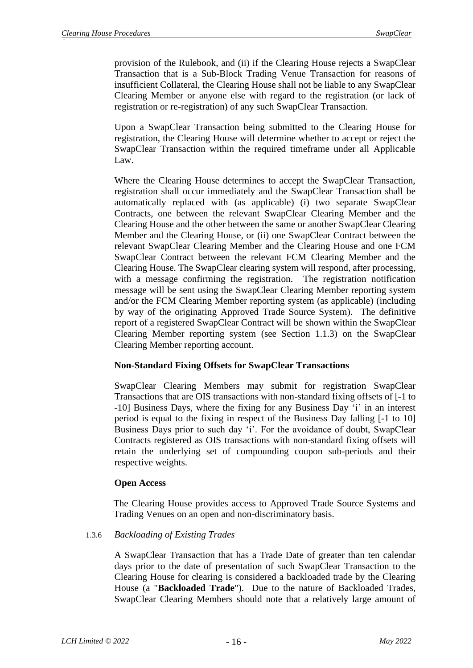provision of the Rulebook, and (ii) if the Clearing House rejects a SwapClear Transaction that is a Sub-Block Trading Venue Transaction for reasons of insufficient Collateral, the Clearing House shall not be liable to any SwapClear Clearing Member or anyone else with regard to the registration (or lack of registration or re-registration) of any such SwapClear Transaction.

Upon a SwapClear Transaction being submitted to the Clearing House for registration, the Clearing House will determine whether to accept or reject the SwapClear Transaction within the required timeframe under all Applicable Law.

Where the Clearing House determines to accept the SwapClear Transaction, registration shall occur immediately and the SwapClear Transaction shall be automatically replaced with (as applicable) (i) two separate SwapClear Contracts, one between the relevant SwapClear Clearing Member and the Clearing House and the other between the same or another SwapClear Clearing Member and the Clearing House, or (ii) one SwapClear Contract between the relevant SwapClear Clearing Member and the Clearing House and one FCM SwapClear Contract between the relevant FCM Clearing Member and the Clearing House. The SwapClear clearing system will respond, after processing, with a message confirming the registration. The registration notification message will be sent using the SwapClear Clearing Member reporting system and/or the FCM Clearing Member reporting system (as applicable) (including by way of the originating Approved Trade Source System). The definitive report of a registered SwapClear Contract will be shown within the SwapClear Clearing Member reporting system (see Section [1.1.3\)](#page-4-0) on the SwapClear Clearing Member reporting account.

#### **Non-Standard Fixing Offsets for SwapClear Transactions**

SwapClear Clearing Members may submit for registration SwapClear Transactions that are OIS transactions with non-standard fixing offsets of [-1 to -10] Business Days, where the fixing for any Business Day 'i' in an interest period is equal to the fixing in respect of the Business Day falling [-1 to 10] Business Days prior to such day 'i'. For the avoidance of doubt, SwapClear Contracts registered as OIS transactions with non-standard fixing offsets will retain the underlying set of compounding coupon sub-periods and their respective weights.

## **Open Access**

The Clearing House provides access to Approved Trade Source Systems and Trading Venues on an open and non-discriminatory basis.

#### <span id="page-16-0"></span>1.3.6 *Backloading of Existing Trades*

A SwapClear Transaction that has a Trade Date of greater than ten calendar days prior to the date of presentation of such SwapClear Transaction to the Clearing House for clearing is considered a backloaded trade by the Clearing House (a "**Backloaded Trade**"). Due to the nature of Backloaded Trades, SwapClear Clearing Members should note that a relatively large amount of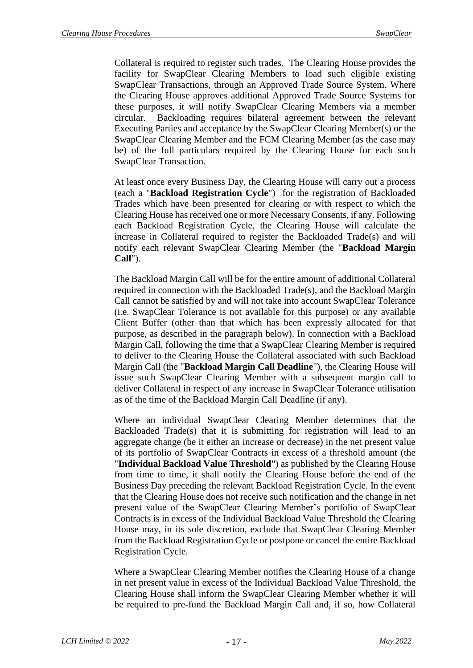Collateral is required to register such trades. The Clearing House provides the facility for SwapClear Clearing Members to load such eligible existing SwapClear Transactions, through an Approved Trade Source System. Where the Clearing House approves additional Approved Trade Source Systems for these purposes, it will notify SwapClear Clearing Members via a member circular. Backloading requires bilateral agreement between the relevant Executing Parties and acceptance by the SwapClear Clearing Member(s) or the SwapClear Clearing Member and the FCM Clearing Member (as the case may be) of the full particulars required by the Clearing House for each such SwapClear Transaction.

At least once every Business Day, the Clearing House will carry out a process (each a "**Backload Registration Cycle**") for the registration of Backloaded Trades which have been presented for clearing or with respect to which the Clearing House has received one or more Necessary Consents, if any. Following each Backload Registration Cycle, the Clearing House will calculate the increase in Collateral required to register the Backloaded Trade(s) and will notify each relevant SwapClear Clearing Member (the "**Backload Margin Call**").

The Backload Margin Call will be for the entire amount of additional Collateral required in connection with the Backloaded Trade(s), and the Backload Margin Call cannot be satisfied by and will not take into account SwapClear Tolerance (i.e. SwapClear Tolerance is not available for this purpose) or any available Client Buffer (other than that which has been expressly allocated for that purpose, as described in the paragraph below). In connection with a Backload Margin Call, following the time that a SwapClear Clearing Member is required to deliver to the Clearing House the Collateral associated with such Backload Margin Call (the "**Backload Margin Call Deadline**"), the Clearing House will issue such SwapClear Clearing Member with a subsequent margin call to deliver Collateral in respect of any increase in SwapClear Tolerance utilisation as of the time of the Backload Margin Call Deadline (if any).

Where an individual SwapClear Clearing Member determines that the Backloaded Trade(s) that it is submitting for registration will lead to an aggregate change (be it either an increase or decrease) in the net present value of its portfolio of SwapClear Contracts in excess of a threshold amount (the "**Individual Backload Value Threshold**") as published by the Clearing House from time to time, it shall notify the Clearing House before the end of the Business Day preceding the relevant Backload Registration Cycle. In the event that the Clearing House does not receive such notification and the change in net present value of the SwapClear Clearing Member's portfolio of SwapClear Contracts is in excess of the Individual Backload Value Threshold the Clearing House may, in its sole discretion, exclude that SwapClear Clearing Member from the Backload Registration Cycle or postpone or cancel the entire Backload Registration Cycle.

Where a SwapClear Clearing Member notifies the Clearing House of a change in net present value in excess of the Individual Backload Value Threshold, the Clearing House shall inform the SwapClear Clearing Member whether it will be required to pre-fund the Backload Margin Call and, if so, how Collateral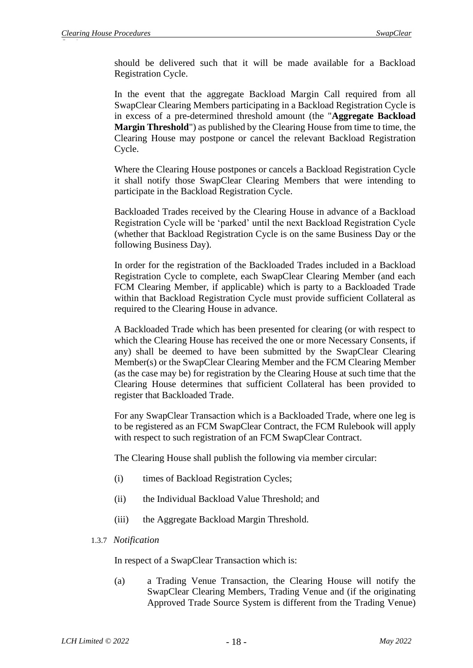should be delivered such that it will be made available for a Backload Registration Cycle.

In the event that the aggregate Backload Margin Call required from all SwapClear Clearing Members participating in a Backload Registration Cycle is in excess of a pre-determined threshold amount (the "**Aggregate Backload Margin Threshold**") as published by the Clearing House from time to time, the Clearing House may postpone or cancel the relevant Backload Registration Cycle.

Where the Clearing House postpones or cancels a Backload Registration Cycle it shall notify those SwapClear Clearing Members that were intending to participate in the Backload Registration Cycle.

Backloaded Trades received by the Clearing House in advance of a Backload Registration Cycle will be 'parked' until the next Backload Registration Cycle (whether that Backload Registration Cycle is on the same Business Day or the following Business Day).

In order for the registration of the Backloaded Trades included in a Backload Registration Cycle to complete, each SwapClear Clearing Member (and each FCM Clearing Member, if applicable) which is party to a Backloaded Trade within that Backload Registration Cycle must provide sufficient Collateral as required to the Clearing House in advance.

A Backloaded Trade which has been presented for clearing (or with respect to which the Clearing House has received the one or more Necessary Consents, if any) shall be deemed to have been submitted by the SwapClear Clearing Member(s) or the SwapClear Clearing Member and the FCM Clearing Member (as the case may be) for registration by the Clearing House at such time that the Clearing House determines that sufficient Collateral has been provided to register that Backloaded Trade.

For any SwapClear Transaction which is a Backloaded Trade, where one leg is to be registered as an FCM SwapClear Contract, the FCM Rulebook will apply with respect to such registration of an FCM SwapClear Contract.

The Clearing House shall publish the following via member circular:

- (i) times of Backload Registration Cycles;
- (ii) the Individual Backload Value Threshold; and
- (iii) the Aggregate Backload Margin Threshold.

#### 1.3.7 *Notification*

In respect of a SwapClear Transaction which is:

(a) a Trading Venue Transaction, the Clearing House will notify the SwapClear Clearing Members, Trading Venue and (if the originating Approved Trade Source System is different from the Trading Venue)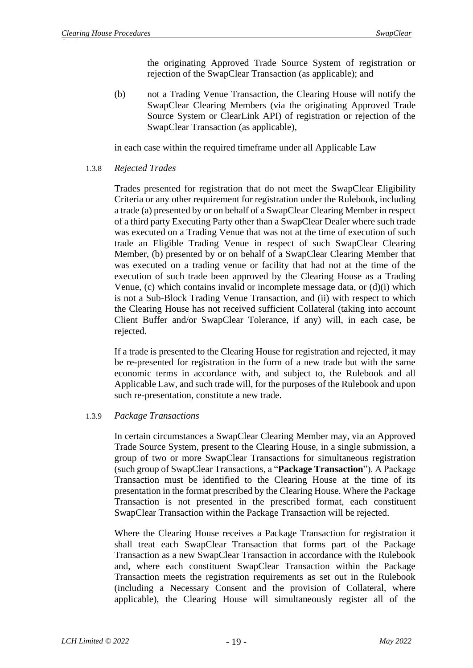the originating Approved Trade Source System of registration or rejection of the SwapClear Transaction (as applicable); and

(b) not a Trading Venue Transaction, the Clearing House will notify the SwapClear Clearing Members (via the originating Approved Trade Source System or ClearLink API) of registration or rejection of the SwapClear Transaction (as applicable),

in each case within the required timeframe under all Applicable Law

1.3.8 *Rejected Trades*

Trades presented for registration that do not meet the SwapClear Eligibility Criteria or any other requirement for registration under the Rulebook, including a trade (a) presented by or on behalf of a SwapClear Clearing Member in respect of a third party Executing Party other than a SwapClear Dealer where such trade was executed on a Trading Venue that was not at the time of execution of such trade an Eligible Trading Venue in respect of such SwapClear Clearing Member, (b) presented by or on behalf of a SwapClear Clearing Member that was executed on a trading venue or facility that had not at the time of the execution of such trade been approved by the Clearing House as a Trading Venue, (c) which contains invalid or incomplete message data, or (d)(i) which is not a Sub-Block Trading Venue Transaction, and (ii) with respect to which the Clearing House has not received sufficient Collateral (taking into account Client Buffer and/or SwapClear Tolerance, if any) will, in each case, be rejected.

If a trade is presented to the Clearing House for registration and rejected, it may be re-presented for registration in the form of a new trade but with the same economic terms in accordance with, and subject to, the Rulebook and all Applicable Law, and such trade will, for the purposes of the Rulebook and upon such re-presentation, constitute a new trade.

## 1.3.9 *Package Transactions*

In certain circumstances a SwapClear Clearing Member may, via an Approved Trade Source System, present to the Clearing House, in a single submission, a group of two or more SwapClear Transactions for simultaneous registration (such group of SwapClear Transactions, a "**Package Transaction**"). A Package Transaction must be identified to the Clearing House at the time of its presentation in the format prescribed by the Clearing House. Where the Package Transaction is not presented in the prescribed format, each constituent SwapClear Transaction within the Package Transaction will be rejected.

Where the Clearing House receives a Package Transaction for registration it shall treat each SwapClear Transaction that forms part of the Package Transaction as a new SwapClear Transaction in accordance with the Rulebook and, where each constituent SwapClear Transaction within the Package Transaction meets the registration requirements as set out in the Rulebook (including a Necessary Consent and the provision of Collateral, where applicable), the Clearing House will simultaneously register all of the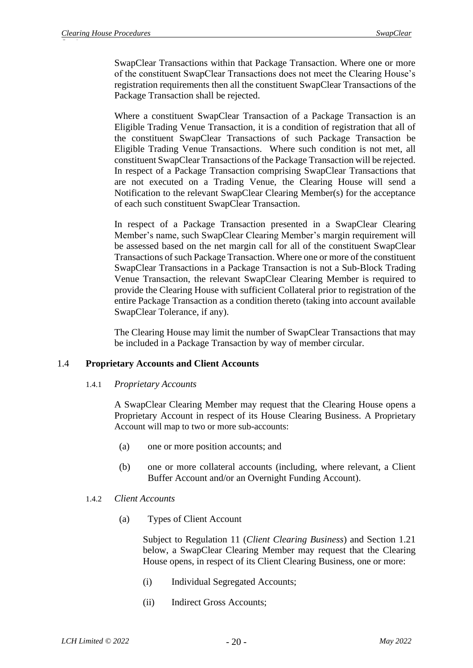SwapClear Transactions within that Package Transaction. Where one or more of the constituent SwapClear Transactions does not meet the Clearing House's registration requirements then all the constituent SwapClear Transactions of the Package Transaction shall be rejected.

Where a constituent SwapClear Transaction of a Package Transaction is an Eligible Trading Venue Transaction, it is a condition of registration that all of the constituent SwapClear Transactions of such Package Transaction be Eligible Trading Venue Transactions. Where such condition is not met, all constituent SwapClear Transactions of the Package Transaction will be rejected. In respect of a Package Transaction comprising SwapClear Transactions that are not executed on a Trading Venue, the Clearing House will send a Notification to the relevant SwapClear Clearing Member(s) for the acceptance of each such constituent SwapClear Transaction.

In respect of a Package Transaction presented in a SwapClear Clearing Member's name, such SwapClear Clearing Member's margin requirement will be assessed based on the net margin call for all of the constituent SwapClear Transactions of such Package Transaction. Where one or more of the constituent SwapClear Transactions in a Package Transaction is not a Sub-Block Trading Venue Transaction, the relevant SwapClear Clearing Member is required to provide the Clearing House with sufficient Collateral prior to registration of the entire Package Transaction as a condition thereto (taking into account available SwapClear Tolerance, if any).

The Clearing House may limit the number of SwapClear Transactions that may be included in a Package Transaction by way of member circular.

#### 1.4 **Proprietary Accounts and Client Accounts**

#### 1.4.1 *Proprietary Accounts*

A SwapClear Clearing Member may request that the Clearing House opens a Proprietary Account in respect of its House Clearing Business. A Proprietary Account will map to two or more sub-accounts:

- (a) one or more position accounts; and
- (b) one or more collateral accounts (including, where relevant, a Client Buffer Account and/or an Overnight Funding Account).

#### 1.4.2 *Client Accounts*

(a) Types of Client Account

Subject to Regulation 11 (*Client Clearing Business*) and Section [1.21](#page-50-0) below, a SwapClear Clearing Member may request that the Clearing House opens, in respect of its Client Clearing Business, one or more:

- (i) Individual Segregated Accounts;
- (ii) Indirect Gross Accounts;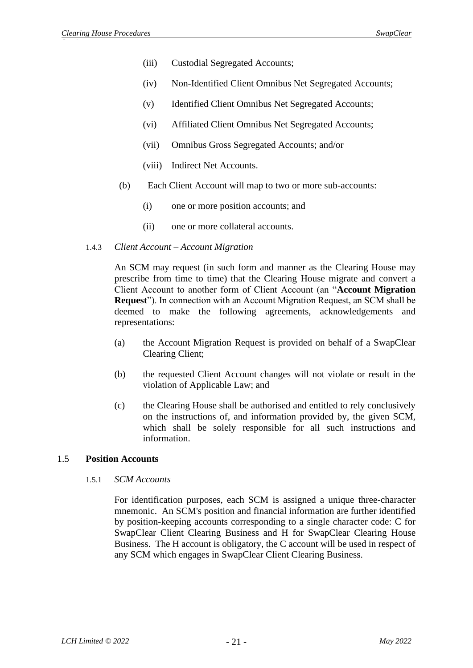- (iii) Custodial Segregated Accounts;
- (iv) Non-Identified Client Omnibus Net Segregated Accounts;
- (v) Identified Client Omnibus Net Segregated Accounts;
- (vi) Affiliated Client Omnibus Net Segregated Accounts;
- (vii) Omnibus Gross Segregated Accounts; and/or
- (viii) Indirect Net Accounts.
- (b) Each Client Account will map to two or more sub-accounts:
	- (i) one or more position accounts; and
	- (ii) one or more collateral accounts.

#### 1.4.3 *Client Account – Account Migration*

An SCM may request (in such form and manner as the Clearing House may prescribe from time to time) that the Clearing House migrate and convert a Client Account to another form of Client Account (an "**Account Migration Request**"). In connection with an Account Migration Request, an SCM shall be deemed to make the following agreements, acknowledgements and representations:

- (a) the Account Migration Request is provided on behalf of a SwapClear Clearing Client;
- (b) the requested Client Account changes will not violate or result in the violation of Applicable Law; and
- (c) the Clearing House shall be authorised and entitled to rely conclusively on the instructions of, and information provided by, the given SCM, which shall be solely responsible for all such instructions and information.

#### 1.5 **Position Accounts**

#### 1.5.1 *SCM Accounts*

For identification purposes, each SCM is assigned a unique three-character mnemonic. An SCM's position and financial information are further identified by position-keeping accounts corresponding to a single character code: C for SwapClear Client Clearing Business and H for SwapClear Clearing House Business. The H account is obligatory, the C account will be used in respect of any SCM which engages in SwapClear Client Clearing Business.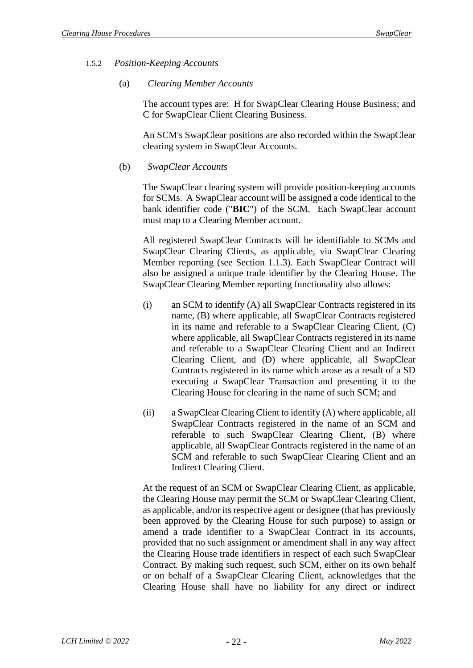#### 1.5.2 *Position-Keeping Accounts*

#### (a) *Clearing Member Accounts*

The account types are: H for SwapClear Clearing House Business; and C for SwapClear Client Clearing Business.

An SCM's SwapClear positions are also recorded within the SwapClear clearing system in SwapClear Accounts.

#### (b) *SwapClear Accounts*

The SwapClear clearing system will provide position-keeping accounts for SCMs. A SwapClear account will be assigned a code identical to the bank identifier code ("**BIC**") of the SCM. Each SwapClear account must map to a Clearing Member account.

All registered SwapClear Contracts will be identifiable to SCMs and SwapClear Clearing Clients, as applicable, via SwapClear Clearing Member reporting (see Section 1.1.3). Each SwapClear Contract will also be assigned a unique trade identifier by the Clearing House. The SwapClear Clearing Member reporting functionality also allows:

- (i) an SCM to identify (A) all SwapClear Contracts registered in its name, (B) where applicable, all SwapClear Contracts registered in its name and referable to a SwapClear Clearing Client, (C) where applicable, all SwapClear Contracts registered in its name and referable to a SwapClear Clearing Client and an Indirect Clearing Client, and (D) where applicable, all SwapClear Contracts registered in its name which arose as a result of a SD executing a SwapClear Transaction and presenting it to the Clearing House for clearing in the name of such SCM; and
- (ii) a SwapClear Clearing Client to identify (A) where applicable, all SwapClear Contracts registered in the name of an SCM and referable to such SwapClear Clearing Client, (B) where applicable, all SwapClear Contracts registered in the name of an SCM and referable to such SwapClear Clearing Client and an Indirect Clearing Client.

At the request of an SCM or SwapClear Clearing Client, as applicable, the Clearing House may permit the SCM or SwapClear Clearing Client, as applicable, and/or its respective agent or designee (that has previously been approved by the Clearing House for such purpose) to assign or amend a trade identifier to a SwapClear Contract in its accounts, provided that no such assignment or amendment shall in any way affect the Clearing House trade identifiers in respect of each such SwapClear Contract. By making such request, such SCM, either on its own behalf or on behalf of a SwapClear Clearing Client, acknowledges that the Clearing House shall have no liability for any direct or indirect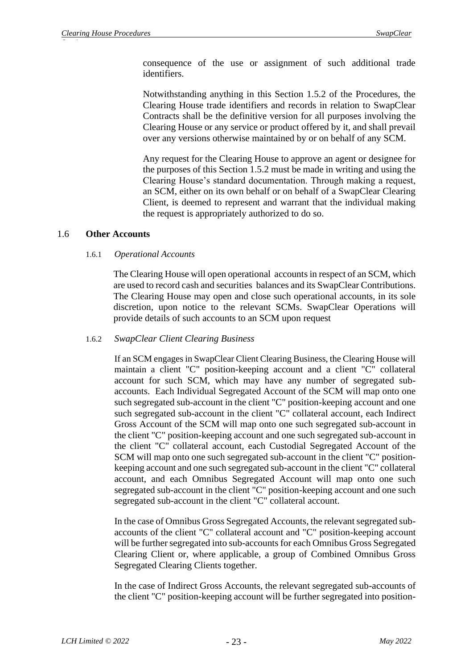consequence of the use or assignment of such additional trade identifiers.

Notwithstanding anything in this Section 1.5.2 of the Procedures, the Clearing House trade identifiers and records in relation to SwapClear Contracts shall be the definitive version for all purposes involving the Clearing House or any service or product offered by it, and shall prevail over any versions otherwise maintained by or on behalf of any SCM.

Any request for the Clearing House to approve an agent or designee for the purposes of this Section 1.5.2 must be made in writing and using the Clearing House's standard documentation. Through making a request, an SCM, either on its own behalf or on behalf of a SwapClear Clearing Client, is deemed to represent and warrant that the individual making the request is appropriately authorized to do so.

### 1.6 **Other Accounts**

#### 1.6.1 *Operational Accounts*

The Clearing House will open operational accounts in respect of an SCM, which are used to record cash and securities balances and its SwapClear Contributions. The Clearing House may open and close such operational accounts, in its sole discretion, upon notice to the relevant SCMs. SwapClear Operations will provide details of such accounts to an SCM upon request

#### 1.6.2 *SwapClear Client Clearing Business*

If an SCM engages in SwapClear Client Clearing Business, the Clearing House will maintain a client "C" position-keeping account and a client "C" collateral account for such SCM, which may have any number of segregated subaccounts. Each Individual Segregated Account of the SCM will map onto one such segregated sub-account in the client "C" position-keeping account and one such segregated sub-account in the client "C" collateral account, each Indirect Gross Account of the SCM will map onto one such segregated sub-account in the client "C" position-keeping account and one such segregated sub-account in the client "C" collateral account, each Custodial Segregated Account of the SCM will map onto one such segregated sub-account in the client "C" positionkeeping account and one such segregated sub-account in the client "C" collateral account, and each Omnibus Segregated Account will map onto one such segregated sub-account in the client "C" position-keeping account and one such segregated sub-account in the client "C" collateral account.

In the case of Omnibus Gross Segregated Accounts, the relevant segregated subaccounts of the client "C" collateral account and "C" position-keeping account will be further segregated into sub-accounts for each Omnibus Gross Segregated Clearing Client or, where applicable, a group of Combined Omnibus Gross Segregated Clearing Clients together.

In the case of Indirect Gross Accounts, the relevant segregated sub-accounts of the client "C" position-keeping account will be further segregated into position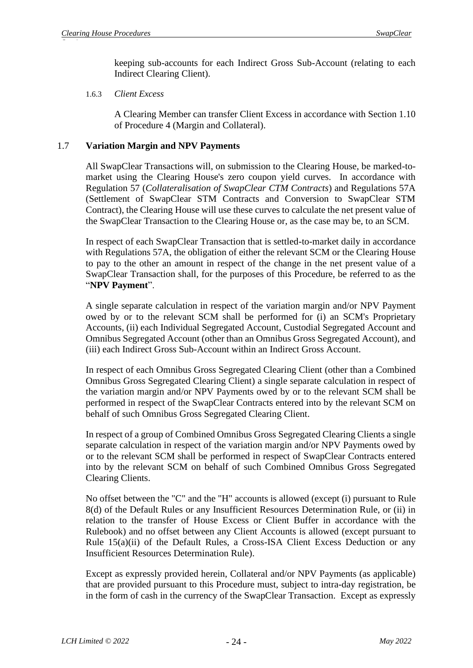keeping sub-accounts for each Indirect Gross Sub-Account (relating to each Indirect Clearing Client).

### 1.6.3 *Client Excess*

A Clearing Member can transfer Client Excess in accordance with Section 1.10 of Procedure 4 (Margin and Collateral).

## 1.7 **Variation Margin and NPV Payments**

All SwapClear Transactions will, on submission to the Clearing House, be marked-tomarket using the Clearing House's zero coupon yield curves. In accordance with Regulation 57 (*Collateralisation of SwapClear CTM Contracts*) and Regulations 57A (Settlement of SwapClear STM Contracts and Conversion to SwapClear STM Contract), the Clearing House will use these curves to calculate the net present value of the SwapClear Transaction to the Clearing House or, as the case may be, to an SCM.

In respect of each SwapClear Transaction that is settled-to-market daily in accordance with Regulations 57A, the obligation of either the relevant SCM or the Clearing House to pay to the other an amount in respect of the change in the net present value of a SwapClear Transaction shall, for the purposes of this Procedure, be referred to as the "**NPV Payment**".

A single separate calculation in respect of the variation margin and/or NPV Payment owed by or to the relevant SCM shall be performed for (i) an SCM's Proprietary Accounts, (ii) each Individual Segregated Account, Custodial Segregated Account and Omnibus Segregated Account (other than an Omnibus Gross Segregated Account), and (iii) each Indirect Gross Sub-Account within an Indirect Gross Account.

In respect of each Omnibus Gross Segregated Clearing Client (other than a Combined Omnibus Gross Segregated Clearing Client) a single separate calculation in respect of the variation margin and/or NPV Payments owed by or to the relevant SCM shall be performed in respect of the SwapClear Contracts entered into by the relevant SCM on behalf of such Omnibus Gross Segregated Clearing Client.

In respect of a group of Combined Omnibus Gross Segregated Clearing Clients a single separate calculation in respect of the variation margin and/or NPV Payments owed by or to the relevant SCM shall be performed in respect of SwapClear Contracts entered into by the relevant SCM on behalf of such Combined Omnibus Gross Segregated Clearing Clients.

No offset between the "C" and the "H" accounts is allowed (except (i) pursuant to Rule 8(d) of the Default Rules or any Insufficient Resources Determination Rule, or (ii) in relation to the transfer of House Excess or Client Buffer in accordance with the Rulebook) and no offset between any Client Accounts is allowed (except pursuant to Rule 15(a)(ii) of the Default Rules, a Cross-ISA Client Excess Deduction or any Insufficient Resources Determination Rule).

Except as expressly provided herein, Collateral and/or NPV Payments (as applicable) that are provided pursuant to this Procedure must, subject to intra-day registration, be in the form of cash in the currency of the SwapClear Transaction. Except as expressly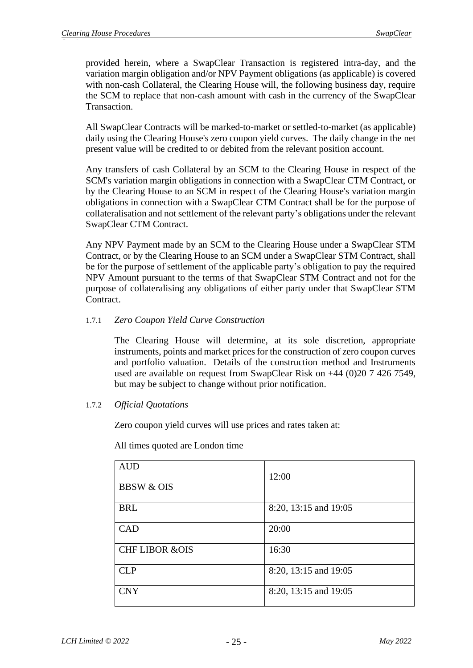provided herein, where a SwapClear Transaction is registered intra-day, and the variation margin obligation and/or NPV Payment obligations (as applicable) is covered with non-cash Collateral, the Clearing House will, the following business day, require the SCM to replace that non-cash amount with cash in the currency of the SwapClear Transaction.

All SwapClear Contracts will be marked-to-market or settled-to-market (as applicable) daily using the Clearing House's zero coupon yield curves. The daily change in the net present value will be credited to or debited from the relevant position account.

Any transfers of cash Collateral by an SCM to the Clearing House in respect of the SCM's variation margin obligations in connection with a SwapClear CTM Contract, or by the Clearing House to an SCM in respect of the Clearing House's variation margin obligations in connection with a SwapClear CTM Contract shall be for the purpose of collateralisation and not settlement of the relevant party's obligations under the relevant SwapClear CTM Contract.

Any NPV Payment made by an SCM to the Clearing House under a SwapClear STM Contract, or by the Clearing House to an SCM under a SwapClear STM Contract, shall be for the purpose of settlement of the applicable party's obligation to pay the required NPV Amount pursuant to the terms of that SwapClear STM Contract and not for the purpose of collateralising any obligations of either party under that SwapClear STM Contract.

## 1.7.1 *Zero Coupon Yield Curve Construction*

The Clearing House will determine, at its sole discretion, appropriate instruments, points and market prices for the construction of zero coupon curves and portfolio valuation. Details of the construction method and Instruments used are available on request from SwapClear Risk on +44 (0)20 7 426 7549, but may be subject to change without prior notification.

## 1.7.2 *Official Quotations*

Zero coupon yield curves will use prices and rates taken at:

All times quoted are London time

| <b>AUD</b><br><b>BBSW &amp; OIS</b> | 12:00                 |
|-------------------------------------|-----------------------|
| <b>BRL</b>                          | 8:20, 13:15 and 19:05 |
| CAD                                 | 20:00                 |
| <b>CHF LIBOR &amp;OIS</b>           | 16:30                 |
| <b>CLP</b>                          | 8:20, 13:15 and 19:05 |
| <b>CNY</b>                          | 8:20, 13:15 and 19:05 |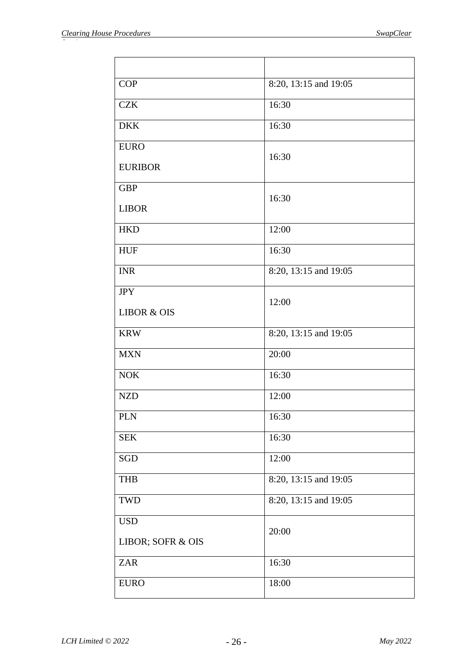| <b>COP</b>             | 8:20, 13:15 and 19:05 |  |  |  |  |
|------------------------|-----------------------|--|--|--|--|
| <b>CZK</b>             | 16:30                 |  |  |  |  |
| <b>DKK</b>             | 16:30                 |  |  |  |  |
| <b>EURO</b>            | 16:30                 |  |  |  |  |
| <b>EURIBOR</b>         |                       |  |  |  |  |
| <b>GBP</b>             | 16:30                 |  |  |  |  |
| <b>LIBOR</b>           |                       |  |  |  |  |
| <b>HKD</b>             | 12:00                 |  |  |  |  |
| <b>HUF</b>             | 16:30                 |  |  |  |  |
| <b>INR</b>             | 8:20, 13:15 and 19:05 |  |  |  |  |
| <b>JPY</b>             | 12:00                 |  |  |  |  |
| <b>LIBOR &amp; OIS</b> |                       |  |  |  |  |
| <b>KRW</b>             | 8:20, 13:15 and 19:05 |  |  |  |  |
| <b>MXN</b>             | 20:00                 |  |  |  |  |
| <b>NOK</b>             | 16:30                 |  |  |  |  |
| <b>NZD</b>             | 12:00                 |  |  |  |  |
| <b>PLN</b>             | 16:30                 |  |  |  |  |
| <b>SEK</b>             | 16:30                 |  |  |  |  |
| SGD                    | 12:00                 |  |  |  |  |
| <b>THB</b>             | 8:20, 13:15 and 19:05 |  |  |  |  |
| TWD                    | 8:20, 13:15 and 19:05 |  |  |  |  |
| <b>USD</b>             | 20:00                 |  |  |  |  |
| LIBOR; SOFR & OIS      |                       |  |  |  |  |
| <b>ZAR</b>             | 16:30                 |  |  |  |  |
| <b>EURO</b>            | 18:00                 |  |  |  |  |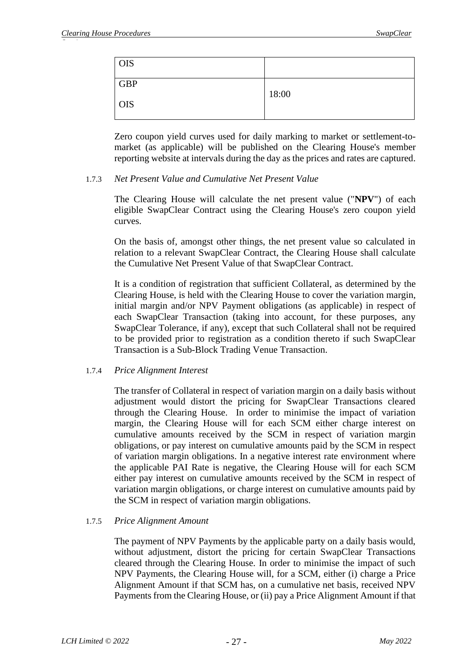| <b>OIS</b> |       |
|------------|-------|
| <b>GBP</b> |       |
| <b>OIS</b> | 18:00 |
|            |       |

Zero coupon yield curves used for daily marking to market or settlement-tomarket (as applicable) will be published on the Clearing House's member reporting website at intervals during the day as the prices and rates are captured.

### 1.7.3 *Net Present Value and Cumulative Net Present Value*

The Clearing House will calculate the net present value ("**NPV**") of each eligible SwapClear Contract using the Clearing House's zero coupon yield curves.

On the basis of, amongst other things, the net present value so calculated in relation to a relevant SwapClear Contract, the Clearing House shall calculate the Cumulative Net Present Value of that SwapClear Contract.

It is a condition of registration that sufficient Collateral, as determined by the Clearing House, is held with the Clearing House to cover the variation margin, initial margin and/or NPV Payment obligations (as applicable) in respect of each SwapClear Transaction (taking into account, for these purposes, any SwapClear Tolerance, if any), except that such Collateral shall not be required to be provided prior to registration as a condition thereto if such SwapClear Transaction is a Sub-Block Trading Venue Transaction.

## 1.7.4 *Price Alignment Interest*

The transfer of Collateral in respect of variation margin on a daily basis without adjustment would distort the pricing for SwapClear Transactions cleared through the Clearing House. In order to minimise the impact of variation margin, the Clearing House will for each SCM either charge interest on cumulative amounts received by the SCM in respect of variation margin obligations, or pay interest on cumulative amounts paid by the SCM in respect of variation margin obligations. In a negative interest rate environment where the applicable PAI Rate is negative, the Clearing House will for each SCM either pay interest on cumulative amounts received by the SCM in respect of variation margin obligations, or charge interest on cumulative amounts paid by the SCM in respect of variation margin obligations.

## 1.7.5 *Price Alignment Amount*

The payment of NPV Payments by the applicable party on a daily basis would, without adjustment, distort the pricing for certain SwapClear Transactions cleared through the Clearing House. In order to minimise the impact of such NPV Payments, the Clearing House will, for a SCM, either (i) charge a Price Alignment Amount if that SCM has, on a cumulative net basis, received NPV Payments from the Clearing House, or (ii) pay a Price Alignment Amount if that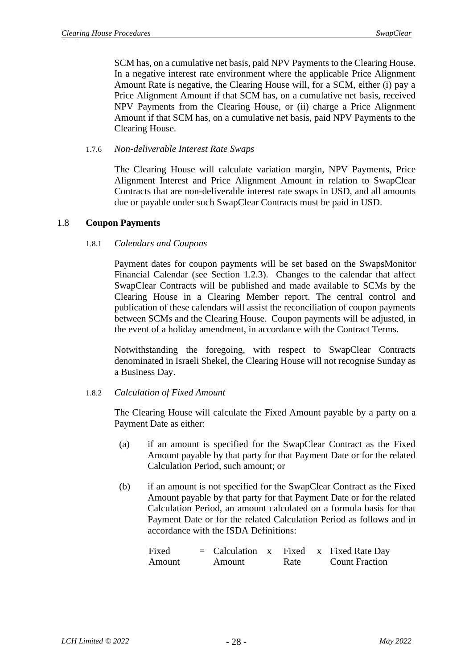SCM has, on a cumulative net basis, paid NPV Payments to the Clearing House. In a negative interest rate environment where the applicable Price Alignment Amount Rate is negative, the Clearing House will, for a SCM, either (i) pay a Price Alignment Amount if that SCM has, on a cumulative net basis, received NPV Payments from the Clearing House, or (ii) charge a Price Alignment Amount if that SCM has, on a cumulative net basis, paid NPV Payments to the Clearing House.

### 1.7.6 *Non-deliverable Interest Rate Swaps*

The Clearing House will calculate variation margin, NPV Payments, Price Alignment Interest and Price Alignment Amount in relation to SwapClear Contracts that are non-deliverable interest rate swaps in USD, and all amounts due or payable under such SwapClear Contracts must be paid in USD.

## 1.8 **Coupon Payments**

### 1.8.1 *Calendars and Coupons*

Payment dates for coupon payments will be set based on the SwapsMonitor Financial Calendar (see Section [1.2.3\)](#page-6-1). Changes to the calendar that affect SwapClear Contracts will be published and made available to SCMs by the Clearing House in a Clearing Member report. The central control and publication of these calendars will assist the reconciliation of coupon payments between SCMs and the Clearing House. Coupon payments will be adjusted, in the event of a holiday amendment, in accordance with the Contract Terms.

Notwithstanding the foregoing, with respect to SwapClear Contracts denominated in Israeli Shekel, the Clearing House will not recognise Sunday as a Business Day.

## 1.8.2 *Calculation of Fixed Amount*

The Clearing House will calculate the Fixed Amount payable by a party on a Payment Date as either:

- (a) if an amount is specified for the SwapClear Contract as the Fixed Amount payable by that party for that Payment Date or for the related Calculation Period, such amount; or
- (b) if an amount is not specified for the SwapClear Contract as the Fixed Amount payable by that party for that Payment Date or for the related Calculation Period, an amount calculated on a formula basis for that Payment Date or for the related Calculation Period as follows and in accordance with the ISDA Definitions:

| Fixed  |        |      | $=$ Calculation x Fixed x Fixed Rate Day |
|--------|--------|------|------------------------------------------|
| Amount | Amount | Rate | <b>Count Fraction</b>                    |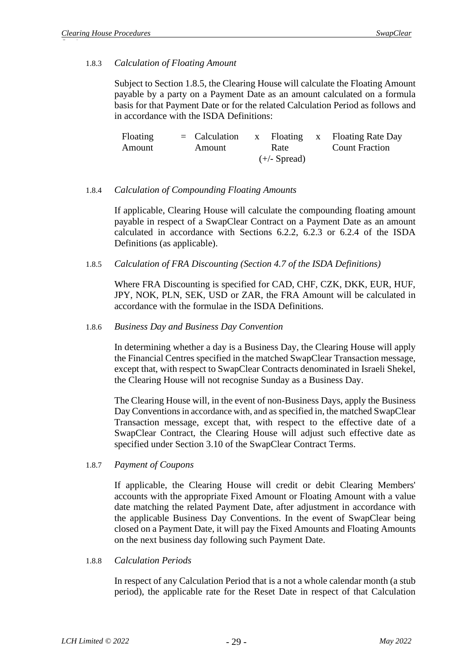#### 1.8.3 *Calculation of Floating Amount*

Subject to Section 1.8.5, the Clearing House will calculate the Floating Amount payable by a party on a Payment Date as an amount calculated on a formula basis for that Payment Date or for the related Calculation Period as follows and in accordance with the ISDA Definitions:

| Floating | $=$ Calculation |                | x Floating x Floating Rate Day |
|----------|-----------------|----------------|--------------------------------|
| Amount   | Amount          | Rate           | <b>Count Fraction</b>          |
|          |                 | $(+/-$ Spread) |                                |

### 1.8.4 *Calculation of Compounding Floating Amounts*

If applicable, Clearing House will calculate the compounding floating amount payable in respect of a SwapClear Contract on a Payment Date as an amount calculated in accordance with Sections 6.2.2, 6.2.3 or 6.2.4 of the ISDA Definitions (as applicable).

1.8.5 *Calculation of FRA Discounting (Section 4.7 of the ISDA Definitions)*

Where FRA Discounting is specified for CAD, CHF, CZK, DKK, EUR, HUF, JPY, NOK, PLN, SEK, USD or ZAR, the FRA Amount will be calculated in accordance with the formulae in the ISDA Definitions.

1.8.6 *Business Day and Business Day Convention*

In determining whether a day is a Business Day, the Clearing House will apply the Financial Centres specified in the matched SwapClear Transaction message, except that, with respect to SwapClear Contracts denominated in Israeli Shekel, the Clearing House will not recognise Sunday as a Business Day.

The Clearing House will, in the event of non-Business Days, apply the Business Day Conventions in accordance with, and as specified in, the matched SwapClear Transaction message, except that, with respect to the effective date of a SwapClear Contract, the Clearing House will adjust such effective date as specified under Section 3.10 of the SwapClear Contract Terms.

1.8.7 *Payment of Coupons*

If applicable, the Clearing House will credit or debit Clearing Members' accounts with the appropriate Fixed Amount or Floating Amount with a value date matching the related Payment Date, after adjustment in accordance with the applicable Business Day Conventions. In the event of SwapClear being closed on a Payment Date, it will pay the Fixed Amounts and Floating Amounts on the next business day following such Payment Date.

#### 1.8.8 *Calculation Periods*

In respect of any Calculation Period that is a not a whole calendar month (a stub period), the applicable rate for the Reset Date in respect of that Calculation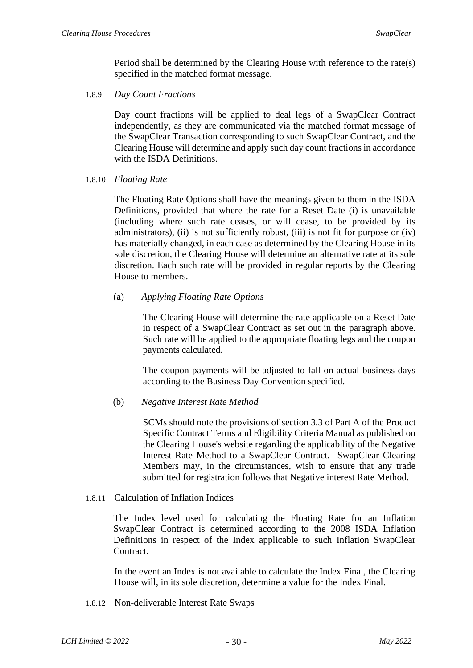Period shall be determined by the Clearing House with reference to the rate(s) specified in the matched format message.

1.8.9 *Day Count Fractions*

Day count fractions will be applied to deal legs of a SwapClear Contract independently, as they are communicated via the matched format message of the SwapClear Transaction corresponding to such SwapClear Contract, and the Clearing House will determine and apply such day count fractions in accordance with the ISDA Definitions.

1.8.10 *Floating Rate*

The Floating Rate Options shall have the meanings given to them in the ISDA Definitions, provided that where the rate for a Reset Date (i) is unavailable (including where such rate ceases, or will cease, to be provided by its administrators), (ii) is not sufficiently robust, (iii) is not fit for purpose or (iv) has materially changed, in each case as determined by the Clearing House in its sole discretion, the Clearing House will determine an alternative rate at its sole discretion. Each such rate will be provided in regular reports by the Clearing House to members.

(a) *Applying Floating Rate Options*

The Clearing House will determine the rate applicable on a Reset Date in respect of a SwapClear Contract as set out in the paragraph above. Such rate will be applied to the appropriate floating legs and the coupon payments calculated.

The coupon payments will be adjusted to fall on actual business days according to the Business Day Convention specified.

#### (b) *Negative Interest Rate Method*

SCMs should note the provisions of section 3.3 of Part A of the Product Specific Contract Terms and Eligibility Criteria Manual as published on the Clearing House's website regarding the applicability of the Negative Interest Rate Method to a SwapClear Contract. SwapClear Clearing Members may, in the circumstances, wish to ensure that any trade submitted for registration follows that Negative interest Rate Method.

#### 1.8.11 Calculation of Inflation Indices

The Index level used for calculating the Floating Rate for an Inflation SwapClear Contract is determined according to the 2008 ISDA Inflation Definitions in respect of the Index applicable to such Inflation SwapClear Contract.

In the event an Index is not available to calculate the Index Final, the Clearing House will, in its sole discretion, determine a value for the Index Final.

1.8.12 Non-deliverable Interest Rate Swaps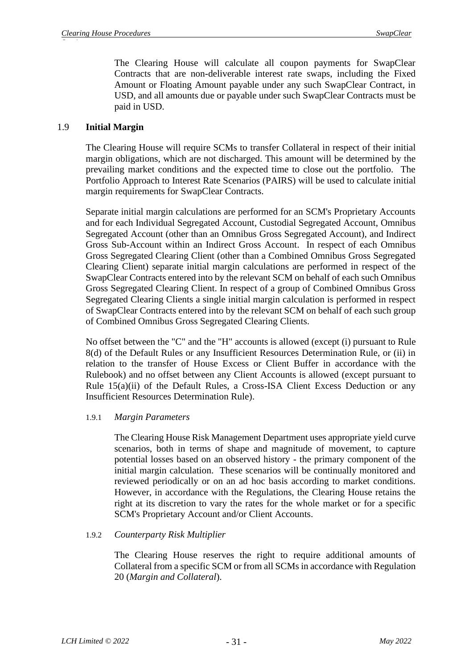The Clearing House will calculate all coupon payments for SwapClear Contracts that are non-deliverable interest rate swaps, including the Fixed Amount or Floating Amount payable under any such SwapClear Contract, in USD, and all amounts due or payable under such SwapClear Contracts must be paid in USD.

## 1.9 **Initial Margin**

The Clearing House will require SCMs to transfer Collateral in respect of their initial margin obligations, which are not discharged. This amount will be determined by the prevailing market conditions and the expected time to close out the portfolio. The Portfolio Approach to Interest Rate Scenarios (PAIRS) will be used to calculate initial margin requirements for SwapClear Contracts.

Separate initial margin calculations are performed for an SCM's Proprietary Accounts and for each Individual Segregated Account, Custodial Segregated Account, Omnibus Segregated Account (other than an Omnibus Gross Segregated Account), and Indirect Gross Sub-Account within an Indirect Gross Account. In respect of each Omnibus Gross Segregated Clearing Client (other than a Combined Omnibus Gross Segregated Clearing Client) separate initial margin calculations are performed in respect of the SwapClear Contracts entered into by the relevant SCM on behalf of each such Omnibus Gross Segregated Clearing Client. In respect of a group of Combined Omnibus Gross Segregated Clearing Clients a single initial margin calculation is performed in respect of SwapClear Contracts entered into by the relevant SCM on behalf of each such group of Combined Omnibus Gross Segregated Clearing Clients.

No offset between the "C" and the "H" accounts is allowed (except (i) pursuant to Rule 8(d) of the Default Rules or any Insufficient Resources Determination Rule, or (ii) in relation to the transfer of House Excess or Client Buffer in accordance with the Rulebook) and no offset between any Client Accounts is allowed (except pursuant to Rule 15(a)(ii) of the Default Rules, a Cross-ISA Client Excess Deduction or any Insufficient Resources Determination Rule).

#### 1.9.1 *Margin Parameters*

The Clearing House Risk Management Department uses appropriate yield curve scenarios, both in terms of shape and magnitude of movement, to capture potential losses based on an observed history - the primary component of the initial margin calculation. These scenarios will be continually monitored and reviewed periodically or on an ad hoc basis according to market conditions. However, in accordance with the Regulations, the Clearing House retains the right at its discretion to vary the rates for the whole market or for a specific SCM's Proprietary Account and/or Client Accounts.

#### 1.9.2 *Counterparty Risk Multiplier*

The Clearing House reserves the right to require additional amounts of Collateral from a specific SCM or from all SCMs in accordance with Regulation 20 (*Margin and Collateral*).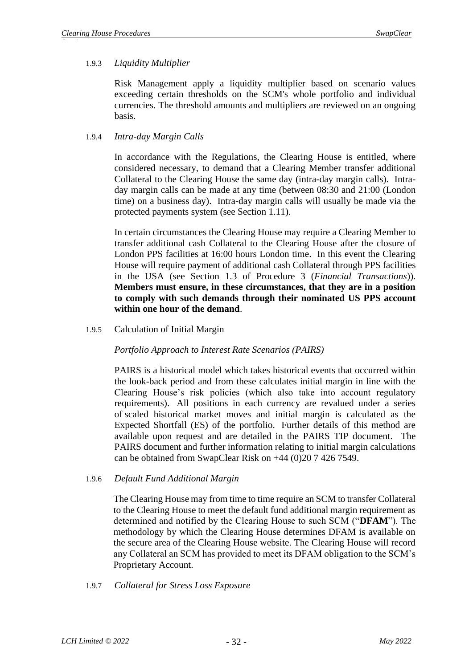## 1.9.3 *Liquidity Multiplier*

Risk Management apply a liquidity multiplier based on scenario values exceeding certain thresholds on the SCM's whole portfolio and individual currencies. The threshold amounts and multipliers are reviewed on an ongoing basis.

### 1.9.4 *Intra-day Margin Calls*

In accordance with the Regulations, the Clearing House is entitled, where considered necessary, to demand that a Clearing Member transfer additional Collateral to the Clearing House the same day (intra-day margin calls). Intraday margin calls can be made at any time (between 08:30 and 21:00 (London time) on a business day). Intra-day margin calls will usually be made via the protected payments system (see Section [1.11\)](#page-33-0).

In certain circumstances the Clearing House may require a Clearing Member to transfer additional cash Collateral to the Clearing House after the closure of London PPS facilities at 16:00 hours London time. In this event the Clearing House will require payment of additional cash Collateral through PPS facilities in the USA (see Section 1.3 of Procedure 3 (*Financial Transactions*)). **Members must ensure, in these circumstances, that they are in a position to comply with such demands through their nominated US PPS account within one hour of the demand**.

1.9.5 Calculation of Initial Margin

*Portfolio Approach to Interest Rate Scenarios (PAIRS)*

PAIRS is a historical model which takes historical events that occurred within the look-back period and from these calculates initial margin in line with the Clearing House's risk policies (which also take into account regulatory requirements). All positions in each currency are revalued under a series of scaled historical market moves and initial margin is calculated as the Expected Shortfall (ES) of the portfolio. Further details of this method are available upon request and are detailed in the PAIRS TIP document. The PAIRS document and further information relating to initial margin calculations can be obtained from SwapClear Risk on +44 (0)20 7 426 7549.

1.9.6 *Default Fund Additional Margin*

The Clearing House may from time to time require an SCM to transfer Collateral to the Clearing House to meet the default fund additional margin requirement as determined and notified by the Clearing House to such SCM ("**DFAM**"). The methodology by which the Clearing House determines DFAM is available on the secure area of the Clearing House website. The Clearing House will record any Collateral an SCM has provided to meet its DFAM obligation to the SCM's Proprietary Account.

1.9.7 *Collateral for Stress Loss Exposure*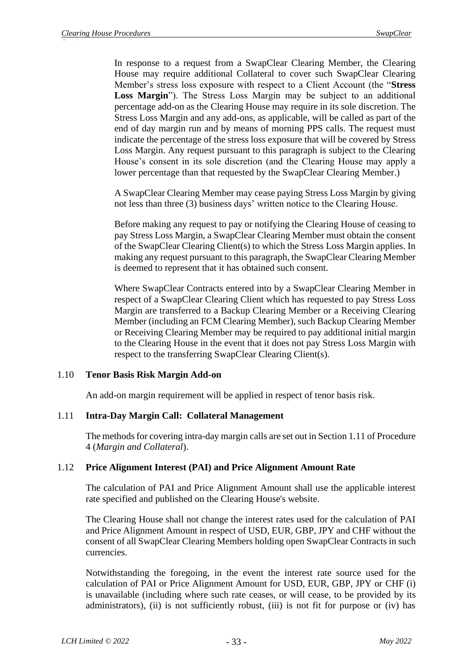In response to a request from a SwapClear Clearing Member, the Clearing House may require additional Collateral to cover such SwapClear Clearing Member's stress loss exposure with respect to a Client Account (the "**Stress Loss Margin**"). The Stress Loss Margin may be subject to an additional percentage add-on as the Clearing House may require in its sole discretion. The Stress Loss Margin and any add-ons, as applicable, will be called as part of the end of day margin run and by means of morning PPS calls. The request must indicate the percentage of the stress loss exposure that will be covered by Stress Loss Margin. Any request pursuant to this paragraph is subject to the Clearing House's consent in its sole discretion (and the Clearing House may apply a lower percentage than that requested by the SwapClear Clearing Member.)

A SwapClear Clearing Member may cease paying Stress Loss Margin by giving not less than three (3) business days' written notice to the Clearing House.

Before making any request to pay or notifying the Clearing House of ceasing to pay Stress Loss Margin, a SwapClear Clearing Member must obtain the consent of the SwapClear Clearing Client(s) to which the Stress Loss Margin applies. In making any request pursuant to this paragraph, the SwapClear Clearing Member is deemed to represent that it has obtained such consent.

Where SwapClear Contracts entered into by a SwapClear Clearing Member in respect of a SwapClear Clearing Client which has requested to pay Stress Loss Margin are transferred to a Backup Clearing Member or a Receiving Clearing Member (including an FCM Clearing Member), such Backup Clearing Member or Receiving Clearing Member may be required to pay additional initial margin to the Clearing House in the event that it does not pay Stress Loss Margin with respect to the transferring SwapClear Clearing Client(s).

#### 1.10 **Tenor Basis Risk Margin Add-on**

An add-on margin requirement will be applied in respect of tenor basis risk.

#### <span id="page-33-0"></span>1.11 **Intra-Day Margin Call: Collateral Management**

The methods for covering intra-day margin calls are set out in Section 1.11 of Procedure 4 (*Margin and Collateral*).

#### 1.12 **Price Alignment Interest (PAI) and Price Alignment Amount Rate**

The calculation of PAI and Price Alignment Amount shall use the applicable interest rate specified and published on the Clearing House's website.

The Clearing House shall not change the interest rates used for the calculation of PAI and Price Alignment Amount in respect of USD, EUR, GBP, JPY and CHF without the consent of all SwapClear Clearing Members holding open SwapClear Contracts in such currencies.

Notwithstanding the foregoing, in the event the interest rate source used for the calculation of PAI or Price Alignment Amount for USD, EUR, GBP, JPY or CHF (i) is unavailable (including where such rate ceases, or will cease, to be provided by its administrators), (ii) is not sufficiently robust, (iii) is not fit for purpose or (iv) has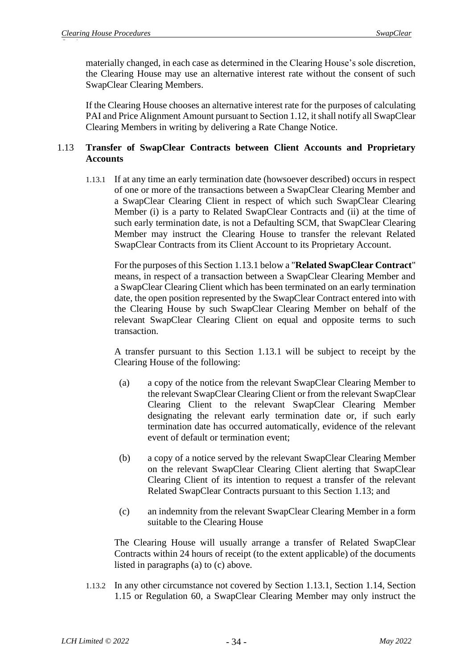materially changed, in each case as determined in the Clearing House's sole discretion, the Clearing House may use an alternative interest rate without the consent of such SwapClear Clearing Members.

If the Clearing House chooses an alternative interest rate for the purposes of calculating PAI and Price Alignment Amount pursuant to Section 1.12, it shall notify all SwapClear Clearing Members in writing by delivering a Rate Change Notice.

## <span id="page-34-1"></span>1.13 **Transfer of SwapClear Contracts between Client Accounts and Proprietary Accounts**

<span id="page-34-0"></span>1.13.1 If at any time an early termination date (howsoever described) occurs in respect of one or more of the transactions between a SwapClear Clearing Member and a SwapClear Clearing Client in respect of which such SwapClear Clearing Member (i) is a party to Related SwapClear Contracts and (ii) at the time of such early termination date, is not a Defaulting SCM, that SwapClear Clearing Member may instruct the Clearing House to transfer the relevant Related SwapClear Contracts from its Client Account to its Proprietary Account.

For the purposes of this Section [1.13.1](#page-34-0) below a "**Related SwapClear Contract**" means, in respect of a transaction between a SwapClear Clearing Member and a SwapClear Clearing Client which has been terminated on an early termination date, the open position represented by the SwapClear Contract entered into with the Clearing House by such SwapClear Clearing Member on behalf of the relevant SwapClear Clearing Client on equal and opposite terms to such transaction.

A transfer pursuant to this Section [1.13.1](#page-34-0) will be subject to receipt by the Clearing House of the following:

- <span id="page-34-2"></span>(a) a copy of the notice from the relevant SwapClear Clearing Member to the relevant SwapClear Clearing Client or from the relevant SwapClear Clearing Client to the relevant SwapClear Clearing Member designating the relevant early termination date or, if such early termination date has occurred automatically, evidence of the relevant event of default or termination event;
- (b) a copy of a notice served by the relevant SwapClear Clearing Member on the relevant SwapClear Clearing Client alerting that SwapClear Clearing Client of its intention to request a transfer of the relevant Related SwapClear Contracts pursuant to this Section [1.13;](#page-34-1) and
- <span id="page-34-3"></span>(c) an indemnity from the relevant SwapClear Clearing Member in a form suitable to the Clearing House

The Clearing House will usually arrange a transfer of Related SwapClear Contracts within 24 hours of receipt (to the extent applicable) of the documents listed in paragraphs [\(a\)](#page-34-2) to [\(c\)](#page-34-3) above.

<span id="page-34-4"></span>1.13.2 In any other circumstance not covered by Section [1.13.1,](#page-34-0) Section [1.14,](#page-35-0) Section 1.15 or Regulation 60, a SwapClear Clearing Member may only instruct the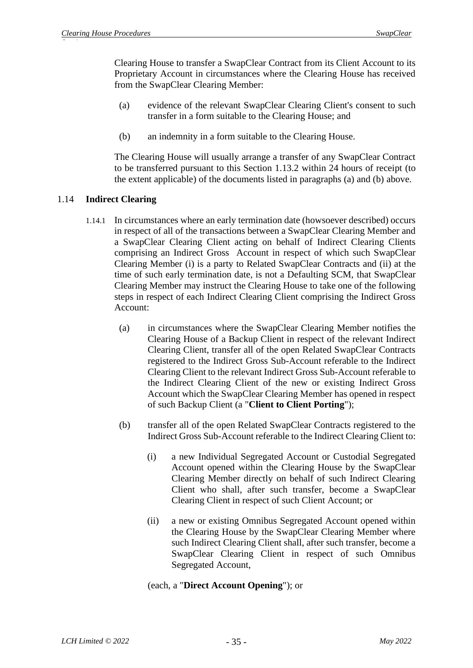Clearing House to transfer a SwapClear Contract from its Client Account to its Proprietary Account in circumstances where the Clearing House has received from the SwapClear Clearing Member:

- (a) evidence of the relevant SwapClear Clearing Client's consent to such transfer in a form suitable to the Clearing House; and
- (b) an indemnity in a form suitable to the Clearing House.

The Clearing House will usually arrange a transfer of any SwapClear Contract to be transferred pursuant to this Section [1.13.2](#page-34-4) within 24 hours of receipt (to the extent applicable) of the documents listed in paragraphs (a) and (b) above.

## <span id="page-35-0"></span>1.14 **Indirect Clearing**

- 1.14.1 In circumstances where an early termination date (howsoever described) occurs in respect of all of the transactions between a SwapClear Clearing Member and a SwapClear Clearing Client acting on behalf of Indirect Clearing Clients comprising an Indirect Gross Account in respect of which such SwapClear Clearing Member (i) is a party to Related SwapClear Contracts and (ii) at the time of such early termination date, is not a Defaulting SCM, that SwapClear Clearing Member may instruct the Clearing House to take one of the following steps in respect of each Indirect Clearing Client comprising the Indirect Gross Account:
	- (a) in circumstances where the SwapClear Clearing Member notifies the Clearing House of a Backup Client in respect of the relevant Indirect Clearing Client, transfer all of the open Related SwapClear Contracts registered to the Indirect Gross Sub-Account referable to the Indirect Clearing Client to the relevant Indirect Gross Sub-Account referable to the Indirect Clearing Client of the new or existing Indirect Gross Account which the SwapClear Clearing Member has opened in respect of such Backup Client (a "**Client to Client Porting**");
	- (b) transfer all of the open Related SwapClear Contracts registered to the Indirect Gross Sub-Account referable to the Indirect Clearing Client to:
		- (i) a new Individual Segregated Account or Custodial Segregated Account opened within the Clearing House by the SwapClear Clearing Member directly on behalf of such Indirect Clearing Client who shall, after such transfer, become a SwapClear Clearing Client in respect of such Client Account; or
		- (ii) a new or existing Omnibus Segregated Account opened within the Clearing House by the SwapClear Clearing Member where such Indirect Clearing Client shall, after such transfer, become a SwapClear Clearing Client in respect of such Omnibus Segregated Account,

## (each, a "**Direct Account Opening**"); or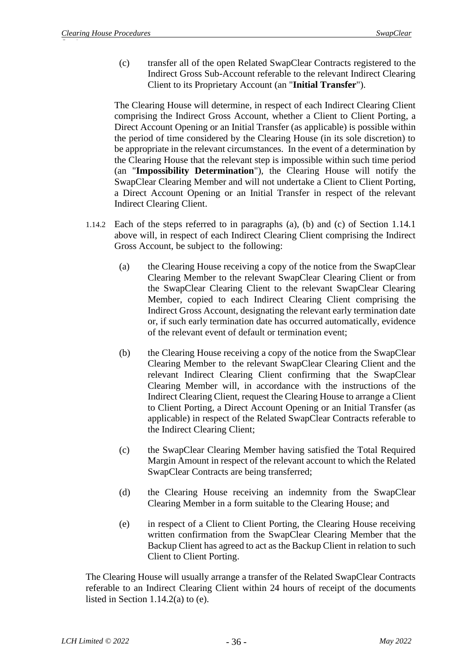(c) transfer all of the open Related SwapClear Contracts registered to the Indirect Gross Sub-Account referable to the relevant Indirect Clearing Client to its Proprietary Account (an "**Initial Transfer**").

The Clearing House will determine, in respect of each Indirect Clearing Client comprising the Indirect Gross Account, whether a Client to Client Porting, a Direct Account Opening or an Initial Transfer (as applicable) is possible within the period of time considered by the Clearing House (in its sole discretion) to be appropriate in the relevant circumstances. In the event of a determination by the Clearing House that the relevant step is impossible within such time period (an "**Impossibility Determination**"), the Clearing House will notify the SwapClear Clearing Member and will not undertake a Client to Client Porting, a Direct Account Opening or an Initial Transfer in respect of the relevant Indirect Clearing Client.

- <span id="page-36-2"></span><span id="page-36-0"></span>1.14.2 Each of the steps referred to in paragraphs [\(a\),](#page-36-0) (b) and [\(c\)](#page-36-1) of Section [1.14.1](#page-35-0) above will, in respect of each Indirect Clearing Client comprising the Indirect Gross Account, be subject to the following:
	- (a) the Clearing House receiving a copy of the notice from the SwapClear Clearing Member to the relevant SwapClear Clearing Client or from the SwapClear Clearing Client to the relevant SwapClear Clearing Member, copied to each Indirect Clearing Client comprising the Indirect Gross Account, designating the relevant early termination date or, if such early termination date has occurred automatically, evidence of the relevant event of default or termination event;
	- (b) the Clearing House receiving a copy of the notice from the SwapClear Clearing Member to the relevant SwapClear Clearing Client and the relevant Indirect Clearing Client confirming that the SwapClear Clearing Member will, in accordance with the instructions of the Indirect Clearing Client, request the Clearing House to arrange a Client to Client Porting, a Direct Account Opening or an Initial Transfer (as applicable) in respect of the Related SwapClear Contracts referable to the Indirect Clearing Client;
	- (c) the SwapClear Clearing Member having satisfied the Total Required Margin Amount in respect of the relevant account to which the Related SwapClear Contracts are being transferred;
	- (d) the Clearing House receiving an indemnity from the SwapClear Clearing Member in a form suitable to the Clearing House; and
	- (e) in respect of a Client to Client Porting, the Clearing House receiving written confirmation from the SwapClear Clearing Member that the Backup Client has agreed to act as the Backup Client in relation to such Client to Client Porting.

<span id="page-36-1"></span>The Clearing House will usually arrange a transfer of the Related SwapClear Contracts referable to an Indirect Clearing Client within 24 hours of receipt of the documents listed in Section [1.14.2\(](#page-36-2)a) to (e).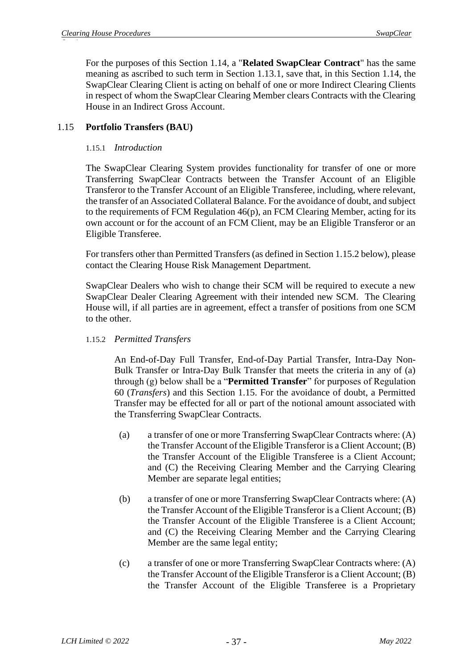For the purposes of this Section [1.14,](#page-35-1) a "**Related SwapClear Contract**" has the same meaning as ascribed to such term in Section [1.13.1,](#page-34-0) save that, in this Section [1.14,](#page-35-1) the SwapClear Clearing Client is acting on behalf of one or more Indirect Clearing Clients in respect of whom the SwapClear Clearing Member clears Contracts with the Clearing House in an Indirect Gross Account.

# 1.15 **Portfolio Transfers (BAU)**

### 1.15.1 *Introduction*

The SwapClear Clearing System provides functionality for transfer of one or more Transferring SwapClear Contracts between the Transfer Account of an Eligible Transferor to the Transfer Account of an Eligible Transferee, including, where relevant, the transfer of an Associated Collateral Balance. For the avoidance of doubt, and subject to the requirements of FCM Regulation 46(p), an FCM Clearing Member, acting for its own account or for the account of an FCM Client, may be an Eligible Transferor or an Eligible Transferee.

For transfers other than Permitted Transfers (as defined in Section 1.15.2 below), please contact the Clearing House Risk Management Department.

SwapClear Dealers who wish to change their SCM will be required to execute a new SwapClear Dealer Clearing Agreement with their intended new SCM. The Clearing House will, if all parties are in agreement, effect a transfer of positions from one SCM to the other.

### 1.15.2 *Permitted Transfers*

An End-of-Day Full Transfer, End-of-Day Partial Transfer, Intra-Day Non-Bulk Transfer or Intra-Day Bulk Transfer that meets the criteria in any of (a) through (g) below shall be a "**Permitted Transfer**" for purposes of Regulation 60 (*Transfers*) and this Section 1.15. For the avoidance of doubt, a Permitted Transfer may be effected for all or part of the notional amount associated with the Transferring SwapClear Contracts.

- (a) a transfer of one or more Transferring SwapClear Contracts where: (A) the Transfer Account of the Eligible Transferor is a Client Account; (B) the Transfer Account of the Eligible Transferee is a Client Account; and (C) the Receiving Clearing Member and the Carrying Clearing Member are separate legal entities;
- (b) a transfer of one or more Transferring SwapClear Contracts where: (A) the Transfer Account of the Eligible Transferor is a Client Account; (B) the Transfer Account of the Eligible Transferee is a Client Account; and (C) the Receiving Clearing Member and the Carrying Clearing Member are the same legal entity;
- (c) a transfer of one or more Transferring SwapClear Contracts where: (A) the Transfer Account of the Eligible Transferor is a Client Account; (B) the Transfer Account of the Eligible Transferee is a Proprietary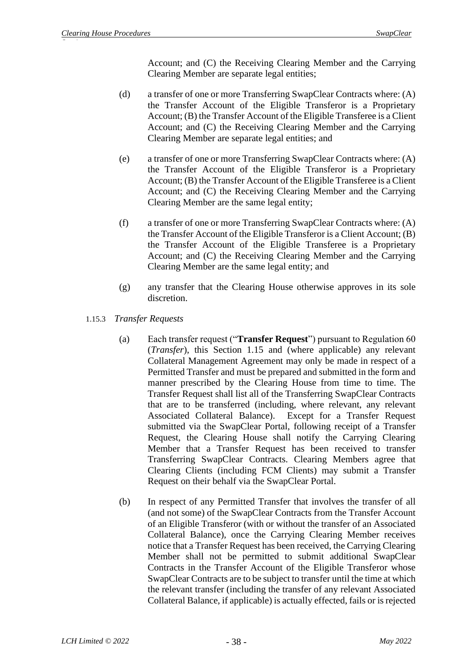Account; and (C) the Receiving Clearing Member and the Carrying Clearing Member are separate legal entities;

- (d) a transfer of one or more Transferring SwapClear Contracts where: (A) the Transfer Account of the Eligible Transferor is a Proprietary Account; (B) the Transfer Account of the Eligible Transferee is a Client Account; and (C) the Receiving Clearing Member and the Carrying Clearing Member are separate legal entities; and
- (e) a transfer of one or more Transferring SwapClear Contracts where: (A) the Transfer Account of the Eligible Transferor is a Proprietary Account; (B) the Transfer Account of the Eligible Transferee is a Client Account; and (C) the Receiving Clearing Member and the Carrying Clearing Member are the same legal entity;
- (f) a transfer of one or more Transferring SwapClear Contracts where: (A) the Transfer Account of the Eligible Transferor is a Client Account; (B) the Transfer Account of the Eligible Transferee is a Proprietary Account; and (C) the Receiving Clearing Member and the Carrying Clearing Member are the same legal entity; and
- (g) any transfer that the Clearing House otherwise approves in its sole discretion.
- 1.15.3 *Transfer Requests*
	- (a) Each transfer request ("**Transfer Request**") pursuant to Regulation 60 (*Transfer*), this Section 1.15 and (where applicable) any relevant Collateral Management Agreement may only be made in respect of a Permitted Transfer and must be prepared and submitted in the form and manner prescribed by the Clearing House from time to time. The Transfer Request shall list all of the Transferring SwapClear Contracts that are to be transferred (including, where relevant, any relevant Associated Collateral Balance). Except for a Transfer Request submitted via the SwapClear Portal, following receipt of a Transfer Request, the Clearing House shall notify the Carrying Clearing Member that a Transfer Request has been received to transfer Transferring SwapClear Contracts. Clearing Members agree that Clearing Clients (including FCM Clients) may submit a Transfer Request on their behalf via the SwapClear Portal.
	- (b) In respect of any Permitted Transfer that involves the transfer of all (and not some) of the SwapClear Contracts from the Transfer Account of an Eligible Transferor (with or without the transfer of an Associated Collateral Balance), once the Carrying Clearing Member receives notice that a Transfer Request has been received, the Carrying Clearing Member shall not be permitted to submit additional SwapClear Contracts in the Transfer Account of the Eligible Transferor whose SwapClear Contracts are to be subject to transfer until the time at which the relevant transfer (including the transfer of any relevant Associated Collateral Balance, if applicable) is actually effected, fails or is rejected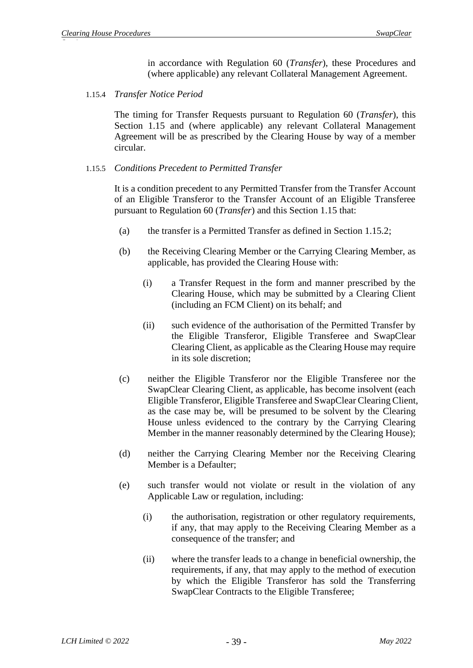in accordance with Regulation 60 (*Transfer*), these Procedures and (where applicable) any relevant Collateral Management Agreement.

1.15.4 *Transfer Notice Period*

The timing for Transfer Requests pursuant to Regulation 60 (*Transfer*), this Section 1.15 and (where applicable) any relevant Collateral Management Agreement will be as prescribed by the Clearing House by way of a member circular.

#### 1.15.5 *Conditions Precedent to Permitted Transfer*

It is a condition precedent to any Permitted Transfer from the Transfer Account of an Eligible Transferor to the Transfer Account of an Eligible Transferee pursuant to Regulation 60 (*Transfer*) and this Section 1.15 that:

- (a) the transfer is a Permitted Transfer as defined in Section 1.15.2;
- (b) the Receiving Clearing Member or the Carrying Clearing Member, as applicable, has provided the Clearing House with:
	- (i) a Transfer Request in the form and manner prescribed by the Clearing House, which may be submitted by a Clearing Client (including an FCM Client) on its behalf; and
	- (ii) such evidence of the authorisation of the Permitted Transfer by the Eligible Transferor, Eligible Transferee and SwapClear Clearing Client, as applicable as the Clearing House may require in its sole discretion;
- (c) neither the Eligible Transferor nor the Eligible Transferee nor the SwapClear Clearing Client, as applicable, has become insolvent (each Eligible Transferor, Eligible Transferee and SwapClear Clearing Client, as the case may be, will be presumed to be solvent by the Clearing House unless evidenced to the contrary by the Carrying Clearing Member in the manner reasonably determined by the Clearing House);
- (d) neither the Carrying Clearing Member nor the Receiving Clearing Member is a Defaulter:
- (e) such transfer would not violate or result in the violation of any Applicable Law or regulation, including:
	- (i) the authorisation, registration or other regulatory requirements, if any, that may apply to the Receiving Clearing Member as a consequence of the transfer; and
	- (ii) where the transfer leads to a change in beneficial ownership, the requirements, if any, that may apply to the method of execution by which the Eligible Transferor has sold the Transferring SwapClear Contracts to the Eligible Transferee;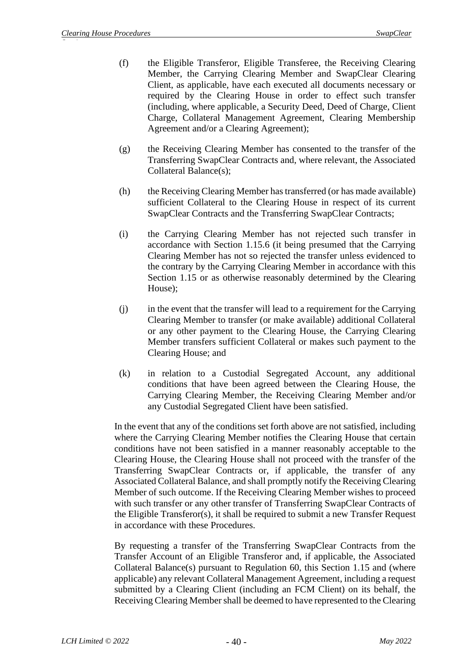- (f) the Eligible Transferor, Eligible Transferee, the Receiving Clearing Member, the Carrying Clearing Member and SwapClear Clearing Client, as applicable, have each executed all documents necessary or required by the Clearing House in order to effect such transfer (including, where applicable, a Security Deed, Deed of Charge, Client Charge, Collateral Management Agreement, Clearing Membership Agreement and/or a Clearing Agreement);
- (g) the Receiving Clearing Member has consented to the transfer of the Transferring SwapClear Contracts and, where relevant, the Associated Collateral Balance(s);
- (h) the Receiving Clearing Member has transferred (or has made available) sufficient Collateral to the Clearing House in respect of its current SwapClear Contracts and the Transferring SwapClear Contracts;
- (i) the Carrying Clearing Member has not rejected such transfer in accordance with Section 1.15.6 (it being presumed that the Carrying Clearing Member has not so rejected the transfer unless evidenced to the contrary by the Carrying Clearing Member in accordance with this Section 1.15 or as otherwise reasonably determined by the Clearing House);
- (j) in the event that the transfer will lead to a requirement for the Carrying Clearing Member to transfer (or make available) additional Collateral or any other payment to the Clearing House, the Carrying Clearing Member transfers sufficient Collateral or makes such payment to the Clearing House; and
- (k) in relation to a Custodial Segregated Account, any additional conditions that have been agreed between the Clearing House, the Carrying Clearing Member, the Receiving Clearing Member and/or any Custodial Segregated Client have been satisfied.

In the event that any of the conditions set forth above are not satisfied, including where the Carrying Clearing Member notifies the Clearing House that certain conditions have not been satisfied in a manner reasonably acceptable to the Clearing House, the Clearing House shall not proceed with the transfer of the Transferring SwapClear Contracts or, if applicable, the transfer of any Associated Collateral Balance, and shall promptly notify the Receiving Clearing Member of such outcome. If the Receiving Clearing Member wishes to proceed with such transfer or any other transfer of Transferring SwapClear Contracts of the Eligible Transferor(s), it shall be required to submit a new Transfer Request in accordance with these Procedures.

By requesting a transfer of the Transferring SwapClear Contracts from the Transfer Account of an Eligible Transferor and, if applicable, the Associated Collateral Balance(s) pursuant to Regulation 60, this Section 1.15 and (where applicable) any relevant Collateral Management Agreement, including a request submitted by a Clearing Client (including an FCM Client) on its behalf, the Receiving Clearing Member shall be deemed to have represented to the Clearing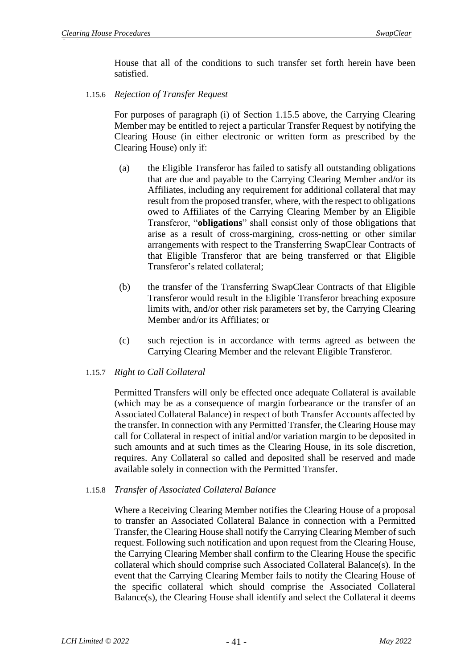House that all of the conditions to such transfer set forth herein have been satisfied.

1.15.6 *Rejection of Transfer Request*

For purposes of paragraph (i) of Section 1.15.5 above, the Carrying Clearing Member may be entitled to reject a particular Transfer Request by notifying the Clearing House (in either electronic or written form as prescribed by the Clearing House) only if:

- (a) the Eligible Transferor has failed to satisfy all outstanding obligations that are due and payable to the Carrying Clearing Member and/or its Affiliates, including any requirement for additional collateral that may result from the proposed transfer, where, with the respect to obligations owed to Affiliates of the Carrying Clearing Member by an Eligible Transferor, "**obligations**" shall consist only of those obligations that arise as a result of cross-margining, cross-netting or other similar arrangements with respect to the Transferring SwapClear Contracts of that Eligible Transferor that are being transferred or that Eligible Transferor's related collateral;
- (b) the transfer of the Transferring SwapClear Contracts of that Eligible Transferor would result in the Eligible Transferor breaching exposure limits with, and/or other risk parameters set by, the Carrying Clearing Member and/or its Affiliates; or
- (c) such rejection is in accordance with terms agreed as between the Carrying Clearing Member and the relevant Eligible Transferor.

# 1.15.7 *Right to Call Collateral*

Permitted Transfers will only be effected once adequate Collateral is available (which may be as a consequence of margin forbearance or the transfer of an Associated Collateral Balance) in respect of both Transfer Accounts affected by the transfer. In connection with any Permitted Transfer, the Clearing House may call for Collateral in respect of initial and/or variation margin to be deposited in such amounts and at such times as the Clearing House, in its sole discretion, requires. Any Collateral so called and deposited shall be reserved and made available solely in connection with the Permitted Transfer.

### 1.15.8 *Transfer of Associated Collateral Balance*

Where a Receiving Clearing Member notifies the Clearing House of a proposal to transfer an Associated Collateral Balance in connection with a Permitted Transfer, the Clearing House shall notify the Carrying Clearing Member of such request. Following such notification and upon request from the Clearing House, the Carrying Clearing Member shall confirm to the Clearing House the specific collateral which should comprise such Associated Collateral Balance(s). In the event that the Carrying Clearing Member fails to notify the Clearing House of the specific collateral which should comprise the Associated Collateral Balance(s), the Clearing House shall identify and select the Collateral it deems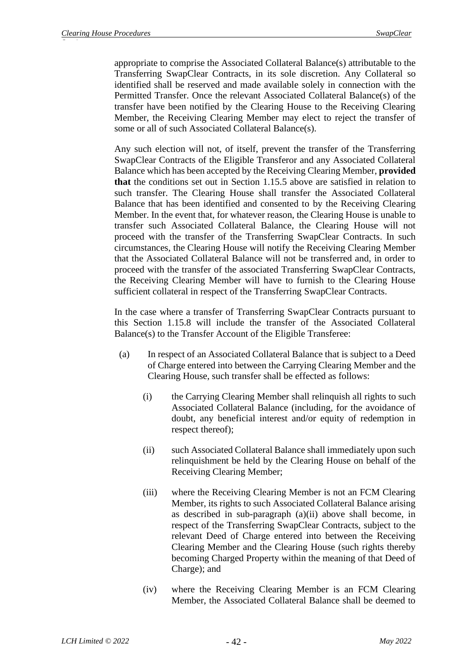appropriate to comprise the Associated Collateral Balance(s) attributable to the Transferring SwapClear Contracts, in its sole discretion. Any Collateral so identified shall be reserved and made available solely in connection with the Permitted Transfer. Once the relevant Associated Collateral Balance(s) of the transfer have been notified by the Clearing House to the Receiving Clearing Member, the Receiving Clearing Member may elect to reject the transfer of some or all of such Associated Collateral Balance(s).

Any such election will not, of itself, prevent the transfer of the Transferring SwapClear Contracts of the Eligible Transferor and any Associated Collateral Balance which has been accepted by the Receiving Clearing Member, **provided that** the conditions set out in Section 1.15.5 above are satisfied in relation to such transfer. The Clearing House shall transfer the Associated Collateral Balance that has been identified and consented to by the Receiving Clearing Member. In the event that, for whatever reason, the Clearing House is unable to transfer such Associated Collateral Balance, the Clearing House will not proceed with the transfer of the Transferring SwapClear Contracts. In such circumstances, the Clearing House will notify the Receiving Clearing Member that the Associated Collateral Balance will not be transferred and, in order to proceed with the transfer of the associated Transferring SwapClear Contracts, the Receiving Clearing Member will have to furnish to the Clearing House sufficient collateral in respect of the Transferring SwapClear Contracts.

In the case where a transfer of Transferring SwapClear Contracts pursuant to this Section 1.15.8 will include the transfer of the Associated Collateral Balance(s) to the Transfer Account of the Eligible Transferee:

- (a) In respect of an Associated Collateral Balance that is subject to a Deed of Charge entered into between the Carrying Clearing Member and the Clearing House, such transfer shall be effected as follows:
	- (i) the Carrying Clearing Member shall relinquish all rights to such Associated Collateral Balance (including, for the avoidance of doubt, any beneficial interest and/or equity of redemption in respect thereof);
	- (ii) such Associated Collateral Balance shall immediately upon such relinquishment be held by the Clearing House on behalf of the Receiving Clearing Member;
	- (iii) where the Receiving Clearing Member is not an FCM Clearing Member, its rights to such Associated Collateral Balance arising as described in sub-paragraph (a)(ii) above shall become, in respect of the Transferring SwapClear Contracts, subject to the relevant Deed of Charge entered into between the Receiving Clearing Member and the Clearing House (such rights thereby becoming Charged Property within the meaning of that Deed of Charge); and
	- (iv) where the Receiving Clearing Member is an FCM Clearing Member, the Associated Collateral Balance shall be deemed to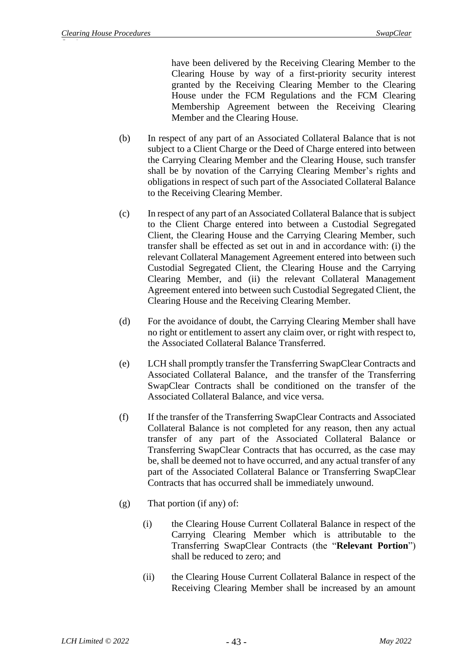have been delivered by the Receiving Clearing Member to the Clearing House by way of a first-priority security interest granted by the Receiving Clearing Member to the Clearing House under the FCM Regulations and the FCM Clearing Membership Agreement between the Receiving Clearing Member and the Clearing House.

- (b) In respect of any part of an Associated Collateral Balance that is not subject to a Client Charge or the Deed of Charge entered into between the Carrying Clearing Member and the Clearing House, such transfer shall be by novation of the Carrying Clearing Member's rights and obligations in respect of such part of the Associated Collateral Balance to the Receiving Clearing Member.
- (c) In respect of any part of an Associated Collateral Balance that is subject to the Client Charge entered into between a Custodial Segregated Client, the Clearing House and the Carrying Clearing Member, such transfer shall be effected as set out in and in accordance with: (i) the relevant Collateral Management Agreement entered into between such Custodial Segregated Client, the Clearing House and the Carrying Clearing Member, and (ii) the relevant Collateral Management Agreement entered into between such Custodial Segregated Client, the Clearing House and the Receiving Clearing Member.
- (d) For the avoidance of doubt, the Carrying Clearing Member shall have no right or entitlement to assert any claim over, or right with respect to, the Associated Collateral Balance Transferred.
- (e) LCH shall promptly transfer the Transferring SwapClear Contracts and Associated Collateral Balance, and the transfer of the Transferring SwapClear Contracts shall be conditioned on the transfer of the Associated Collateral Balance, and vice versa.
- (f) If the transfer of the Transferring SwapClear Contracts and Associated Collateral Balance is not completed for any reason, then any actual transfer of any part of the Associated Collateral Balance or Transferring SwapClear Contracts that has occurred, as the case may be, shall be deemed not to have occurred, and any actual transfer of any part of the Associated Collateral Balance or Transferring SwapClear Contracts that has occurred shall be immediately unwound.
- (g) That portion (if any) of:
	- (i) the Clearing House Current Collateral Balance in respect of the Carrying Clearing Member which is attributable to the Transferring SwapClear Contracts (the "**Relevant Portion**") shall be reduced to zero; and
	- (ii) the Clearing House Current Collateral Balance in respect of the Receiving Clearing Member shall be increased by an amount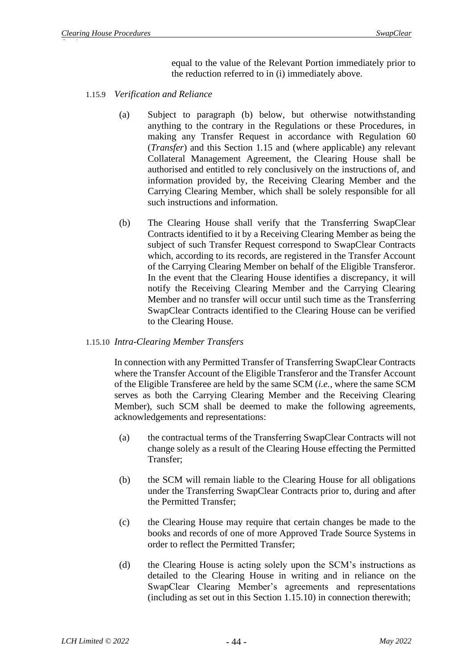equal to the value of the Relevant Portion immediately prior to the reduction referred to in (i) immediately above.

- 1.15.9 *Verification and Reliance*
	- (a) Subject to paragraph (b) below, but otherwise notwithstanding anything to the contrary in the Regulations or these Procedures, in making any Transfer Request in accordance with Regulation 60 (*Transfer*) and this Section 1.15 and (where applicable) any relevant Collateral Management Agreement, the Clearing House shall be authorised and entitled to rely conclusively on the instructions of, and information provided by, the Receiving Clearing Member and the Carrying Clearing Member, which shall be solely responsible for all such instructions and information.
	- (b) The Clearing House shall verify that the Transferring SwapClear Contracts identified to it by a Receiving Clearing Member as being the subject of such Transfer Request correspond to SwapClear Contracts which, according to its records, are registered in the Transfer Account of the Carrying Clearing Member on behalf of the Eligible Transferor. In the event that the Clearing House identifies a discrepancy, it will notify the Receiving Clearing Member and the Carrying Clearing Member and no transfer will occur until such time as the Transferring SwapClear Contracts identified to the Clearing House can be verified to the Clearing House.

# 1.15.10 *Intra-Clearing Member Transfers*

In connection with any Permitted Transfer of Transferring SwapClear Contracts where the Transfer Account of the Eligible Transferor and the Transfer Account of the Eligible Transferee are held by the same SCM (*i.e.,* where the same SCM serves as both the Carrying Clearing Member and the Receiving Clearing Member), such SCM shall be deemed to make the following agreements, acknowledgements and representations:

- (a) the contractual terms of the Transferring SwapClear Contracts will not change solely as a result of the Clearing House effecting the Permitted Transfer;
- (b) the SCM will remain liable to the Clearing House for all obligations under the Transferring SwapClear Contracts prior to, during and after the Permitted Transfer;
- (c) the Clearing House may require that certain changes be made to the books and records of one of more Approved Trade Source Systems in order to reflect the Permitted Transfer;
- (d) the Clearing House is acting solely upon the SCM's instructions as detailed to the Clearing House in writing and in reliance on the SwapClear Clearing Member's agreements and representations (including as set out in this Section 1.15.10) in connection therewith;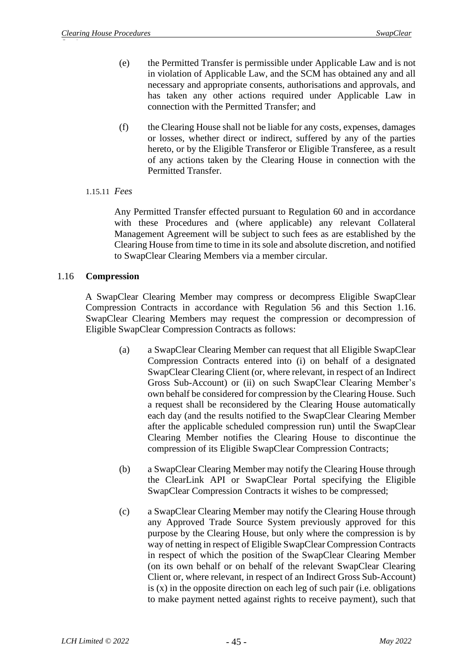- (e) the Permitted Transfer is permissible under Applicable Law and is not in violation of Applicable Law, and the SCM has obtained any and all necessary and appropriate consents, authorisations and approvals, and has taken any other actions required under Applicable Law in connection with the Permitted Transfer; and
- (f) the Clearing House shall not be liable for any costs, expenses, damages or losses, whether direct or indirect, suffered by any of the parties hereto, or by the Eligible Transferor or Eligible Transferee, as a result of any actions taken by the Clearing House in connection with the Permitted Transfer.
- 1.15.11 *Fees*

Any Permitted Transfer effected pursuant to Regulation 60 and in accordance with these Procedures and (where applicable) any relevant Collateral Management Agreement will be subject to such fees as are established by the Clearing House from time to time in its sole and absolute discretion, and notified to SwapClear Clearing Members via a member circular.

### <span id="page-45-0"></span>1.16 **Compression**

A SwapClear Clearing Member may compress or decompress Eligible SwapClear Compression Contracts in accordance with Regulation 56 and this Section [1.16.](#page-45-0) SwapClear Clearing Members may request the compression or decompression of Eligible SwapClear Compression Contracts as follows:

- (a) a SwapClear Clearing Member can request that all Eligible SwapClear Compression Contracts entered into (i) on behalf of a designated SwapClear Clearing Client (or, where relevant, in respect of an Indirect Gross Sub-Account) or (ii) on such SwapClear Clearing Member's own behalf be considered for compression by the Clearing House. Such a request shall be reconsidered by the Clearing House automatically each day (and the results notified to the SwapClear Clearing Member after the applicable scheduled compression run) until the SwapClear Clearing Member notifies the Clearing House to discontinue the compression of its Eligible SwapClear Compression Contracts;
- (b) a SwapClear Clearing Member may notify the Clearing House through the ClearLink API or SwapClear Portal specifying the Eligible SwapClear Compression Contracts it wishes to be compressed;
- (c) a SwapClear Clearing Member may notify the Clearing House through any Approved Trade Source System previously approved for this purpose by the Clearing House, but only where the compression is by way of netting in respect of Eligible SwapClear Compression Contracts in respect of which the position of the SwapClear Clearing Member (on its own behalf or on behalf of the relevant SwapClear Clearing Client or, where relevant, in respect of an Indirect Gross Sub-Account) is (x) in the opposite direction on each leg of such pair (i.e. obligations to make payment netted against rights to receive payment), such that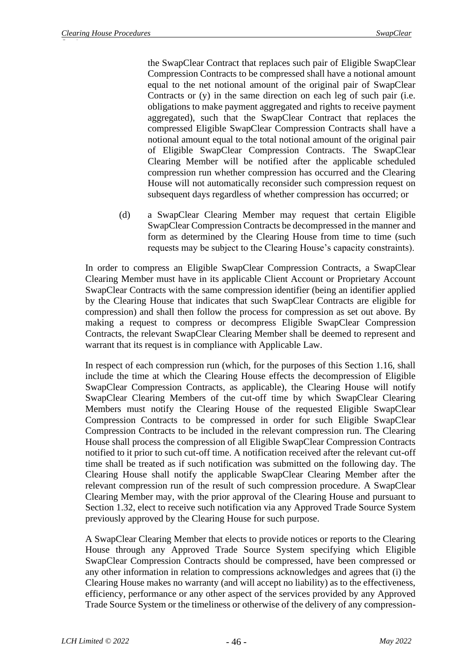the SwapClear Contract that replaces such pair of Eligible SwapClear Compression Contracts to be compressed shall have a notional amount equal to the net notional amount of the original pair of SwapClear Contracts or (y) in the same direction on each leg of such pair (i.e. obligations to make payment aggregated and rights to receive payment aggregated), such that the SwapClear Contract that replaces the compressed Eligible SwapClear Compression Contracts shall have a notional amount equal to the total notional amount of the original pair of Eligible SwapClear Compression Contracts. The SwapClear Clearing Member will be notified after the applicable scheduled compression run whether compression has occurred and the Clearing House will not automatically reconsider such compression request on subsequent days regardless of whether compression has occurred; or

(d) a SwapClear Clearing Member may request that certain Eligible SwapClear Compression Contracts be decompressed in the manner and form as determined by the Clearing House from time to time (such requests may be subject to the Clearing House's capacity constraints).

In order to compress an Eligible SwapClear Compression Contracts, a SwapClear Clearing Member must have in its applicable Client Account or Proprietary Account SwapClear Contracts with the same compression identifier (being an identifier applied by the Clearing House that indicates that such SwapClear Contracts are eligible for compression) and shall then follow the process for compression as set out above. By making a request to compress or decompress Eligible SwapClear Compression Contracts, the relevant SwapClear Clearing Member shall be deemed to represent and warrant that its request is in compliance with Applicable Law.

In respect of each compression run (which, for the purposes of this Section 1.16, shall include the time at which the Clearing House effects the decompression of Eligible SwapClear Compression Contracts, as applicable), the Clearing House will notify SwapClear Clearing Members of the cut-off time by which SwapClear Clearing Members must notify the Clearing House of the requested Eligible SwapClear Compression Contracts to be compressed in order for such Eligible SwapClear Compression Contracts to be included in the relevant compression run. The Clearing House shall process the compression of all Eligible SwapClear Compression Contracts notified to it prior to such cut-off time. A notification received after the relevant cut-off time shall be treated as if such notification was submitted on the following day. The Clearing House shall notify the applicable SwapClear Clearing Member after the relevant compression run of the result of such compression procedure. A SwapClear Clearing Member may, with the prior approval of the Clearing House and pursuant to Section [1.32,](#page-70-0) elect to receive such notification via any Approved Trade Source System previously approved by the Clearing House for such purpose.

A SwapClear Clearing Member that elects to provide notices or reports to the Clearing House through any Approved Trade Source System specifying which Eligible SwapClear Compression Contracts should be compressed, have been compressed or any other information in relation to compressions acknowledges and agrees that (i) the Clearing House makes no warranty (and will accept no liability) as to the effectiveness, efficiency, performance or any other aspect of the services provided by any Approved Trade Source System or the timeliness or otherwise of the delivery of any compression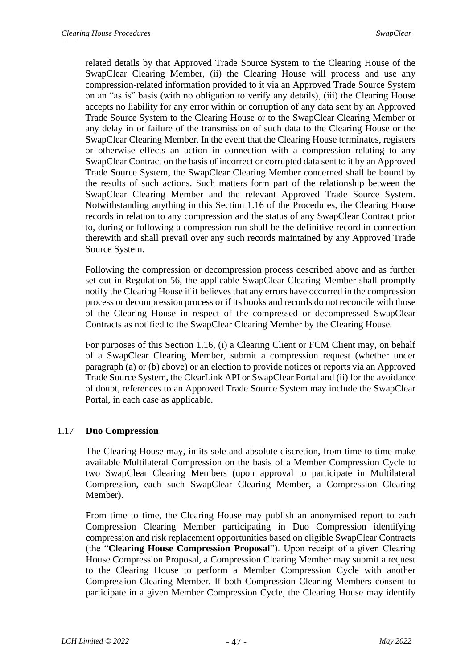related details by that Approved Trade Source System to the Clearing House of the SwapClear Clearing Member, (ii) the Clearing House will process and use any compression-related information provided to it via an Approved Trade Source System on an "as is" basis (with no obligation to verify any details), (iii) the Clearing House accepts no liability for any error within or corruption of any data sent by an Approved Trade Source System to the Clearing House or to the SwapClear Clearing Member or any delay in or failure of the transmission of such data to the Clearing House or the SwapClear Clearing Member. In the event that the Clearing House terminates, registers or otherwise effects an action in connection with a compression relating to any SwapClear Contract on the basis of incorrect or corrupted data sent to it by an Approved Trade Source System, the SwapClear Clearing Member concerned shall be bound by the results of such actions. Such matters form part of the relationship between the SwapClear Clearing Member and the relevant Approved Trade Source System. Notwithstanding anything in this Section 1.16 of the Procedures, the Clearing House records in relation to any compression and the status of any SwapClear Contract prior to, during or following a compression run shall be the definitive record in connection therewith and shall prevail over any such records maintained by any Approved Trade Source System.

Following the compression or decompression process described above and as further set out in Regulation 56, the applicable SwapClear Clearing Member shall promptly notify the Clearing House if it believes that any errors have occurred in the compression process or decompression process or if its books and records do not reconcile with those of the Clearing House in respect of the compressed or decompressed SwapClear Contracts as notified to the SwapClear Clearing Member by the Clearing House.

For purposes of this Section 1.16, (i) a Clearing Client or FCM Client may, on behalf of a SwapClear Clearing Member, submit a compression request (whether under paragraph (a) or (b) above) or an election to provide notices or reports via an Approved Trade Source System, the ClearLink API or SwapClear Portal and (ii) for the avoidance of doubt, references to an Approved Trade Source System may include the SwapClear Portal, in each case as applicable.

# 1.17 **Duo Compression**

The Clearing House may, in its sole and absolute discretion, from time to time make available Multilateral Compression on the basis of a Member Compression Cycle to two SwapClear Clearing Members (upon approval to participate in Multilateral Compression, each such SwapClear Clearing Member, a Compression Clearing Member).

From time to time, the Clearing House may publish an anonymised report to each Compression Clearing Member participating in Duo Compression identifying compression and risk replacement opportunities based on eligible SwapClear Contracts (the "**Clearing House Compression Proposal**"). Upon receipt of a given Clearing House Compression Proposal, a Compression Clearing Member may submit a request to the Clearing House to perform a Member Compression Cycle with another Compression Clearing Member. If both Compression Clearing Members consent to participate in a given Member Compression Cycle, the Clearing House may identify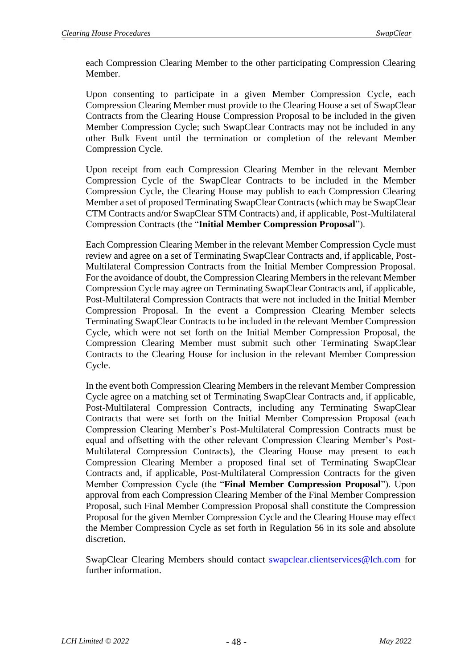each Compression Clearing Member to the other participating Compression Clearing Member.

Upon consenting to participate in a given Member Compression Cycle, each Compression Clearing Member must provide to the Clearing House a set of SwapClear Contracts from the Clearing House Compression Proposal to be included in the given Member Compression Cycle; such SwapClear Contracts may not be included in any other Bulk Event until the termination or completion of the relevant Member Compression Cycle.

Upon receipt from each Compression Clearing Member in the relevant Member Compression Cycle of the SwapClear Contracts to be included in the Member Compression Cycle, the Clearing House may publish to each Compression Clearing Member a set of proposed Terminating SwapClear Contracts (which may be SwapClear CTM Contracts and/or SwapClear STM Contracts) and, if applicable, Post-Multilateral Compression Contracts (the "**Initial Member Compression Proposal**").

Each Compression Clearing Member in the relevant Member Compression Cycle must review and agree on a set of Terminating SwapClear Contracts and, if applicable, Post-Multilateral Compression Contracts from the Initial Member Compression Proposal. For the avoidance of doubt, the Compression Clearing Members in the relevant Member Compression Cycle may agree on Terminating SwapClear Contracts and, if applicable, Post-Multilateral Compression Contracts that were not included in the Initial Member Compression Proposal. In the event a Compression Clearing Member selects Terminating SwapClear Contracts to be included in the relevant Member Compression Cycle, which were not set forth on the Initial Member Compression Proposal, the Compression Clearing Member must submit such other Terminating SwapClear Contracts to the Clearing House for inclusion in the relevant Member Compression Cycle.

In the event both Compression Clearing Members in the relevant Member Compression Cycle agree on a matching set of Terminating SwapClear Contracts and, if applicable, Post-Multilateral Compression Contracts, including any Terminating SwapClear Contracts that were set forth on the Initial Member Compression Proposal (each Compression Clearing Member's Post-Multilateral Compression Contracts must be equal and offsetting with the other relevant Compression Clearing Member's Post-Multilateral Compression Contracts), the Clearing House may present to each Compression Clearing Member a proposed final set of Terminating SwapClear Contracts and, if applicable, Post-Multilateral Compression Contracts for the given Member Compression Cycle (the "**Final Member Compression Proposal**"). Upon approval from each Compression Clearing Member of the Final Member Compression Proposal, such Final Member Compression Proposal shall constitute the Compression Proposal for the given Member Compression Cycle and the Clearing House may effect the Member Compression Cycle as set forth in Regulation 56 in its sole and absolute discretion.

SwapClear Clearing Members should contact [swapclear.clientservices@lch.com](mailto:swapclear.clientservices@lch.com) for further information.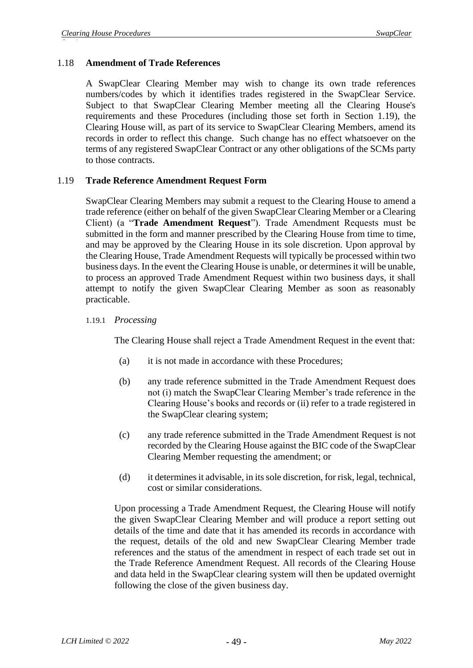# 1.18 **Amendment of Trade References**

A SwapClear Clearing Member may wish to change its own trade references numbers/codes by which it identifies trades registered in the SwapClear Service. Subject to that SwapClear Clearing Member meeting all the Clearing House's requirements and these Procedures (including those set forth in Section [1.19\)](#page-49-0), the Clearing House will, as part of its service to SwapClear Clearing Members, amend its records in order to reflect this change. Such change has no effect whatsoever on the terms of any registered SwapClear Contract or any other obligations of the SCMs party to those contracts.

### <span id="page-49-0"></span>1.19 **Trade Reference Amendment Request Form**

SwapClear Clearing Members may submit a request to the Clearing House to amend a trade reference (either on behalf of the given SwapClear Clearing Member or a Clearing Client) (a "**Trade Amendment Request**"). Trade Amendment Requests must be submitted in the form and manner prescribed by the Clearing House from time to time, and may be approved by the Clearing House in its sole discretion. Upon approval by the Clearing House, Trade Amendment Requests will typically be processed within two business days. In the event the Clearing House is unable, or determines it will be unable, to process an approved Trade Amendment Request within two business days, it shall attempt to notify the given SwapClear Clearing Member as soon as reasonably practicable.

### 1.19.1 *Processing*

The Clearing House shall reject a Trade Amendment Request in the event that:

- (a) it is not made in accordance with these Procedures;
- (b) any trade reference submitted in the Trade Amendment Request does not (i) match the SwapClear Clearing Member's trade reference in the Clearing House's books and records or (ii) refer to a trade registered in the SwapClear clearing system;
- (c) any trade reference submitted in the Trade Amendment Request is not recorded by the Clearing House against the BIC code of the SwapClear Clearing Member requesting the amendment; or
- (d) it determines it advisable, in its sole discretion, for risk, legal, technical, cost or similar considerations.

Upon processing a Trade Amendment Request, the Clearing House will notify the given SwapClear Clearing Member and will produce a report setting out details of the time and date that it has amended its records in accordance with the request, details of the old and new SwapClear Clearing Member trade references and the status of the amendment in respect of each trade set out in the Trade Reference Amendment Request. All records of the Clearing House and data held in the SwapClear clearing system will then be updated overnight following the close of the given business day.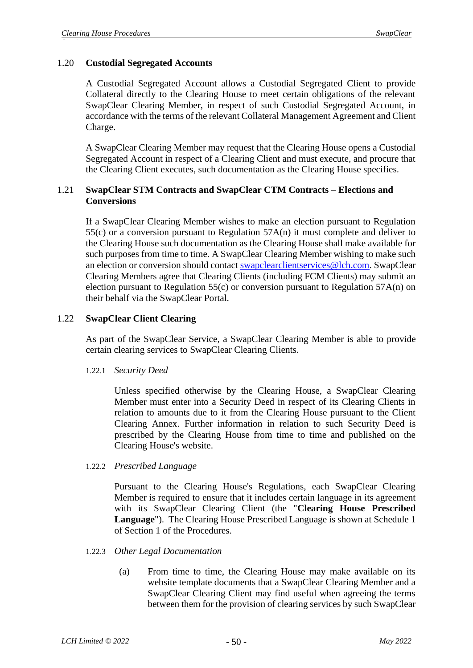# 1.20 **Custodial Segregated Accounts**

A Custodial Segregated Account allows a Custodial Segregated Client to provide Collateral directly to the Clearing House to meet certain obligations of the relevant SwapClear Clearing Member, in respect of such Custodial Segregated Account, in accordance with the terms of the relevant Collateral Management Agreement and Client Charge.

A SwapClear Clearing Member may request that the Clearing House opens a Custodial Segregated Account in respect of a Clearing Client and must execute, and procure that the Clearing Client executes, such documentation as the Clearing House specifies.

### 1.21 **SwapClear STM Contracts and SwapClear CTM Contracts – Elections and Conversions**

If a SwapClear Clearing Member wishes to make an election pursuant to Regulation 55(c) or a conversion pursuant to Regulation 57A(n) it must complete and deliver to the Clearing House such documentation as the Clearing House shall make available for such purposes from time to time. A SwapClear Clearing Member wishing to make such an election or conversion should contact [swapclearclientservices@lch.com.](mailto:swapclearclientservices@lch.com) SwapClear Clearing Members agree that Clearing Clients (including FCM Clients) may submit an election pursuant to Regulation 55(c) or conversion pursuant to Regulation 57A(n) on their behalf via the SwapClear Portal.

### 1.22 **SwapClear Client Clearing**

As part of the SwapClear Service, a SwapClear Clearing Member is able to provide certain clearing services to SwapClear Clearing Clients.

### 1.22.1 *Security Deed*

Unless specified otherwise by the Clearing House, a SwapClear Clearing Member must enter into a Security Deed in respect of its Clearing Clients in relation to amounts due to it from the Clearing House pursuant to the Client Clearing Annex. Further information in relation to such Security Deed is prescribed by the Clearing House from time to time and published on the Clearing House's website.

### 1.22.2 *Prescribed Language*

Pursuant to the Clearing House's Regulations, each SwapClear Clearing Member is required to ensure that it includes certain language in its agreement with its SwapClear Clearing Client (the "**Clearing House Prescribed Language**"). The Clearing House Prescribed Language is shown at Schedule 1 of Section 1 of the Procedures.

### 1.22.3 *Other Legal Documentation*

(a) From time to time, the Clearing House may make available on its website template documents that a SwapClear Clearing Member and a SwapClear Clearing Client may find useful when agreeing the terms between them for the provision of clearing services by such SwapClear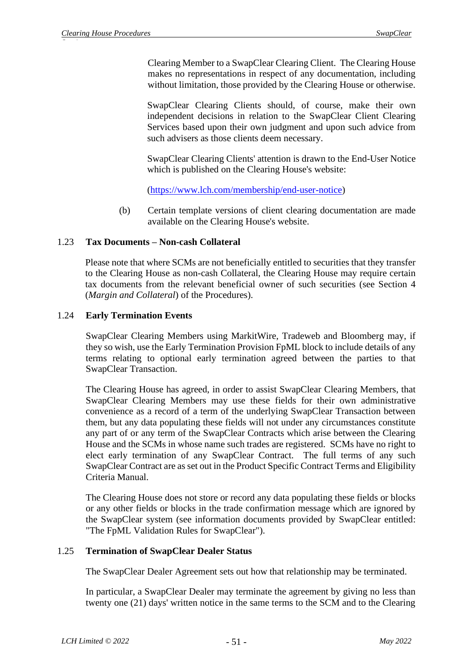Clearing Member to a SwapClear Clearing Client. The Clearing House makes no representations in respect of any documentation, including without limitation, those provided by the Clearing House or otherwise.

SwapClear Clearing Clients should, of course, make their own independent decisions in relation to the SwapClear Client Clearing Services based upon their own judgment and upon such advice from such advisers as those clients deem necessary.

SwapClear Clearing Clients' attention is drawn to the End-User Notice which is published on the Clearing House's website:

[\(https://www.lch.com/membership/end-user-notice\)](https://www.lch.com/membership/end-user-notice)

(b) Certain template versions of client clearing documentation are made available on the Clearing House's website.

# 1.23 **Tax Documents – Non-cash Collateral**

Please note that where SCMs are not beneficially entitled to securities that they transfer to the Clearing House as non-cash Collateral, the Clearing House may require certain tax documents from the relevant beneficial owner of such securities (see Section 4 (*Margin and Collateral*) of the Procedures).

### 1.24 **Early Termination Events**

SwapClear Clearing Members using MarkitWire, Tradeweb and Bloomberg may, if they so wish, use the Early Termination Provision FpML block to include details of any terms relating to optional early termination agreed between the parties to that SwapClear Transaction.

The Clearing House has agreed, in order to assist SwapClear Clearing Members, that SwapClear Clearing Members may use these fields for their own administrative convenience as a record of a term of the underlying SwapClear Transaction between them, but any data populating these fields will not under any circumstances constitute any part of or any term of the SwapClear Contracts which arise between the Clearing House and the SCMs in whose name such trades are registered. SCMs have no right to elect early termination of any SwapClear Contract. The full terms of any such SwapClear Contract are as set out in the Product Specific Contract Terms and Eligibility Criteria Manual.

The Clearing House does not store or record any data populating these fields or blocks or any other fields or blocks in the trade confirmation message which are ignored by the SwapClear system (see information documents provided by SwapClear entitled: "The FpML Validation Rules for SwapClear").

# 1.25 **Termination of SwapClear Dealer Status**

The SwapClear Dealer Agreement sets out how that relationship may be terminated.

In particular, a SwapClear Dealer may terminate the agreement by giving no less than twenty one (21) days' written notice in the same terms to the SCM and to the Clearing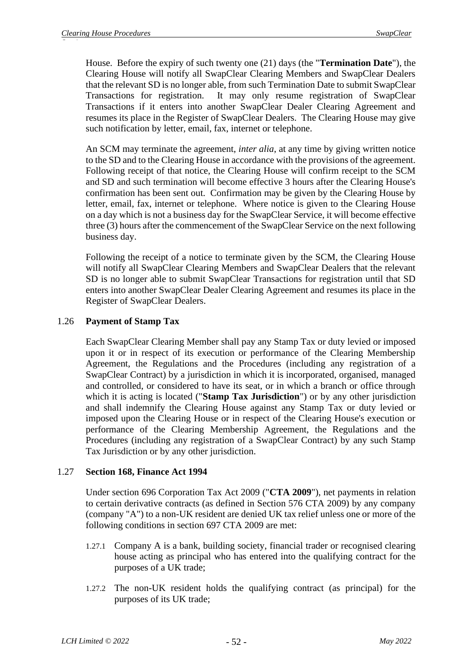House. Before the expiry of such twenty one (21) days (the "**Termination Date**"), the Clearing House will notify all SwapClear Clearing Members and SwapClear Dealers that the relevant SD is no longer able, from such Termination Date to submit SwapClear Transactions for registration. It may only resume registration of SwapClear Transactions if it enters into another SwapClear Dealer Clearing Agreement and resumes its place in the Register of SwapClear Dealers. The Clearing House may give such notification by letter, email, fax, internet or telephone.

An SCM may terminate the agreement, *inter alia*, at any time by giving written notice to the SD and to the Clearing House in accordance with the provisions of the agreement. Following receipt of that notice, the Clearing House will confirm receipt to the SCM and SD and such termination will become effective 3 hours after the Clearing House's confirmation has been sent out. Confirmation may be given by the Clearing House by letter, email, fax, internet or telephone. Where notice is given to the Clearing House on a day which is not a business day for the SwapClear Service, it will become effective three (3) hours after the commencement of the SwapClear Service on the next following business day.

Following the receipt of a notice to terminate given by the SCM, the Clearing House will notify all SwapClear Clearing Members and SwapClear Dealers that the relevant SD is no longer able to submit SwapClear Transactions for registration until that SD enters into another SwapClear Dealer Clearing Agreement and resumes its place in the Register of SwapClear Dealers.

# 1.26 **Payment of Stamp Tax**

Each SwapClear Clearing Member shall pay any Stamp Tax or duty levied or imposed upon it or in respect of its execution or performance of the Clearing Membership Agreement, the Regulations and the Procedures (including any registration of a SwapClear Contract) by a jurisdiction in which it is incorporated, organised, managed and controlled, or considered to have its seat, or in which a branch or office through which it is acting is located ("**Stamp Tax Jurisdiction**") or by any other jurisdiction and shall indemnify the Clearing House against any Stamp Tax or duty levied or imposed upon the Clearing House or in respect of the Clearing House's execution or performance of the Clearing Membership Agreement, the Regulations and the Procedures (including any registration of a SwapClear Contract) by any such Stamp Tax Jurisdiction or by any other jurisdiction.

# 1.27 **Section 168, Finance Act 1994**

Under section 696 Corporation Tax Act 2009 ("**CTA 2009**"), net payments in relation to certain derivative contracts (as defined in Section 576 CTA 2009) by any company (company "A") to a non-UK resident are denied UK tax relief unless one or more of the following conditions in section 697 CTA 2009 are met:

- 1.27.1 Company A is a bank, building society, financial trader or recognised clearing house acting as principal who has entered into the qualifying contract for the purposes of a UK trade;
- 1.27.2 The non-UK resident holds the qualifying contract (as principal) for the purposes of its UK trade;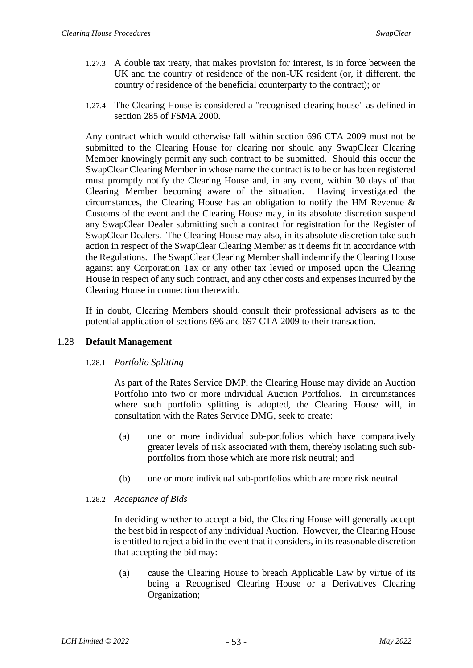- 1.27.3 A double tax treaty, that makes provision for interest, is in force between the UK and the country of residence of the non-UK resident (or, if different, the country of residence of the beneficial counterparty to the contract); or
- 1.27.4 The Clearing House is considered a "recognised clearing house" as defined in section 285 of FSMA 2000.

Any contract which would otherwise fall within section 696 CTA 2009 must not be submitted to the Clearing House for clearing nor should any SwapClear Clearing Member knowingly permit any such contract to be submitted. Should this occur the SwapClear Clearing Member in whose name the contract is to be or has been registered must promptly notify the Clearing House and, in any event, within 30 days of that Clearing Member becoming aware of the situation. Having investigated the circumstances, the Clearing House has an obligation to notify the HM Revenue & Customs of the event and the Clearing House may, in its absolute discretion suspend any SwapClear Dealer submitting such a contract for registration for the Register of SwapClear Dealers. The Clearing House may also, in its absolute discretion take such action in respect of the SwapClear Clearing Member as it deems fit in accordance with the Regulations. The SwapClear Clearing Member shall indemnify the Clearing House against any Corporation Tax or any other tax levied or imposed upon the Clearing House in respect of any such contract, and any other costs and expenses incurred by the Clearing House in connection therewith.

If in doubt, Clearing Members should consult their professional advisers as to the potential application of sections 696 and 697 CTA 2009 to their transaction.

# 1.28 **Default Management**

# 1.28.1 *Portfolio Splitting*

As part of the Rates Service DMP, the Clearing House may divide an Auction Portfolio into two or more individual Auction Portfolios. In circumstances where such portfolio splitting is adopted, the Clearing House will, in consultation with the Rates Service DMG, seek to create:

- (a) one or more individual sub-portfolios which have comparatively greater levels of risk associated with them, thereby isolating such subportfolios from those which are more risk neutral; and
- (b) one or more individual sub-portfolios which are more risk neutral.

# 1.28.2 *Acceptance of Bids*

In deciding whether to accept a bid, the Clearing House will generally accept the best bid in respect of any individual Auction. However, the Clearing House is entitled to reject a bid in the event that it considers, in its reasonable discretion that accepting the bid may:

(a) cause the Clearing House to breach Applicable Law by virtue of its being a Recognised Clearing House or a Derivatives Clearing Organization;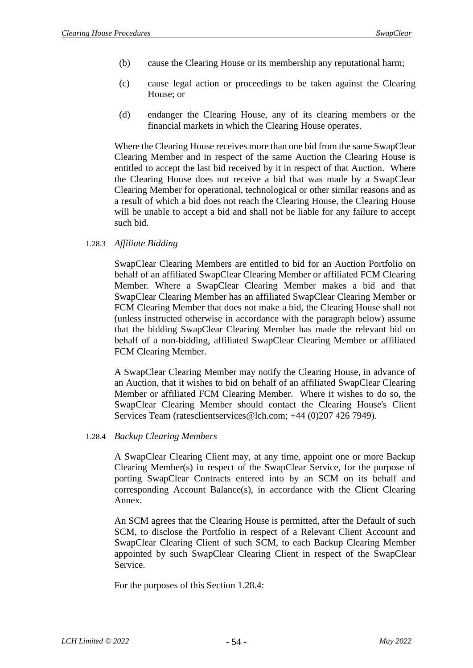- (b) cause the Clearing House or its membership any reputational harm;
- (c) cause legal action or proceedings to be taken against the Clearing House; or
- (d) endanger the Clearing House, any of its clearing members or the financial markets in which the Clearing House operates.

Where the Clearing House receives more than one bid from the same SwapClear Clearing Member and in respect of the same Auction the Clearing House is entitled to accept the last bid received by it in respect of that Auction. Where the Clearing House does not receive a bid that was made by a SwapClear Clearing Member for operational, technological or other similar reasons and as a result of which a bid does not reach the Clearing House, the Clearing House will be unable to accept a bid and shall not be liable for any failure to accept such bid.

### 1.28.3 *Affiliate Bidding*

SwapClear Clearing Members are entitled to bid for an Auction Portfolio on behalf of an affiliated SwapClear Clearing Member or affiliated FCM Clearing Member. Where a SwapClear Clearing Member makes a bid and that SwapClear Clearing Member has an affiliated SwapClear Clearing Member or FCM Clearing Member that does not make a bid, the Clearing House shall not (unless instructed otherwise in accordance with the paragraph below) assume that the bidding SwapClear Clearing Member has made the relevant bid on behalf of a non-bidding, affiliated SwapClear Clearing Member or affiliated FCM Clearing Member.

A SwapClear Clearing Member may notify the Clearing House, in advance of an Auction, that it wishes to bid on behalf of an affiliated SwapClear Clearing Member or affiliated FCM Clearing Member. Where it wishes to do so, the SwapClear Clearing Member should contact the Clearing House's Client Services Team (ratesclientservices@lch.com; +44 (0)207 426 7949).

### 1.28.4 *Backup Clearing Members*

A SwapClear Clearing Client may, at any time, appoint one or more Backup Clearing Member(s) in respect of the SwapClear Service, for the purpose of porting SwapClear Contracts entered into by an SCM on its behalf and corresponding Account Balance(s), in accordance with the Client Clearing Annex.

An SCM agrees that the Clearing House is permitted, after the Default of such SCM, to disclose the Portfolio in respect of a Relevant Client Account and SwapClear Clearing Client of such SCM, to each Backup Clearing Member appointed by such SwapClear Clearing Client in respect of the SwapClear Service.

For the purposes of this Section 1.28.4: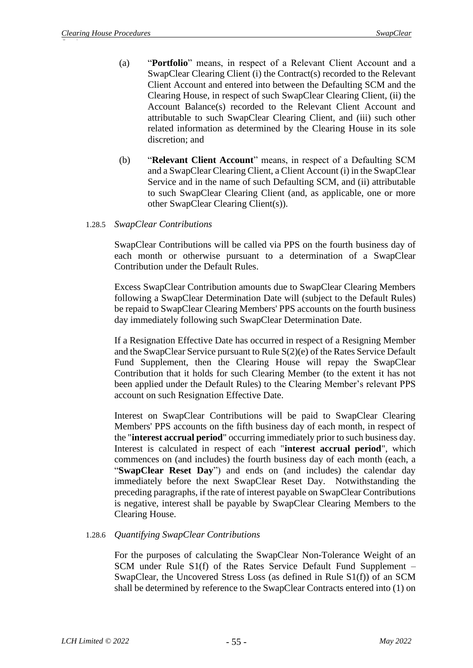- (a) "**Portfolio**" means, in respect of a Relevant Client Account and a SwapClear Clearing Client (i) the Contract(s) recorded to the Relevant Client Account and entered into between the Defaulting SCM and the Clearing House, in respect of such SwapClear Clearing Client, (ii) the Account Balance(s) recorded to the Relevant Client Account and attributable to such SwapClear Clearing Client, and (iii) such other related information as determined by the Clearing House in its sole discretion; and
- (b) "**Relevant Client Account**" means, in respect of a Defaulting SCM and a SwapClear Clearing Client, a Client Account (i) in the SwapClear Service and in the name of such Defaulting SCM, and (ii) attributable to such SwapClear Clearing Client (and, as applicable, one or more other SwapClear Clearing Client(s)).

### 1.28.5 *SwapClear Contributions*

SwapClear Contributions will be called via PPS on the fourth business day of each month or otherwise pursuant to a determination of a SwapClear Contribution under the Default Rules.

Excess SwapClear Contribution amounts due to SwapClear Clearing Members following a SwapClear Determination Date will (subject to the Default Rules) be repaid to SwapClear Clearing Members' PPS accounts on the fourth business day immediately following such SwapClear Determination Date.

If a Resignation Effective Date has occurred in respect of a Resigning Member and the SwapClear Service pursuant to Rule S(2)(e) of the Rates Service Default Fund Supplement, then the Clearing House will repay the SwapClear Contribution that it holds for such Clearing Member (to the extent it has not been applied under the Default Rules) to the Clearing Member's relevant PPS account on such Resignation Effective Date.

Interest on SwapClear Contributions will be paid to SwapClear Clearing Members' PPS accounts on the fifth business day of each month, in respect of the "**interest accrual period**" occurring immediately prior to such business day. Interest is calculated in respect of each "**interest accrual period**", which commences on (and includes) the fourth business day of each month (each, a "**SwapClear Reset Day**") and ends on (and includes) the calendar day immediately before the next SwapClear Reset Day. Notwithstanding the preceding paragraphs, if the rate of interest payable on SwapClear Contributions is negative, interest shall be payable by SwapClear Clearing Members to the Clearing House.

# 1.28.6 *Quantifying SwapClear Contributions*

For the purposes of calculating the SwapClear Non-Tolerance Weight of an SCM under Rule S1(f) of the Rates Service Default Fund Supplement – SwapClear, the Uncovered Stress Loss (as defined in Rule S1(f)) of an SCM shall be determined by reference to the SwapClear Contracts entered into (1) on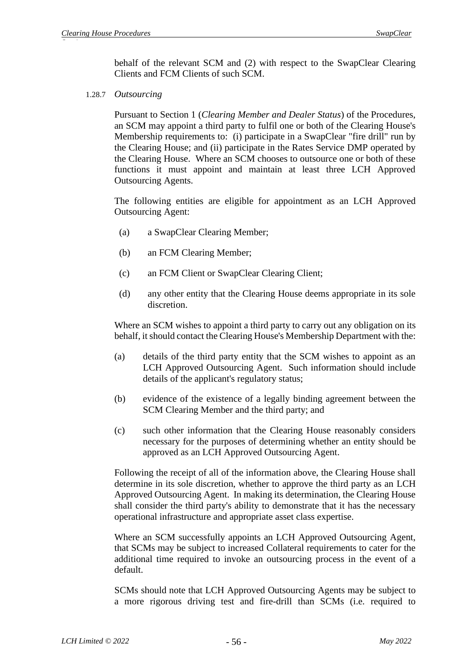behalf of the relevant SCM and (2) with respect to the SwapClear Clearing Clients and FCM Clients of such SCM.

#### 1.28.7 *Outsourcing*

Pursuant to Section 1 (*Clearing Member and Dealer Status*) of the Procedures, an SCM may appoint a third party to fulfil one or both of the Clearing House's Membership requirements to: (i) participate in a SwapClear "fire drill" run by the Clearing House; and (ii) participate in the Rates Service DMP operated by the Clearing House. Where an SCM chooses to outsource one or both of these functions it must appoint and maintain at least three LCH Approved Outsourcing Agents.

The following entities are eligible for appointment as an LCH Approved Outsourcing Agent:

- (a) a SwapClear Clearing Member;
- (b) an FCM Clearing Member;
- (c) an FCM Client or SwapClear Clearing Client;
- (d) any other entity that the Clearing House deems appropriate in its sole discretion.

Where an SCM wishes to appoint a third party to carry out any obligation on its behalf, it should contact the Clearing House's Membership Department with the:

- (a) details of the third party entity that the SCM wishes to appoint as an LCH Approved Outsourcing Agent. Such information should include details of the applicant's regulatory status;
- (b) evidence of the existence of a legally binding agreement between the SCM Clearing Member and the third party; and
- (c) such other information that the Clearing House reasonably considers necessary for the purposes of determining whether an entity should be approved as an LCH Approved Outsourcing Agent.

Following the receipt of all of the information above, the Clearing House shall determine in its sole discretion, whether to approve the third party as an LCH Approved Outsourcing Agent. In making its determination, the Clearing House shall consider the third party's ability to demonstrate that it has the necessary operational infrastructure and appropriate asset class expertise.

Where an SCM successfully appoints an LCH Approved Outsourcing Agent, that SCMs may be subject to increased Collateral requirements to cater for the additional time required to invoke an outsourcing process in the event of a default.

SCMs should note that LCH Approved Outsourcing Agents may be subject to a more rigorous driving test and fire-drill than SCMs (i.e. required to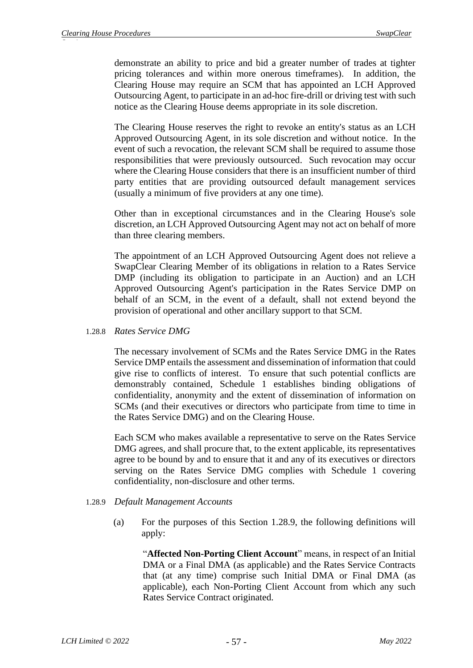demonstrate an ability to price and bid a greater number of trades at tighter pricing tolerances and within more onerous timeframes). In addition, the Clearing House may require an SCM that has appointed an LCH Approved Outsourcing Agent, to participate in an ad-hoc fire-drill or driving test with such notice as the Clearing House deems appropriate in its sole discretion.

The Clearing House reserves the right to revoke an entity's status as an LCH Approved Outsourcing Agent, in its sole discretion and without notice. In the event of such a revocation, the relevant SCM shall be required to assume those responsibilities that were previously outsourced. Such revocation may occur where the Clearing House considers that there is an insufficient number of third party entities that are providing outsourced default management services (usually a minimum of five providers at any one time).

Other than in exceptional circumstances and in the Clearing House's sole discretion, an LCH Approved Outsourcing Agent may not act on behalf of more than three clearing members.

The appointment of an LCH Approved Outsourcing Agent does not relieve a SwapClear Clearing Member of its obligations in relation to a Rates Service DMP (including its obligation to participate in an Auction) and an LCH Approved Outsourcing Agent's participation in the Rates Service DMP on behalf of an SCM, in the event of a default, shall not extend beyond the provision of operational and other ancillary support to that SCM.

1.28.8 *Rates Service DMG*

The necessary involvement of SCMs and the Rates Service DMG in the Rates Service DMP entails the assessment and dissemination of information that could give rise to conflicts of interest. To ensure that such potential conflicts are demonstrably contained, Schedule 1 establishes binding obligations of confidentiality, anonymity and the extent of dissemination of information on SCMs (and their executives or directors who participate from time to time in the Rates Service DMG) and on the Clearing House.

Each SCM who makes available a representative to serve on the Rates Service DMG agrees, and shall procure that, to the extent applicable, its representatives agree to be bound by and to ensure that it and any of its executives or directors serving on the Rates Service DMG complies with Schedule 1 covering confidentiality, non-disclosure and other terms.

- 1.28.9 *Default Management Accounts*
	- (a) For the purposes of this Section 1.28.9, the following definitions will apply:

"Affected Non-Porting Client Account" means, in respect of an Initial DMA or a Final DMA (as applicable) and the Rates Service Contracts that (at any time) comprise such Initial DMA or Final DMA (as applicable), each Non-Porting Client Account from which any such Rates Service Contract originated.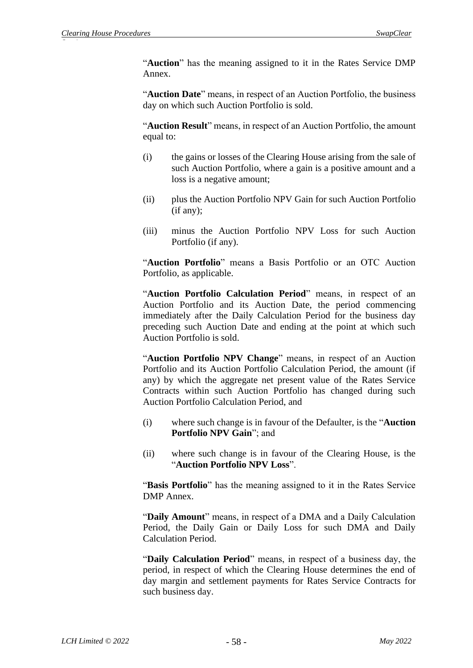"**Auction**" has the meaning assigned to it in the Rates Service DMP Annex.

"**Auction Date**" means, in respect of an Auction Portfolio, the business day on which such Auction Portfolio is sold.

"**Auction Result**" means, in respect of an Auction Portfolio, the amount equal to:

- (i) the gains or losses of the Clearing House arising from the sale of such Auction Portfolio, where a gain is a positive amount and a loss is a negative amount;
- (ii) plus the Auction Portfolio NPV Gain for such Auction Portfolio (if any);
- (iii) minus the Auction Portfolio NPV Loss for such Auction Portfolio (if any).

"**Auction Portfolio**" means a Basis Portfolio or an OTC Auction Portfolio, as applicable.

"**Auction Portfolio Calculation Period**" means, in respect of an Auction Portfolio and its Auction Date, the period commencing immediately after the Daily Calculation Period for the business day preceding such Auction Date and ending at the point at which such Auction Portfolio is sold.

"**Auction Portfolio NPV Change**" means, in respect of an Auction Portfolio and its Auction Portfolio Calculation Period, the amount (if any) by which the aggregate net present value of the Rates Service Contracts within such Auction Portfolio has changed during such Auction Portfolio Calculation Period, and

- (i) where such change is in favour of the Defaulter, is the "**Auction Portfolio NPV Gain**"; and
- (ii) where such change is in favour of the Clearing House, is the "**Auction Portfolio NPV Loss**".

"**Basis Portfolio**" has the meaning assigned to it in the Rates Service DMP Annex.

"**Daily Amount**" means, in respect of a DMA and a Daily Calculation Period, the Daily Gain or Daily Loss for such DMA and Daily Calculation Period.

"**Daily Calculation Period**" means, in respect of a business day, the period, in respect of which the Clearing House determines the end of day margin and settlement payments for Rates Service Contracts for such business day.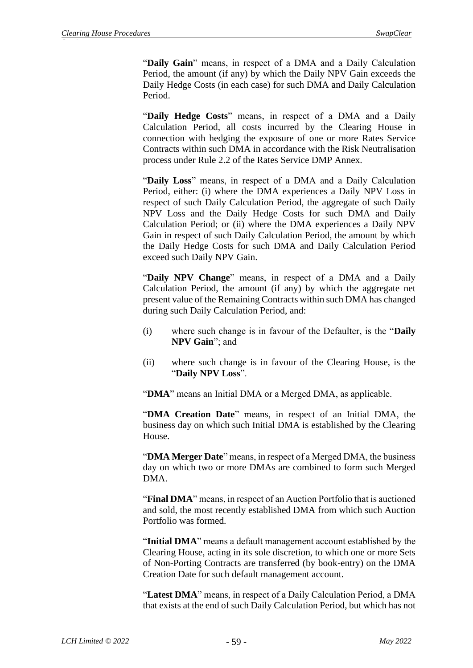"**Daily Gain**" means, in respect of a DMA and a Daily Calculation Period, the amount (if any) by which the Daily NPV Gain exceeds the Daily Hedge Costs (in each case) for such DMA and Daily Calculation Period.

"**Daily Hedge Costs**" means, in respect of a DMA and a Daily Calculation Period, all costs incurred by the Clearing House in connection with hedging the exposure of one or more Rates Service Contracts within such DMA in accordance with the Risk Neutralisation process under Rule 2.2 of the Rates Service DMP Annex.

"**Daily Loss**" means, in respect of a DMA and a Daily Calculation Period, either: (i) where the DMA experiences a Daily NPV Loss in respect of such Daily Calculation Period, the aggregate of such Daily NPV Loss and the Daily Hedge Costs for such DMA and Daily Calculation Period; or (ii) where the DMA experiences a Daily NPV Gain in respect of such Daily Calculation Period, the amount by which the Daily Hedge Costs for such DMA and Daily Calculation Period exceed such Daily NPV Gain.

"**Daily NPV Change**" means, in respect of a DMA and a Daily Calculation Period, the amount (if any) by which the aggregate net present value of the Remaining Contracts within such DMA has changed during such Daily Calculation Period, and:

- (i) where such change is in favour of the Defaulter, is the "**Daily NPV Gain**"; and
- (ii) where such change is in favour of the Clearing House, is the "**Daily NPV Loss**".

"**DMA**" means an Initial DMA or a Merged DMA, as applicable.

"**DMA Creation Date**" means, in respect of an Initial DMA, the business day on which such Initial DMA is established by the Clearing House.

"**DMA Merger Date**" means, in respect of a Merged DMA, the business day on which two or more DMAs are combined to form such Merged DMA.

"**Final DMA**" means, in respect of an Auction Portfolio that is auctioned and sold, the most recently established DMA from which such Auction Portfolio was formed.

"**Initial DMA**" means a default management account established by the Clearing House, acting in its sole discretion, to which one or more Sets of Non-Porting Contracts are transferred (by book-entry) on the DMA Creation Date for such default management account.

"**Latest DMA**" means, in respect of a Daily Calculation Period, a DMA that exists at the end of such Daily Calculation Period, but which has not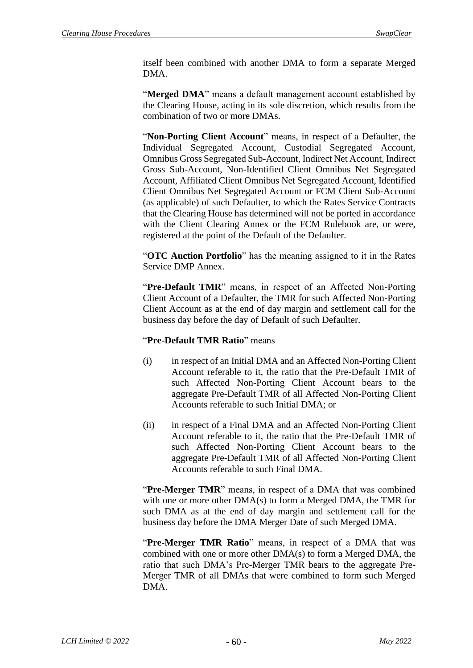itself been combined with another DMA to form a separate Merged DMA.

"Merged DMA" means a default management account established by the Clearing House, acting in its sole discretion, which results from the combination of two or more DMAs.

"**Non-Porting Client Account**" means, in respect of a Defaulter, the Individual Segregated Account, Custodial Segregated Account, Omnibus Gross Segregated Sub-Account, Indirect Net Account, Indirect Gross Sub-Account, Non-Identified Client Omnibus Net Segregated Account, Affiliated Client Omnibus Net Segregated Account, Identified Client Omnibus Net Segregated Account or FCM Client Sub-Account (as applicable) of such Defaulter, to which the Rates Service Contracts that the Clearing House has determined will not be ported in accordance with the Client Clearing Annex or the FCM Rulebook are, or were, registered at the point of the Default of the Defaulter.

"**OTC Auction Portfolio**" has the meaning assigned to it in the Rates Service DMP Annex.

"Pre-Default TMR" means, in respect of an Affected Non-Porting Client Account of a Defaulter, the TMR for such Affected Non-Porting Client Account as at the end of day margin and settlement call for the business day before the day of Default of such Defaulter.

### "**Pre-Default TMR Ratio**" means

- (i) in respect of an Initial DMA and an Affected Non-Porting Client Account referable to it, the ratio that the Pre-Default TMR of such Affected Non-Porting Client Account bears to the aggregate Pre-Default TMR of all Affected Non-Porting Client Accounts referable to such Initial DMA; or
- (ii) in respect of a Final DMA and an Affected Non-Porting Client Account referable to it, the ratio that the Pre-Default TMR of such Affected Non-Porting Client Account bears to the aggregate Pre-Default TMR of all Affected Non-Porting Client Accounts referable to such Final DMA.

"Pre-Merger TMR" means, in respect of a DMA that was combined with one or more other DMA(s) to form a Merged DMA, the TMR for such DMA as at the end of day margin and settlement call for the business day before the DMA Merger Date of such Merged DMA.

"**Pre-Merger TMR Ratio**" means, in respect of a DMA that was combined with one or more other DMA(s) to form a Merged DMA, the ratio that such DMA's Pre-Merger TMR bears to the aggregate Pre-Merger TMR of all DMAs that were combined to form such Merged DMA.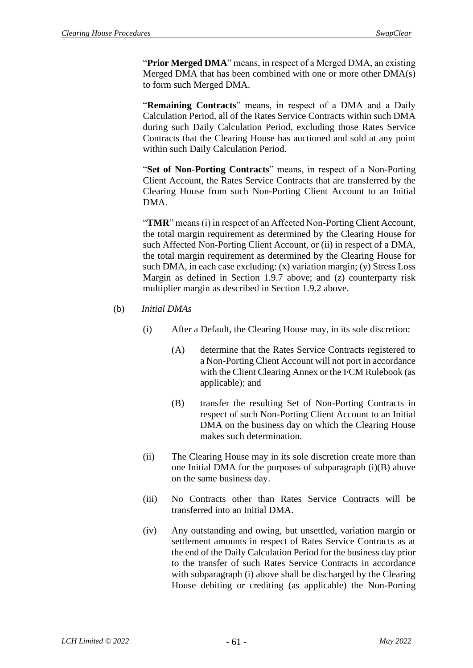"**Prior Merged DMA**" means, in respect of a Merged DMA, an existing Merged DMA that has been combined with one or more other DMA(s) to form such Merged DMA.

"**Remaining Contracts**" means, in respect of a DMA and a Daily Calculation Period, all of the Rates Service Contracts within such DMA during such Daily Calculation Period, excluding those Rates Service Contracts that the Clearing House has auctioned and sold at any point within such Daily Calculation Period.

"**Set of Non-Porting Contracts**" means, in respect of a Non-Porting Client Account, the Rates Service Contracts that are transferred by the Clearing House from such Non-Porting Client Account to an Initial DMA.

"**TMR**" means (i) in respect of an Affected Non-Porting Client Account, the total margin requirement as determined by the Clearing House for such Affected Non-Porting Client Account, or (ii) in respect of a DMA, the total margin requirement as determined by the Clearing House for such DMA, in each case excluding: (x) variation margin; (y) Stress Loss Margin as defined in Section 1.9.7 above; and (z) counterparty risk multiplier margin as described in Section 1.9.2 above.

### (b) *Initial DMAs*

- (i) After a Default, the Clearing House may, in its sole discretion:
	- (A) determine that the Rates Service Contracts registered to a Non-Porting Client Account will not port in accordance with the Client Clearing Annex or the FCM Rulebook (as applicable); and
	- (B) transfer the resulting Set of Non-Porting Contracts in respect of such Non-Porting Client Account to an Initial DMA on the business day on which the Clearing House makes such determination.
- (ii) The Clearing House may in its sole discretion create more than one Initial DMA for the purposes of subparagraph (i)(B) above on the same business day.
- (iii) No Contracts other than Rates Service Contracts will be transferred into an Initial DMA.
- (iv) Any outstanding and owing, but unsettled, variation margin or settlement amounts in respect of Rates Service Contracts as at the end of the Daily Calculation Period for the business day prior to the transfer of such Rates Service Contracts in accordance with subparagraph (i) above shall be discharged by the Clearing House debiting or crediting (as applicable) the Non-Porting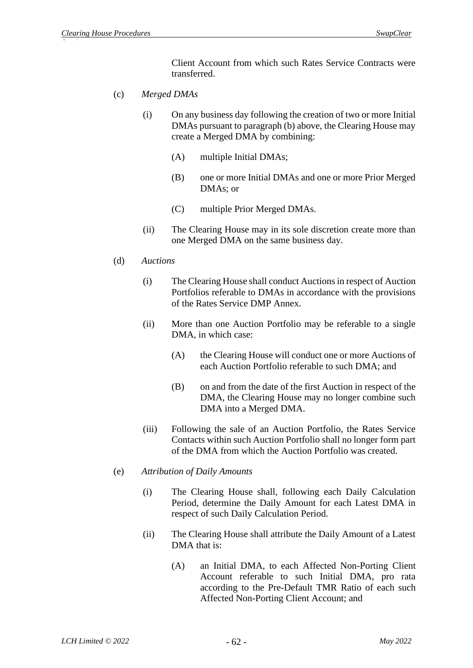Client Account from which such Rates Service Contracts were transferred.

- (c) *Merged DMAs* 
	- (i) On any business day following the creation of two or more Initial DMAs pursuant to paragraph (b) above, the Clearing House may create a Merged DMA by combining:
		- (A) multiple Initial DMAs;
		- (B) one or more Initial DMAs and one or more Prior Merged DMAs; or
		- (C) multiple Prior Merged DMAs.
	- (ii) The Clearing House may in its sole discretion create more than one Merged DMA on the same business day.

### (d) *Auctions*

- (i) The Clearing House shall conduct Auctions in respect of Auction Portfolios referable to DMAs in accordance with the provisions of the Rates Service DMP Annex.
- (ii) More than one Auction Portfolio may be referable to a single DMA, in which case:
	- (A) the Clearing House will conduct one or more Auctions of each Auction Portfolio referable to such DMA; and
	- (B) on and from the date of the first Auction in respect of the DMA, the Clearing House may no longer combine such DMA into a Merged DMA.
- (iii) Following the sale of an Auction Portfolio, the Rates Service Contacts within such Auction Portfolio shall no longer form part of the DMA from which the Auction Portfolio was created.
- (e) *Attribution of Daily Amounts* 
	- (i) The Clearing House shall, following each Daily Calculation Period, determine the Daily Amount for each Latest DMA in respect of such Daily Calculation Period.
	- (ii) The Clearing House shall attribute the Daily Amount of a Latest DMA that is:
		- (A) an Initial DMA, to each Affected Non-Porting Client Account referable to such Initial DMA, pro rata according to the Pre-Default TMR Ratio of each such Affected Non-Porting Client Account; and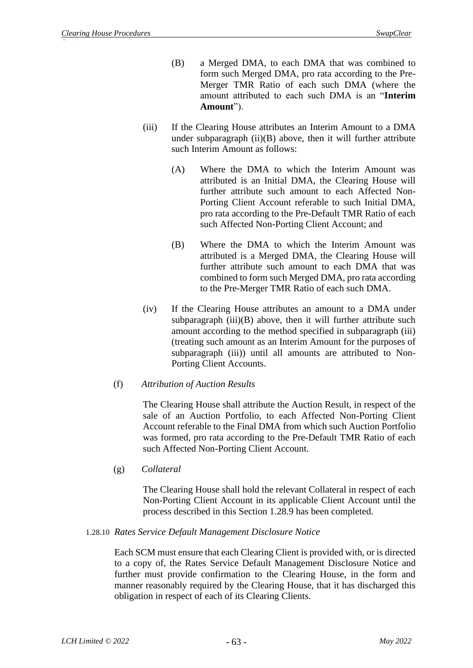- (B) a Merged DMA, to each DMA that was combined to form such Merged DMA, pro rata according to the Pre-Merger TMR Ratio of each such DMA (where the amount attributed to each such DMA is an "**Interim Amount**").
- (iii) If the Clearing House attributes an Interim Amount to a DMA under subparagraph (ii)(B) above, then it will further attribute such Interim Amount as follows:
	- (A) Where the DMA to which the Interim Amount was attributed is an Initial DMA, the Clearing House will further attribute such amount to each Affected Non-Porting Client Account referable to such Initial DMA, pro rata according to the Pre-Default TMR Ratio of each such Affected Non-Porting Client Account; and
	- (B) Where the DMA to which the Interim Amount was attributed is a Merged DMA, the Clearing House will further attribute such amount to each DMA that was combined to form such Merged DMA, pro rata according to the Pre-Merger TMR Ratio of each such DMA.
- (iv) If the Clearing House attributes an amount to a DMA under subparagraph  $(iii)(B)$  above, then it will further attribute such amount according to the method specified in subparagraph (iii) (treating such amount as an Interim Amount for the purposes of subparagraph (iii)) until all amounts are attributed to Non-Porting Client Accounts.
- (f) *Attribution of Auction Results*

The Clearing House shall attribute the Auction Result, in respect of the sale of an Auction Portfolio, to each Affected Non-Porting Client Account referable to the Final DMA from which such Auction Portfolio was formed, pro rata according to the Pre-Default TMR Ratio of each such Affected Non-Porting Client Account.

(g) *Collateral* 

The Clearing House shall hold the relevant Collateral in respect of each Non-Porting Client Account in its applicable Client Account until the process described in this Section 1.28.9 has been completed.

### 1.28.10 *Rates Service Default Management Disclosure Notice*

Each SCM must ensure that each Clearing Client is provided with, or is directed to a copy of, the Rates Service Default Management Disclosure Notice and further must provide confirmation to the Clearing House, in the form and manner reasonably required by the Clearing House, that it has discharged this obligation in respect of each of its Clearing Clients.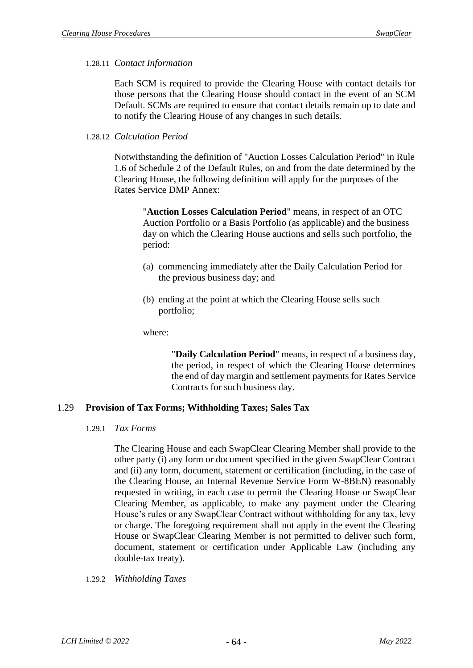### 1.28.11 *Contact Information*

Each SCM is required to provide the Clearing House with contact details for those persons that the Clearing House should contact in the event of an SCM Default. SCMs are required to ensure that contact details remain up to date and to notify the Clearing House of any changes in such details.

### 1.28.12 *Calculation Period*

Notwithstanding the definition of "Auction Losses Calculation Period" in Rule 1.6 of Schedule 2 of the Default Rules, on and from the date determined by the Clearing House, the following definition will apply for the purposes of the Rates Service DMP Annex:

"**Auction Losses Calculation Period**" means, in respect of an OTC Auction Portfolio or a Basis Portfolio (as applicable) and the business day on which the Clearing House auctions and sells such portfolio, the period:

- (a) commencing immediately after the Daily Calculation Period for the previous business day; and
- (b) ending at the point at which the Clearing House sells such portfolio;

where:

"**Daily Calculation Period**" means, in respect of a business day, the period, in respect of which the Clearing House determines the end of day margin and settlement payments for Rates Service Contracts for such business day.

# 1.29 **Provision of Tax Forms; Withholding Taxes; Sales Tax**

#### 1.29.1 *Tax Forms*

The Clearing House and each SwapClear Clearing Member shall provide to the other party (i) any form or document specified in the given SwapClear Contract and (ii) any form, document, statement or certification (including, in the case of the Clearing House, an Internal Revenue Service Form W-8BEN) reasonably requested in writing, in each case to permit the Clearing House or SwapClear Clearing Member, as applicable, to make any payment under the Clearing House's rules or any SwapClear Contract without withholding for any tax, levy or charge. The foregoing requirement shall not apply in the event the Clearing House or SwapClear Clearing Member is not permitted to deliver such form, document, statement or certification under Applicable Law (including any double-tax treaty).

1.29.2 *Withholding Taxes*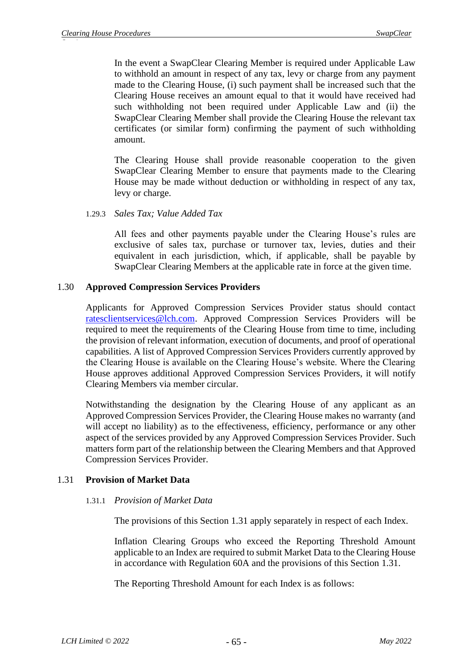In the event a SwapClear Clearing Member is required under Applicable Law to withhold an amount in respect of any tax, levy or charge from any payment made to the Clearing House, (i) such payment shall be increased such that the Clearing House receives an amount equal to that it would have received had such withholding not been required under Applicable Law and (ii) the SwapClear Clearing Member shall provide the Clearing House the relevant tax certificates (or similar form) confirming the payment of such withholding amount.

The Clearing House shall provide reasonable cooperation to the given SwapClear Clearing Member to ensure that payments made to the Clearing House may be made without deduction or withholding in respect of any tax, levy or charge.

### 1.29.3 *Sales Tax; Value Added Tax*

All fees and other payments payable under the Clearing House's rules are exclusive of sales tax, purchase or turnover tax, levies, duties and their equivalent in each jurisdiction, which, if applicable, shall be payable by SwapClear Clearing Members at the applicable rate in force at the given time.

# 1.30 **Approved Compression Services Providers**

Applicants for Approved Compression Services Provider status should contact [ratesclientservices@lch.com.](mailto:ratesclientservices@lch.com) Approved Compression Services Providers will be required to meet the requirements of the Clearing House from time to time, including the provision of relevant information, execution of documents, and proof of operational capabilities. A list of Approved Compression Services Providers currently approved by the Clearing House is available on the Clearing House's website. Where the Clearing House approves additional Approved Compression Services Providers, it will notify Clearing Members via member circular.

Notwithstanding the designation by the Clearing House of any applicant as an Approved Compression Services Provider, the Clearing House makes no warranty (and will accept no liability) as to the effectiveness, efficiency, performance or any other aspect of the services provided by any Approved Compression Services Provider. Such matters form part of the relationship between the Clearing Members and that Approved Compression Services Provider.

# <span id="page-65-0"></span>1.31 **Provision of Market Data**

### 1.31.1 *Provision of Market Data*

The provisions of this Section [1.31](#page-65-0) apply separately in respect of each Index.

Inflation Clearing Groups who exceed the Reporting Threshold Amount applicable to an Index are required to submit Market Data to the Clearing House in accordance with Regulation 60A and the provisions of this Section [1.31.](#page-65-0)

The Reporting Threshold Amount for each Index is as follows: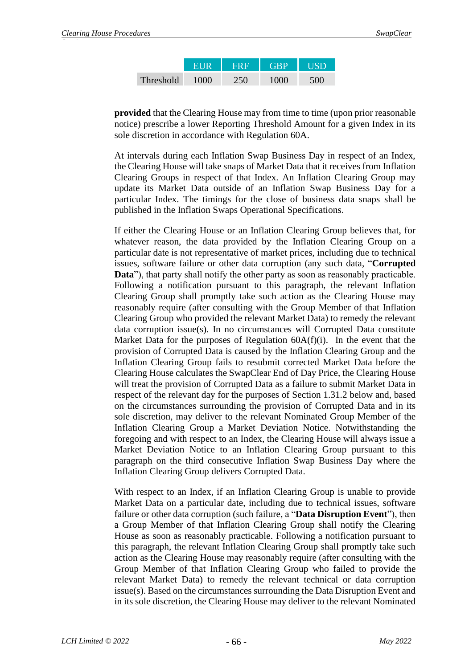|                  | FIR  | <b>FRF</b> | <b>GRP</b> | <b>TISD</b> |
|------------------|------|------------|------------|-------------|
| <b>Threshold</b> | 1000 | 250        | 1000       | 500         |

**provided** that the Clearing House may from time to time (upon prior reasonable notice) prescribe a lower Reporting Threshold Amount for a given Index in its sole discretion in accordance with Regulation 60A.

At intervals during each Inflation Swap Business Day in respect of an Index, the Clearing House will take snaps of Market Data that it receives from Inflation Clearing Groups in respect of that Index. An Inflation Clearing Group may update its Market Data outside of an Inflation Swap Business Day for a particular Index. The timings for the close of business data snaps shall be published in the Inflation Swaps Operational Specifications.

If either the Clearing House or an Inflation Clearing Group believes that, for whatever reason, the data provided by the Inflation Clearing Group on a particular date is not representative of market prices, including due to technical issues, software failure or other data corruption (any such data, "**Corrupted Data**"), that party shall notify the other party as soon as reasonably practicable. Following a notification pursuant to this paragraph, the relevant Inflation Clearing Group shall promptly take such action as the Clearing House may reasonably require (after consulting with the Group Member of that Inflation Clearing Group who provided the relevant Market Data) to remedy the relevant data corruption issue(s). In no circumstances will Corrupted Data constitute Market Data for the purposes of Regulation  $60A(f)(i)$ . In the event that the provision of Corrupted Data is caused by the Inflation Clearing Group and the Inflation Clearing Group fails to resubmit corrected Market Data before the Clearing House calculates the SwapClear End of Day Price, the Clearing House will treat the provision of Corrupted Data as a failure to submit Market Data in respect of the relevant day for the purposes of Section [1.31.2](#page-67-0) below and, based on the circumstances surrounding the provision of Corrupted Data and in its sole discretion, may deliver to the relevant Nominated Group Member of the Inflation Clearing Group a Market Deviation Notice. Notwithstanding the foregoing and with respect to an Index, the Clearing House will always issue a Market Deviation Notice to an Inflation Clearing Group pursuant to this paragraph on the third consecutive Inflation Swap Business Day where the Inflation Clearing Group delivers Corrupted Data.

With respect to an Index, if an Inflation Clearing Group is unable to provide Market Data on a particular date, including due to technical issues, software failure or other data corruption (such failure, a "**Data Disruption Event**"), then a Group Member of that Inflation Clearing Group shall notify the Clearing House as soon as reasonably practicable. Following a notification pursuant to this paragraph, the relevant Inflation Clearing Group shall promptly take such action as the Clearing House may reasonably require (after consulting with the Group Member of that Inflation Clearing Group who failed to provide the relevant Market Data) to remedy the relevant technical or data corruption issue(s). Based on the circumstances surrounding the Data Disruption Event and in its sole discretion, the Clearing House may deliver to the relevant Nominated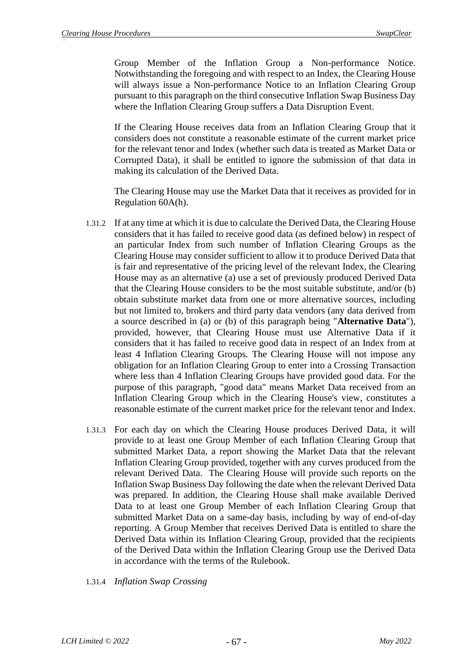Group Member of the Inflation Group a Non-performance Notice. Notwithstanding the foregoing and with respect to an Index, the Clearing House will always issue a Non-performance Notice to an Inflation Clearing Group pursuant to this paragraph on the third consecutive Inflation Swap Business Day where the Inflation Clearing Group suffers a Data Disruption Event.

If the Clearing House receives data from an Inflation Clearing Group that it considers does not constitute a reasonable estimate of the current market price for the relevant tenor and Index (whether such data is treated as Market Data or Corrupted Data), it shall be entitled to ignore the submission of that data in making its calculation of the Derived Data.

The Clearing House may use the Market Data that it receives as provided for in Regulation 60A(h).

- <span id="page-67-0"></span>1.31.2 If at any time at which it is due to calculate the Derived Data, the Clearing House considers that it has failed to receive good data (as defined below) in respect of an particular Index from such number of Inflation Clearing Groups as the Clearing House may consider sufficient to allow it to produce Derived Data that is fair and representative of the pricing level of the relevant Index, the Clearing House may as an alternative (a) use a set of previously produced Derived Data that the Clearing House considers to be the most suitable substitute, and/or (b) obtain substitute market data from one or more alternative sources, including but not limited to, brokers and third party data vendors (any data derived from a source described in (a) or (b) of this paragraph being "**Alternative Data**"), provided, however, that Clearing House must use Alternative Data if it considers that it has failed to receive good data in respect of an Index from at least 4 Inflation Clearing Groups. The Clearing House will not impose any obligation for an Inflation Clearing Group to enter into a Crossing Transaction where less than 4 Inflation Clearing Groups have provided good data. For the purpose of this paragraph, "good data" means Market Data received from an Inflation Clearing Group which in the Clearing House's view, constitutes a reasonable estimate of the current market price for the relevant tenor and Index.
- 1.31.3 For each day on which the Clearing House produces Derived Data, it will provide to at least one Group Member of each Inflation Clearing Group that submitted Market Data, a report showing the Market Data that the relevant Inflation Clearing Group provided, together with any curves produced from the relevant Derived Data. The Clearing House will provide such reports on the Inflation Swap Business Day following the date when the relevant Derived Data was prepared. In addition, the Clearing House shall make available Derived Data to at least one Group Member of each Inflation Clearing Group that submitted Market Data on a same-day basis, including by way of end-of-day reporting. A Group Member that receives Derived Data is entitled to share the Derived Data within its Inflation Clearing Group, provided that the recipients of the Derived Data within the Inflation Clearing Group use the Derived Data in accordance with the terms of the Rulebook.
- 1.31.4 *Inflation Swap Crossing*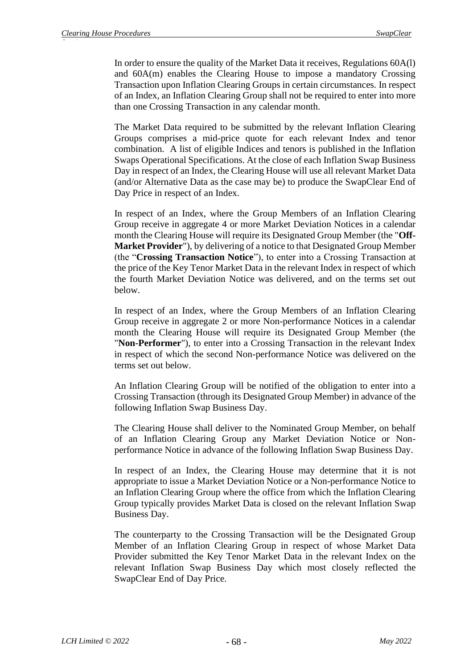In order to ensure the quality of the Market Data it receives, Regulations 60A(l) and 60A(m) enables the Clearing House to impose a mandatory Crossing Transaction upon Inflation Clearing Groups in certain circumstances. In respect of an Index, an Inflation Clearing Group shall not be required to enter into more than one Crossing Transaction in any calendar month.

The Market Data required to be submitted by the relevant Inflation Clearing Groups comprises a mid-price quote for each relevant Index and tenor combination. A list of eligible Indices and tenors is published in the Inflation Swaps Operational Specifications. At the close of each Inflation Swap Business Day in respect of an Index, the Clearing House will use all relevant Market Data (and/or Alternative Data as the case may be) to produce the SwapClear End of Day Price in respect of an Index.

In respect of an Index, where the Group Members of an Inflation Clearing Group receive in aggregate 4 or more Market Deviation Notices in a calendar month the Clearing House will require its Designated Group Member (the "**Off-Market Provider**"), by delivering of a notice to that Designated Group Member (the "**Crossing Transaction Notice**"), to enter into a Crossing Transaction at the price of the Key Tenor Market Data in the relevant Index in respect of which the fourth Market Deviation Notice was delivered, and on the terms set out below.

In respect of an Index, where the Group Members of an Inflation Clearing Group receive in aggregate 2 or more Non-performance Notices in a calendar month the Clearing House will require its Designated Group Member (the "**Non-Performer**"), to enter into a Crossing Transaction in the relevant Index in respect of which the second Non-performance Notice was delivered on the terms set out below.

An Inflation Clearing Group will be notified of the obligation to enter into a Crossing Transaction (through its Designated Group Member) in advance of the following Inflation Swap Business Day.

The Clearing House shall deliver to the Nominated Group Member, on behalf of an Inflation Clearing Group any Market Deviation Notice or Nonperformance Notice in advance of the following Inflation Swap Business Day.

In respect of an Index, the Clearing House may determine that it is not appropriate to issue a Market Deviation Notice or a Non-performance Notice to an Inflation Clearing Group where the office from which the Inflation Clearing Group typically provides Market Data is closed on the relevant Inflation Swap Business Day.

The counterparty to the Crossing Transaction will be the Designated Group Member of an Inflation Clearing Group in respect of whose Market Data Provider submitted the Key Tenor Market Data in the relevant Index on the relevant Inflation Swap Business Day which most closely reflected the SwapClear End of Day Price.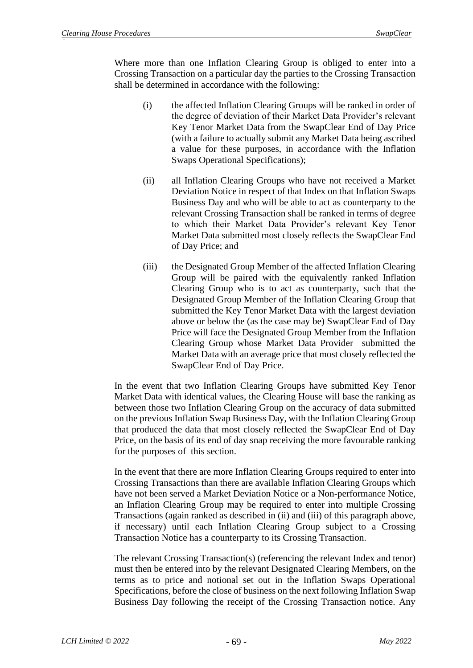Where more than one Inflation Clearing Group is obliged to enter into a Crossing Transaction on a particular day the parties to the Crossing Transaction shall be determined in accordance with the following:

- (i) the affected Inflation Clearing Groups will be ranked in order of the degree of deviation of their Market Data Provider's relevant Key Tenor Market Data from the SwapClear End of Day Price (with a failure to actually submit any Market Data being ascribed a value for these purposes, in accordance with the Inflation Swaps Operational Specifications);
- (ii) all Inflation Clearing Groups who have not received a Market Deviation Notice in respect of that Index on that Inflation Swaps Business Day and who will be able to act as counterparty to the relevant Crossing Transaction shall be ranked in terms of degree to which their Market Data Provider's relevant Key Tenor Market Data submitted most closely reflects the SwapClear End of Day Price; and
- (iii) the Designated Group Member of the affected Inflation Clearing Group will be paired with the equivalently ranked Inflation Clearing Group who is to act as counterparty, such that the Designated Group Member of the Inflation Clearing Group that submitted the Key Tenor Market Data with the largest deviation above or below the (as the case may be) SwapClear End of Day Price will face the Designated Group Member from the Inflation Clearing Group whose Market Data Provider submitted the Market Data with an average price that most closely reflected the SwapClear End of Day Price.

In the event that two Inflation Clearing Groups have submitted Key Tenor Market Data with identical values, the Clearing House will base the ranking as between those two Inflation Clearing Group on the accuracy of data submitted on the previous Inflation Swap Business Day, with the Inflation Clearing Group that produced the data that most closely reflected the SwapClear End of Day Price, on the basis of its end of day snap receiving the more favourable ranking for the purposes of this section.

In the event that there are more Inflation Clearing Groups required to enter into Crossing Transactions than there are available Inflation Clearing Groups which have not been served a Market Deviation Notice or a Non-performance Notice, an Inflation Clearing Group may be required to enter into multiple Crossing Transactions (again ranked as described in (ii) and (iii) of this paragraph above, if necessary) until each Inflation Clearing Group subject to a Crossing Transaction Notice has a counterparty to its Crossing Transaction.

The relevant Crossing Transaction(s) (referencing the relevant Index and tenor) must then be entered into by the relevant Designated Clearing Members, on the terms as to price and notional set out in the Inflation Swaps Operational Specifications, before the close of business on the next following Inflation Swap Business Day following the receipt of the Crossing Transaction notice. Any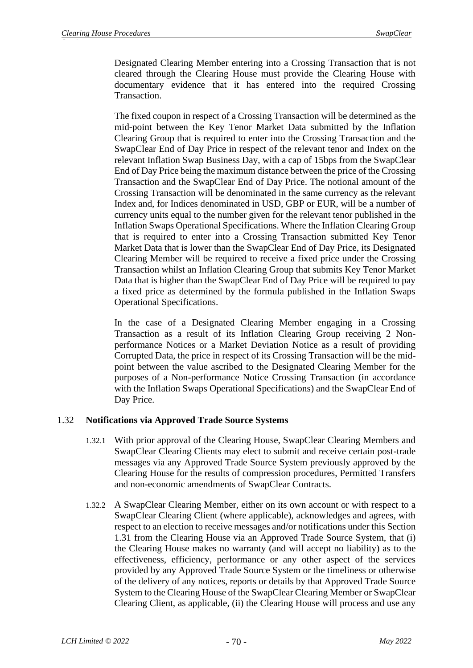Designated Clearing Member entering into a Crossing Transaction that is not cleared through the Clearing House must provide the Clearing House with documentary evidence that it has entered into the required Crossing Transaction.

The fixed coupon in respect of a Crossing Transaction will be determined as the mid-point between the Key Tenor Market Data submitted by the Inflation Clearing Group that is required to enter into the Crossing Transaction and the SwapClear End of Day Price in respect of the relevant tenor and Index on the relevant Inflation Swap Business Day, with a cap of 15bps from the SwapClear End of Day Price being the maximum distance between the price of the Crossing Transaction and the SwapClear End of Day Price. The notional amount of the Crossing Transaction will be denominated in the same currency as the relevant Index and, for Indices denominated in USD, GBP or EUR, will be a number of currency units equal to the number given for the relevant tenor published in the Inflation Swaps Operational Specifications. Where the Inflation Clearing Group that is required to enter into a Crossing Transaction submitted Key Tenor Market Data that is lower than the SwapClear End of Day Price, its Designated Clearing Member will be required to receive a fixed price under the Crossing Transaction whilst an Inflation Clearing Group that submits Key Tenor Market Data that is higher than the SwapClear End of Day Price will be required to pay a fixed price as determined by the formula published in the Inflation Swaps Operational Specifications.

In the case of a Designated Clearing Member engaging in a Crossing Transaction as a result of its Inflation Clearing Group receiving 2 Nonperformance Notices or a Market Deviation Notice as a result of providing Corrupted Data, the price in respect of its Crossing Transaction will be the midpoint between the value ascribed to the Designated Clearing Member for the purposes of a Non-performance Notice Crossing Transaction (in accordance with the Inflation Swaps Operational Specifications) and the SwapClear End of Day Price.

# <span id="page-70-0"></span>1.32 **Notifications via Approved Trade Source Systems**

- 1.32.1 With prior approval of the Clearing House, SwapClear Clearing Members and SwapClear Clearing Clients may elect to submit and receive certain post-trade messages via any Approved Trade Source System previously approved by the Clearing House for the results of compression procedures, Permitted Transfers and non-economic amendments of SwapClear Contracts.
- 1.32.2 A SwapClear Clearing Member, either on its own account or with respect to a SwapClear Clearing Client (where applicable), acknowledges and agrees, with respect to an election to receive messages and/or notifications under this Section 1.31 from the Clearing House via an Approved Trade Source System, that (i) the Clearing House makes no warranty (and will accept no liability) as to the effectiveness, efficiency, performance or any other aspect of the services provided by any Approved Trade Source System or the timeliness or otherwise of the delivery of any notices, reports or details by that Approved Trade Source System to the Clearing House of the SwapClear Clearing Member or SwapClear Clearing Client, as applicable, (ii) the Clearing House will process and use any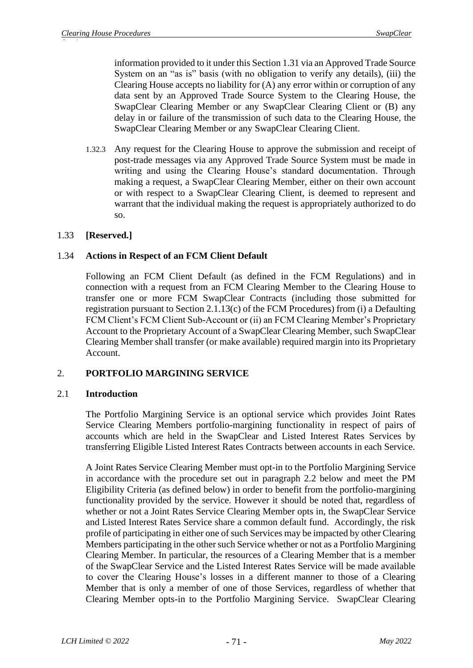information provided to it under this Section 1.31 via an Approved Trade Source System on an "as is" basis (with no obligation to verify any details), (iii) the Clearing House accepts no liability for (A) any error within or corruption of any data sent by an Approved Trade Source System to the Clearing House, the SwapClear Clearing Member or any SwapClear Clearing Client or (B) any delay in or failure of the transmission of such data to the Clearing House, the SwapClear Clearing Member or any SwapClear Clearing Client.

1.32.3 Any request for the Clearing House to approve the submission and receipt of post-trade messages via any Approved Trade Source System must be made in writing and using the Clearing House's standard documentation. Through making a request, a SwapClear Clearing Member, either on their own account or with respect to a SwapClear Clearing Client, is deemed to represent and warrant that the individual making the request is appropriately authorized to do so.

# 1.33 **[Reserved.]**

# 1.34 **Actions in Respect of an FCM Client Default**

Following an FCM Client Default (as defined in the FCM Regulations) and in connection with a request from an FCM Clearing Member to the Clearing House to transfer one or more FCM SwapClear Contracts (including those submitted for registration pursuant to Section 2.1.13(c) of the FCM Procedures) from (i) a Defaulting FCM Client's FCM Client Sub-Account or (ii) an FCM Clearing Member's Proprietary Account to the Proprietary Account of a SwapClear Clearing Member, such SwapClear Clearing Member shall transfer (or make available) required margin into its Proprietary Account.

# 2. **PORTFOLIO MARGINING SERVICE**

# 2.1 **Introduction**

The Portfolio Margining Service is an optional service which provides Joint Rates Service Clearing Members portfolio-margining functionality in respect of pairs of accounts which are held in the SwapClear and Listed Interest Rates Services by transferring Eligible Listed Interest Rates Contracts between accounts in each Service.

A Joint Rates Service Clearing Member must opt-in to the Portfolio Margining Service in accordance with the procedure set out in paragraph 2.2 below and meet the PM Eligibility Criteria (as defined below) in order to benefit from the portfolio-margining functionality provided by the service. However it should be noted that, regardless of whether or not a Joint Rates Service Clearing Member opts in, the SwapClear Service and Listed Interest Rates Service share a common default fund. Accordingly, the risk profile of participating in either one of such Services may be impacted by other Clearing Members participating in the other such Service whether or not as a Portfolio Margining Clearing Member. In particular, the resources of a Clearing Member that is a member of the SwapClear Service and the Listed Interest Rates Service will be made available to cover the Clearing House's losses in a different manner to those of a Clearing Member that is only a member of one of those Services, regardless of whether that Clearing Member opts-in to the Portfolio Margining Service. SwapClear Clearing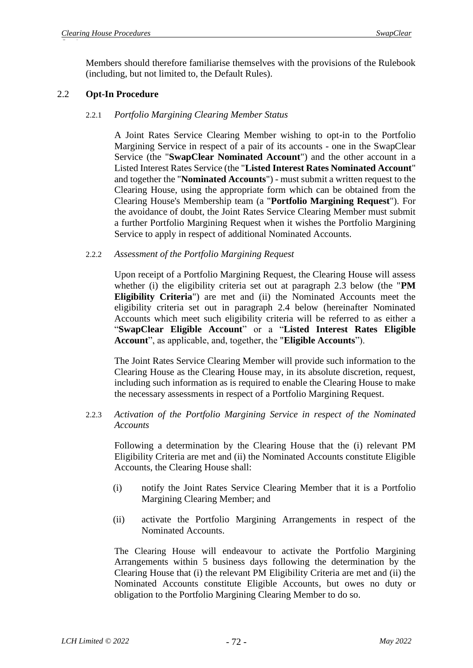Members should therefore familiarise themselves with the provisions of the Rulebook (including, but not limited to, the Default Rules).

## 2.2 **Opt-In Procedure**

## 2.2.1 *Portfolio Margining Clearing Member Status*

A Joint Rates Service Clearing Member wishing to opt-in to the Portfolio Margining Service in respect of a pair of its accounts - one in the SwapClear Service (the "**SwapClear Nominated Account**") and the other account in a Listed Interest Rates Service (the "**Listed Interest Rates Nominated Account**" and together the "**Nominated Accounts**") - must submit a written request to the Clearing House, using the appropriate form which can be obtained from the Clearing House's Membership team (a "**Portfolio Margining Request**"). For the avoidance of doubt, the Joint Rates Service Clearing Member must submit a further Portfolio Margining Request when it wishes the Portfolio Margining Service to apply in respect of additional Nominated Accounts.

## 2.2.2 *Assessment of the Portfolio Margining Request*

Upon receipt of a Portfolio Margining Request, the Clearing House will assess whether (i) the eligibility criteria set out at paragraph 2.3 below (the "**PM Eligibility Criteria**") are met and (ii) the Nominated Accounts meet the eligibility criteria set out in paragraph 2.4 below (hereinafter Nominated Accounts which meet such eligibility criteria will be referred to as either a "**SwapClear Eligible Account**" or a "**Listed Interest Rates Eligible Account**", as applicable, and, together, the "**Eligible Accounts**").

The Joint Rates Service Clearing Member will provide such information to the Clearing House as the Clearing House may, in its absolute discretion, request, including such information as is required to enable the Clearing House to make the necessary assessments in respect of a Portfolio Margining Request.

## 2.2.3 *Activation of the Portfolio Margining Service in respect of the Nominated Accounts*

Following a determination by the Clearing House that the (i) relevant PM Eligibility Criteria are met and (ii) the Nominated Accounts constitute Eligible Accounts, the Clearing House shall:

- (i) notify the Joint Rates Service Clearing Member that it is a Portfolio Margining Clearing Member; and
- (ii) activate the Portfolio Margining Arrangements in respect of the Nominated Accounts.

The Clearing House will endeavour to activate the Portfolio Margining Arrangements within 5 business days following the determination by the Clearing House that (i) the relevant PM Eligibility Criteria are met and (ii) the Nominated Accounts constitute Eligible Accounts, but owes no duty or obligation to the Portfolio Margining Clearing Member to do so.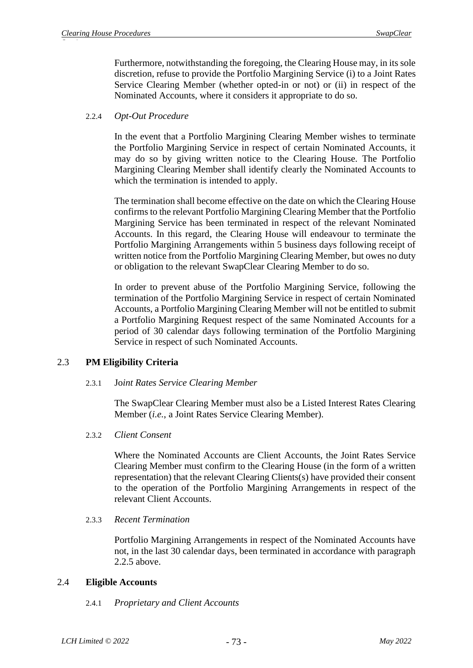Furthermore, notwithstanding the foregoing, the Clearing House may, in its sole discretion, refuse to provide the Portfolio Margining Service (i) to a Joint Rates Service Clearing Member (whether opted-in or not) or (ii) in respect of the Nominated Accounts, where it considers it appropriate to do so.

## 2.2.4 *Opt-Out Procedure*

In the event that a Portfolio Margining Clearing Member wishes to terminate the Portfolio Margining Service in respect of certain Nominated Accounts, it may do so by giving written notice to the Clearing House. The Portfolio Margining Clearing Member shall identify clearly the Nominated Accounts to which the termination is intended to apply.

The termination shall become effective on the date on which the Clearing House confirms to the relevant Portfolio Margining Clearing Member that the Portfolio Margining Service has been terminated in respect of the relevant Nominated Accounts. In this regard, the Clearing House will endeavour to terminate the Portfolio Margining Arrangements within 5 business days following receipt of written notice from the Portfolio Margining Clearing Member, but owes no duty or obligation to the relevant SwapClear Clearing Member to do so.

In order to prevent abuse of the Portfolio Margining Service, following the termination of the Portfolio Margining Service in respect of certain Nominated Accounts, a Portfolio Margining Clearing Member will not be entitled to submit a Portfolio Margining Request respect of the same Nominated Accounts for a period of 30 calendar days following termination of the Portfolio Margining Service in respect of such Nominated Accounts.

## 2.3 **PM Eligibility Criteria**

## 2.3.1 Jo*int Rates Service Clearing Member*

The SwapClear Clearing Member must also be a Listed Interest Rates Clearing Member (*i.e.*, a Joint Rates Service Clearing Member).

## 2.3.2 *Client Consent*

Where the Nominated Accounts are Client Accounts, the Joint Rates Service Clearing Member must confirm to the Clearing House (in the form of a written representation) that the relevant Clearing Clients(s) have provided their consent to the operation of the Portfolio Margining Arrangements in respect of the relevant Client Accounts.

#### 2.3.3 *Recent Termination*

Portfolio Margining Arrangements in respect of the Nominated Accounts have not, in the last 30 calendar days, been terminated in accordance with paragraph 2.2.5 above.

## 2.4 **Eligible Accounts**

## 2.4.1 *Proprietary and Client Accounts*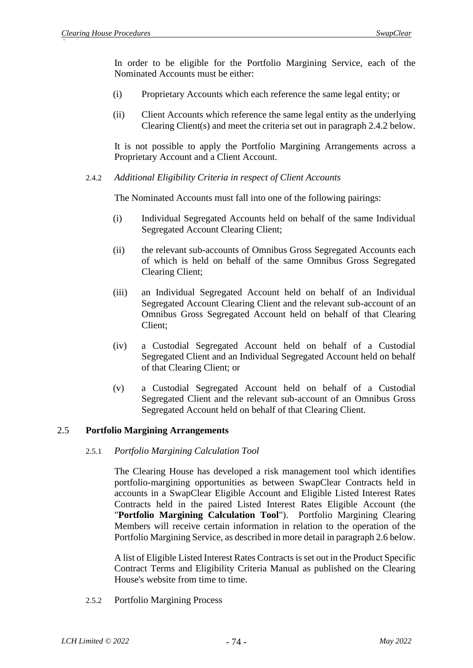In order to be eligible for the Portfolio Margining Service, each of the Nominated Accounts must be either:

- (i) Proprietary Accounts which each reference the same legal entity; or
- (ii) Client Accounts which reference the same legal entity as the underlying Clearing Client(s) and meet the criteria set out in paragraph 2.4.2 below.

It is not possible to apply the Portfolio Margining Arrangements across a Proprietary Account and a Client Account.

2.4.2 *Additional Eligibility Criteria in respect of Client Accounts*

The Nominated Accounts must fall into one of the following pairings:

- (i) Individual Segregated Accounts held on behalf of the same Individual Segregated Account Clearing Client;
- (ii) the relevant sub-accounts of Omnibus Gross Segregated Accounts each of which is held on behalf of the same Omnibus Gross Segregated Clearing Client;
- (iii) an Individual Segregated Account held on behalf of an Individual Segregated Account Clearing Client and the relevant sub-account of an Omnibus Gross Segregated Account held on behalf of that Clearing Client;
- (iv) a Custodial Segregated Account held on behalf of a Custodial Segregated Client and an Individual Segregated Account held on behalf of that Clearing Client; or
- (v) a Custodial Segregated Account held on behalf of a Custodial Segregated Client and the relevant sub-account of an Omnibus Gross Segregated Account held on behalf of that Clearing Client.

## 2.5 **Portfolio Margining Arrangements**

#### 2.5.1 *Portfolio Margining Calculation Tool*

The Clearing House has developed a risk management tool which identifies portfolio-margining opportunities as between SwapClear Contracts held in accounts in a SwapClear Eligible Account and Eligible Listed Interest Rates Contracts held in the paired Listed Interest Rates Eligible Account (the "**Portfolio Margining Calculation Tool**"). Portfolio Margining Clearing Members will receive certain information in relation to the operation of the Portfolio Margining Service, as described in more detail in paragraph 2.6 below.

A list of Eligible Listed Interest Rates Contracts is set out in the Product Specific Contract Terms and Eligibility Criteria Manual as published on the Clearing House's website from time to time.

2.5.2 Portfolio Margining Process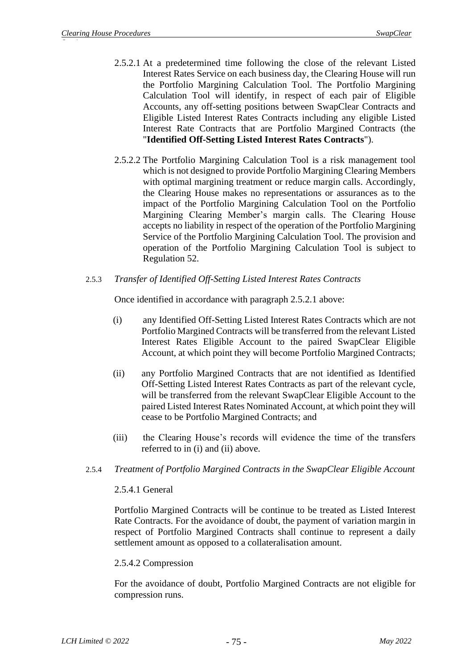- 2.5.2.1 At a predetermined time following the close of the relevant Listed Interest Rates Service on each business day, the Clearing House will run the Portfolio Margining Calculation Tool. The Portfolio Margining Calculation Tool will identify, in respect of each pair of Eligible Accounts, any off-setting positions between SwapClear Contracts and Eligible Listed Interest Rates Contracts including any eligible Listed Interest Rate Contracts that are Portfolio Margined Contracts (the "**Identified Off-Setting Listed Interest Rates Contracts**").
- 2.5.2.2 The Portfolio Margining Calculation Tool is a risk management tool which is not designed to provide Portfolio Margining Clearing Members with optimal margining treatment or reduce margin calls. Accordingly, the Clearing House makes no representations or assurances as to the impact of the Portfolio Margining Calculation Tool on the Portfolio Margining Clearing Member's margin calls. The Clearing House accepts no liability in respect of the operation of the Portfolio Margining Service of the Portfolio Margining Calculation Tool. The provision and operation of the Portfolio Margining Calculation Tool is subject to Regulation 52.
- 2.5.3 *Transfer of Identified Off-Setting Listed Interest Rates Contracts*

Once identified in accordance with paragraph 2.5.2.1 above:

- (i) any Identified Off-Setting Listed Interest Rates Contracts which are not Portfolio Margined Contracts will be transferred from the relevant Listed Interest Rates Eligible Account to the paired SwapClear Eligible Account, at which point they will become Portfolio Margined Contracts;
- (ii) any Portfolio Margined Contracts that are not identified as Identified Off-Setting Listed Interest Rates Contracts as part of the relevant cycle, will be transferred from the relevant SwapClear Eligible Account to the paired Listed Interest Rates Nominated Account, at which point they will cease to be Portfolio Margined Contracts; and
- (iii) the Clearing House's records will evidence the time of the transfers referred to in (i) and (ii) above.
- 2.5.4 *Treatment of Portfolio Margined Contracts in the SwapClear Eligible Account*

#### 2.5.4.1 General

Portfolio Margined Contracts will be continue to be treated as Listed Interest Rate Contracts. For the avoidance of doubt, the payment of variation margin in respect of Portfolio Margined Contracts shall continue to represent a daily settlement amount as opposed to a collateralisation amount.

#### 2.5.4.2 Compression

For the avoidance of doubt, Portfolio Margined Contracts are not eligible for compression runs.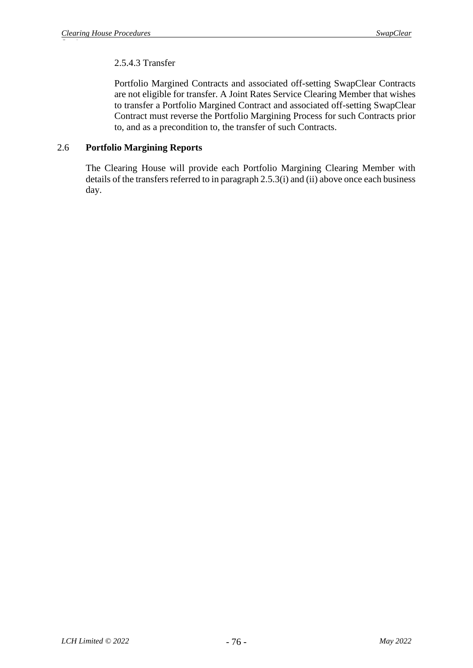# 2.5.4.3 Transfer

Portfolio Margined Contracts and associated off-setting SwapClear Contracts are not eligible for transfer. A Joint Rates Service Clearing Member that wishes to transfer a Portfolio Margined Contract and associated off-setting SwapClear Contract must reverse the Portfolio Margining Process for such Contracts prior to, and as a precondition to, the transfer of such Contracts.

## 2.6 **Portfolio Margining Reports**

The Clearing House will provide each Portfolio Margining Clearing Member with details of the transfers referred to in paragraph 2.5.3(i) and (ii) above once each business day.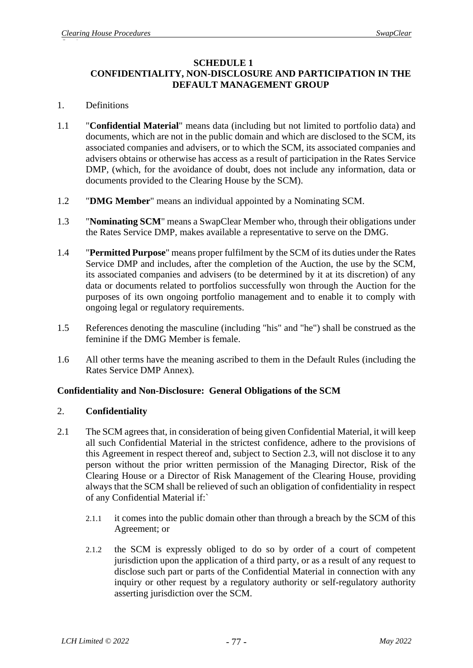#### **SCHEDULE 1**

# **CONFIDENTIALITY, NON-DISCLOSURE AND PARTICIPATION IN THE DEFAULT MANAGEMENT GROUP**

## 1. Definitions

- 1.1 "**Confidential Material**" means data (including but not limited to portfolio data) and documents, which are not in the public domain and which are disclosed to the SCM, its associated companies and advisers, or to which the SCM, its associated companies and advisers obtains or otherwise has access as a result of participation in the Rates Service DMP, (which, for the avoidance of doubt, does not include any information, data or documents provided to the Clearing House by the SCM).
- 1.2 "**DMG Member**" means an individual appointed by a Nominating SCM.
- 1.3 "**Nominating SCM**" means a SwapClear Member who, through their obligations under the Rates Service DMP, makes available a representative to serve on the DMG.
- 1.4 "**Permitted Purpose**" means proper fulfilment by the SCM of its duties under the Rates Service DMP and includes, after the completion of the Auction, the use by the SCM, its associated companies and advisers (to be determined by it at its discretion) of any data or documents related to portfolios successfully won through the Auction for the purposes of its own ongoing portfolio management and to enable it to comply with ongoing legal or regulatory requirements.
- 1.5 References denoting the masculine (including "his" and "he") shall be construed as the feminine if the DMG Member is female.
- 1.6 All other terms have the meaning ascribed to them in the Default Rules (including the Rates Service DMP Annex).

# **Confidentiality and Non-Disclosure: General Obligations of the SCM**

## 2. **Confidentiality**

- <span id="page-77-1"></span><span id="page-77-0"></span>2.1 The SCM agrees that, in consideration of being given Confidential Material, it will keep all such Confidential Material in the strictest confidence, adhere to the provisions of this Agreement in respect thereof and, subject to Section [2.3,](#page-78-0) will not disclose it to any person without the prior written permission of the Managing Director, Risk of the Clearing House or a Director of Risk Management of the Clearing House, providing always that the SCM shall be relieved of such an obligation of confidentiality in respect of any Confidential Material if:`
	- 2.1.1 it comes into the public domain other than through a breach by the SCM of this Agreement; or
	- 2.1.2 the SCM is expressly obliged to do so by order of a court of competent jurisdiction upon the application of a third party, or as a result of any request to disclose such part or parts of the Confidential Material in connection with any inquiry or other request by a regulatory authority or self-regulatory authority asserting jurisdiction over the SCM.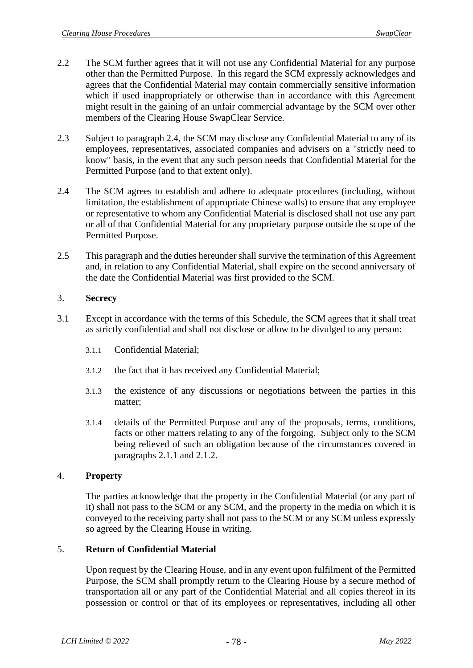- 2.2 The SCM further agrees that it will not use any Confidential Material for any purpose other than the Permitted Purpose. In this regard the SCM expressly acknowledges and agrees that the Confidential Material may contain commercially sensitive information which if used inappropriately or otherwise than in accordance with this Agreement might result in the gaining of an unfair commercial advantage by the SCM over other members of the Clearing House SwapClear Service.
- <span id="page-78-0"></span>2.3 Subject to paragraph 2.4, the SCM may disclose any Confidential Material to any of its employees, representatives, associated companies and advisers on a "strictly need to know" basis, in the event that any such person needs that Confidential Material for the Permitted Purpose (and to that extent only).
- 2.4 The SCM agrees to establish and adhere to adequate procedures (including, without limitation, the establishment of appropriate Chinese walls) to ensure that any employee or representative to whom any Confidential Material is disclosed shall not use any part or all of that Confidential Material for any proprietary purpose outside the scope of the Permitted Purpose.
- 2.5 This paragraph and the duties hereunder shall survive the termination of this Agreement and, in relation to any Confidential Material, shall expire on the second anniversary of the date the Confidential Material was first provided to the SCM.

## 3. **Secrecy**

- 3.1 Except in accordance with the terms of this Schedule, the SCM agrees that it shall treat as strictly confidential and shall not disclose or allow to be divulged to any person:
	- 3.1.1 Confidential Material;
	- 3.1.2 the fact that it has received any Confidential Material;
	- 3.1.3 the existence of any discussions or negotiations between the parties in this matter;
	- 3.1.4 details of the Permitted Purpose and any of the proposals, terms, conditions, facts or other matters relating to any of the forgoing. Subject only to the SCM being relieved of such an obligation because of the circumstances covered in paragraphs [2.1.1](#page-77-0) and [2.1.2.](#page-77-1)

## 4. **Property**

The parties acknowledge that the property in the Confidential Material (or any part of it) shall not pass to the SCM or any SCM, and the property in the media on which it is conveyed to the receiving party shall not pass to the SCM or any SCM unless expressly so agreed by the Clearing House in writing.

## 5. **Return of Confidential Material**

Upon request by the Clearing House, and in any event upon fulfilment of the Permitted Purpose, the SCM shall promptly return to the Clearing House by a secure method of transportation all or any part of the Confidential Material and all copies thereof in its possession or control or that of its employees or representatives, including all other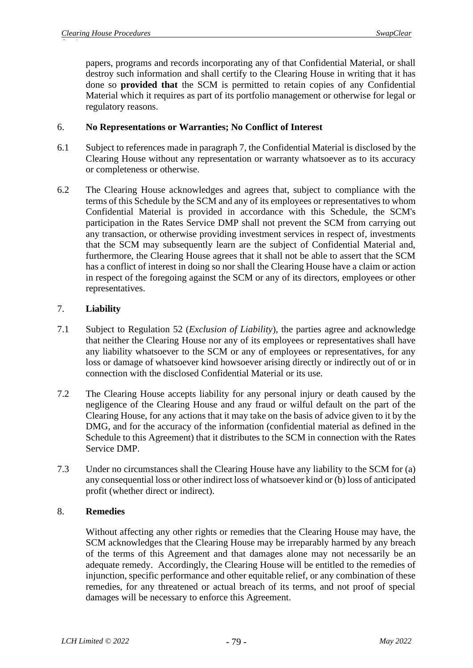papers, programs and records incorporating any of that Confidential Material, or shall destroy such information and shall certify to the Clearing House in writing that it has done so **provided that** the SCM is permitted to retain copies of any Confidential Material which it requires as part of its portfolio management or otherwise for legal or regulatory reasons.

## 6. **No Representations or Warranties; No Conflict of Interest**

- 6.1 Subject to references made in paragraph [7,](#page-79-0) the Confidential Material is disclosed by the Clearing House without any representation or warranty whatsoever as to its accuracy or completeness or otherwise.
- 6.2 The Clearing House acknowledges and agrees that, subject to compliance with the terms of this Schedule by the SCM and any of its employees or representatives to whom Confidential Material is provided in accordance with this Schedule, the SCM's participation in the Rates Service DMP shall not prevent the SCM from carrying out any transaction, or otherwise providing investment services in respect of, investments that the SCM may subsequently learn are the subject of Confidential Material and, furthermore, the Clearing House agrees that it shall not be able to assert that the SCM has a conflict of interest in doing so nor shall the Clearing House have a claim or action in respect of the foregoing against the SCM or any of its directors, employees or other representatives.

## <span id="page-79-0"></span>7. **Liability**

- 7.1 Subject to Regulation 52 (*Exclusion of Liability*), the parties agree and acknowledge that neither the Clearing House nor any of its employees or representatives shall have any liability whatsoever to the SCM or any of employees or representatives, for any loss or damage of whatsoever kind howsoever arising directly or indirectly out of or in connection with the disclosed Confidential Material or its use.
- 7.2 The Clearing House accepts liability for any personal injury or death caused by the negligence of the Clearing House and any fraud or wilful default on the part of the Clearing House, for any actions that it may take on the basis of advice given to it by the DMG, and for the accuracy of the information (confidential material as defined in the Schedule to this Agreement) that it distributes to the SCM in connection with the Rates Service DMP.
- 7.3 Under no circumstances shall the Clearing House have any liability to the SCM for (a) any consequential loss or other indirect loss of whatsoever kind or (b) loss of anticipated profit (whether direct or indirect).

## 8. **Remedies**

Without affecting any other rights or remedies that the Clearing House may have, the SCM acknowledges that the Clearing House may be irreparably harmed by any breach of the terms of this Agreement and that damages alone may not necessarily be an adequate remedy. Accordingly, the Clearing House will be entitled to the remedies of injunction, specific performance and other equitable relief, or any combination of these remedies, for any threatened or actual breach of its terms, and not proof of special damages will be necessary to enforce this Agreement.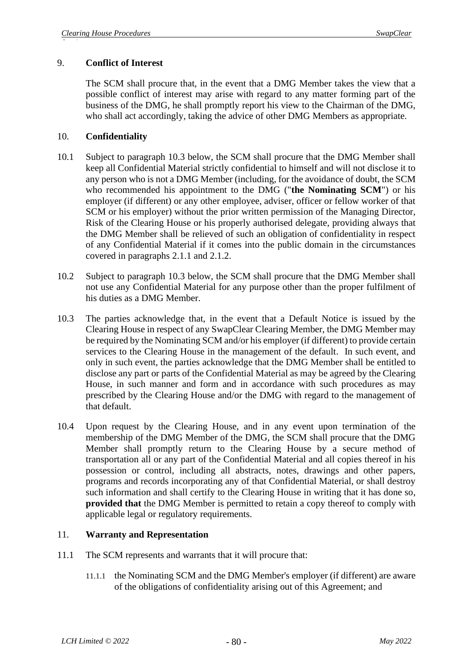### 9. **Conflict of Interest**

The SCM shall procure that, in the event that a DMG Member takes the view that a possible conflict of interest may arise with regard to any matter forming part of the business of the DMG, he shall promptly report his view to the Chairman of the DMG, who shall act accordingly, taking the advice of other DMG Members as appropriate.

### 10. **Confidentiality**

- 10.1 Subject to paragraph [10.3](#page-80-0) below, the SCM shall procure that the DMG Member shall keep all Confidential Material strictly confidential to himself and will not disclose it to any person who is not a DMG Member (including, for the avoidance of doubt, the SCM who recommended his appointment to the DMG ("**the Nominating SCM**") or his employer (if different) or any other employee, adviser, officer or fellow worker of that SCM or his employer) without the prior written permission of the Managing Director, Risk of the Clearing House or his properly authorised delegate, providing always that the DMG Member shall be relieved of such an obligation of confidentiality in respect of any Confidential Material if it comes into the public domain in the circumstances covered in paragraphs [2.1.1](#page-77-0) and [2.1.2.](#page-77-1)
- 10.2 Subject to paragraph [10.3](#page-80-0) below, the SCM shall procure that the DMG Member shall not use any Confidential Material for any purpose other than the proper fulfilment of his duties as a DMG Member.
- <span id="page-80-0"></span>10.3 The parties acknowledge that, in the event that a Default Notice is issued by the Clearing House in respect of any SwapClear Clearing Member, the DMG Member may be required by the Nominating SCM and/or his employer (if different) to provide certain services to the Clearing House in the management of the default. In such event, and only in such event, the parties acknowledge that the DMG Member shall be entitled to disclose any part or parts of the Confidential Material as may be agreed by the Clearing House, in such manner and form and in accordance with such procedures as may prescribed by the Clearing House and/or the DMG with regard to the management of that default.
- 10.4 Upon request by the Clearing House, and in any event upon termination of the membership of the DMG Member of the DMG, the SCM shall procure that the DMG Member shall promptly return to the Clearing House by a secure method of transportation all or any part of the Confidential Material and all copies thereof in his possession or control, including all abstracts, notes, drawings and other papers, programs and records incorporating any of that Confidential Material, or shall destroy such information and shall certify to the Clearing House in writing that it has done so, **provided that** the DMG Member is permitted to retain a copy thereof to comply with applicable legal or regulatory requirements.

#### 11. **Warranty and Representation**

- 11.1 The SCM represents and warrants that it will procure that:
	- 11.1.1 the Nominating SCM and the DMG Member's employer (if different) are aware of the obligations of confidentiality arising out of this Agreement; and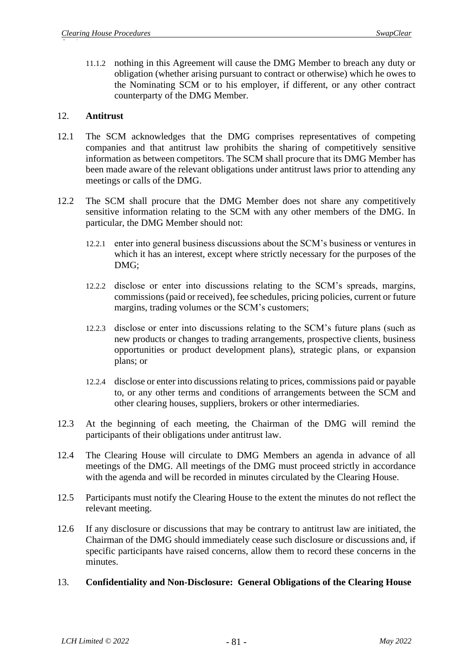11.1.2 nothing in this Agreement will cause the DMG Member to breach any duty or obligation (whether arising pursuant to contract or otherwise) which he owes to the Nominating SCM or to his employer, if different, or any other contract counterparty of the DMG Member.

### 12. **Antitrust**

- 12.1 The SCM acknowledges that the DMG comprises representatives of competing companies and that antitrust law prohibits the sharing of competitively sensitive information as between competitors. The SCM shall procure that its DMG Member has been made aware of the relevant obligations under antitrust laws prior to attending any meetings or calls of the DMG.
- 12.2 The SCM shall procure that the DMG Member does not share any competitively sensitive information relating to the SCM with any other members of the DMG. In particular, the DMG Member should not:
	- 12.2.1 enter into general business discussions about the SCM's business or ventures in which it has an interest, except where strictly necessary for the purposes of the DMG;
	- 12.2.2 disclose or enter into discussions relating to the SCM's spreads, margins, commissions (paid or received), fee schedules, pricing policies, current or future margins, trading volumes or the SCM's customers;
	- 12.2.3 disclose or enter into discussions relating to the SCM's future plans (such as new products or changes to trading arrangements, prospective clients, business opportunities or product development plans), strategic plans, or expansion plans; or
	- 12.2.4 disclose or enter into discussions relating to prices, commissions paid or payable to, or any other terms and conditions of arrangements between the SCM and other clearing houses, suppliers, brokers or other intermediaries.
- 12.3 At the beginning of each meeting, the Chairman of the DMG will remind the participants of their obligations under antitrust law.
- 12.4 The Clearing House will circulate to DMG Members an agenda in advance of all meetings of the DMG. All meetings of the DMG must proceed strictly in accordance with the agenda and will be recorded in minutes circulated by the Clearing House.
- 12.5 Participants must notify the Clearing House to the extent the minutes do not reflect the relevant meeting.
- 12.6 If any disclosure or discussions that may be contrary to antitrust law are initiated, the Chairman of the DMG should immediately cease such disclosure or discussions and, if specific participants have raised concerns, allow them to record these concerns in the minutes.

## 13. **Confidentiality and Non-Disclosure: General Obligations of the Clearing House**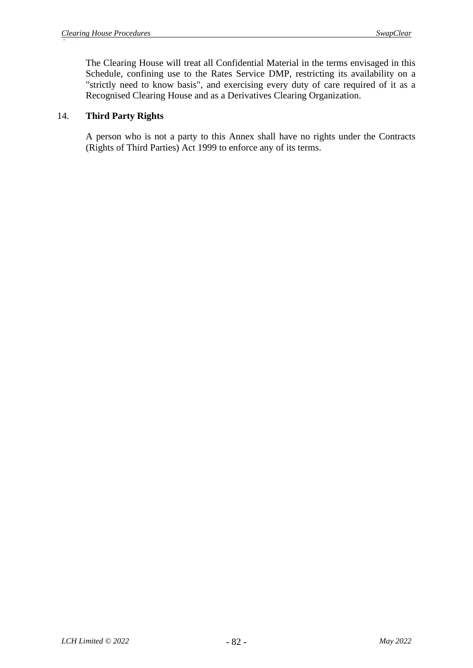The Clearing House will treat all Confidential Material in the terms envisaged in this Schedule, confining use to the Rates Service DMP, restricting its availability on a "strictly need to know basis", and exercising every duty of care required of it as a Recognised Clearing House and as a Derivatives Clearing Organization.

### 14. **Third Party Rights**

A person who is not a party to this Annex shall have no rights under the Contracts (Rights of Third Parties) Act 1999 to enforce any of its terms.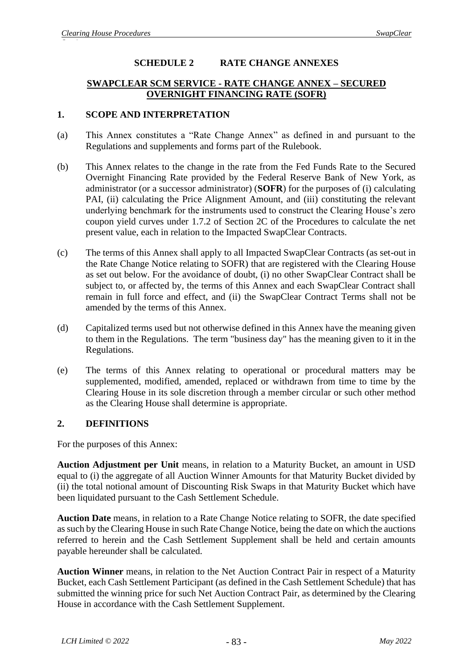## **SCHEDULE 2 RATE CHANGE ANNEXES**

### **SWAPCLEAR SCM SERVICE - RATE CHANGE ANNEX – SECURED OVERNIGHT FINANCING RATE (SOFR)**

#### **1. SCOPE AND INTERPRETATION**

- (a) This Annex constitutes a "Rate Change Annex" as defined in and pursuant to the Regulations and supplements and forms part of the Rulebook.
- (b) This Annex relates to the change in the rate from the Fed Funds Rate to the Secured Overnight Financing Rate provided by the Federal Reserve Bank of New York, as administrator (or a successor administrator) (**SOFR**) for the purposes of (i) calculating PAI, (ii) calculating the Price Alignment Amount, and (iii) constituting the relevant underlying benchmark for the instruments used to construct the Clearing House's zero coupon yield curves under 1.7.2 of Section 2C of the Procedures to calculate the net present value, each in relation to the Impacted SwapClear Contracts.
- (c) The terms of this Annex shall apply to all Impacted SwapClear Contracts (as set-out in the Rate Change Notice relating to SOFR) that are registered with the Clearing House as set out below. For the avoidance of doubt, (i) no other SwapClear Contract shall be subject to, or affected by, the terms of this Annex and each SwapClear Contract shall remain in full force and effect, and (ii) the SwapClear Contract Terms shall not be amended by the terms of this Annex.
- (d) Capitalized terms used but not otherwise defined in this Annex have the meaning given to them in the Regulations. The term "business day" has the meaning given to it in the Regulations.
- (e) The terms of this Annex relating to operational or procedural matters may be supplemented, modified, amended, replaced or withdrawn from time to time by the Clearing House in its sole discretion through a member circular or such other method as the Clearing House shall determine is appropriate.

## **2. DEFINITIONS**

For the purposes of this Annex:

**Auction Adjustment per Unit** means, in relation to a Maturity Bucket, an amount in USD equal to (i) the aggregate of all Auction Winner Amounts for that Maturity Bucket divided by (ii) the total notional amount of Discounting Risk Swaps in that Maturity Bucket which have been liquidated pursuant to the Cash Settlement Schedule.

**Auction Date** means, in relation to a Rate Change Notice relating to SOFR, the date specified as such by the Clearing House in such Rate Change Notice, being the date on which the auctions referred to herein and the Cash Settlement Supplement shall be held and certain amounts payable hereunder shall be calculated.

**Auction Winner** means, in relation to the Net Auction Contract Pair in respect of a Maturity Bucket, each Cash Settlement Participant (as defined in the Cash Settlement Schedule) that has submitted the winning price for such Net Auction Contract Pair, as determined by the Clearing House in accordance with the Cash Settlement Supplement.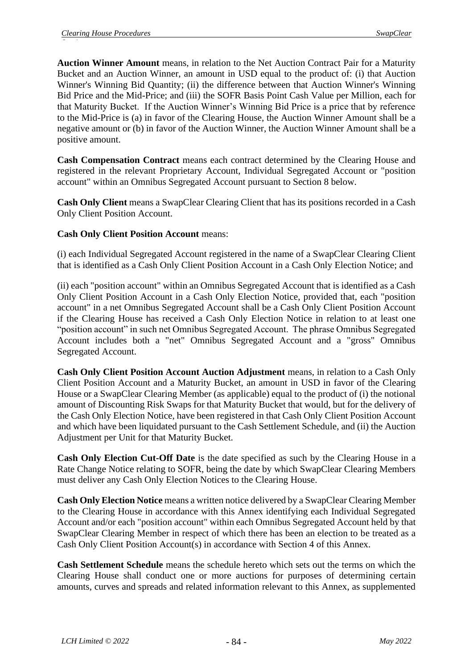**Auction Winner Amount** means, in relation to the Net Auction Contract Pair for a Maturity Bucket and an Auction Winner, an amount in USD equal to the product of: (i) that Auction Winner's Winning Bid Quantity; (ii) the difference between that Auction Winner's Winning Bid Price and the Mid-Price; and (iii) the SOFR Basis Point Cash Value per Million, each for that Maturity Bucket. If the Auction Winner's Winning Bid Price is a price that by reference to the Mid-Price is (a) in favor of the Clearing House, the Auction Winner Amount shall be a negative amount or (b) in favor of the Auction Winner, the Auction Winner Amount shall be a positive amount.

**Cash Compensation Contract** means each contract determined by the Clearing House and registered in the relevant Proprietary Account, Individual Segregated Account or "position account" within an Omnibus Segregated Account pursuant to Section 8 below.

**Cash Only Client** means a SwapClear Clearing Client that has its positions recorded in a Cash Only Client Position Account.

## **Cash Only Client Position Account** means:

(i) each Individual Segregated Account registered in the name of a SwapClear Clearing Client that is identified as a Cash Only Client Position Account in a Cash Only Election Notice; and

(ii) each "position account" within an Omnibus Segregated Account that is identified as a Cash Only Client Position Account in a Cash Only Election Notice, provided that, each "position account" in a net Omnibus Segregated Account shall be a Cash Only Client Position Account if the Clearing House has received a Cash Only Election Notice in relation to at least one "position account" in such net Omnibus Segregated Account. The phrase Omnibus Segregated Account includes both a "net" Omnibus Segregated Account and a "gross" Omnibus Segregated Account.

**Cash Only Client Position Account Auction Adjustment** means, in relation to a Cash Only Client Position Account and a Maturity Bucket, an amount in USD in favor of the Clearing House or a SwapClear Clearing Member (as applicable) equal to the product of (i) the notional amount of Discounting Risk Swaps for that Maturity Bucket that would, but for the delivery of the Cash Only Election Notice, have been registered in that Cash Only Client Position Account and which have been liquidated pursuant to the Cash Settlement Schedule, and (ii) the Auction Adjustment per Unit for that Maturity Bucket.

**Cash Only Election Cut-Off Date** is the date specified as such by the Clearing House in a Rate Change Notice relating to SOFR, being the date by which SwapClear Clearing Members must deliver any Cash Only Election Notices to the Clearing House.

**Cash Only Election Notice** means a written notice delivered by a SwapClear Clearing Member to the Clearing House in accordance with this Annex identifying each Individual Segregated Account and/or each "position account" within each Omnibus Segregated Account held by that SwapClear Clearing Member in respect of which there has been an election to be treated as a Cash Only Client Position Account(s) in accordance with Section 4 of this Annex.

**Cash Settlement Schedule** means the schedule hereto which sets out the terms on which the Clearing House shall conduct one or more auctions for purposes of determining certain amounts, curves and spreads and related information relevant to this Annex, as supplemented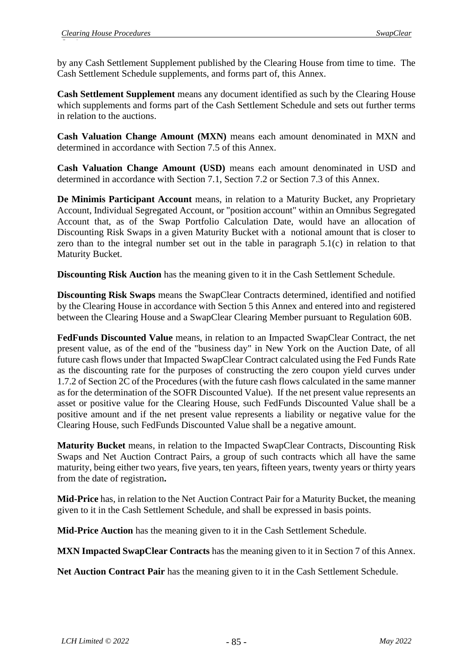by any Cash Settlement Supplement published by the Clearing House from time to time. The Cash Settlement Schedule supplements, and forms part of, this Annex.

**Cash Settlement Supplement** means any document identified as such by the Clearing House which supplements and forms part of the Cash Settlement Schedule and sets out further terms in relation to the auctions.

**Cash Valuation Change Amount (MXN)** means each amount denominated in MXN and determined in accordance with Section 7.5 of this Annex.

**Cash Valuation Change Amount (USD)** means each amount denominated in USD and determined in accordance with Section 7.1, Section 7.2 or Section 7.3 of this Annex.

**De Minimis Participant Account** means, in relation to a Maturity Bucket, any Proprietary Account, Individual Segregated Account, or "position account" within an Omnibus Segregated Account that, as of the Swap Portfolio Calculation Date, would have an allocation of Discounting Risk Swaps in a given Maturity Bucket with a notional amount that is closer to zero than to the integral number set out in the table in paragraph 5.1(c) in relation to that Maturity Bucket.

**Discounting Risk Auction** has the meaning given to it in the Cash Settlement Schedule.

**Discounting Risk Swaps** means the SwapClear Contracts determined, identified and notified by the Clearing House in accordance with Section 5 this Annex and entered into and registered between the Clearing House and a SwapClear Clearing Member pursuant to Regulation 60B.

**FedFunds Discounted Value** means, in relation to an Impacted SwapClear Contract, the net present value, as of the end of the "business day" in New York on the Auction Date, of all future cash flows under that Impacted SwapClear Contract calculated using the Fed Funds Rate as the discounting rate for the purposes of constructing the zero coupon yield curves under 1.7.2 of Section 2C of the Procedures (with the future cash flows calculated in the same manner as for the determination of the SOFR Discounted Value). If the net present value represents an asset or positive value for the Clearing House, such FedFunds Discounted Value shall be a positive amount and if the net present value represents a liability or negative value for the Clearing House, such FedFunds Discounted Value shall be a negative amount.

**Maturity Bucket** means, in relation to the Impacted SwapClear Contracts, Discounting Risk Swaps and Net Auction Contract Pairs, a group of such contracts which all have the same maturity, being either two years, five years, ten years, fifteen years, twenty years or thirty years from the date of registration**.** 

**Mid-Price** has, in relation to the Net Auction Contract Pair for a Maturity Bucket, the meaning given to it in the Cash Settlement Schedule, and shall be expressed in basis points.

**Mid-Price Auction** has the meaning given to it in the Cash Settlement Schedule.

**MXN Impacted SwapClear Contracts** has the meaning given to it in Section 7 of this Annex.

**Net Auction Contract Pair** has the meaning given to it in the Cash Settlement Schedule.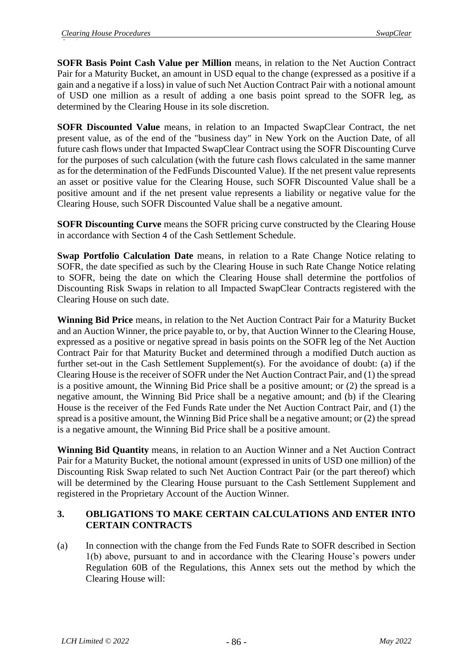**SOFR Basis Point Cash Value per Million** means, in relation to the Net Auction Contract Pair for a Maturity Bucket, an amount in USD equal to the change (expressed as a positive if a gain and a negative if a loss) in value of such Net Auction Contract Pair with a notional amount of USD one million as a result of adding a one basis point spread to the SOFR leg, as determined by the Clearing House in its sole discretion.

**SOFR Discounted Value** means, in relation to an Impacted SwapClear Contract, the net present value, as of the end of the "business day" in New York on the Auction Date, of all future cash flows under that Impacted SwapClear Contract using the SOFR Discounting Curve for the purposes of such calculation (with the future cash flows calculated in the same manner as for the determination of the FedFunds Discounted Value). If the net present value represents an asset or positive value for the Clearing House, such SOFR Discounted Value shall be a positive amount and if the net present value represents a liability or negative value for the Clearing House, such SOFR Discounted Value shall be a negative amount.

**SOFR Discounting Curve** means the SOFR pricing curve constructed by the Clearing House in accordance with Section 4 of the Cash Settlement Schedule.

**Swap Portfolio Calculation Date** means, in relation to a Rate Change Notice relating to SOFR, the date specified as such by the Clearing House in such Rate Change Notice relating to SOFR, being the date on which the Clearing House shall determine the portfolios of Discounting Risk Swaps in relation to all Impacted SwapClear Contracts registered with the Clearing House on such date.

**Winning Bid Price** means, in relation to the Net Auction Contract Pair for a Maturity Bucket and an Auction Winner, the price payable to, or by, that Auction Winner to the Clearing House, expressed as a positive or negative spread in basis points on the SOFR leg of the Net Auction Contract Pair for that Maturity Bucket and determined through a modified Dutch auction as further set-out in the Cash Settlement Supplement(s). For the avoidance of doubt: (a) if the Clearing House is the receiver of SOFR under the Net Auction Contract Pair, and (1) the spread is a positive amount, the Winning Bid Price shall be a positive amount; or (2) the spread is a negative amount, the Winning Bid Price shall be a negative amount; and (b) if the Clearing House is the receiver of the Fed Funds Rate under the Net Auction Contract Pair, and (1) the spread is a positive amount, the Winning Bid Price shall be a negative amount; or (2) the spread is a negative amount, the Winning Bid Price shall be a positive amount.

**Winning Bid Quantity** means, in relation to an Auction Winner and a Net Auction Contract Pair for a Maturity Bucket, the notional amount (expressed in units of USD one million) of the Discounting Risk Swap related to such Net Auction Contract Pair (or the part thereof) which will be determined by the Clearing House pursuant to the Cash Settlement Supplement and registered in the Proprietary Account of the Auction Winner.

## **3. OBLIGATIONS TO MAKE CERTAIN CALCULATIONS AND ENTER INTO CERTAIN CONTRACTS**

(a) In connection with the change from the Fed Funds Rate to SOFR described in Section 1(b) above, pursuant to and in accordance with the Clearing House's powers under Regulation 60B of the Regulations, this Annex sets out the method by which the Clearing House will: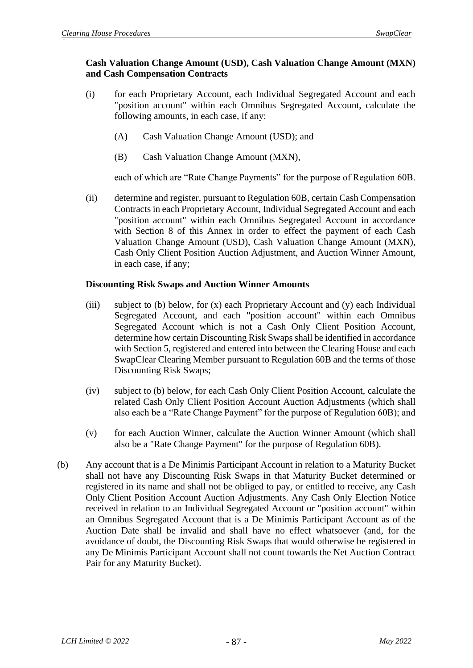## **Cash Valuation Change Amount (USD), Cash Valuation Change Amount (MXN) and Cash Compensation Contracts**

- (i) for each Proprietary Account, each Individual Segregated Account and each "position account" within each Omnibus Segregated Account, calculate the following amounts, in each case, if any:
	- (A) Cash Valuation Change Amount (USD); and
	- (B) Cash Valuation Change Amount (MXN),

each of which are "Rate Change Payments" for the purpose of Regulation 60B.

(ii) determine and register, pursuant to Regulation 60B, certain Cash Compensation Contracts in each Proprietary Account, Individual Segregated Account and each "position account" within each Omnibus Segregated Account in accordance with Section 8 of this Annex in order to effect the payment of each Cash Valuation Change Amount (USD), Cash Valuation Change Amount (MXN), Cash Only Client Position Auction Adjustment, and Auction Winner Amount, in each case, if any;

## **Discounting Risk Swaps and Auction Winner Amounts**

- (iii) subject to (b) below, for (x) each Proprietary Account and (y) each Individual Segregated Account, and each "position account" within each Omnibus Segregated Account which is not a Cash Only Client Position Account, determine how certain Discounting Risk Swaps shall be identified in accordance with Section 5, registered and entered into between the Clearing House and each SwapClear Clearing Member pursuant to Regulation 60B and the terms of those Discounting Risk Swaps;
- (iv) subject to (b) below, for each Cash Only Client Position Account, calculate the related Cash Only Client Position Account Auction Adjustments (which shall also each be a "Rate Change Payment" for the purpose of Regulation 60B); and
- (v) for each Auction Winner, calculate the Auction Winner Amount (which shall also be a "Rate Change Payment" for the purpose of Regulation 60B).
- (b) Any account that is a De Minimis Participant Account in relation to a Maturity Bucket shall not have any Discounting Risk Swaps in that Maturity Bucket determined or registered in its name and shall not be obliged to pay, or entitled to receive, any Cash Only Client Position Account Auction Adjustments. Any Cash Only Election Notice received in relation to an Individual Segregated Account or "position account" within an Omnibus Segregated Account that is a De Minimis Participant Account as of the Auction Date shall be invalid and shall have no effect whatsoever (and, for the avoidance of doubt, the Discounting Risk Swaps that would otherwise be registered in any De Minimis Participant Account shall not count towards the Net Auction Contract Pair for any Maturity Bucket).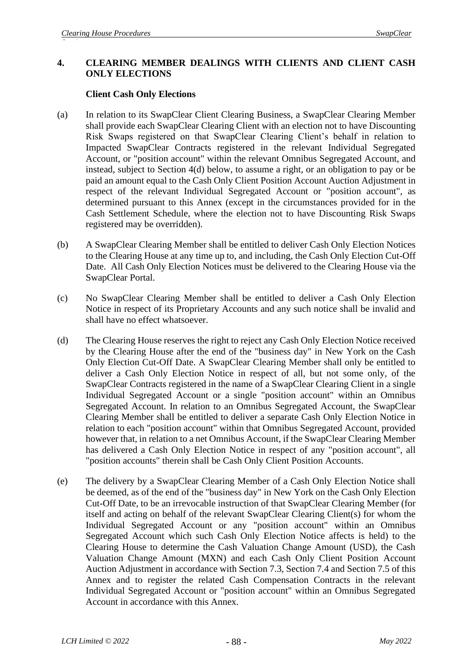### **4. CLEARING MEMBER DEALINGS WITH CLIENTS AND CLIENT CASH ONLY ELECTIONS**

### **Client Cash Only Elections**

- (a) In relation to its SwapClear Client Clearing Business, a SwapClear Clearing Member shall provide each SwapClear Clearing Client with an election not to have Discounting Risk Swaps registered on that SwapClear Clearing Client's behalf in relation to Impacted SwapClear Contracts registered in the relevant Individual Segregated Account, or "position account" within the relevant Omnibus Segregated Account, and instead, subject to Section 4(d) below, to assume a right, or an obligation to pay or be paid an amount equal to the Cash Only Client Position Account Auction Adjustment in respect of the relevant Individual Segregated Account or "position account", as determined pursuant to this Annex (except in the circumstances provided for in the Cash Settlement Schedule, where the election not to have Discounting Risk Swaps registered may be overridden).
- (b) A SwapClear Clearing Member shall be entitled to deliver Cash Only Election Notices to the Clearing House at any time up to, and including, the Cash Only Election Cut-Off Date. All Cash Only Election Notices must be delivered to the Clearing House via the SwapClear Portal.
- (c) No SwapClear Clearing Member shall be entitled to deliver a Cash Only Election Notice in respect of its Proprietary Accounts and any such notice shall be invalid and shall have no effect whatsoever.
- (d) The Clearing House reserves the right to reject any Cash Only Election Notice received by the Clearing House after the end of the "business day" in New York on the Cash Only Election Cut-Off Date. A SwapClear Clearing Member shall only be entitled to deliver a Cash Only Election Notice in respect of all, but not some only, of the SwapClear Contracts registered in the name of a SwapClear Clearing Client in a single Individual Segregated Account or a single "position account" within an Omnibus Segregated Account. In relation to an Omnibus Segregated Account, the SwapClear Clearing Member shall be entitled to deliver a separate Cash Only Election Notice in relation to each "position account" within that Omnibus Segregated Account, provided however that, in relation to a net Omnibus Account, if the SwapClear Clearing Member has delivered a Cash Only Election Notice in respect of any "position account", all "position accounts" therein shall be Cash Only Client Position Accounts.
- (e) The delivery by a SwapClear Clearing Member of a Cash Only Election Notice shall be deemed, as of the end of the "business day" in New York on the Cash Only Election Cut-Off Date, to be an irrevocable instruction of that SwapClear Clearing Member (for itself and acting on behalf of the relevant SwapClear Clearing Client(s) for whom the Individual Segregated Account or any "position account" within an Omnibus Segregated Account which such Cash Only Election Notice affects is held) to the Clearing House to determine the Cash Valuation Change Amount (USD), the Cash Valuation Change Amount (MXN) and each Cash Only Client Position Account Auction Adjustment in accordance with Section 7.3, Section 7.4 and Section 7.5 of this Annex and to register the related Cash Compensation Contracts in the relevant Individual Segregated Account or "position account" within an Omnibus Segregated Account in accordance with this Annex.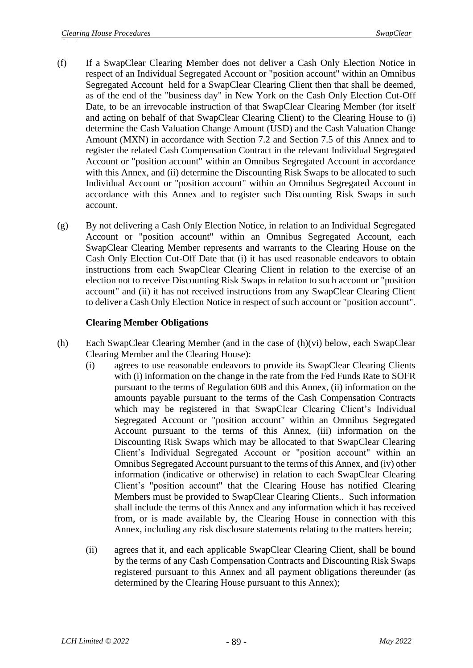- (f) If a SwapClear Clearing Member does not deliver a Cash Only Election Notice in respect of an Individual Segregated Account or "position account" within an Omnibus Segregated Account held for a SwapClear Clearing Client then that shall be deemed, as of the end of the "business day" in New York on the Cash Only Election Cut-Off Date, to be an irrevocable instruction of that SwapClear Clearing Member (for itself and acting on behalf of that SwapClear Clearing Client) to the Clearing House to (i) determine the Cash Valuation Change Amount (USD) and the Cash Valuation Change Amount (MXN) in accordance with Section 7.2 and Section 7.5 of this Annex and to register the related Cash Compensation Contract in the relevant Individual Segregated Account or "position account" within an Omnibus Segregated Account in accordance with this Annex, and (ii) determine the Discounting Risk Swaps to be allocated to such Individual Account or "position account" within an Omnibus Segregated Account in accordance with this Annex and to register such Discounting Risk Swaps in such account.
- (g) By not delivering a Cash Only Election Notice, in relation to an Individual Segregated Account or "position account" within an Omnibus Segregated Account, each SwapClear Clearing Member represents and warrants to the Clearing House on the Cash Only Election Cut-Off Date that (i) it has used reasonable endeavors to obtain instructions from each SwapClear Clearing Client in relation to the exercise of an election not to receive Discounting Risk Swaps in relation to such account or "position account" and (ii) it has not received instructions from any SwapClear Clearing Client to deliver a Cash Only Election Notice in respect of such account or "position account".

## **Clearing Member Obligations**

- (h) Each SwapClear Clearing Member (and in the case of (h)(vi) below, each SwapClear Clearing Member and the Clearing House):
	- (i) agrees to use reasonable endeavors to provide its SwapClear Clearing Clients with (i) information on the change in the rate from the Fed Funds Rate to SOFR pursuant to the terms of Regulation 60B and this Annex, (ii) information on the amounts payable pursuant to the terms of the Cash Compensation Contracts which may be registered in that SwapClear Clearing Client's Individual Segregated Account or "position account" within an Omnibus Segregated Account pursuant to the terms of this Annex, (iii) information on the Discounting Risk Swaps which may be allocated to that SwapClear Clearing Client's Individual Segregated Account or "position account" within an Omnibus Segregated Account pursuant to the terms of this Annex, and (iv) other information (indicative or otherwise) in relation to each SwapClear Clearing Client's "position account" that the Clearing House has notified Clearing Members must be provided to SwapClear Clearing Clients.. Such information shall include the terms of this Annex and any information which it has received from, or is made available by, the Clearing House in connection with this Annex, including any risk disclosure statements relating to the matters herein;
	- (ii) agrees that it, and each applicable SwapClear Clearing Client, shall be bound by the terms of any Cash Compensation Contracts and Discounting Risk Swaps registered pursuant to this Annex and all payment obligations thereunder (as determined by the Clearing House pursuant to this Annex);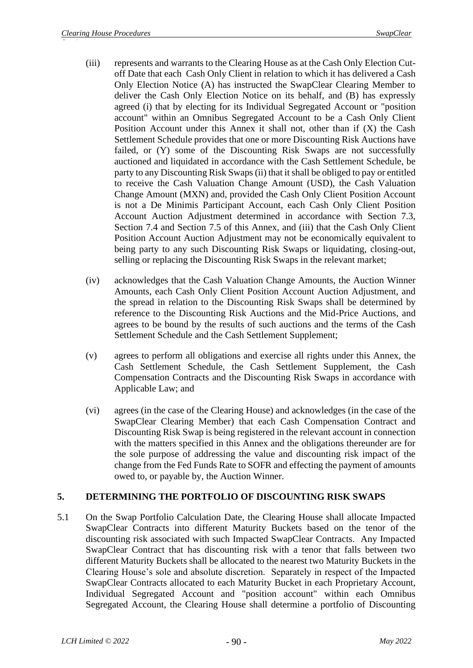- (iii) represents and warrants to the Clearing House as at the Cash Only Election Cutoff Date that each Cash Only Client in relation to which it has delivered a Cash Only Election Notice (A) has instructed the SwapClear Clearing Member to deliver the Cash Only Election Notice on its behalf, and (B) has expressly agreed (i) that by electing for its Individual Segregated Account or "position account" within an Omnibus Segregated Account to be a Cash Only Client Position Account under this Annex it shall not, other than if (X) the Cash Settlement Schedule provides that one or more Discounting Risk Auctions have failed, or (Y) some of the Discounting Risk Swaps are not successfully auctioned and liquidated in accordance with the Cash Settlement Schedule, be party to any Discounting Risk Swaps (ii) that it shall be obliged to pay or entitled to receive the Cash Valuation Change Amount (USD), the Cash Valuation Change Amount (MXN) and, provided the Cash Only Client Position Account is not a De Minimis Participant Account, each Cash Only Client Position Account Auction Adjustment determined in accordance with Section 7.3, Section 7.4 and Section 7.5 of this Annex, and (iii) that the Cash Only Client Position Account Auction Adjustment may not be economically equivalent to being party to any such Discounting Risk Swaps or liquidating, closing-out, selling or replacing the Discounting Risk Swaps in the relevant market;
- (iv) acknowledges that the Cash Valuation Change Amounts, the Auction Winner Amounts, each Cash Only Client Position Account Auction Adjustment, and the spread in relation to the Discounting Risk Swaps shall be determined by reference to the Discounting Risk Auctions and the Mid-Price Auctions, and agrees to be bound by the results of such auctions and the terms of the Cash Settlement Schedule and the Cash Settlement Supplement;
- (v) agrees to perform all obligations and exercise all rights under this Annex, the Cash Settlement Schedule, the Cash Settlement Supplement, the Cash Compensation Contracts and the Discounting Risk Swaps in accordance with Applicable Law; and
- (vi) agrees (in the case of the Clearing House) and acknowledges (in the case of the SwapClear Clearing Member) that each Cash Compensation Contract and Discounting Risk Swap is being registered in the relevant account in connection with the matters specified in this Annex and the obligations thereunder are for the sole purpose of addressing the value and discounting risk impact of the change from the Fed Funds Rate to SOFR and effecting the payment of amounts owed to, or payable by, the Auction Winner.

## **5. DETERMINING THE PORTFOLIO OF DISCOUNTING RISK SWAPS**

5.1 On the Swap Portfolio Calculation Date, the Clearing House shall allocate Impacted SwapClear Contracts into different Maturity Buckets based on the tenor of the discounting risk associated with such Impacted SwapClear Contracts. Any Impacted SwapClear Contract that has discounting risk with a tenor that falls between two different Maturity Buckets shall be allocated to the nearest two Maturity Buckets in the Clearing House's sole and absolute discretion. Separately in respect of the Impacted SwapClear Contracts allocated to each Maturity Bucket in each Proprietary Account, Individual Segregated Account and "position account" within each Omnibus Segregated Account, the Clearing House shall determine a portfolio of Discounting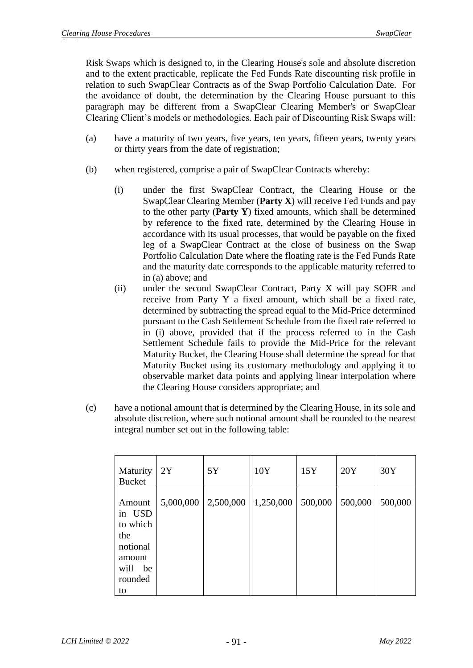Risk Swaps which is designed to, in the Clearing House's sole and absolute discretion and to the extent practicable, replicate the Fed Funds Rate discounting risk profile in relation to such SwapClear Contracts as of the Swap Portfolio Calculation Date. For the avoidance of doubt, the determination by the Clearing House pursuant to this paragraph may be different from a SwapClear Clearing Member's or SwapClear Clearing Client's models or methodologies. Each pair of Discounting Risk Swaps will:

- (a) have a maturity of two years, five years, ten years, fifteen years, twenty years or thirty years from the date of registration;
- (b) when registered, comprise a pair of SwapClear Contracts whereby:
	- (i) under the first SwapClear Contract, the Clearing House or the SwapClear Clearing Member (**Party X**) will receive Fed Funds and pay to the other party (**Party Y**) fixed amounts, which shall be determined by reference to the fixed rate, determined by the Clearing House in accordance with its usual processes, that would be payable on the fixed leg of a SwapClear Contract at the close of business on the Swap Portfolio Calculation Date where the floating rate is the Fed Funds Rate and the maturity date corresponds to the applicable maturity referred to in (a) above; and
	- (ii) under the second SwapClear Contract, Party X will pay SOFR and receive from Party Y a fixed amount, which shall be a fixed rate, determined by subtracting the spread equal to the Mid-Price determined pursuant to the Cash Settlement Schedule from the fixed rate referred to in (i) above, provided that if the process referred to in the Cash Settlement Schedule fails to provide the Mid-Price for the relevant Maturity Bucket, the Clearing House shall determine the spread for that Maturity Bucket using its customary methodology and applying it to observable market data points and applying linear interpolation where the Clearing House considers appropriate; and
- (c) have a notional amount that is determined by the Clearing House, in its sole and absolute discretion, where such notional amount shall be rounded to the nearest integral number set out in the following table:

| Maturity<br><b>Bucket</b>                                                             | 2Y        | 5Y        | 10Y       | 15Y     | 20Y     | 30Y     |
|---------------------------------------------------------------------------------------|-----------|-----------|-----------|---------|---------|---------|
| Amount<br>in USD<br>to which<br>the<br>notional<br>amount<br>will be<br>rounded<br>to | 5,000,000 | 2,500,000 | 1,250,000 | 500,000 | 500,000 | 500,000 |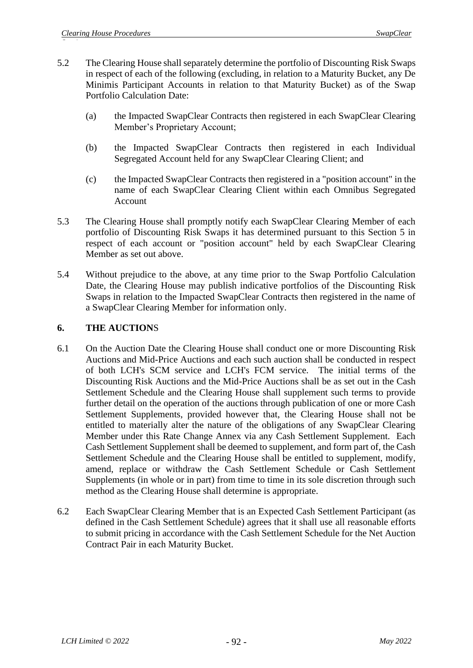- 5.2 The Clearing House shall separately determine the portfolio of Discounting Risk Swaps in respect of each of the following (excluding, in relation to a Maturity Bucket, any De Minimis Participant Accounts in relation to that Maturity Bucket) as of the Swap Portfolio Calculation Date:
	- (a) the Impacted SwapClear Contracts then registered in each SwapClear Clearing Member's Proprietary Account;
	- (b) the Impacted SwapClear Contracts then registered in each Individual Segregated Account held for any SwapClear Clearing Client; and
	- (c) the Impacted SwapClear Contracts then registered in a "position account" in the name of each SwapClear Clearing Client within each Omnibus Segregated Account
- 5.3 The Clearing House shall promptly notify each SwapClear Clearing Member of each portfolio of Discounting Risk Swaps it has determined pursuant to this Section 5 in respect of each account or "position account" held by each SwapClear Clearing Member as set out above.
- 5.4 Without prejudice to the above, at any time prior to the Swap Portfolio Calculation Date, the Clearing House may publish indicative portfolios of the Discounting Risk Swaps in relation to the Impacted SwapClear Contracts then registered in the name of a SwapClear Clearing Member for information only.

## **6. THE AUCTION**S

- 6.1 On the Auction Date the Clearing House shall conduct one or more Discounting Risk Auctions and Mid-Price Auctions and each such auction shall be conducted in respect of both LCH's SCM service and LCH's FCM service. The initial terms of the Discounting Risk Auctions and the Mid-Price Auctions shall be as set out in the Cash Settlement Schedule and the Clearing House shall supplement such terms to provide further detail on the operation of the auctions through publication of one or more Cash Settlement Supplements, provided however that, the Clearing House shall not be entitled to materially alter the nature of the obligations of any SwapClear Clearing Member under this Rate Change Annex via any Cash Settlement Supplement. Each Cash Settlement Supplement shall be deemed to supplement, and form part of, the Cash Settlement Schedule and the Clearing House shall be entitled to supplement, modify, amend, replace or withdraw the Cash Settlement Schedule or Cash Settlement Supplements (in whole or in part) from time to time in its sole discretion through such method as the Clearing House shall determine is appropriate.
- 6.2 Each SwapClear Clearing Member that is an Expected Cash Settlement Participant (as defined in the Cash Settlement Schedule) agrees that it shall use all reasonable efforts to submit pricing in accordance with the Cash Settlement Schedule for the Net Auction Contract Pair in each Maturity Bucket.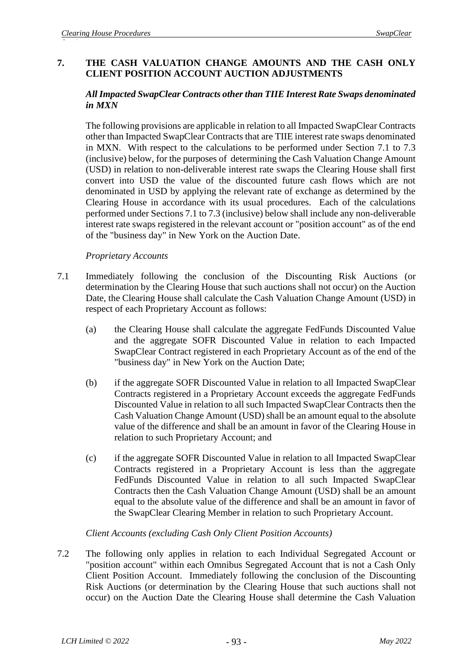## **7. THE CASH VALUATION CHANGE AMOUNTS AND THE CASH ONLY CLIENT POSITION ACCOUNT AUCTION ADJUSTMENTS**

### *All Impacted SwapClear Contracts other than TIIE Interest Rate Swaps denominated in MXN*

The following provisions are applicable in relation to all Impacted SwapClear Contracts other than Impacted SwapClear Contracts that are TIIE interest rate swaps denominated in MXN. With respect to the calculations to be performed under Section 7.1 to 7.3 (inclusive) below, for the purposes of determining the Cash Valuation Change Amount (USD) in relation to non-deliverable interest rate swaps the Clearing House shall first convert into USD the value of the discounted future cash flows which are not denominated in USD by applying the relevant rate of exchange as determined by the Clearing House in accordance with its usual procedures. Each of the calculations performed under Sections 7.1 to 7.3 (inclusive) below shall include any non-deliverable interest rate swaps registered in the relevant account or "position account" as of the end of the "business day" in New York on the Auction Date.

#### *Proprietary Accounts*

- 7.1 Immediately following the conclusion of the Discounting Risk Auctions (or determination by the Clearing House that such auctions shall not occur) on the Auction Date, the Clearing House shall calculate the Cash Valuation Change Amount (USD) in respect of each Proprietary Account as follows:
	- (a) the Clearing House shall calculate the aggregate FedFunds Discounted Value and the aggregate SOFR Discounted Value in relation to each Impacted SwapClear Contract registered in each Proprietary Account as of the end of the "business day" in New York on the Auction Date;
	- (b) if the aggregate SOFR Discounted Value in relation to all Impacted SwapClear Contracts registered in a Proprietary Account exceeds the aggregate FedFunds Discounted Value in relation to all such Impacted SwapClear Contracts then the Cash Valuation Change Amount (USD) shall be an amount equal to the absolute value of the difference and shall be an amount in favor of the Clearing House in relation to such Proprietary Account; and
	- (c) if the aggregate SOFR Discounted Value in relation to all Impacted SwapClear Contracts registered in a Proprietary Account is less than the aggregate FedFunds Discounted Value in relation to all such Impacted SwapClear Contracts then the Cash Valuation Change Amount (USD) shall be an amount equal to the absolute value of the difference and shall be an amount in favor of the SwapClear Clearing Member in relation to such Proprietary Account.

#### *Client Accounts (excluding Cash Only Client Position Accounts)*

7.2 The following only applies in relation to each Individual Segregated Account or "position account" within each Omnibus Segregated Account that is not a Cash Only Client Position Account. Immediately following the conclusion of the Discounting Risk Auctions (or determination by the Clearing House that such auctions shall not occur) on the Auction Date the Clearing House shall determine the Cash Valuation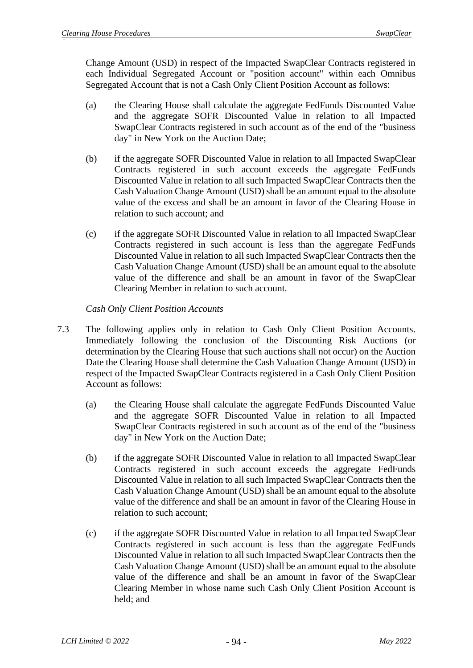Change Amount (USD) in respect of the Impacted SwapClear Contracts registered in each Individual Segregated Account or "position account" within each Omnibus Segregated Account that is not a Cash Only Client Position Account as follows:

- (a) the Clearing House shall calculate the aggregate FedFunds Discounted Value and the aggregate SOFR Discounted Value in relation to all Impacted SwapClear Contracts registered in such account as of the end of the "business day" in New York on the Auction Date;
- (b) if the aggregate SOFR Discounted Value in relation to all Impacted SwapClear Contracts registered in such account exceeds the aggregate FedFunds Discounted Value in relation to all such Impacted SwapClear Contracts then the Cash Valuation Change Amount (USD) shall be an amount equal to the absolute value of the excess and shall be an amount in favor of the Clearing House in relation to such account; and
- (c) if the aggregate SOFR Discounted Value in relation to all Impacted SwapClear Contracts registered in such account is less than the aggregate FedFunds Discounted Value in relation to all such Impacted SwapClear Contracts then the Cash Valuation Change Amount (USD) shall be an amount equal to the absolute value of the difference and shall be an amount in favor of the SwapClear Clearing Member in relation to such account.

*Cash Only Client Position Accounts*

- 7.3 The following applies only in relation to Cash Only Client Position Accounts. Immediately following the conclusion of the Discounting Risk Auctions (or determination by the Clearing House that such auctions shall not occur) on the Auction Date the Clearing House shall determine the Cash Valuation Change Amount (USD) in respect of the Impacted SwapClear Contracts registered in a Cash Only Client Position Account as follows:
	- (a) the Clearing House shall calculate the aggregate FedFunds Discounted Value and the aggregate SOFR Discounted Value in relation to all Impacted SwapClear Contracts registered in such account as of the end of the "business day" in New York on the Auction Date;
	- (b) if the aggregate SOFR Discounted Value in relation to all Impacted SwapClear Contracts registered in such account exceeds the aggregate FedFunds Discounted Value in relation to all such Impacted SwapClear Contracts then the Cash Valuation Change Amount (USD) shall be an amount equal to the absolute value of the difference and shall be an amount in favor of the Clearing House in relation to such account;
	- (c) if the aggregate SOFR Discounted Value in relation to all Impacted SwapClear Contracts registered in such account is less than the aggregate FedFunds Discounted Value in relation to all such Impacted SwapClear Contracts then the Cash Valuation Change Amount (USD) shall be an amount equal to the absolute value of the difference and shall be an amount in favor of the SwapClear Clearing Member in whose name such Cash Only Client Position Account is held; and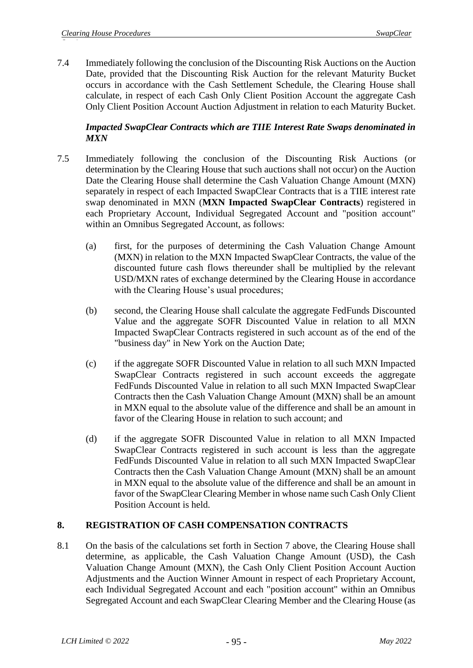7.4 Immediately following the conclusion of the Discounting Risk Auctions on the Auction Date, provided that the Discounting Risk Auction for the relevant Maturity Bucket occurs in accordance with the Cash Settlement Schedule, the Clearing House shall calculate, in respect of each Cash Only Client Position Account the aggregate Cash Only Client Position Account Auction Adjustment in relation to each Maturity Bucket.

## *Impacted SwapClear Contracts which are TIIE Interest Rate Swaps denominated in MXN*

- 7.5 Immediately following the conclusion of the Discounting Risk Auctions (or determination by the Clearing House that such auctions shall not occur) on the Auction Date the Clearing House shall determine the Cash Valuation Change Amount (MXN) separately in respect of each Impacted SwapClear Contracts that is a TIIE interest rate swap denominated in MXN (**MXN Impacted SwapClear Contracts**) registered in each Proprietary Account, Individual Segregated Account and "position account" within an Omnibus Segregated Account, as follows:
	- (a) first, for the purposes of determining the Cash Valuation Change Amount (MXN) in relation to the MXN Impacted SwapClear Contracts, the value of the discounted future cash flows thereunder shall be multiplied by the relevant USD/MXN rates of exchange determined by the Clearing House in accordance with the Clearing House's usual procedures;
	- (b) second, the Clearing House shall calculate the aggregate FedFunds Discounted Value and the aggregate SOFR Discounted Value in relation to all MXN Impacted SwapClear Contracts registered in such account as of the end of the "business day" in New York on the Auction Date;
	- (c) if the aggregate SOFR Discounted Value in relation to all such MXN Impacted SwapClear Contracts registered in such account exceeds the aggregate FedFunds Discounted Value in relation to all such MXN Impacted SwapClear Contracts then the Cash Valuation Change Amount (MXN) shall be an amount in MXN equal to the absolute value of the difference and shall be an amount in favor of the Clearing House in relation to such account; and
	- (d) if the aggregate SOFR Discounted Value in relation to all MXN Impacted SwapClear Contracts registered in such account is less than the aggregate FedFunds Discounted Value in relation to all such MXN Impacted SwapClear Contracts then the Cash Valuation Change Amount (MXN) shall be an amount in MXN equal to the absolute value of the difference and shall be an amount in favor of the SwapClear Clearing Member in whose name such Cash Only Client Position Account is held.

## **8. REGISTRATION OF CASH COMPENSATION CONTRACTS**

8.1 On the basis of the calculations set forth in Section 7 above, the Clearing House shall determine, as applicable, the Cash Valuation Change Amount (USD), the Cash Valuation Change Amount (MXN), the Cash Only Client Position Account Auction Adjustments and the Auction Winner Amount in respect of each Proprietary Account, each Individual Segregated Account and each "position account" within an Omnibus Segregated Account and each SwapClear Clearing Member and the Clearing House (as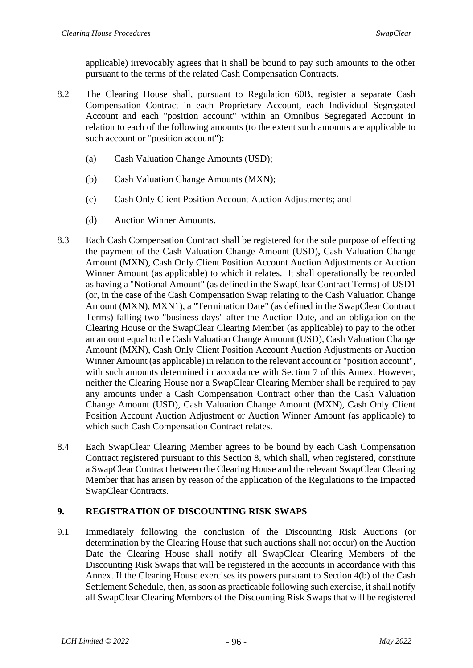applicable) irrevocably agrees that it shall be bound to pay such amounts to the other pursuant to the terms of the related Cash Compensation Contracts.

- 8.2 The Clearing House shall, pursuant to Regulation 60B, register a separate Cash Compensation Contract in each Proprietary Account, each Individual Segregated Account and each "position account" within an Omnibus Segregated Account in relation to each of the following amounts (to the extent such amounts are applicable to such account or "position account"):
	- (a) Cash Valuation Change Amounts (USD);
	- (b) Cash Valuation Change Amounts (MXN);
	- (c) Cash Only Client Position Account Auction Adjustments; and
	- (d) Auction Winner Amounts.
- 8.3 Each Cash Compensation Contract shall be registered for the sole purpose of effecting the payment of the Cash Valuation Change Amount (USD), Cash Valuation Change Amount (MXN), Cash Only Client Position Account Auction Adjustments or Auction Winner Amount (as applicable) to which it relates. It shall operationally be recorded as having a "Notional Amount" (as defined in the SwapClear Contract Terms) of USD1 (or, in the case of the Cash Compensation Swap relating to the Cash Valuation Change Amount (MXN), MXN1), a "Termination Date" (as defined in the SwapClear Contract Terms) falling two "business days" after the Auction Date, and an obligation on the Clearing House or the SwapClear Clearing Member (as applicable) to pay to the other an amount equal to the Cash Valuation Change Amount (USD), Cash Valuation Change Amount (MXN), Cash Only Client Position Account Auction Adjustments or Auction Winner Amount (as applicable) in relation to the relevant account or "position account", with such amounts determined in accordance with Section 7 of this Annex. However, neither the Clearing House nor a SwapClear Clearing Member shall be required to pay any amounts under a Cash Compensation Contract other than the Cash Valuation Change Amount (USD), Cash Valuation Change Amount (MXN), Cash Only Client Position Account Auction Adjustment or Auction Winner Amount (as applicable) to which such Cash Compensation Contract relates.
- 8.4 Each SwapClear Clearing Member agrees to be bound by each Cash Compensation Contract registered pursuant to this Section 8, which shall, when registered, constitute a SwapClear Contract between the Clearing House and the relevant SwapClear Clearing Member that has arisen by reason of the application of the Regulations to the Impacted SwapClear Contracts.

## **9. REGISTRATION OF DISCOUNTING RISK SWAPS**

9.1 Immediately following the conclusion of the Discounting Risk Auctions (or determination by the Clearing House that such auctions shall not occur) on the Auction Date the Clearing House shall notify all SwapClear Clearing Members of the Discounting Risk Swaps that will be registered in the accounts in accordance with this Annex. If the Clearing House exercises its powers pursuant to Section 4(b) of the Cash Settlement Schedule, then, as soon as practicable following such exercise, it shall notify all SwapClear Clearing Members of the Discounting Risk Swaps that will be registered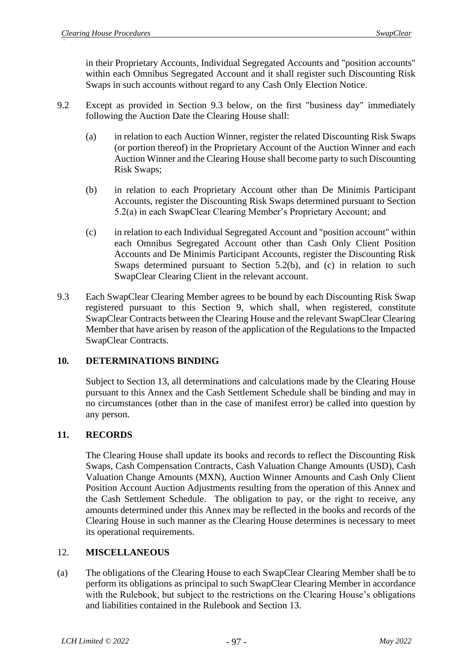in their Proprietary Accounts, Individual Segregated Accounts and "position accounts" within each Omnibus Segregated Account and it shall register such Discounting Risk Swaps in such accounts without regard to any Cash Only Election Notice.

- 9.2 Except as provided in Section 9.3 below, on the first "business day" immediately following the Auction Date the Clearing House shall:
	- (a) in relation to each Auction Winner, register the related Discounting Risk Swaps (or portion thereof) in the Proprietary Account of the Auction Winner and each Auction Winner and the Clearing House shall become party to such Discounting Risk Swaps;
	- (b) in relation to each Proprietary Account other than De Minimis Participant Accounts, register the Discounting Risk Swaps determined pursuant to Section 5.2(a) in each SwapClear Clearing Member's Proprietary Account; and
	- (c) in relation to each Individual Segregated Account and "position account" within each Omnibus Segregated Account other than Cash Only Client Position Accounts and De Minimis Participant Accounts, register the Discounting Risk Swaps determined pursuant to Section 5.2(b), and (c) in relation to such SwapClear Clearing Client in the relevant account.
- 9.3 Each SwapClear Clearing Member agrees to be bound by each Discounting Risk Swap registered pursuant to this Section 9, which shall, when registered, constitute SwapClear Contracts between the Clearing House and the relevant SwapClear Clearing Member that have arisen by reason of the application of the Regulations to the Impacted SwapClear Contracts.

## **10. DETERMINATIONS BINDING**

Subject to Section 13, all determinations and calculations made by the Clearing House pursuant to this Annex and the Cash Settlement Schedule shall be binding and may in no circumstances (other than in the case of manifest error) be called into question by any person.

## **11. RECORDS**

The Clearing House shall update its books and records to reflect the Discounting Risk Swaps, Cash Compensation Contracts, Cash Valuation Change Amounts (USD), Cash Valuation Change Amounts (MXN), Auction Winner Amounts and Cash Only Client Position Account Auction Adjustments resulting from the operation of this Annex and the Cash Settlement Schedule. The obligation to pay, or the right to receive, any amounts determined under this Annex may be reflected in the books and records of the Clearing House in such manner as the Clearing House determines is necessary to meet its operational requirements.

## 12. **MISCELLANEOUS**

(a) The obligations of the Clearing House to each SwapClear Clearing Member shall be to perform its obligations as principal to such SwapClear Clearing Member in accordance with the Rulebook, but subject to the restrictions on the Clearing House's obligations and liabilities contained in the Rulebook and Section 13.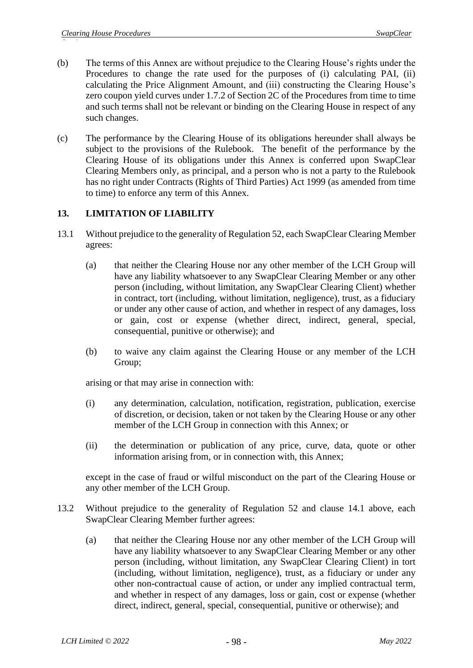- (b) The terms of this Annex are without prejudice to the Clearing House's rights under the Procedures to change the rate used for the purposes of (i) calculating PAI, (ii) calculating the Price Alignment Amount, and (iii) constructing the Clearing House's zero coupon yield curves under 1.7.2 of Section 2C of the Procedures from time to time and such terms shall not be relevant or binding on the Clearing House in respect of any such changes.
- (c) The performance by the Clearing House of its obligations hereunder shall always be subject to the provisions of the Rulebook. The benefit of the performance by the Clearing House of its obligations under this Annex is conferred upon SwapClear Clearing Members only, as principal, and a person who is not a party to the Rulebook has no right under Contracts (Rights of Third Parties) Act 1999 (as amended from time to time) to enforce any term of this Annex.

## **13. LIMITATION OF LIABILITY**

- 13.1 Without prejudice to the generality of Regulation 52, each SwapClear Clearing Member agrees:
	- (a) that neither the Clearing House nor any other member of the LCH Group will have any liability whatsoever to any SwapClear Clearing Member or any other person (including, without limitation, any SwapClear Clearing Client) whether in contract, tort (including, without limitation, negligence), trust, as a fiduciary or under any other cause of action, and whether in respect of any damages, loss or gain, cost or expense (whether direct, indirect, general, special, consequential, punitive or otherwise); and
	- (b) to waive any claim against the Clearing House or any member of the LCH Group;

arising or that may arise in connection with:

- (i) any determination, calculation, notification, registration, publication, exercise of discretion, or decision, taken or not taken by the Clearing House or any other member of the LCH Group in connection with this Annex; or
- (ii) the determination or publication of any price, curve, data, quote or other information arising from, or in connection with, this Annex;

except in the case of fraud or wilful misconduct on the part of the Clearing House or any other member of the LCH Group.

- 13.2 Without prejudice to the generality of Regulation 52 and clause 14.1 above, each SwapClear Clearing Member further agrees:
	- (a) that neither the Clearing House nor any other member of the LCH Group will have any liability whatsoever to any SwapClear Clearing Member or any other person (including, without limitation, any SwapClear Clearing Client) in tort (including, without limitation, negligence), trust, as a fiduciary or under any other non-contractual cause of action, or under any implied contractual term, and whether in respect of any damages, loss or gain, cost or expense (whether direct, indirect, general, special, consequential, punitive or otherwise); and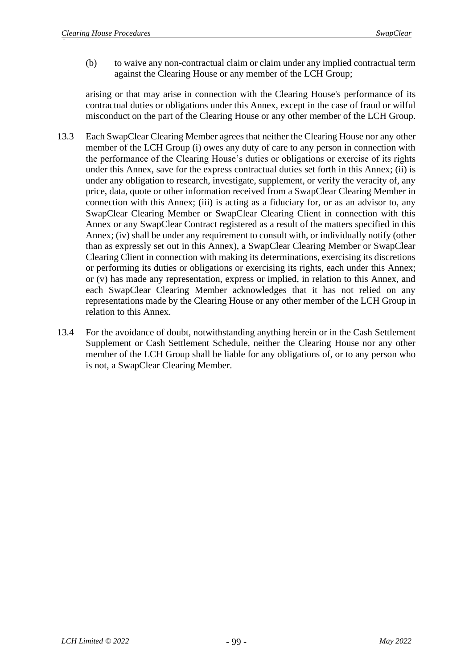(b) to waive any non-contractual claim or claim under any implied contractual term against the Clearing House or any member of the LCH Group;

arising or that may arise in connection with the Clearing House's performance of its contractual duties or obligations under this Annex, except in the case of fraud or wilful misconduct on the part of the Clearing House or any other member of the LCH Group.

- 13.3 Each SwapClear Clearing Member agrees that neither the Clearing House nor any other member of the LCH Group (i) owes any duty of care to any person in connection with the performance of the Clearing House's duties or obligations or exercise of its rights under this Annex, save for the express contractual duties set forth in this Annex; (ii) is under any obligation to research, investigate, supplement, or verify the veracity of, any price, data, quote or other information received from a SwapClear Clearing Member in connection with this Annex; (iii) is acting as a fiduciary for, or as an advisor to, any SwapClear Clearing Member or SwapClear Clearing Client in connection with this Annex or any SwapClear Contract registered as a result of the matters specified in this Annex; (iv) shall be under any requirement to consult with, or individually notify (other than as expressly set out in this Annex), a SwapClear Clearing Member or SwapClear Clearing Client in connection with making its determinations, exercising its discretions or performing its duties or obligations or exercising its rights, each under this Annex; or (v) has made any representation, express or implied, in relation to this Annex, and each SwapClear Clearing Member acknowledges that it has not relied on any representations made by the Clearing House or any other member of the LCH Group in relation to this Annex.
- 13.4 For the avoidance of doubt, notwithstanding anything herein or in the Cash Settlement Supplement or Cash Settlement Schedule, neither the Clearing House nor any other member of the LCH Group shall be liable for any obligations of, or to any person who is not, a SwapClear Clearing Member.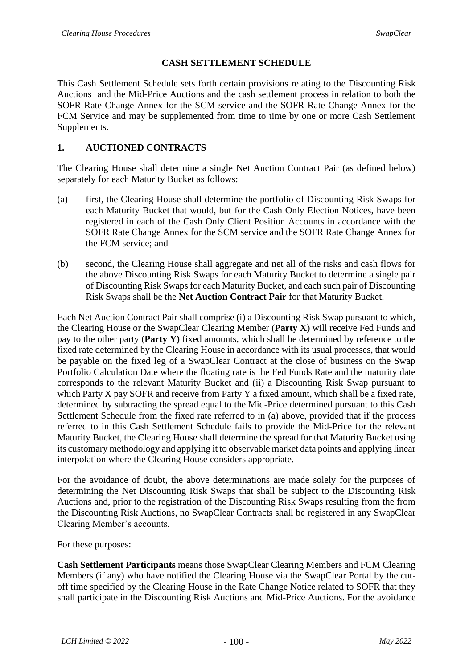## **CASH SETTLEMENT SCHEDULE**

This Cash Settlement Schedule sets forth certain provisions relating to the Discounting Risk Auctions and the Mid-Price Auctions and the cash settlement process in relation to both the SOFR Rate Change Annex for the SCM service and the SOFR Rate Change Annex for the FCM Service and may be supplemented from time to time by one or more Cash Settlement Supplements.

## **1. AUCTIONED CONTRACTS**

The Clearing House shall determine a single Net Auction Contract Pair (as defined below) separately for each Maturity Bucket as follows:

- (a) first, the Clearing House shall determine the portfolio of Discounting Risk Swaps for each Maturity Bucket that would, but for the Cash Only Election Notices, have been registered in each of the Cash Only Client Position Accounts in accordance with the SOFR Rate Change Annex for the SCM service and the SOFR Rate Change Annex for the FCM service; and
- (b) second, the Clearing House shall aggregate and net all of the risks and cash flows for the above Discounting Risk Swaps for each Maturity Bucket to determine a single pair of Discounting Risk Swaps for each Maturity Bucket, and each such pair of Discounting Risk Swaps shall be the **Net Auction Contract Pair** for that Maturity Bucket.

Each Net Auction Contract Pair shall comprise (i) a Discounting Risk Swap pursuant to which, the Clearing House or the SwapClear Clearing Member (**Party X**) will receive Fed Funds and pay to the other party (**Party Y)** fixed amounts, which shall be determined by reference to the fixed rate determined by the Clearing House in accordance with its usual processes, that would be payable on the fixed leg of a SwapClear Contract at the close of business on the Swap Portfolio Calculation Date where the floating rate is the Fed Funds Rate and the maturity date corresponds to the relevant Maturity Bucket and (ii) a Discounting Risk Swap pursuant to which Party X pay SOFR and receive from Party Y a fixed amount, which shall be a fixed rate, determined by subtracting the spread equal to the Mid-Price determined pursuant to this Cash Settlement Schedule from the fixed rate referred to in (a) above, provided that if the process referred to in this Cash Settlement Schedule fails to provide the Mid-Price for the relevant Maturity Bucket, the Clearing House shall determine the spread for that Maturity Bucket using its customary methodology and applying it to observable market data points and applying linear interpolation where the Clearing House considers appropriate.

For the avoidance of doubt, the above determinations are made solely for the purposes of determining the Net Discounting Risk Swaps that shall be subject to the Discounting Risk Auctions and, prior to the registration of the Discounting Risk Swaps resulting from the from the Discounting Risk Auctions, no SwapClear Contracts shall be registered in any SwapClear Clearing Member's accounts.

For these purposes:

**Cash Settlement Participants** means those SwapClear Clearing Members and FCM Clearing Members (if any) who have notified the Clearing House via the SwapClear Portal by the cutoff time specified by the Clearing House in the Rate Change Notice related to SOFR that they shall participate in the Discounting Risk Auctions and Mid-Price Auctions. For the avoidance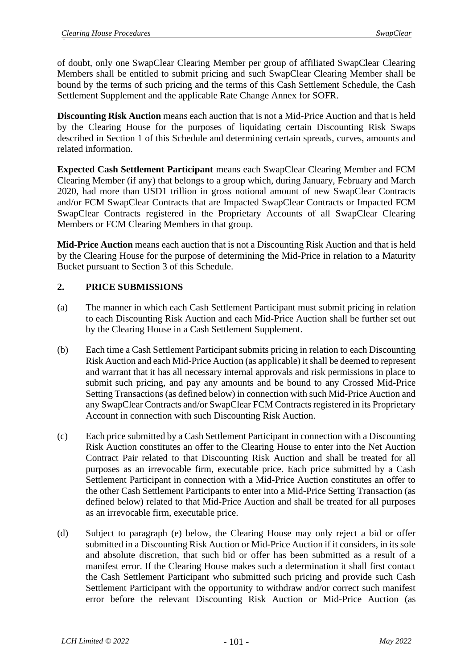of doubt, only one SwapClear Clearing Member per group of affiliated SwapClear Clearing Members shall be entitled to submit pricing and such SwapClear Clearing Member shall be bound by the terms of such pricing and the terms of this Cash Settlement Schedule, the Cash Settlement Supplement and the applicable Rate Change Annex for SOFR.

**Discounting Risk Auction** means each auction that is not a Mid-Price Auction and that is held by the Clearing House for the purposes of liquidating certain Discounting Risk Swaps described in Section 1 of this Schedule and determining certain spreads, curves, amounts and related information.

**Expected Cash Settlement Participant** means each SwapClear Clearing Member and FCM Clearing Member (if any) that belongs to a group which, during January, February and March 2020, had more than USD1 trillion in gross notional amount of new SwapClear Contracts and/or FCM SwapClear Contracts that are Impacted SwapClear Contracts or Impacted FCM SwapClear Contracts registered in the Proprietary Accounts of all SwapClear Clearing Members or FCM Clearing Members in that group.

**Mid-Price Auction** means each auction that is not a Discounting Risk Auction and that is held by the Clearing House for the purpose of determining the Mid-Price in relation to a Maturity Bucket pursuant to Section 3 of this Schedule.

## **2. PRICE SUBMISSIONS**

- (a) The manner in which each Cash Settlement Participant must submit pricing in relation to each Discounting Risk Auction and each Mid-Price Auction shall be further set out by the Clearing House in a Cash Settlement Supplement.
- (b) Each time a Cash Settlement Participant submits pricing in relation to each Discounting Risk Auction and each Mid-Price Auction (as applicable) it shall be deemed to represent and warrant that it has all necessary internal approvals and risk permissions in place to submit such pricing, and pay any amounts and be bound to any Crossed Mid-Price Setting Transactions (as defined below) in connection with such Mid-Price Auction and any SwapClear Contracts and/or SwapClear FCM Contracts registered in its Proprietary Account in connection with such Discounting Risk Auction.
- (c) Each price submitted by a Cash Settlement Participant in connection with a Discounting Risk Auction constitutes an offer to the Clearing House to enter into the Net Auction Contract Pair related to that Discounting Risk Auction and shall be treated for all purposes as an irrevocable firm, executable price. Each price submitted by a Cash Settlement Participant in connection with a Mid-Price Auction constitutes an offer to the other Cash Settlement Participants to enter into a Mid-Price Setting Transaction (as defined below) related to that Mid-Price Auction and shall be treated for all purposes as an irrevocable firm, executable price.
- (d) Subject to paragraph (e) below, the Clearing House may only reject a bid or offer submitted in a Discounting Risk Auction or Mid-Price Auction if it considers, in its sole and absolute discretion, that such bid or offer has been submitted as a result of a manifest error. If the Clearing House makes such a determination it shall first contact the Cash Settlement Participant who submitted such pricing and provide such Cash Settlement Participant with the opportunity to withdraw and/or correct such manifest error before the relevant Discounting Risk Auction or Mid-Price Auction (as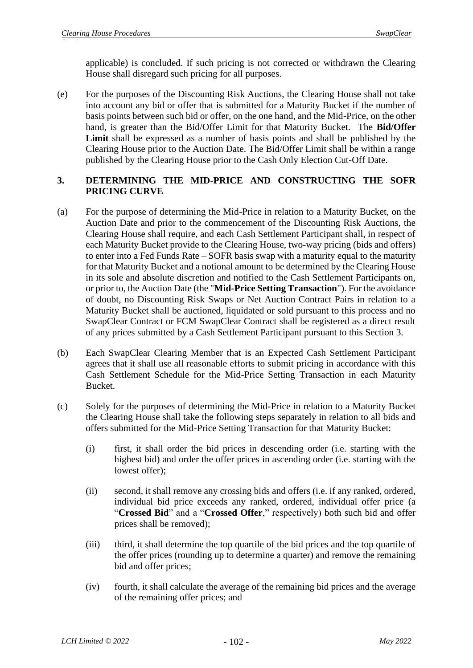applicable) is concluded. If such pricing is not corrected or withdrawn the Clearing House shall disregard such pricing for all purposes.

(e) For the purposes of the Discounting Risk Auctions, the Clearing House shall not take into account any bid or offer that is submitted for a Maturity Bucket if the number of basis points between such bid or offer, on the one hand, and the Mid-Price, on the other hand, is greater than the Bid/Offer Limit for that Maturity Bucket. The **Bid/Offer**  Limit shall be expressed as a number of basis points and shall be published by the Clearing House prior to the Auction Date. The Bid/Offer Limit shall be within a range published by the Clearing House prior to the Cash Only Election Cut-Off Date.

## **3. DETERMINING THE MID-PRICE AND CONSTRUCTING THE SOFR PRICING CURVE**

- (a) For the purpose of determining the Mid-Price in relation to a Maturity Bucket, on the Auction Date and prior to the commencement of the Discounting Risk Auctions, the Clearing House shall require, and each Cash Settlement Participant shall, in respect of each Maturity Bucket provide to the Clearing House, two-way pricing (bids and offers) to enter into a Fed Funds Rate – SOFR basis swap with a maturity equal to the maturity for that Maturity Bucket and a notional amount to be determined by the Clearing House in its sole and absolute discretion and notified to the Cash Settlement Participants on, or prior to, the Auction Date (the "**Mid-Price Setting Transaction**"). For the avoidance of doubt, no Discounting Risk Swaps or Net Auction Contract Pairs in relation to a Maturity Bucket shall be auctioned, liquidated or sold pursuant to this process and no SwapClear Contract or FCM SwapClear Contract shall be registered as a direct result of any prices submitted by a Cash Settlement Participant pursuant to this Section 3.
- (b) Each SwapClear Clearing Member that is an Expected Cash Settlement Participant agrees that it shall use all reasonable efforts to submit pricing in accordance with this Cash Settlement Schedule for the Mid-Price Setting Transaction in each Maturity Bucket.
- (c) Solely for the purposes of determining the Mid-Price in relation to a Maturity Bucket the Clearing House shall take the following steps separately in relation to all bids and offers submitted for the Mid-Price Setting Transaction for that Maturity Bucket:
	- (i) first, it shall order the bid prices in descending order (i.e. starting with the highest bid) and order the offer prices in ascending order (i.e. starting with the lowest offer);
	- (ii) second, it shall remove any crossing bids and offers (i.e. if any ranked, ordered, individual bid price exceeds any ranked, ordered, individual offer price (a "**Crossed Bid**" and a "**Crossed Offer**," respectively) both such bid and offer prices shall be removed);
	- (iii) third, it shall determine the top quartile of the bid prices and the top quartile of the offer prices (rounding up to determine a quarter) and remove the remaining bid and offer prices;
	- (iv) fourth, it shall calculate the average of the remaining bid prices and the average of the remaining offer prices; and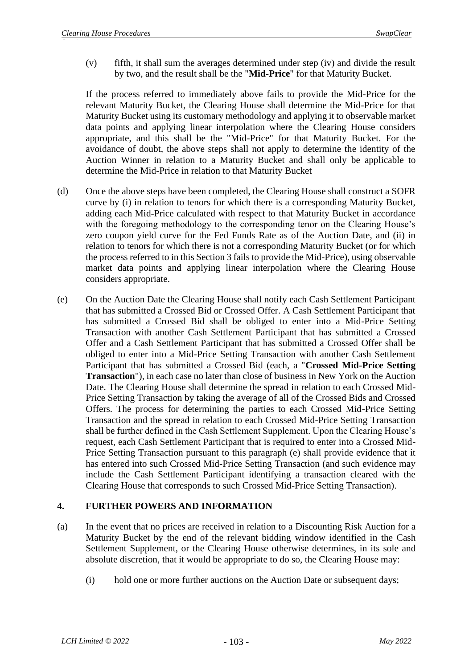(v) fifth, it shall sum the averages determined under step (iv) and divide the result by two, and the result shall be the "**Mid-Price**" for that Maturity Bucket.

If the process referred to immediately above fails to provide the Mid-Price for the relevant Maturity Bucket, the Clearing House shall determine the Mid-Price for that Maturity Bucket using its customary methodology and applying it to observable market data points and applying linear interpolation where the Clearing House considers appropriate, and this shall be the "Mid-Price" for that Maturity Bucket. For the avoidance of doubt, the above steps shall not apply to determine the identity of the Auction Winner in relation to a Maturity Bucket and shall only be applicable to determine the Mid-Price in relation to that Maturity Bucket

- (d) Once the above steps have been completed, the Clearing House shall construct a SOFR curve by (i) in relation to tenors for which there is a corresponding Maturity Bucket, adding each Mid-Price calculated with respect to that Maturity Bucket in accordance with the foregoing methodology to the corresponding tenor on the Clearing House's zero coupon yield curve for the Fed Funds Rate as of the Auction Date, and (ii) in relation to tenors for which there is not a corresponding Maturity Bucket (or for which the process referred to in this Section 3 fails to provide the Mid-Price), using observable market data points and applying linear interpolation where the Clearing House considers appropriate.
- (e) On the Auction Date the Clearing House shall notify each Cash Settlement Participant that has submitted a Crossed Bid or Crossed Offer. A Cash Settlement Participant that has submitted a Crossed Bid shall be obliged to enter into a Mid-Price Setting Transaction with another Cash Settlement Participant that has submitted a Crossed Offer and a Cash Settlement Participant that has submitted a Crossed Offer shall be obliged to enter into a Mid-Price Setting Transaction with another Cash Settlement Participant that has submitted a Crossed Bid (each, a "**Crossed Mid-Price Setting Transaction**"), in each case no later than close of business in New York on the Auction Date. The Clearing House shall determine the spread in relation to each Crossed Mid-Price Setting Transaction by taking the average of all of the Crossed Bids and Crossed Offers. The process for determining the parties to each Crossed Mid-Price Setting Transaction and the spread in relation to each Crossed Mid-Price Setting Transaction shall be further defined in the Cash Settlement Supplement. Upon the Clearing House's request, each Cash Settlement Participant that is required to enter into a Crossed Mid-Price Setting Transaction pursuant to this paragraph (e) shall provide evidence that it has entered into such Crossed Mid-Price Setting Transaction (and such evidence may include the Cash Settlement Participant identifying a transaction cleared with the Clearing House that corresponds to such Crossed Mid-Price Setting Transaction).

## **4. FURTHER POWERS AND INFORMATION**

- (a) In the event that no prices are received in relation to a Discounting Risk Auction for a Maturity Bucket by the end of the relevant bidding window identified in the Cash Settlement Supplement, or the Clearing House otherwise determines, in its sole and absolute discretion, that it would be appropriate to do so, the Clearing House may:
	- (i) hold one or more further auctions on the Auction Date or subsequent days;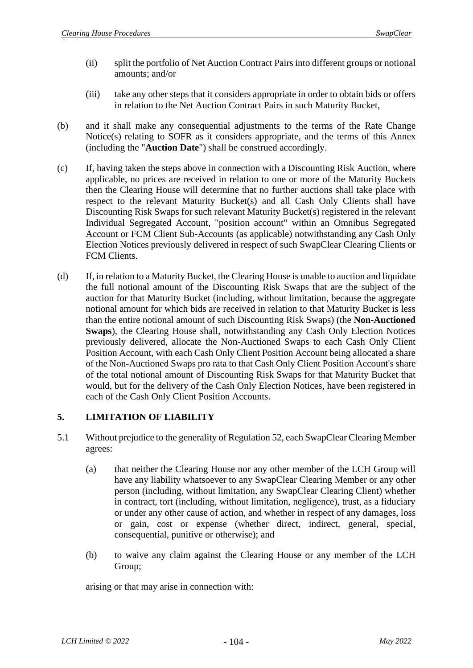- (ii) split the portfolio of Net Auction Contract Pairs into different groups or notional amounts; and/or
- (iii) take any other steps that it considers appropriate in order to obtain bids or offers in relation to the Net Auction Contract Pairs in such Maturity Bucket,
- (b) and it shall make any consequential adjustments to the terms of the Rate Change Notice(s) relating to SOFR as it considers appropriate, and the terms of this Annex (including the "**Auction Date**") shall be construed accordingly.
- (c) If, having taken the steps above in connection with a Discounting Risk Auction, where applicable, no prices are received in relation to one or more of the Maturity Buckets then the Clearing House will determine that no further auctions shall take place with respect to the relevant Maturity Bucket(s) and all Cash Only Clients shall have Discounting Risk Swaps for such relevant Maturity Bucket(s) registered in the relevant Individual Segregated Account, "position account" within an Omnibus Segregated Account or FCM Client Sub-Accounts (as applicable) notwithstanding any Cash Only Election Notices previously delivered in respect of such SwapClear Clearing Clients or FCM Clients.
- (d) If, in relation to a Maturity Bucket, the Clearing House is unable to auction and liquidate the full notional amount of the Discounting Risk Swaps that are the subject of the auction for that Maturity Bucket (including, without limitation, because the aggregate notional amount for which bids are received in relation to that Maturity Bucket is less than the entire notional amount of such Discounting Risk Swaps) (the **Non-Auctioned Swaps**), the Clearing House shall, notwithstanding any Cash Only Election Notices previously delivered, allocate the Non-Auctioned Swaps to each Cash Only Client Position Account, with each Cash Only Client Position Account being allocated a share of the Non-Auctioned Swaps pro rata to that Cash Only Client Position Account's share of the total notional amount of Discounting Risk Swaps for that Maturity Bucket that would, but for the delivery of the Cash Only Election Notices, have been registered in each of the Cash Only Client Position Accounts.

## **5. LIMITATION OF LIABILITY**

- 5.1 Without prejudice to the generality of Regulation 52, each SwapClear Clearing Member agrees:
	- (a) that neither the Clearing House nor any other member of the LCH Group will have any liability whatsoever to any SwapClear Clearing Member or any other person (including, without limitation, any SwapClear Clearing Client) whether in contract, tort (including, without limitation, negligence), trust, as a fiduciary or under any other cause of action, and whether in respect of any damages, loss or gain, cost or expense (whether direct, indirect, general, special, consequential, punitive or otherwise); and
	- (b) to waive any claim against the Clearing House or any member of the LCH Group;

arising or that may arise in connection with: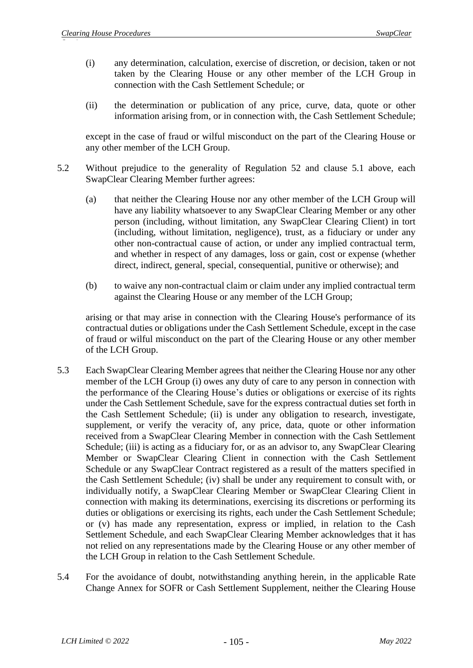- (i) any determination, calculation, exercise of discretion, or decision, taken or not taken by the Clearing House or any other member of the LCH Group in connection with the Cash Settlement Schedule; or
- (ii) the determination or publication of any price, curve, data, quote or other information arising from, or in connection with, the Cash Settlement Schedule;

except in the case of fraud or wilful misconduct on the part of the Clearing House or any other member of the LCH Group.

- 5.2 Without prejudice to the generality of Regulation 52 and clause 5.1 above, each SwapClear Clearing Member further agrees:
	- (a) that neither the Clearing House nor any other member of the LCH Group will have any liability whatsoever to any SwapClear Clearing Member or any other person (including, without limitation, any SwapClear Clearing Client) in tort (including, without limitation, negligence), trust, as a fiduciary or under any other non-contractual cause of action, or under any implied contractual term, and whether in respect of any damages, loss or gain, cost or expense (whether direct, indirect, general, special, consequential, punitive or otherwise); and
	- (b) to waive any non-contractual claim or claim under any implied contractual term against the Clearing House or any member of the LCH Group;

arising or that may arise in connection with the Clearing House's performance of its contractual duties or obligations under the Cash Settlement Schedule, except in the case of fraud or wilful misconduct on the part of the Clearing House or any other member of the LCH Group.

- 5.3 Each SwapClear Clearing Member agrees that neither the Clearing House nor any other member of the LCH Group (i) owes any duty of care to any person in connection with the performance of the Clearing House's duties or obligations or exercise of its rights under the Cash Settlement Schedule, save for the express contractual duties set forth in the Cash Settlement Schedule; (ii) is under any obligation to research, investigate, supplement, or verify the veracity of, any price, data, quote or other information received from a SwapClear Clearing Member in connection with the Cash Settlement Schedule; (iii) is acting as a fiduciary for, or as an advisor to, any SwapClear Clearing Member or SwapClear Clearing Client in connection with the Cash Settlement Schedule or any SwapClear Contract registered as a result of the matters specified in the Cash Settlement Schedule; (iv) shall be under any requirement to consult with, or individually notify, a SwapClear Clearing Member or SwapClear Clearing Client in connection with making its determinations, exercising its discretions or performing its duties or obligations or exercising its rights, each under the Cash Settlement Schedule; or (v) has made any representation, express or implied, in relation to the Cash Settlement Schedule, and each SwapClear Clearing Member acknowledges that it has not relied on any representations made by the Clearing House or any other member of the LCH Group in relation to the Cash Settlement Schedule.
- 5.4 For the avoidance of doubt, notwithstanding anything herein, in the applicable Rate Change Annex for SOFR or Cash Settlement Supplement, neither the Clearing House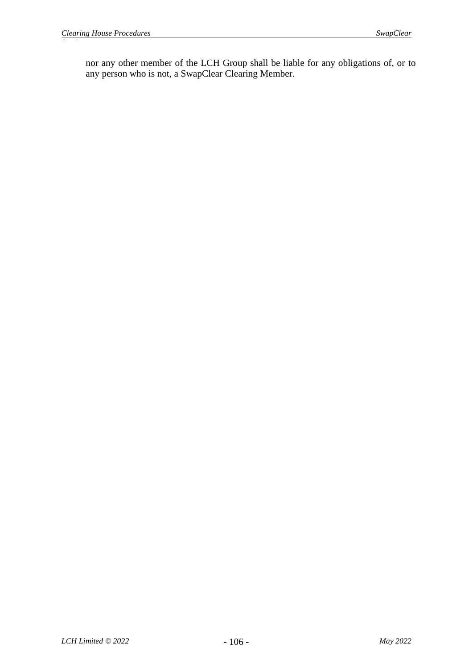nor any other member of the LCH Group shall be liable for any obligations of, or to any person who is not, a SwapClear Clearing Member.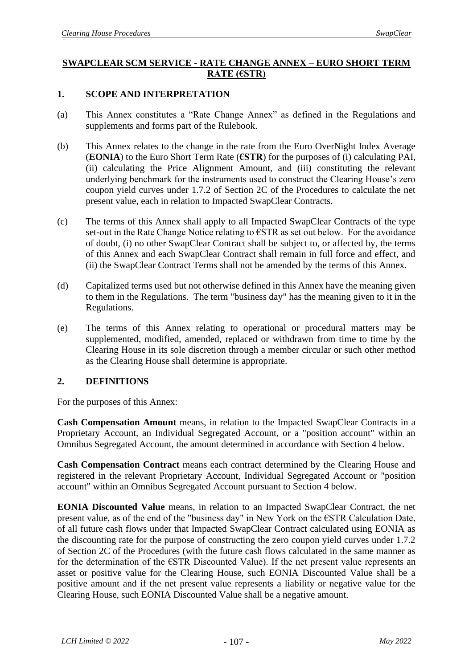## **SWAPCLEAR SCM SERVICE - RATE CHANGE ANNEX – EURO SHORT TERM RATE (€STR)**

## **1. SCOPE AND INTERPRETATION**

- (a) This Annex constitutes a "Rate Change Annex" as defined in the Regulations and supplements and forms part of the Rulebook.
- (b) This Annex relates to the change in the rate from the Euro OverNight Index Average (**EONIA**) to the Euro Short Term Rate (**€STR**) for the purposes of (i) calculating PAI, (ii) calculating the Price Alignment Amount, and (iii) constituting the relevant underlying benchmark for the instruments used to construct the Clearing House's zero coupon yield curves under 1.7.2 of Section 2C of the Procedures to calculate the net present value, each in relation to Impacted SwapClear Contracts.
- (c) The terms of this Annex shall apply to all Impacted SwapClear Contracts of the type set-out in the Rate Change Notice relating to  $\epsilon$ STR as set out below. For the avoidance of doubt, (i) no other SwapClear Contract shall be subject to, or affected by, the terms of this Annex and each SwapClear Contract shall remain in full force and effect, and (ii) the SwapClear Contract Terms shall not be amended by the terms of this Annex.
- (d) Capitalized terms used but not otherwise defined in this Annex have the meaning given to them in the Regulations. The term "business day" has the meaning given to it in the Regulations.
- (e) The terms of this Annex relating to operational or procedural matters may be supplemented, modified, amended, replaced or withdrawn from time to time by the Clearing House in its sole discretion through a member circular or such other method as the Clearing House shall determine is appropriate.

## **2. DEFINITIONS**

For the purposes of this Annex:

**Cash Compensation Amount** means, in relation to the Impacted SwapClear Contracts in a Proprietary Account, an Individual Segregated Account, or a "position account" within an Omnibus Segregated Account, the amount determined in accordance with Section 4 below.

**Cash Compensation Contract** means each contract determined by the Clearing House and registered in the relevant Proprietary Account, Individual Segregated Account or "position account" within an Omnibus Segregated Account pursuant to Section 4 below.

**EONIA Discounted Value** means, in relation to an Impacted SwapClear Contract, the net present value, as of the end of the "business day" in New York on the €STR Calculation Date, of all future cash flows under that Impacted SwapClear Contract calculated using EONIA as the discounting rate for the purpose of constructing the zero coupon yield curves under 1.7.2 of Section 2C of the Procedures (with the future cash flows calculated in the same manner as for the determination of the  $\epsilon$ STR Discounted Value). If the net present value represents an asset or positive value for the Clearing House, such EONIA Discounted Value shall be a positive amount and if the net present value represents a liability or negative value for the Clearing House, such EONIA Discounted Value shall be a negative amount.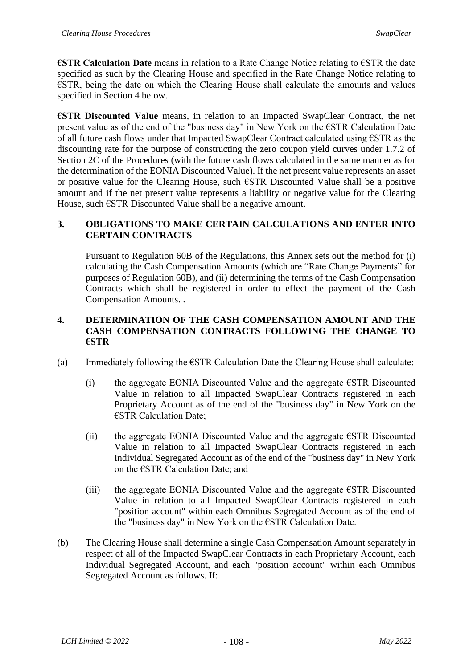**€STR Calculation Date** means in relation to a Rate Change Notice relating to €STR the date specified as such by the Clearing House and specified in the Rate Change Notice relating to €STR, being the date on which the Clearing House shall calculate the amounts and values specified in Section 4 below.

**€STR Discounted Value** means, in relation to an Impacted SwapClear Contract, the net present value as of the end of the "business day" in New York on the €STR Calculation Date of all future cash flows under that Impacted SwapClear Contract calculated using €STR as the discounting rate for the purpose of constructing the zero coupon yield curves under 1.7.2 of Section 2C of the Procedures (with the future cash flows calculated in the same manner as for the determination of the EONIA Discounted Value). If the net present value represents an asset or positive value for the Clearing House, such €STR Discounted Value shall be a positive amount and if the net present value represents a liability or negative value for the Clearing House, such €STR Discounted Value shall be a negative amount.

## **3. OBLIGATIONS TO MAKE CERTAIN CALCULATIONS AND ENTER INTO CERTAIN CONTRACTS**

Pursuant to Regulation 60B of the Regulations, this Annex sets out the method for (i) calculating the Cash Compensation Amounts (which are "Rate Change Payments" for purposes of Regulation 60B), and (ii) determining the terms of the Cash Compensation Contracts which shall be registered in order to effect the payment of the Cash Compensation Amounts. .

## **4. DETERMINATION OF THE CASH COMPENSATION AMOUNT AND THE CASH COMPENSATION CONTRACTS FOLLOWING THE CHANGE TO €STR**

- (a) Immediately following the  $\epsilon$ STR Calculation Date the Clearing House shall calculate:
	- (i) the aggregate EONIA Discounted Value and the aggregate  $\epsilon$ STR Discounted Value in relation to all Impacted SwapClear Contracts registered in each Proprietary Account as of the end of the "business day" in New York on the €STR Calculation Date;
	- (ii) the aggregate EONIA Discounted Value and the aggregate  $\epsilon$ STR Discounted Value in relation to all Impacted SwapClear Contracts registered in each Individual Segregated Account as of the end of the "business day" in New York on the €STR Calculation Date; and
	- (iii) the aggregate EONIA Discounted Value and the aggregate  $\epsilon$ STR Discounted Value in relation to all Impacted SwapClear Contracts registered in each "position account" within each Omnibus Segregated Account as of the end of the "business day" in New York on the €STR Calculation Date.
- (b) The Clearing House shall determine a single Cash Compensation Amount separately in respect of all of the Impacted SwapClear Contracts in each Proprietary Account, each Individual Segregated Account, and each "position account" within each Omnibus Segregated Account as follows. If: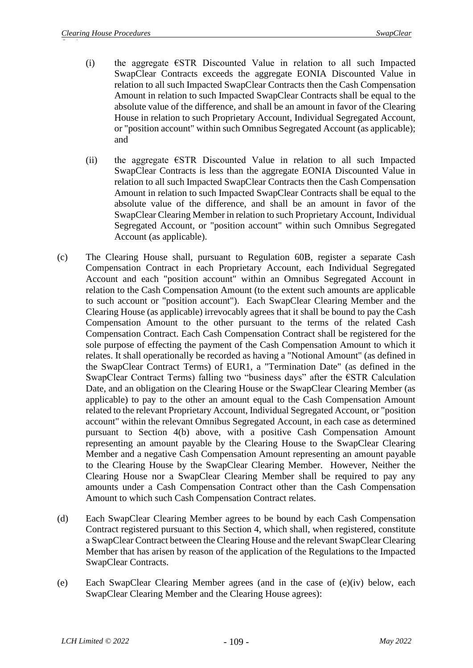- (i) the aggregate  $\epsilon$ STR Discounted Value in relation to all such Impacted SwapClear Contracts exceeds the aggregate EONIA Discounted Value in relation to all such Impacted SwapClear Contracts then the Cash Compensation Amount in relation to such Impacted SwapClear Contracts shall be equal to the absolute value of the difference, and shall be an amount in favor of the Clearing House in relation to such Proprietary Account, Individual Segregated Account, or "position account" within such Omnibus Segregated Account (as applicable); and
- (ii) the aggregate  $\epsilon$ STR Discounted Value in relation to all such Impacted SwapClear Contracts is less than the aggregate EONIA Discounted Value in relation to all such Impacted SwapClear Contracts then the Cash Compensation Amount in relation to such Impacted SwapClear Contracts shall be equal to the absolute value of the difference, and shall be an amount in favor of the SwapClear Clearing Member in relation to such Proprietary Account, Individual Segregated Account, or "position account" within such Omnibus Segregated Account (as applicable).
- (c) The Clearing House shall, pursuant to Regulation 60B, register a separate Cash Compensation Contract in each Proprietary Account, each Individual Segregated Account and each "position account" within an Omnibus Segregated Account in relation to the Cash Compensation Amount (to the extent such amounts are applicable to such account or "position account"). Each SwapClear Clearing Member and the Clearing House (as applicable) irrevocably agrees that it shall be bound to pay the Cash Compensation Amount to the other pursuant to the terms of the related Cash Compensation Contract. Each Cash Compensation Contract shall be registered for the sole purpose of effecting the payment of the Cash Compensation Amount to which it relates. It shall operationally be recorded as having a "Notional Amount" (as defined in the SwapClear Contract Terms) of EUR1, a "Termination Date" (as defined in the SwapClear Contract Terms) falling two "business days" after the €STR Calculation Date, and an obligation on the Clearing House or the SwapClear Clearing Member (as applicable) to pay to the other an amount equal to the Cash Compensation Amount related to the relevant Proprietary Account, Individual Segregated Account, or "position account" within the relevant Omnibus Segregated Account, in each case as determined pursuant to Section 4(b) above, with a positive Cash Compensation Amount representing an amount payable by the Clearing House to the SwapClear Clearing Member and a negative Cash Compensation Amount representing an amount payable to the Clearing House by the SwapClear Clearing Member. However, Neither the Clearing House nor a SwapClear Clearing Member shall be required to pay any amounts under a Cash Compensation Contract other than the Cash Compensation Amount to which such Cash Compensation Contract relates.
- (d) Each SwapClear Clearing Member agrees to be bound by each Cash Compensation Contract registered pursuant to this Section 4, which shall, when registered, constitute a SwapClear Contract between the Clearing House and the relevant SwapClear Clearing Member that has arisen by reason of the application of the Regulations to the Impacted SwapClear Contracts.
- (e) Each SwapClear Clearing Member agrees (and in the case of (e)(iv) below, each SwapClear Clearing Member and the Clearing House agrees):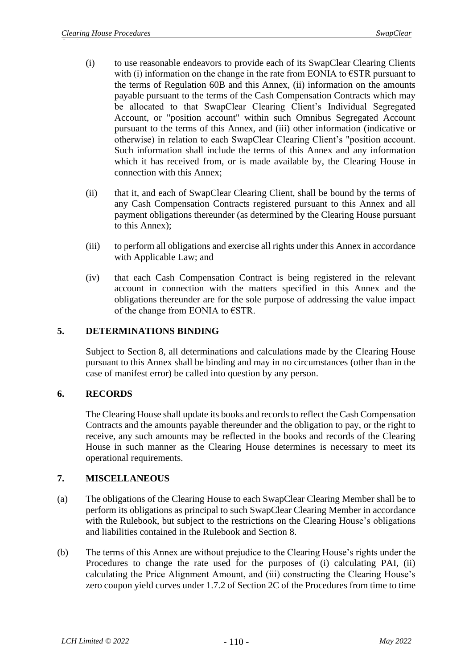- (i) to use reasonable endeavors to provide each of its SwapClear Clearing Clients with (i) information on the change in the rate from EONIA to  $\epsilon$ STR pursuant to the terms of Regulation 60B and this Annex, (ii) information on the amounts payable pursuant to the terms of the Cash Compensation Contracts which may be allocated to that SwapClear Clearing Client's Individual Segregated Account, or "position account" within such Omnibus Segregated Account pursuant to the terms of this Annex, and (iii) other information (indicative or otherwise) in relation to each SwapClear Clearing Client's "position account. Such information shall include the terms of this Annex and any information which it has received from, or is made available by, the Clearing House in connection with this Annex;
- (ii) that it, and each of SwapClear Clearing Client, shall be bound by the terms of any Cash Compensation Contracts registered pursuant to this Annex and all payment obligations thereunder (as determined by the Clearing House pursuant to this Annex);
- (iii) to perform all obligations and exercise all rights under this Annex in accordance with Applicable Law; and
- (iv) that each Cash Compensation Contract is being registered in the relevant account in connection with the matters specified in this Annex and the obligations thereunder are for the sole purpose of addressing the value impact of the change from EONIA to €STR.

### **5. DETERMINATIONS BINDING**

Subject to Section 8, all determinations and calculations made by the Clearing House pursuant to this Annex shall be binding and may in no circumstances (other than in the case of manifest error) be called into question by any person.

#### **6. RECORDS**

The Clearing House shall update its books and records to reflect the Cash Compensation Contracts and the amounts payable thereunder and the obligation to pay, or the right to receive, any such amounts may be reflected in the books and records of the Clearing House in such manner as the Clearing House determines is necessary to meet its operational requirements.

#### **7. MISCELLANEOUS**

- (a) The obligations of the Clearing House to each SwapClear Clearing Member shall be to perform its obligations as principal to such SwapClear Clearing Member in accordance with the Rulebook, but subject to the restrictions on the Clearing House's obligations and liabilities contained in the Rulebook and Section 8.
- (b) The terms of this Annex are without prejudice to the Clearing House's rights under the Procedures to change the rate used for the purposes of (i) calculating PAI, (ii) calculating the Price Alignment Amount, and (iii) constructing the Clearing House's zero coupon yield curves under 1.7.2 of Section 2C of the Procedures from time to time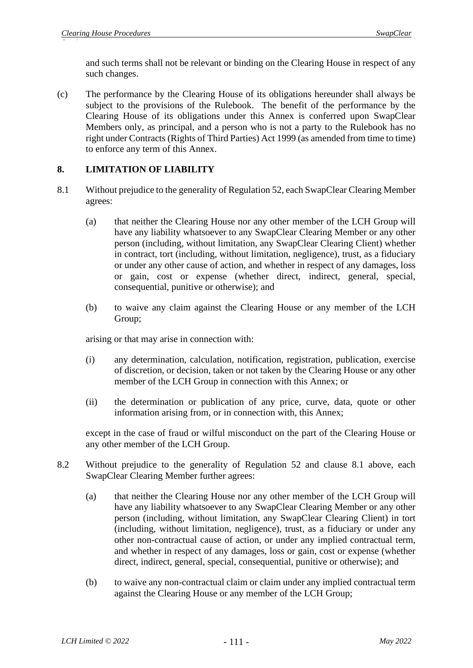and such terms shall not be relevant or binding on the Clearing House in respect of any such changes.

(c) The performance by the Clearing House of its obligations hereunder shall always be subject to the provisions of the Rulebook. The benefit of the performance by the Clearing House of its obligations under this Annex is conferred upon SwapClear Members only, as principal, and a person who is not a party to the Rulebook has no right under Contracts (Rights of Third Parties) Act 1999 (as amended from time to time) to enforce any term of this Annex.

## **8. LIMITATION OF LIABILITY**

- 8.1 Without prejudice to the generality of Regulation 52, each SwapClear Clearing Member agrees:
	- (a) that neither the Clearing House nor any other member of the LCH Group will have any liability whatsoever to any SwapClear Clearing Member or any other person (including, without limitation, any SwapClear Clearing Client) whether in contract, tort (including, without limitation, negligence), trust, as a fiduciary or under any other cause of action, and whether in respect of any damages, loss or gain, cost or expense (whether direct, indirect, general, special, consequential, punitive or otherwise); and
	- (b) to waive any claim against the Clearing House or any member of the LCH Group;

arising or that may arise in connection with:

- (i) any determination, calculation, notification, registration, publication, exercise of discretion, or decision, taken or not taken by the Clearing House or any other member of the LCH Group in connection with this Annex; or
- (ii) the determination or publication of any price, curve, data, quote or other information arising from, or in connection with, this Annex;

except in the case of fraud or wilful misconduct on the part of the Clearing House or any other member of the LCH Group.

- 8.2 Without prejudice to the generality of Regulation 52 and clause 8.1 above, each SwapClear Clearing Member further agrees:
	- (a) that neither the Clearing House nor any other member of the LCH Group will have any liability whatsoever to any SwapClear Clearing Member or any other person (including, without limitation, any SwapClear Clearing Client) in tort (including, without limitation, negligence), trust, as a fiduciary or under any other non-contractual cause of action, or under any implied contractual term, and whether in respect of any damages, loss or gain, cost or expense (whether direct, indirect, general, special, consequential, punitive or otherwise); and
	- (b) to waive any non-contractual claim or claim under any implied contractual term against the Clearing House or any member of the LCH Group;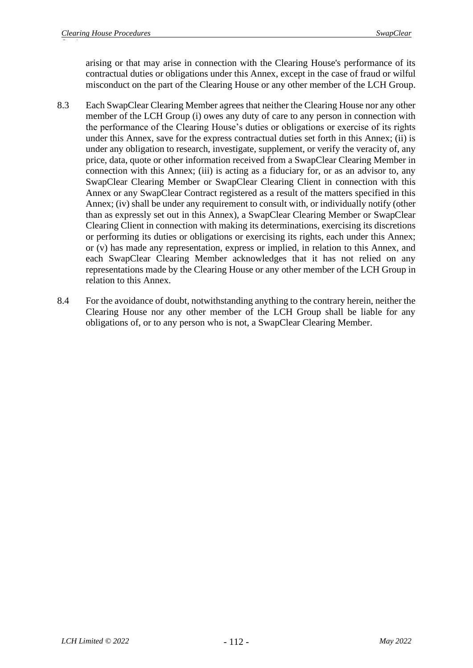arising or that may arise in connection with the Clearing House's performance of its contractual duties or obligations under this Annex, except in the case of fraud or wilful misconduct on the part of the Clearing House or any other member of the LCH Group.

- 8.3 Each SwapClear Clearing Member agrees that neither the Clearing House nor any other member of the LCH Group (i) owes any duty of care to any person in connection with the performance of the Clearing House's duties or obligations or exercise of its rights under this Annex, save for the express contractual duties set forth in this Annex; (ii) is under any obligation to research, investigate, supplement, or verify the veracity of, any price, data, quote or other information received from a SwapClear Clearing Member in connection with this Annex; (iii) is acting as a fiduciary for, or as an advisor to, any SwapClear Clearing Member or SwapClear Clearing Client in connection with this Annex or any SwapClear Contract registered as a result of the matters specified in this Annex; (iv) shall be under any requirement to consult with, or individually notify (other than as expressly set out in this Annex), a SwapClear Clearing Member or SwapClear Clearing Client in connection with making its determinations, exercising its discretions or performing its duties or obligations or exercising its rights, each under this Annex; or (v) has made any representation, express or implied, in relation to this Annex, and each SwapClear Clearing Member acknowledges that it has not relied on any representations made by the Clearing House or any other member of the LCH Group in relation to this Annex.
- 8.4 For the avoidance of doubt, notwithstanding anything to the contrary herein, neither the Clearing House nor any other member of the LCH Group shall be liable for any obligations of, or to any person who is not, a SwapClear Clearing Member.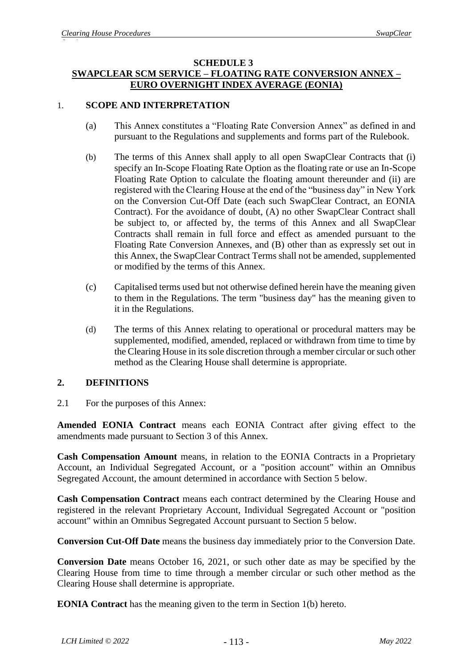#### **SCHEDULE 3 SWAPCLEAR SCM SERVICE – FLOATING RATE CONVERSION ANNEX – EURO OVERNIGHT INDEX AVERAGE (EONIA)**

### 1. **SCOPE AND INTERPRETATION**

- (a) This Annex constitutes a "Floating Rate Conversion Annex" as defined in and pursuant to the Regulations and supplements and forms part of the Rulebook.
- (b) The terms of this Annex shall apply to all open SwapClear Contracts that (i) specify an In-Scope Floating Rate Option as the floating rate or use an In-Scope Floating Rate Option to calculate the floating amount thereunder and (ii) are registered with the Clearing House at the end of the "business day" in New York on the Conversion Cut-Off Date (each such SwapClear Contract, an EONIA Contract). For the avoidance of doubt, (A) no other SwapClear Contract shall be subject to, or affected by, the terms of this Annex and all SwapClear Contracts shall remain in full force and effect as amended pursuant to the Floating Rate Conversion Annexes, and (B) other than as expressly set out in this Annex, the SwapClear Contract Terms shall not be amended, supplemented or modified by the terms of this Annex.
- (c) Capitalised terms used but not otherwise defined herein have the meaning given to them in the Regulations. The term "business day" has the meaning given to it in the Regulations.
- (d) The terms of this Annex relating to operational or procedural matters may be supplemented, modified, amended, replaced or withdrawn from time to time by the Clearing House in its sole discretion through a member circular or such other method as the Clearing House shall determine is appropriate.

## **2. DEFINITIONS**

2.1 For the purposes of this Annex:

**Amended EONIA Contract** means each EONIA Contract after giving effect to the amendments made pursuant to Section 3 of this Annex.

**Cash Compensation Amount** means, in relation to the EONIA Contracts in a Proprietary Account, an Individual Segregated Account, or a "position account" within an Omnibus Segregated Account, the amount determined in accordance with Section 5 below.

**Cash Compensation Contract** means each contract determined by the Clearing House and registered in the relevant Proprietary Account, Individual Segregated Account or "position account" within an Omnibus Segregated Account pursuant to Section 5 below.

**Conversion Cut-Off Date** means the business day immediately prior to the Conversion Date.

**Conversion Date** means October 16, 2021, or such other date as may be specified by the Clearing House from time to time through a member circular or such other method as the Clearing House shall determine is appropriate.

**EONIA Contract** has the meaning given to the term in Section 1(b) hereto.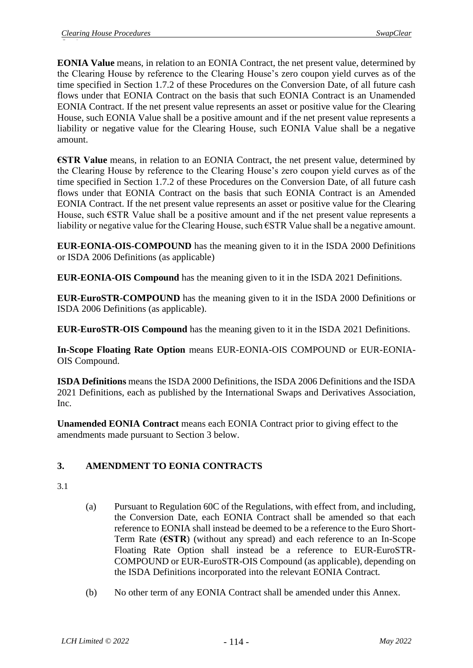**EONIA Value** means, in relation to an EONIA Contract, the net present value, determined by the Clearing House by reference to the Clearing House's zero coupon yield curves as of the time specified in Section 1.7.2 of these Procedures on the Conversion Date, of all future cash flows under that EONIA Contract on the basis that such EONIA Contract is an Unamended EONIA Contract. If the net present value represents an asset or positive value for the Clearing House, such EONIA Value shall be a positive amount and if the net present value represents a liability or negative value for the Clearing House, such EONIA Value shall be a negative amount.

**€STR Value** means, in relation to an EONIA Contract, the net present value, determined by the Clearing House by reference to the Clearing House's zero coupon yield curves as of the time specified in Section 1.7.2 of these Procedures on the Conversion Date, of all future cash flows under that EONIA Contract on the basis that such EONIA Contract is an Amended EONIA Contract. If the net present value represents an asset or positive value for the Clearing House, such  $\epsilon$ STR Value shall be a positive amount and if the net present value represents a liability or negative value for the Clearing House, such €STR Value shall be a negative amount.

**EUR-EONIA-OIS-COMPOUND** has the meaning given to it in the ISDA 2000 Definitions or ISDA 2006 Definitions (as applicable)

**EUR-EONIA-OIS Compound** has the meaning given to it in the ISDA 2021 Definitions.

**EUR-EuroSTR-COMPOUND** has the meaning given to it in the ISDA 2000 Definitions or ISDA 2006 Definitions (as applicable).

**EUR-EuroSTR-OIS Compound** has the meaning given to it in the ISDA 2021 Definitions.

**In-Scope Floating Rate Option** means EUR-EONIA-OIS COMPOUND or EUR-EONIA-OIS Compound.

**ISDA Definitions** means the ISDA 2000 Definitions, the ISDA 2006 Definitions and the ISDA 2021 Definitions, each as published by the International Swaps and Derivatives Association, Inc.

**Unamended EONIA Contract** means each EONIA Contract prior to giving effect to the amendments made pursuant to Section 3 below.

# **3. AMENDMENT TO EONIA CONTRACTS**

- 3.1
- (a) Pursuant to Regulation 60C of the Regulations, with effect from, and including, the Conversion Date, each EONIA Contract shall be amended so that each reference to EONIA shall instead be deemed to be a reference to the Euro Short-Term Rate (**€STR**) (without any spread) and each reference to an In-Scope Floating Rate Option shall instead be a reference to EUR-EuroSTR-COMPOUND or EUR-EuroSTR-OIS Compound (as applicable), depending on the ISDA Definitions incorporated into the relevant EONIA Contract.
- (b) No other term of any EONIA Contract shall be amended under this Annex.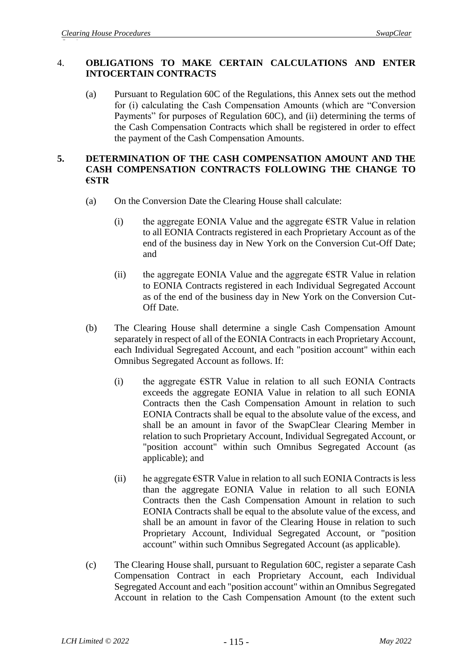## 4. **OBLIGATIONS TO MAKE CERTAIN CALCULATIONS AND ENTER INTOCERTAIN CONTRACTS**

(a) Pursuant to Regulation 60C of the Regulations, this Annex sets out the method for (i) calculating the Cash Compensation Amounts (which are "Conversion Payments" for purposes of Regulation 60C), and (ii) determining the terms of the Cash Compensation Contracts which shall be registered in order to effect the payment of the Cash Compensation Amounts.

## **5. DETERMINATION OF THE CASH COMPENSATION AMOUNT AND THE CASH COMPENSATION CONTRACTS FOLLOWING THE CHANGE TO €STR**

- (a) On the Conversion Date the Clearing House shall calculate:
	- (i) the aggregate EONIA Value and the aggregate  $\epsilon$ STR Value in relation to all EONIA Contracts registered in each Proprietary Account as of the end of the business day in New York on the Conversion Cut-Off Date; and
	- (ii) the aggregate EONIA Value and the aggregate  $\epsilon$ STR Value in relation to EONIA Contracts registered in each Individual Segregated Account as of the end of the business day in New York on the Conversion Cut-Off Date.
- (b) The Clearing House shall determine a single Cash Compensation Amount separately in respect of all of the EONIA Contracts in each Proprietary Account, each Individual Segregated Account, and each "position account" within each Omnibus Segregated Account as follows. If:
	- (i) the aggregate  $\epsilon$ STR Value in relation to all such EONIA Contracts exceeds the aggregate EONIA Value in relation to all such EONIA Contracts then the Cash Compensation Amount in relation to such EONIA Contracts shall be equal to the absolute value of the excess, and shall be an amount in favor of the SwapClear Clearing Member in relation to such Proprietary Account, Individual Segregated Account, or "position account" within such Omnibus Segregated Account (as applicable); and
	- (ii) he aggregate  $\epsilon$ STR Value in relation to all such EONIA Contracts is less than the aggregate EONIA Value in relation to all such EONIA Contracts then the Cash Compensation Amount in relation to such EONIA Contracts shall be equal to the absolute value of the excess, and shall be an amount in favor of the Clearing House in relation to such Proprietary Account, Individual Segregated Account, or "position account" within such Omnibus Segregated Account (as applicable).
- (c) The Clearing House shall, pursuant to Regulation 60C, register a separate Cash Compensation Contract in each Proprietary Account, each Individual Segregated Account and each "position account" within an Omnibus Segregated Account in relation to the Cash Compensation Amount (to the extent such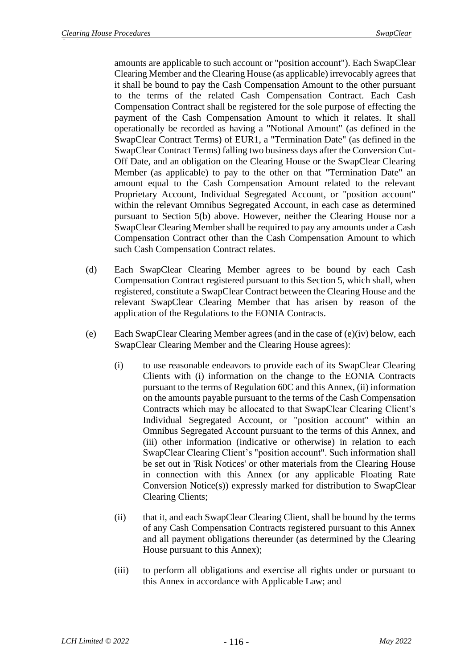amounts are applicable to such account or "position account"). Each SwapClear Clearing Member and the Clearing House (as applicable) irrevocably agrees that it shall be bound to pay the Cash Compensation Amount to the other pursuant to the terms of the related Cash Compensation Contract. Each Cash Compensation Contract shall be registered for the sole purpose of effecting the payment of the Cash Compensation Amount to which it relates. It shall operationally be recorded as having a "Notional Amount" (as defined in the SwapClear Contract Terms) of EUR1, a "Termination Date" (as defined in the SwapClear Contract Terms) falling two business days after the Conversion Cut-Off Date, and an obligation on the Clearing House or the SwapClear Clearing Member (as applicable) to pay to the other on that "Termination Date" an amount equal to the Cash Compensation Amount related to the relevant Proprietary Account, Individual Segregated Account, or "position account" within the relevant Omnibus Segregated Account, in each case as determined pursuant to Section 5(b) above. However, neither the Clearing House nor a SwapClear Clearing Member shall be required to pay any amounts under a Cash Compensation Contract other than the Cash Compensation Amount to which such Cash Compensation Contract relates.

- (d) Each SwapClear Clearing Member agrees to be bound by each Cash Compensation Contract registered pursuant to this Section 5, which shall, when registered, constitute a SwapClear Contract between the Clearing House and the relevant SwapClear Clearing Member that has arisen by reason of the application of the Regulations to the EONIA Contracts.
- (e) Each SwapClear Clearing Member agrees (and in the case of (e)(iv) below, each SwapClear Clearing Member and the Clearing House agrees):
	- (i) to use reasonable endeavors to provide each of its SwapClear Clearing Clients with (i) information on the change to the EONIA Contracts pursuant to the terms of Regulation 60C and this Annex, (ii) information on the amounts payable pursuant to the terms of the Cash Compensation Contracts which may be allocated to that SwapClear Clearing Client's Individual Segregated Account, or "position account" within an Omnibus Segregated Account pursuant to the terms of this Annex, and (iii) other information (indicative or otherwise) in relation to each SwapClear Clearing Client's "position account". Such information shall be set out in 'Risk Notices' or other materials from the Clearing House in connection with this Annex (or any applicable Floating Rate Conversion Notice(s)) expressly marked for distribution to SwapClear Clearing Clients;
	- (ii) that it, and each SwapClear Clearing Client, shall be bound by the terms of any Cash Compensation Contracts registered pursuant to this Annex and all payment obligations thereunder (as determined by the Clearing House pursuant to this Annex);
	- (iii) to perform all obligations and exercise all rights under or pursuant to this Annex in accordance with Applicable Law; and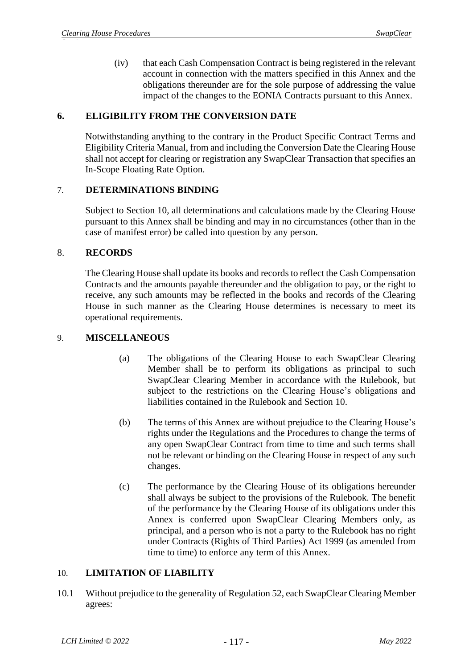(iv) that each Cash Compensation Contract is being registered in the relevant account in connection with the matters specified in this Annex and the obligations thereunder are for the sole purpose of addressing the value impact of the changes to the EONIA Contracts pursuant to this Annex.

## **6. ELIGIBILITY FROM THE CONVERSION DATE**

Notwithstanding anything to the contrary in the Product Specific Contract Terms and Eligibility Criteria Manual, from and including the Conversion Date the Clearing House shall not accept for clearing or registration any SwapClear Transaction that specifies an In-Scope Floating Rate Option.

### 7. **DETERMINATIONS BINDING**

Subject to Section 10, all determinations and calculations made by the Clearing House pursuant to this Annex shall be binding and may in no circumstances (other than in the case of manifest error) be called into question by any person.

### 8. **RECORDS**

The Clearing House shall update its books and records to reflect the Cash Compensation Contracts and the amounts payable thereunder and the obligation to pay, or the right to receive, any such amounts may be reflected in the books and records of the Clearing House in such manner as the Clearing House determines is necessary to meet its operational requirements.

### 9. **MISCELLANEOUS**

- (a) The obligations of the Clearing House to each SwapClear Clearing Member shall be to perform its obligations as principal to such SwapClear Clearing Member in accordance with the Rulebook, but subject to the restrictions on the Clearing House's obligations and liabilities contained in the Rulebook and Section 10.
- (b) The terms of this Annex are without prejudice to the Clearing House's rights under the Regulations and the Procedures to change the terms of any open SwapClear Contract from time to time and such terms shall not be relevant or binding on the Clearing House in respect of any such changes.
- (c) The performance by the Clearing House of its obligations hereunder shall always be subject to the provisions of the Rulebook. The benefit of the performance by the Clearing House of its obligations under this Annex is conferred upon SwapClear Clearing Members only, as principal, and a person who is not a party to the Rulebook has no right under Contracts (Rights of Third Parties) Act 1999 (as amended from time to time) to enforce any term of this Annex.

#### 10. **LIMITATION OF LIABILITY**

10.1 Without prejudice to the generality of Regulation 52, each SwapClear Clearing Member agrees: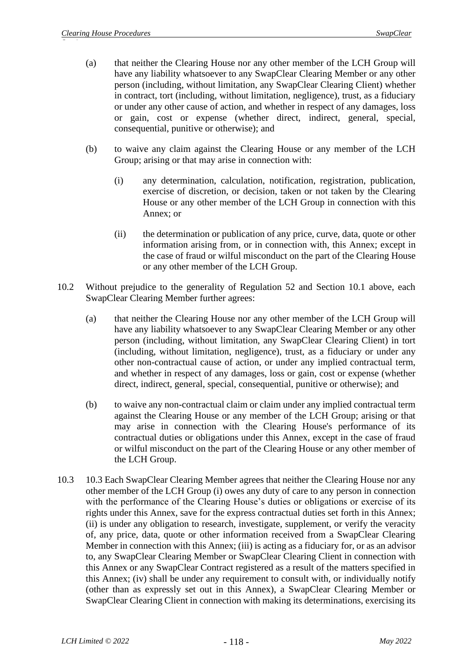- (a) that neither the Clearing House nor any other member of the LCH Group will have any liability whatsoever to any SwapClear Clearing Member or any other person (including, without limitation, any SwapClear Clearing Client) whether in contract, tort (including, without limitation, negligence), trust, as a fiduciary or under any other cause of action, and whether in respect of any damages, loss or gain, cost or expense (whether direct, indirect, general, special, consequential, punitive or otherwise); and
- (b) to waive any claim against the Clearing House or any member of the LCH Group; arising or that may arise in connection with:
	- (i) any determination, calculation, notification, registration, publication, exercise of discretion, or decision, taken or not taken by the Clearing House or any other member of the LCH Group in connection with this Annex; or
	- (ii) the determination or publication of any price, curve, data, quote or other information arising from, or in connection with, this Annex; except in the case of fraud or wilful misconduct on the part of the Clearing House or any other member of the LCH Group.
- 10.2 Without prejudice to the generality of Regulation 52 and Section 10.1 above, each SwapClear Clearing Member further agrees:
	- (a) that neither the Clearing House nor any other member of the LCH Group will have any liability whatsoever to any SwapClear Clearing Member or any other person (including, without limitation, any SwapClear Clearing Client) in tort (including, without limitation, negligence), trust, as a fiduciary or under any other non-contractual cause of action, or under any implied contractual term, and whether in respect of any damages, loss or gain, cost or expense (whether direct, indirect, general, special, consequential, punitive or otherwise); and
	- (b) to waive any non-contractual claim or claim under any implied contractual term against the Clearing House or any member of the LCH Group; arising or that may arise in connection with the Clearing House's performance of its contractual duties or obligations under this Annex, except in the case of fraud or wilful misconduct on the part of the Clearing House or any other member of the LCH Group.
- 10.3 10.3 Each SwapClear Clearing Member agrees that neither the Clearing House nor any other member of the LCH Group (i) owes any duty of care to any person in connection with the performance of the Clearing House's duties or obligations or exercise of its rights under this Annex, save for the express contractual duties set forth in this Annex; (ii) is under any obligation to research, investigate, supplement, or verify the veracity of, any price, data, quote or other information received from a SwapClear Clearing Member in connection with this Annex; (iii) is acting as a fiduciary for, or as an advisor to, any SwapClear Clearing Member or SwapClear Clearing Client in connection with this Annex or any SwapClear Contract registered as a result of the matters specified in this Annex; (iv) shall be under any requirement to consult with, or individually notify (other than as expressly set out in this Annex), a SwapClear Clearing Member or SwapClear Clearing Client in connection with making its determinations, exercising its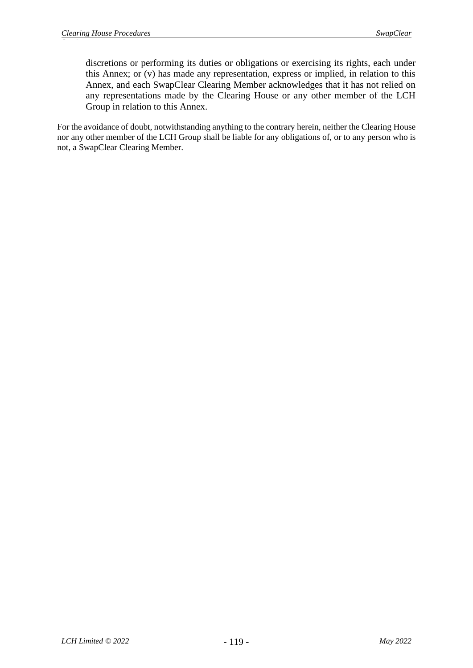discretions or performing its duties or obligations or exercising its rights, each under this Annex; or (v) has made any representation, express or implied, in relation to this Annex, and each SwapClear Clearing Member acknowledges that it has not relied on any representations made by the Clearing House or any other member of the LCH Group in relation to this Annex.

For the avoidance of doubt, notwithstanding anything to the contrary herein, neither the Clearing House nor any other member of the LCH Group shall be liable for any obligations of, or to any person who is not, a SwapClear Clearing Member.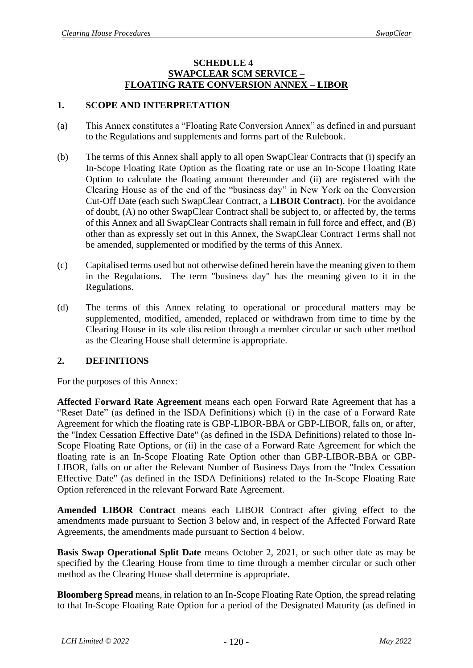#### **SCHEDULE 4 SWAPCLEAR SCM SERVICE – FLOATING RATE CONVERSION ANNEX – LIBOR**

## **1. SCOPE AND INTERPRETATION**

- (a) This Annex constitutes a "Floating Rate Conversion Annex" as defined in and pursuant to the Regulations and supplements and forms part of the Rulebook.
- (b) The terms of this Annex shall apply to all open SwapClear Contracts that (i) specify an In-Scope Floating Rate Option as the floating rate or use an In-Scope Floating Rate Option to calculate the floating amount thereunder and (ii) are registered with the Clearing House as of the end of the "business day" in New York on the Conversion Cut-Off Date (each such SwapClear Contract, a **LIBOR Contract**). For the avoidance of doubt, (A) no other SwapClear Contract shall be subject to, or affected by, the terms of this Annex and all SwapClear Contracts shall remain in full force and effect, and (B) other than as expressly set out in this Annex, the SwapClear Contract Terms shall not be amended, supplemented or modified by the terms of this Annex.
- (c) Capitalised terms used but not otherwise defined herein have the meaning given to them in the Regulations. The term "business day" has the meaning given to it in the Regulations.
- (d) The terms of this Annex relating to operational or procedural matters may be supplemented, modified, amended, replaced or withdrawn from time to time by the Clearing House in its sole discretion through a member circular or such other method as the Clearing House shall determine is appropriate.

## **2. DEFINITIONS**

For the purposes of this Annex:

**Affected Forward Rate Agreement** means each open Forward Rate Agreement that has a "Reset Date" (as defined in the ISDA Definitions) which (i) in the case of a Forward Rate Agreement for which the floating rate is GBP-LIBOR-BBA or GBP-LIBOR, falls on, or after, the "Index Cessation Effective Date" (as defined in the ISDA Definitions) related to those In-Scope Floating Rate Options, or (ii) in the case of a Forward Rate Agreement for which the floating rate is an In-Scope Floating Rate Option other than GBP-LIBOR-BBA or GBP-LIBOR, falls on or after the Relevant Number of Business Days from the "Index Cessation Effective Date" (as defined in the ISDA Definitions) related to the In-Scope Floating Rate Option referenced in the relevant Forward Rate Agreement.

**Amended LIBOR Contract** means each LIBOR Contract after giving effect to the amendments made pursuant to Section 3 below and, in respect of the Affected Forward Rate Agreements, the amendments made pursuant to Section 4 below.

**Basis Swap Operational Split Date** means October 2, 2021, or such other date as may be specified by the Clearing House from time to time through a member circular or such other method as the Clearing House shall determine is appropriate.

**Bloomberg Spread** means, in relation to an In-Scope Floating Rate Option, the spread relating to that In-Scope Floating Rate Option for a period of the Designated Maturity (as defined in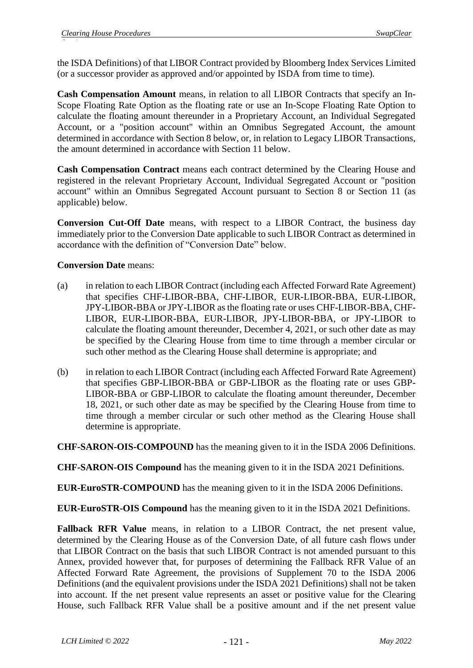the ISDA Definitions) of that LIBOR Contract provided by Bloomberg Index Services Limited (or a successor provider as approved and/or appointed by ISDA from time to time).

**Cash Compensation Amount** means, in relation to all LIBOR Contracts that specify an In-Scope Floating Rate Option as the floating rate or use an In-Scope Floating Rate Option to calculate the floating amount thereunder in a Proprietary Account, an Individual Segregated Account, or a "position account" within an Omnibus Segregated Account, the amount determined in accordance with Section 8 below, or, in relation to Legacy LIBOR Transactions, the amount determined in accordance with Section 11 below.

**Cash Compensation Contract** means each contract determined by the Clearing House and registered in the relevant Proprietary Account, Individual Segregated Account or "position account" within an Omnibus Segregated Account pursuant to Section 8 or Section 11 (as applicable) below.

**Conversion Cut-Off Date** means, with respect to a LIBOR Contract, the business day immediately prior to the Conversion Date applicable to such LIBOR Contract as determined in accordance with the definition of "Conversion Date" below.

## **Conversion Date** means:

- (a) in relation to each LIBOR Contract (including each Affected Forward Rate Agreement) that specifies CHF-LIBOR-BBA, CHF-LIBOR, EUR-LIBOR-BBA, EUR-LIBOR, JPY-LIBOR-BBA or JPY-LIBOR as the floating rate or uses CHF-LIBOR-BBA, CHF-LIBOR, EUR-LIBOR-BBA, EUR-LIBOR, JPY-LIBOR-BBA, or JPY-LIBOR to calculate the floating amount thereunder, December 4, 2021, or such other date as may be specified by the Clearing House from time to time through a member circular or such other method as the Clearing House shall determine is appropriate; and
- (b) in relation to each LIBOR Contract (including each Affected Forward Rate Agreement) that specifies GBP-LIBOR-BBA or GBP-LIBOR as the floating rate or uses GBP-LIBOR-BBA or GBP-LIBOR to calculate the floating amount thereunder, December 18, 2021, or such other date as may be specified by the Clearing House from time to time through a member circular or such other method as the Clearing House shall determine is appropriate.

**CHF-SARON-OIS-COMPOUND** has the meaning given to it in the ISDA 2006 Definitions.

**CHF-SARON-OIS Compound** has the meaning given to it in the ISDA 2021 Definitions.

**EUR-EuroSTR-COMPOUND** has the meaning given to it in the ISDA 2006 Definitions.

**EUR-EuroSTR-OIS Compound** has the meaning given to it in the ISDA 2021 Definitions.

**Fallback RFR Value** means, in relation to a LIBOR Contract, the net present value, determined by the Clearing House as of the Conversion Date, of all future cash flows under that LIBOR Contract on the basis that such LIBOR Contract is not amended pursuant to this Annex, provided however that, for purposes of determining the Fallback RFR Value of an Affected Forward Rate Agreement, the provisions of Supplement 70 to the ISDA 2006 Definitions (and the equivalent provisions under the ISDA 2021 Definitions) shall not be taken into account. If the net present value represents an asset or positive value for the Clearing House, such Fallback RFR Value shall be a positive amount and if the net present value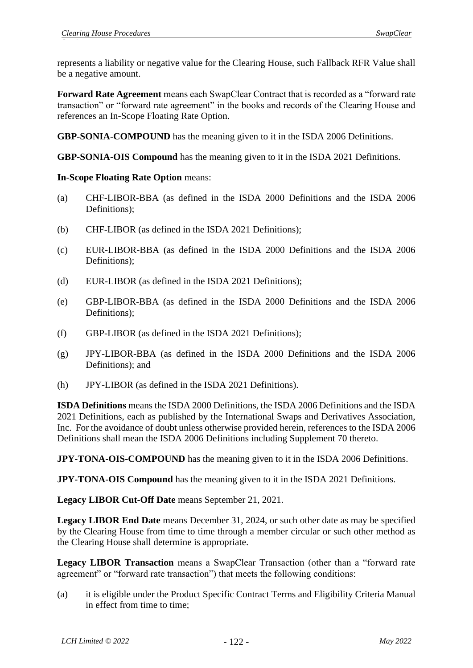represents a liability or negative value for the Clearing House, such Fallback RFR Value shall be a negative amount.

**Forward Rate Agreement** means each SwapClear Contract that is recorded as a "forward rate transaction" or "forward rate agreement" in the books and records of the Clearing House and references an In-Scope Floating Rate Option.

**GBP-SONIA-COMPOUND** has the meaning given to it in the ISDA 2006 Definitions.

**GBP-SONIA-OIS Compound** has the meaning given to it in the ISDA 2021 Definitions.

### **In-Scope Floating Rate Option** means:

- (a) CHF-LIBOR-BBA (as defined in the ISDA 2000 Definitions and the ISDA 2006 Definitions);
- (b) CHF-LIBOR (as defined in the ISDA 2021 Definitions);
- (c) EUR-LIBOR-BBA (as defined in the ISDA 2000 Definitions and the ISDA 2006 Definitions);
- (d) EUR-LIBOR (as defined in the ISDA 2021 Definitions);
- (e) GBP-LIBOR-BBA (as defined in the ISDA 2000 Definitions and the ISDA 2006 Definitions);
- (f) GBP-LIBOR (as defined in the ISDA 2021 Definitions);
- (g) JPY-LIBOR-BBA (as defined in the ISDA 2000 Definitions and the ISDA 2006 Definitions); and
- (h) JPY-LIBOR (as defined in the ISDA 2021 Definitions).

**ISDA Definitions** means the ISDA 2000 Definitions, the ISDA 2006 Definitions and the ISDA 2021 Definitions, each as published by the International Swaps and Derivatives Association, Inc. For the avoidance of doubt unless otherwise provided herein, references to the ISDA 2006 Definitions shall mean the ISDA 2006 Definitions including Supplement 70 thereto.

**JPY-TONA-OIS-COMPOUND** has the meaning given to it in the ISDA 2006 Definitions.

**JPY-TONA-OIS Compound** has the meaning given to it in the ISDA 2021 Definitions.

**Legacy LIBOR Cut-Off Date** means September 21, 2021.

**Legacy LIBOR End Date** means December 31, 2024, or such other date as may be specified by the Clearing House from time to time through a member circular or such other method as the Clearing House shall determine is appropriate.

**Legacy LIBOR Transaction** means a SwapClear Transaction (other than a "forward rate agreement" or "forward rate transaction") that meets the following conditions:

(a) it is eligible under the Product Specific Contract Terms and Eligibility Criteria Manual in effect from time to time;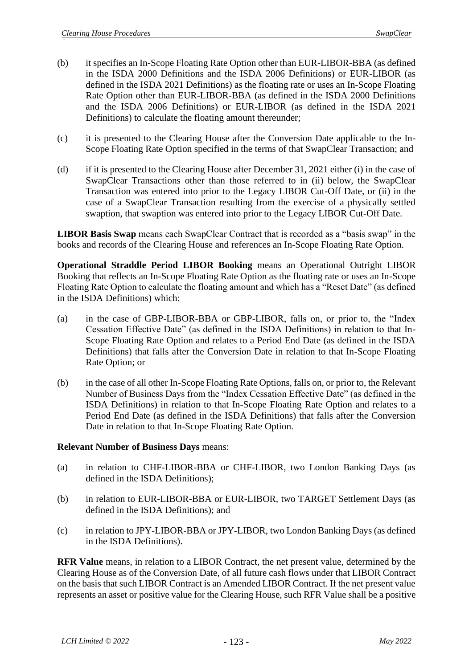- (b) it specifies an In-Scope Floating Rate Option other than EUR-LIBOR-BBA (as defined in the ISDA 2000 Definitions and the ISDA 2006 Definitions) or EUR-LIBOR (as defined in the ISDA 2021 Definitions) as the floating rate or uses an In-Scope Floating Rate Option other than EUR-LIBOR-BBA (as defined in the ISDA 2000 Definitions and the ISDA 2006 Definitions) or EUR-LIBOR (as defined in the ISDA 2021 Definitions) to calculate the floating amount thereunder;
- (c) it is presented to the Clearing House after the Conversion Date applicable to the In-Scope Floating Rate Option specified in the terms of that SwapClear Transaction; and
- (d) if it is presented to the Clearing House after December 31, 2021 either (i) in the case of SwapClear Transactions other than those referred to in (ii) below, the SwapClear Transaction was entered into prior to the Legacy LIBOR Cut-Off Date, or (ii) in the case of a SwapClear Transaction resulting from the exercise of a physically settled swaption, that swaption was entered into prior to the Legacy LIBOR Cut-Off Date.

**LIBOR Basis Swap** means each SwapClear Contract that is recorded as a "basis swap" in the books and records of the Clearing House and references an In-Scope Floating Rate Option.

**Operational Straddle Period LIBOR Booking** means an Operational Outright LIBOR Booking that reflects an In-Scope Floating Rate Option as the floating rate or uses an In-Scope Floating Rate Option to calculate the floating amount and which has a "Reset Date" (as defined in the ISDA Definitions) which:

- (a) in the case of GBP-LIBOR-BBA or GBP-LIBOR, falls on, or prior to, the "Index Cessation Effective Date" (as defined in the ISDA Definitions) in relation to that In-Scope Floating Rate Option and relates to a Period End Date (as defined in the ISDA Definitions) that falls after the Conversion Date in relation to that In-Scope Floating Rate Option; or
- (b) in the case of all other In-Scope Floating Rate Options, falls on, or prior to, the Relevant Number of Business Days from the "Index Cessation Effective Date" (as defined in the ISDA Definitions) in relation to that In-Scope Floating Rate Option and relates to a Period End Date (as defined in the ISDA Definitions) that falls after the Conversion Date in relation to that In-Scope Floating Rate Option.

#### **Relevant Number of Business Days** means:

- (a) in relation to CHF-LIBOR-BBA or CHF-LIBOR, two London Banking Days (as defined in the ISDA Definitions);
- (b) in relation to EUR-LIBOR-BBA or EUR-LIBOR, two TARGET Settlement Days (as defined in the ISDA Definitions); and
- (c) in relation to JPY-LIBOR-BBA or JPY-LIBOR, two London Banking Days (as defined in the ISDA Definitions).

**RFR Value** means, in relation to a LIBOR Contract, the net present value, determined by the Clearing House as of the Conversion Date, of all future cash flows under that LIBOR Contract on the basis that such LIBOR Contract is an Amended LIBOR Contract. If the net present value represents an asset or positive value for the Clearing House, such RFR Value shall be a positive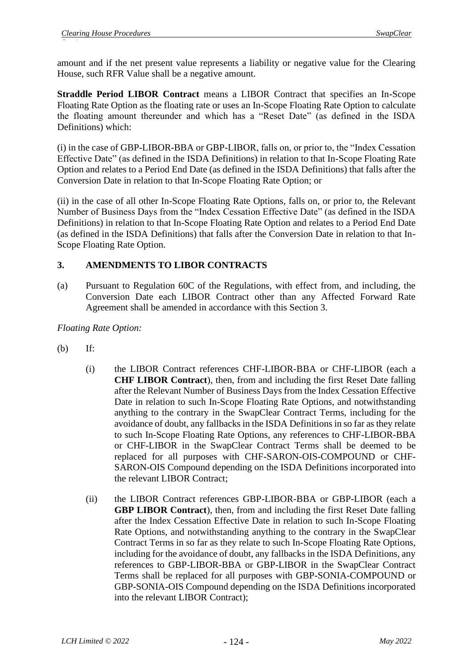amount and if the net present value represents a liability or negative value for the Clearing House, such RFR Value shall be a negative amount.

**Straddle Period LIBOR Contract** means a LIBOR Contract that specifies an In-Scope Floating Rate Option as the floating rate or uses an In-Scope Floating Rate Option to calculate the floating amount thereunder and which has a "Reset Date" (as defined in the ISDA Definitions) which:

(i) in the case of GBP-LIBOR-BBA or GBP-LIBOR, falls on, or prior to, the "Index Cessation Effective Date" (as defined in the ISDA Definitions) in relation to that In-Scope Floating Rate Option and relates to a Period End Date (as defined in the ISDA Definitions) that falls after the Conversion Date in relation to that In-Scope Floating Rate Option; or

(ii) in the case of all other In-Scope Floating Rate Options, falls on, or prior to, the Relevant Number of Business Days from the "Index Cessation Effective Date" (as defined in the ISDA Definitions) in relation to that In-Scope Floating Rate Option and relates to a Period End Date (as defined in the ISDA Definitions) that falls after the Conversion Date in relation to that In-Scope Floating Rate Option.

## **3. AMENDMENTS TO LIBOR CONTRACTS**

(a) Pursuant to Regulation 60C of the Regulations, with effect from, and including, the Conversion Date each LIBOR Contract other than any Affected Forward Rate Agreement shall be amended in accordance with this Section 3.

*Floating Rate Option:*

- (b) If:
	- (i) the LIBOR Contract references CHF-LIBOR-BBA or CHF-LIBOR (each a **CHF LIBOR Contract**), then, from and including the first Reset Date falling after the Relevant Number of Business Days from the Index Cessation Effective Date in relation to such In-Scope Floating Rate Options, and notwithstanding anything to the contrary in the SwapClear Contract Terms, including for the avoidance of doubt, any fallbacks in the ISDA Definitions in so far as they relate to such In-Scope Floating Rate Options, any references to CHF-LIBOR-BBA or CHF-LIBOR in the SwapClear Contract Terms shall be deemed to be replaced for all purposes with CHF-SARON-OIS-COMPOUND or CHF-SARON-OIS Compound depending on the ISDA Definitions incorporated into the relevant LIBOR Contract;
	- (ii) the LIBOR Contract references GBP-LIBOR-BBA or GBP-LIBOR (each a **GBP LIBOR Contract**), then, from and including the first Reset Date falling after the Index Cessation Effective Date in relation to such In-Scope Floating Rate Options, and notwithstanding anything to the contrary in the SwapClear Contract Terms in so far as they relate to such In-Scope Floating Rate Options, including for the avoidance of doubt, any fallbacks in the ISDA Definitions, any references to GBP-LIBOR-BBA or GBP-LIBOR in the SwapClear Contract Terms shall be replaced for all purposes with GBP-SONIA-COMPOUND or GBP-SONIA-OIS Compound depending on the ISDA Definitions incorporated into the relevant LIBOR Contract);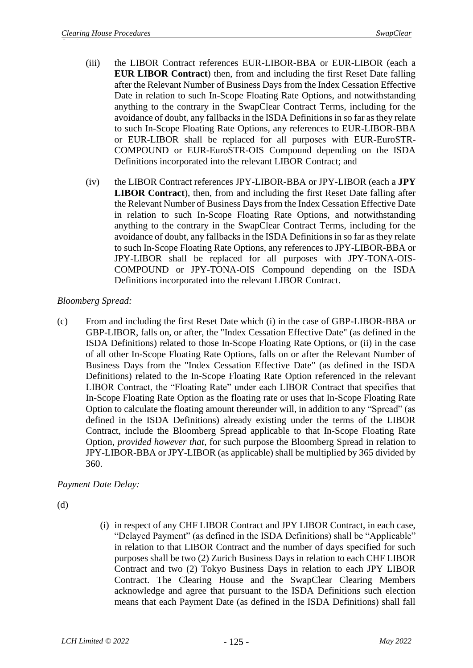- (iii) the LIBOR Contract references EUR-LIBOR-BBA or EUR-LIBOR (each a **EUR LIBOR Contract**) then, from and including the first Reset Date falling after the Relevant Number of Business Days from the Index Cessation Effective Date in relation to such In-Scope Floating Rate Options, and notwithstanding anything to the contrary in the SwapClear Contract Terms, including for the avoidance of doubt, any fallbacks in the ISDA Definitions in so far as they relate to such In-Scope Floating Rate Options, any references to EUR-LIBOR-BBA or EUR-LIBOR shall be replaced for all purposes with EUR-EuroSTR-COMPOUND or EUR-EuroSTR-OIS Compound depending on the ISDA Definitions incorporated into the relevant LIBOR Contract; and
- (iv) the LIBOR Contract references JPY-LIBOR-BBA or JPY-LIBOR (each a **JPY LIBOR Contract**), then, from and including the first Reset Date falling after the Relevant Number of Business Days from the Index Cessation Effective Date in relation to such In-Scope Floating Rate Options, and notwithstanding anything to the contrary in the SwapClear Contract Terms, including for the avoidance of doubt, any fallbacks in the ISDA Definitions in so far as they relate to such In-Scope Floating Rate Options, any references to JPY-LIBOR-BBA or JPY-LIBOR shall be replaced for all purposes with JPY-TONA-OIS-COMPOUND or JPY-TONA-OIS Compound depending on the ISDA Definitions incorporated into the relevant LIBOR Contract.

## *Bloomberg Spread:*

(c) From and including the first Reset Date which (i) in the case of GBP-LIBOR-BBA or GBP-LIBOR, falls on, or after, the "Index Cessation Effective Date" (as defined in the ISDA Definitions) related to those In-Scope Floating Rate Options, or (ii) in the case of all other In-Scope Floating Rate Options, falls on or after the Relevant Number of Business Days from the "Index Cessation Effective Date" (as defined in the ISDA Definitions) related to the In-Scope Floating Rate Option referenced in the relevant LIBOR Contract, the "Floating Rate" under each LIBOR Contract that specifies that In-Scope Floating Rate Option as the floating rate or uses that In-Scope Floating Rate Option to calculate the floating amount thereunder will, in addition to any "Spread" (as defined in the ISDA Definitions) already existing under the terms of the LIBOR Contract, include the Bloomberg Spread applicable to that In-Scope Floating Rate Option, *provided however that*, for such purpose the Bloomberg Spread in relation to JPY-LIBOR-BBA or JPY-LIBOR (as applicable) shall be multiplied by 365 divided by 360.

*Payment Date Delay:*

(d)

(i) in respect of any CHF LIBOR Contract and JPY LIBOR Contract, in each case, "Delayed Payment" (as defined in the ISDA Definitions) shall be "Applicable" in relation to that LIBOR Contract and the number of days specified for such purposes shall be two (2) Zurich Business Days in relation to each CHF LIBOR Contract and two (2) Tokyo Business Days in relation to each JPY LIBOR Contract. The Clearing House and the SwapClear Clearing Members acknowledge and agree that pursuant to the ISDA Definitions such election means that each Payment Date (as defined in the ISDA Definitions) shall fall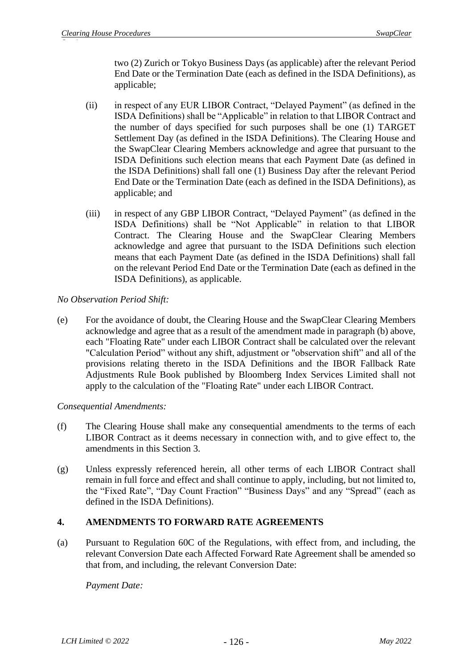two (2) Zurich or Tokyo Business Days (as applicable) after the relevant Period End Date or the Termination Date (each as defined in the ISDA Definitions), as applicable;

- (ii) in respect of any EUR LIBOR Contract, "Delayed Payment" (as defined in the ISDA Definitions) shall be "Applicable" in relation to that LIBOR Contract and the number of days specified for such purposes shall be one (1) TARGET Settlement Day (as defined in the ISDA Definitions). The Clearing House and the SwapClear Clearing Members acknowledge and agree that pursuant to the ISDA Definitions such election means that each Payment Date (as defined in the ISDA Definitions) shall fall one (1) Business Day after the relevant Period End Date or the Termination Date (each as defined in the ISDA Definitions), as applicable; and
- (iii) in respect of any GBP LIBOR Contract, "Delayed Payment" (as defined in the ISDA Definitions) shall be "Not Applicable" in relation to that LIBOR Contract. The Clearing House and the SwapClear Clearing Members acknowledge and agree that pursuant to the ISDA Definitions such election means that each Payment Date (as defined in the ISDA Definitions) shall fall on the relevant Period End Date or the Termination Date (each as defined in the ISDA Definitions), as applicable.

## *No Observation Period Shift:*

(e) For the avoidance of doubt, the Clearing House and the SwapClear Clearing Members acknowledge and agree that as a result of the amendment made in paragraph (b) above, each "Floating Rate" under each LIBOR Contract shall be calculated over the relevant "Calculation Period" without any shift, adjustment or "observation shift" and all of the provisions relating thereto in the ISDA Definitions and the IBOR Fallback Rate Adjustments Rule Book published by Bloomberg Index Services Limited shall not apply to the calculation of the "Floating Rate" under each LIBOR Contract.

*Consequential Amendments:*

- (f) The Clearing House shall make any consequential amendments to the terms of each LIBOR Contract as it deems necessary in connection with, and to give effect to, the amendments in this Section 3.
- (g) Unless expressly referenced herein, all other terms of each LIBOR Contract shall remain in full force and effect and shall continue to apply, including, but not limited to, the "Fixed Rate", "Day Count Fraction" "Business Days" and any "Spread" (each as defined in the ISDA Definitions).

# **4. AMENDMENTS TO FORWARD RATE AGREEMENTS**

(a) Pursuant to Regulation 60C of the Regulations, with effect from, and including, the relevant Conversion Date each Affected Forward Rate Agreement shall be amended so that from, and including, the relevant Conversion Date:

*Payment Date:*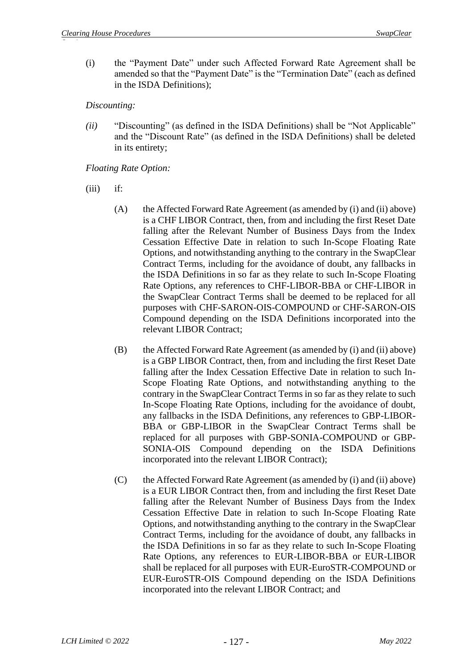(i) the "Payment Date" under such Affected Forward Rate Agreement shall be amended so that the "Payment Date" is the "Termination Date" (each as defined in the ISDA Definitions);

### *Discounting:*

*(ii)* "Discounting" (as defined in the ISDA Definitions) shall be "Not Applicable" and the "Discount Rate" (as defined in the ISDA Definitions) shall be deleted in its entirety;

## *Floating Rate Option:*

- $(iii)$  if:
	- (A) the Affected Forward Rate Agreement (as amended by (i) and (ii) above) is a CHF LIBOR Contract, then, from and including the first Reset Date falling after the Relevant Number of Business Days from the Index Cessation Effective Date in relation to such In-Scope Floating Rate Options, and notwithstanding anything to the contrary in the SwapClear Contract Terms, including for the avoidance of doubt, any fallbacks in the ISDA Definitions in so far as they relate to such In-Scope Floating Rate Options, any references to CHF-LIBOR-BBA or CHF-LIBOR in the SwapClear Contract Terms shall be deemed to be replaced for all purposes with CHF-SARON-OIS-COMPOUND or CHF-SARON-OIS Compound depending on the ISDA Definitions incorporated into the relevant LIBOR Contract;
	- (B) the Affected Forward Rate Agreement (as amended by (i) and (ii) above) is a GBP LIBOR Contract, then, from and including the first Reset Date falling after the Index Cessation Effective Date in relation to such In-Scope Floating Rate Options, and notwithstanding anything to the contrary in the SwapClear Contract Terms in so far as they relate to such In-Scope Floating Rate Options, including for the avoidance of doubt, any fallbacks in the ISDA Definitions, any references to GBP-LIBOR-BBA or GBP-LIBOR in the SwapClear Contract Terms shall be replaced for all purposes with GBP-SONIA-COMPOUND or GBP-SONIA-OIS Compound depending on the ISDA Definitions incorporated into the relevant LIBOR Contract);
	- (C) the Affected Forward Rate Agreement (as amended by (i) and (ii) above) is a EUR LIBOR Contract then, from and including the first Reset Date falling after the Relevant Number of Business Days from the Index Cessation Effective Date in relation to such In-Scope Floating Rate Options, and notwithstanding anything to the contrary in the SwapClear Contract Terms, including for the avoidance of doubt, any fallbacks in the ISDA Definitions in so far as they relate to such In-Scope Floating Rate Options, any references to EUR-LIBOR-BBA or EUR-LIBOR shall be replaced for all purposes with EUR-EuroSTR-COMPOUND or EUR-EuroSTR-OIS Compound depending on the ISDA Definitions incorporated into the relevant LIBOR Contract; and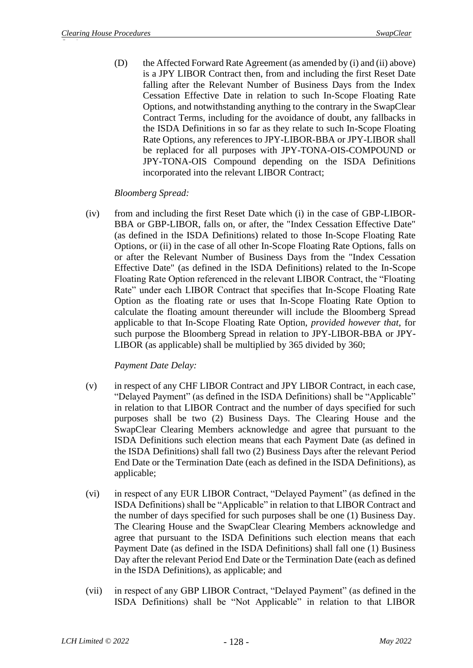(D) the Affected Forward Rate Agreement (as amended by (i) and (ii) above) is a JPY LIBOR Contract then, from and including the first Reset Date falling after the Relevant Number of Business Days from the Index Cessation Effective Date in relation to such In-Scope Floating Rate Options, and notwithstanding anything to the contrary in the SwapClear Contract Terms, including for the avoidance of doubt, any fallbacks in the ISDA Definitions in so far as they relate to such In-Scope Floating Rate Options, any references to JPY-LIBOR-BBA or JPY-LIBOR shall be replaced for all purposes with JPY-TONA-OIS-COMPOUND or JPY-TONA-OIS Compound depending on the ISDA Definitions incorporated into the relevant LIBOR Contract;

## *Bloomberg Spread:*

(iv) from and including the first Reset Date which (i) in the case of GBP-LIBOR-BBA or GBP-LIBOR, falls on, or after, the "Index Cessation Effective Date" (as defined in the ISDA Definitions) related to those In-Scope Floating Rate Options, or (ii) in the case of all other In-Scope Floating Rate Options, falls on or after the Relevant Number of Business Days from the "Index Cessation Effective Date" (as defined in the ISDA Definitions) related to the In-Scope Floating Rate Option referenced in the relevant LIBOR Contract, the "Floating Rate" under each LIBOR Contract that specifies that In-Scope Floating Rate Option as the floating rate or uses that In-Scope Floating Rate Option to calculate the floating amount thereunder will include the Bloomberg Spread applicable to that In-Scope Floating Rate Option, *provided however that*, for such purpose the Bloomberg Spread in relation to JPY-LIBOR-BBA or JPY-LIBOR (as applicable) shall be multiplied by 365 divided by 360;

## *Payment Date Delay:*

- (v) in respect of any CHF LIBOR Contract and JPY LIBOR Contract, in each case, "Delayed Payment" (as defined in the ISDA Definitions) shall be "Applicable" in relation to that LIBOR Contract and the number of days specified for such purposes shall be two (2) Business Days. The Clearing House and the SwapClear Clearing Members acknowledge and agree that pursuant to the ISDA Definitions such election means that each Payment Date (as defined in the ISDA Definitions) shall fall two (2) Business Days after the relevant Period End Date or the Termination Date (each as defined in the ISDA Definitions), as applicable;
- (vi) in respect of any EUR LIBOR Contract, "Delayed Payment" (as defined in the ISDA Definitions) shall be "Applicable" in relation to that LIBOR Contract and the number of days specified for such purposes shall be one (1) Business Day. The Clearing House and the SwapClear Clearing Members acknowledge and agree that pursuant to the ISDA Definitions such election means that each Payment Date (as defined in the ISDA Definitions) shall fall one (1) Business Day after the relevant Period End Date or the Termination Date (each as defined in the ISDA Definitions), as applicable; and
- (vii) in respect of any GBP LIBOR Contract, "Delayed Payment" (as defined in the ISDA Definitions) shall be "Not Applicable" in relation to that LIBOR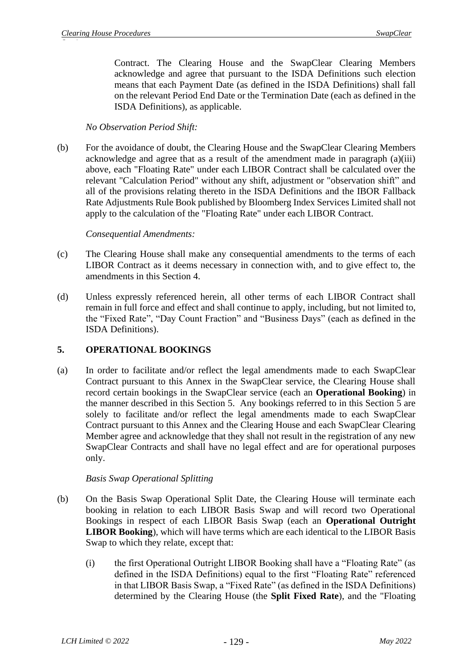Contract. The Clearing House and the SwapClear Clearing Members acknowledge and agree that pursuant to the ISDA Definitions such election means that each Payment Date (as defined in the ISDA Definitions) shall fall on the relevant Period End Date or the Termination Date (each as defined in the ISDA Definitions), as applicable.

## *No Observation Period Shift:*

(b) For the avoidance of doubt, the Clearing House and the SwapClear Clearing Members acknowledge and agree that as a result of the amendment made in paragraph (a)(iii) above, each "Floating Rate" under each LIBOR Contract shall be calculated over the relevant "Calculation Period" without any shift, adjustment or "observation shift" and all of the provisions relating thereto in the ISDA Definitions and the IBOR Fallback Rate Adjustments Rule Book published by Bloomberg Index Services Limited shall not apply to the calculation of the "Floating Rate" under each LIBOR Contract.

## *Consequential Amendments:*

- (c) The Clearing House shall make any consequential amendments to the terms of each LIBOR Contract as it deems necessary in connection with, and to give effect to, the amendments in this Section 4.
- (d) Unless expressly referenced herein, all other terms of each LIBOR Contract shall remain in full force and effect and shall continue to apply, including, but not limited to, the "Fixed Rate", "Day Count Fraction" and "Business Days" (each as defined in the ISDA Definitions).

## **5. OPERATIONAL BOOKINGS**

(a) In order to facilitate and/or reflect the legal amendments made to each SwapClear Contract pursuant to this Annex in the SwapClear service, the Clearing House shall record certain bookings in the SwapClear service (each an **Operational Booking**) in the manner described in this Section 5. Any bookings referred to in this Section 5 are solely to facilitate and/or reflect the legal amendments made to each SwapClear Contract pursuant to this Annex and the Clearing House and each SwapClear Clearing Member agree and acknowledge that they shall not result in the registration of any new SwapClear Contracts and shall have no legal effect and are for operational purposes only.

## *Basis Swap Operational Splitting*

- (b) On the Basis Swap Operational Split Date, the Clearing House will terminate each booking in relation to each LIBOR Basis Swap and will record two Operational Bookings in respect of each LIBOR Basis Swap (each an **Operational Outright LIBOR Booking**), which will have terms which are each identical to the LIBOR Basis Swap to which they relate, except that:
	- (i) the first Operational Outright LIBOR Booking shall have a "Floating Rate" (as defined in the ISDA Definitions) equal to the first "Floating Rate" referenced in that LIBOR Basis Swap, a "Fixed Rate" (as defined in the ISDA Definitions) determined by the Clearing House (the **Split Fixed Rate**), and the "Floating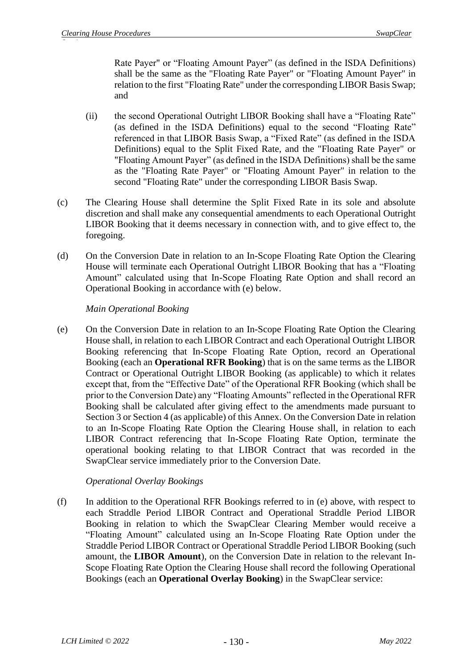Rate Payer" or "Floating Amount Payer" (as defined in the ISDA Definitions) shall be the same as the "Floating Rate Payer" or "Floating Amount Payer" in relation to the first "Floating Rate" under the corresponding LIBOR Basis Swap; and

- (ii) the second Operational Outright LIBOR Booking shall have a "Floating Rate" (as defined in the ISDA Definitions) equal to the second "Floating Rate" referenced in that LIBOR Basis Swap, a "Fixed Rate" (as defined in the ISDA Definitions) equal to the Split Fixed Rate, and the "Floating Rate Payer" or "Floating Amount Payer" (as defined in the ISDA Definitions) shall be the same as the "Floating Rate Payer" or "Floating Amount Payer" in relation to the second "Floating Rate" under the corresponding LIBOR Basis Swap.
- (c) The Clearing House shall determine the Split Fixed Rate in its sole and absolute discretion and shall make any consequential amendments to each Operational Outright LIBOR Booking that it deems necessary in connection with, and to give effect to, the foregoing.
- (d) On the Conversion Date in relation to an In-Scope Floating Rate Option the Clearing House will terminate each Operational Outright LIBOR Booking that has a "Floating Amount" calculated using that In-Scope Floating Rate Option and shall record an Operational Booking in accordance with (e) below.

## *Main Operational Booking*

(e) On the Conversion Date in relation to an In-Scope Floating Rate Option the Clearing House shall, in relation to each LIBOR Contract and each Operational Outright LIBOR Booking referencing that In-Scope Floating Rate Option, record an Operational Booking (each an **Operational RFR Booking**) that is on the same terms as the LIBOR Contract or Operational Outright LIBOR Booking (as applicable) to which it relates except that, from the "Effective Date" of the Operational RFR Booking (which shall be prior to the Conversion Date) any "Floating Amounts" reflected in the Operational RFR Booking shall be calculated after giving effect to the amendments made pursuant to Section 3 or Section 4 (as applicable) of this Annex. On the Conversion Date in relation to an In-Scope Floating Rate Option the Clearing House shall, in relation to each LIBOR Contract referencing that In-Scope Floating Rate Option, terminate the operational booking relating to that LIBOR Contract that was recorded in the SwapClear service immediately prior to the Conversion Date.

## *Operational Overlay Bookings*

(f) In addition to the Operational RFR Bookings referred to in (e) above, with respect to each Straddle Period LIBOR Contract and Operational Straddle Period LIBOR Booking in relation to which the SwapClear Clearing Member would receive a "Floating Amount" calculated using an In-Scope Floating Rate Option under the Straddle Period LIBOR Contract or Operational Straddle Period LIBOR Booking (such amount, the **LIBOR Amount**), on the Conversion Date in relation to the relevant In-Scope Floating Rate Option the Clearing House shall record the following Operational Bookings (each an **Operational Overlay Booking**) in the SwapClear service: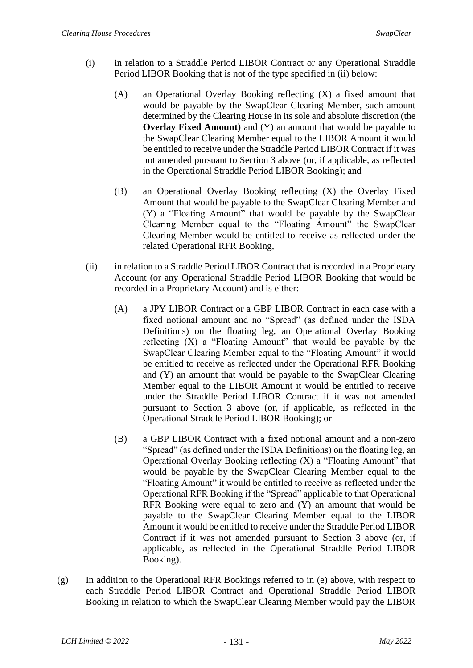- (i) in relation to a Straddle Period LIBOR Contract or any Operational Straddle Period LIBOR Booking that is not of the type specified in (ii) below:
	- (A) an Operational Overlay Booking reflecting (X) a fixed amount that would be payable by the SwapClear Clearing Member, such amount determined by the Clearing House in its sole and absolute discretion (the **Overlay Fixed Amount**) and (Y) an amount that would be payable to the SwapClear Clearing Member equal to the LIBOR Amount it would be entitled to receive under the Straddle Period LIBOR Contract if it was not amended pursuant to Section 3 above (or, if applicable, as reflected in the Operational Straddle Period LIBOR Booking); and
	- (B) an Operational Overlay Booking reflecting (X) the Overlay Fixed Amount that would be payable to the SwapClear Clearing Member and (Y) a "Floating Amount" that would be payable by the SwapClear Clearing Member equal to the "Floating Amount" the SwapClear Clearing Member would be entitled to receive as reflected under the related Operational RFR Booking,
- (ii) in relation to a Straddle Period LIBOR Contract that is recorded in a Proprietary Account (or any Operational Straddle Period LIBOR Booking that would be recorded in a Proprietary Account) and is either:
	- (A) a JPY LIBOR Contract or a GBP LIBOR Contract in each case with a fixed notional amount and no "Spread" (as defined under the ISDA Definitions) on the floating leg, an Operational Overlay Booking reflecting (X) a "Floating Amount" that would be payable by the SwapClear Clearing Member equal to the "Floating Amount" it would be entitled to receive as reflected under the Operational RFR Booking and (Y) an amount that would be payable to the SwapClear Clearing Member equal to the LIBOR Amount it would be entitled to receive under the Straddle Period LIBOR Contract if it was not amended pursuant to Section 3 above (or, if applicable, as reflected in the Operational Straddle Period LIBOR Booking); or
	- (B) a GBP LIBOR Contract with a fixed notional amount and a non-zero "Spread" (as defined under the ISDA Definitions) on the floating leg, an Operational Overlay Booking reflecting (X) a "Floating Amount" that would be payable by the SwapClear Clearing Member equal to the "Floating Amount" it would be entitled to receive as reflected under the Operational RFR Booking if the "Spread" applicable to that Operational RFR Booking were equal to zero and (Y) an amount that would be payable to the SwapClear Clearing Member equal to the LIBOR Amount it would be entitled to receive under the Straddle Period LIBOR Contract if it was not amended pursuant to Section 3 above (or, if applicable, as reflected in the Operational Straddle Period LIBOR Booking).
- (g) In addition to the Operational RFR Bookings referred to in (e) above, with respect to each Straddle Period LIBOR Contract and Operational Straddle Period LIBOR Booking in relation to which the SwapClear Clearing Member would pay the LIBOR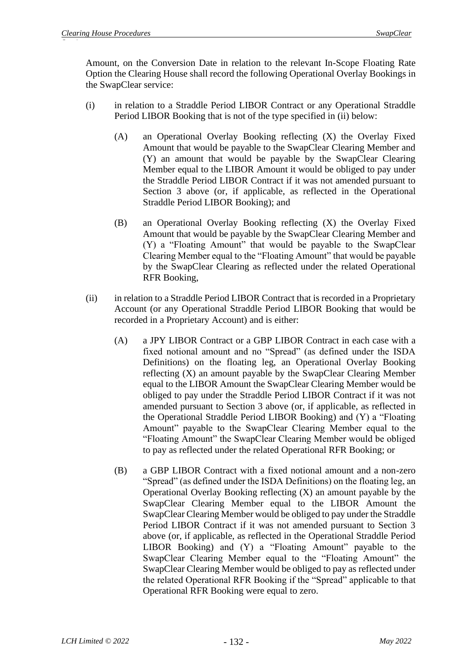Amount, on the Conversion Date in relation to the relevant In-Scope Floating Rate Option the Clearing House shall record the following Operational Overlay Bookings in the SwapClear service:

- (i) in relation to a Straddle Period LIBOR Contract or any Operational Straddle Period LIBOR Booking that is not of the type specified in (ii) below:
	- (A) an Operational Overlay Booking reflecting (X) the Overlay Fixed Amount that would be payable to the SwapClear Clearing Member and (Y) an amount that would be payable by the SwapClear Clearing Member equal to the LIBOR Amount it would be obliged to pay under the Straddle Period LIBOR Contract if it was not amended pursuant to Section 3 above (or, if applicable, as reflected in the Operational Straddle Period LIBOR Booking); and
	- (B) an Operational Overlay Booking reflecting (X) the Overlay Fixed Amount that would be payable by the SwapClear Clearing Member and (Y) a "Floating Amount" that would be payable to the SwapClear Clearing Member equal to the "Floating Amount" that would be payable by the SwapClear Clearing as reflected under the related Operational RFR Booking,
- (ii) in relation to a Straddle Period LIBOR Contract that is recorded in a Proprietary Account (or any Operational Straddle Period LIBOR Booking that would be recorded in a Proprietary Account) and is either:
	- (A) a JPY LIBOR Contract or a GBP LIBOR Contract in each case with a fixed notional amount and no "Spread" (as defined under the ISDA Definitions) on the floating leg, an Operational Overlay Booking reflecting (X) an amount payable by the SwapClear Clearing Member equal to the LIBOR Amount the SwapClear Clearing Member would be obliged to pay under the Straddle Period LIBOR Contract if it was not amended pursuant to Section 3 above (or, if applicable, as reflected in the Operational Straddle Period LIBOR Booking) and (Y) a "Floating Amount" payable to the SwapClear Clearing Member equal to the "Floating Amount" the SwapClear Clearing Member would be obliged to pay as reflected under the related Operational RFR Booking; or
	- (B) a GBP LIBOR Contract with a fixed notional amount and a non-zero "Spread" (as defined under the ISDA Definitions) on the floating leg, an Operational Overlay Booking reflecting (X) an amount payable by the SwapClear Clearing Member equal to the LIBOR Amount the SwapClear Clearing Member would be obliged to pay under the Straddle Period LIBOR Contract if it was not amended pursuant to Section 3 above (or, if applicable, as reflected in the Operational Straddle Period LIBOR Booking) and (Y) a "Floating Amount" payable to the SwapClear Clearing Member equal to the "Floating Amount" the SwapClear Clearing Member would be obliged to pay as reflected under the related Operational RFR Booking if the "Spread" applicable to that Operational RFR Booking were equal to zero.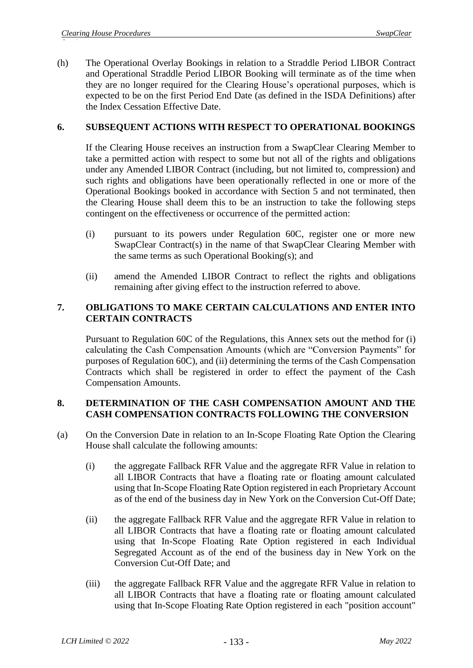(h) The Operational Overlay Bookings in relation to a Straddle Period LIBOR Contract and Operational Straddle Period LIBOR Booking will terminate as of the time when they are no longer required for the Clearing House's operational purposes, which is expected to be on the first Period End Date (as defined in the ISDA Definitions) after the Index Cessation Effective Date.

## **6. SUBSEQUENT ACTIONS WITH RESPECT TO OPERATIONAL BOOKINGS**

If the Clearing House receives an instruction from a SwapClear Clearing Member to take a permitted action with respect to some but not all of the rights and obligations under any Amended LIBOR Contract (including, but not limited to, compression) and such rights and obligations have been operationally reflected in one or more of the Operational Bookings booked in accordance with Section 5 and not terminated, then the Clearing House shall deem this to be an instruction to take the following steps contingent on the effectiveness or occurrence of the permitted action:

- (i) pursuant to its powers under Regulation 60C, register one or more new SwapClear Contract(s) in the name of that SwapClear Clearing Member with the same terms as such Operational Booking(s); and
- (ii) amend the Amended LIBOR Contract to reflect the rights and obligations remaining after giving effect to the instruction referred to above.

## **7. OBLIGATIONS TO MAKE CERTAIN CALCULATIONS AND ENTER INTO CERTAIN CONTRACTS**

Pursuant to Regulation 60C of the Regulations, this Annex sets out the method for (i) calculating the Cash Compensation Amounts (which are "Conversion Payments" for purposes of Regulation 60C), and (ii) determining the terms of the Cash Compensation Contracts which shall be registered in order to effect the payment of the Cash Compensation Amounts.

## **8. DETERMINATION OF THE CASH COMPENSATION AMOUNT AND THE CASH COMPENSATION CONTRACTS FOLLOWING THE CONVERSION**

- (a) On the Conversion Date in relation to an In-Scope Floating Rate Option the Clearing House shall calculate the following amounts:
	- (i) the aggregate Fallback RFR Value and the aggregate RFR Value in relation to all LIBOR Contracts that have a floating rate or floating amount calculated using that In-Scope Floating Rate Option registered in each Proprietary Account as of the end of the business day in New York on the Conversion Cut-Off Date;
	- (ii) the aggregate Fallback RFR Value and the aggregate RFR Value in relation to all LIBOR Contracts that have a floating rate or floating amount calculated using that In-Scope Floating Rate Option registered in each Individual Segregated Account as of the end of the business day in New York on the Conversion Cut-Off Date; and
	- (iii) the aggregate Fallback RFR Value and the aggregate RFR Value in relation to all LIBOR Contracts that have a floating rate or floating amount calculated using that In-Scope Floating Rate Option registered in each "position account"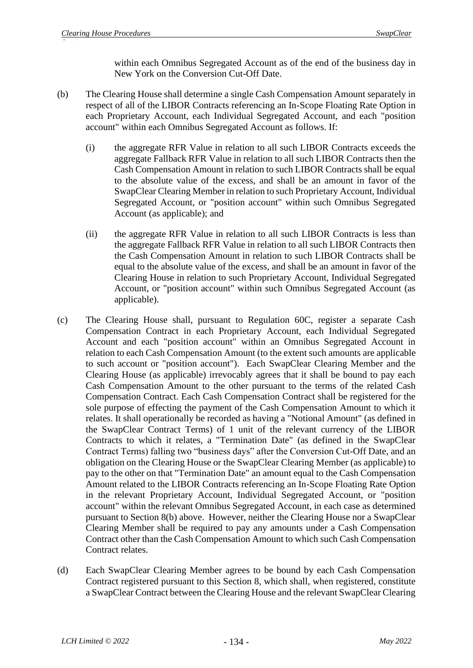within each Omnibus Segregated Account as of the end of the business day in New York on the Conversion Cut-Off Date.

- (b) The Clearing House shall determine a single Cash Compensation Amount separately in respect of all of the LIBOR Contracts referencing an In-Scope Floating Rate Option in each Proprietary Account, each Individual Segregated Account, and each "position account" within each Omnibus Segregated Account as follows. If:
	- (i) the aggregate RFR Value in relation to all such LIBOR Contracts exceeds the aggregate Fallback RFR Value in relation to all such LIBOR Contracts then the Cash Compensation Amount in relation to such LIBOR Contracts shall be equal to the absolute value of the excess, and shall be an amount in favor of the SwapClear Clearing Member in relation to such Proprietary Account, Individual Segregated Account, or "position account" within such Omnibus Segregated Account (as applicable); and
	- (ii) the aggregate RFR Value in relation to all such LIBOR Contracts is less than the aggregate Fallback RFR Value in relation to all such LIBOR Contracts then the Cash Compensation Amount in relation to such LIBOR Contracts shall be equal to the absolute value of the excess, and shall be an amount in favor of the Clearing House in relation to such Proprietary Account, Individual Segregated Account, or "position account" within such Omnibus Segregated Account (as applicable).
- (c) The Clearing House shall, pursuant to Regulation 60C, register a separate Cash Compensation Contract in each Proprietary Account, each Individual Segregated Account and each "position account" within an Omnibus Segregated Account in relation to each Cash Compensation Amount (to the extent such amounts are applicable to such account or "position account"). Each SwapClear Clearing Member and the Clearing House (as applicable) irrevocably agrees that it shall be bound to pay each Cash Compensation Amount to the other pursuant to the terms of the related Cash Compensation Contract. Each Cash Compensation Contract shall be registered for the sole purpose of effecting the payment of the Cash Compensation Amount to which it relates. It shall operationally be recorded as having a "Notional Amount" (as defined in the SwapClear Contract Terms) of 1 unit of the relevant currency of the LIBOR Contracts to which it relates, a "Termination Date" (as defined in the SwapClear Contract Terms) falling two "business days" after the Conversion Cut-Off Date, and an obligation on the Clearing House or the SwapClear Clearing Member (as applicable) to pay to the other on that "Termination Date" an amount equal to the Cash Compensation Amount related to the LIBOR Contracts referencing an In-Scope Floating Rate Option in the relevant Proprietary Account, Individual Segregated Account, or "position account" within the relevant Omnibus Segregated Account, in each case as determined pursuant to Section 8(b) above. However, neither the Clearing House nor a SwapClear Clearing Member shall be required to pay any amounts under a Cash Compensation Contract other than the Cash Compensation Amount to which such Cash Compensation Contract relates.
- (d) Each SwapClear Clearing Member agrees to be bound by each Cash Compensation Contract registered pursuant to this Section 8, which shall, when registered, constitute a SwapClear Contract between the Clearing House and the relevant SwapClear Clearing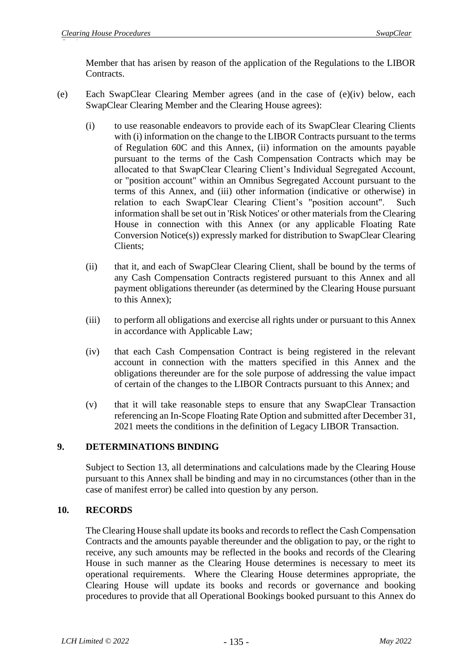Member that has arisen by reason of the application of the Regulations to the LIBOR Contracts.

- (e) Each SwapClear Clearing Member agrees (and in the case of (e)(iv) below, each SwapClear Clearing Member and the Clearing House agrees):
	- (i) to use reasonable endeavors to provide each of its SwapClear Clearing Clients with (i) information on the change to the LIBOR Contracts pursuant to the terms of Regulation 60C and this Annex, (ii) information on the amounts payable pursuant to the terms of the Cash Compensation Contracts which may be allocated to that SwapClear Clearing Client's Individual Segregated Account, or "position account" within an Omnibus Segregated Account pursuant to the terms of this Annex, and (iii) other information (indicative or otherwise) in relation to each SwapClear Clearing Client's "position account". Such information shall be set out in 'Risk Notices' or other materials from the Clearing House in connection with this Annex (or any applicable Floating Rate Conversion Notice(s)) expressly marked for distribution to SwapClear Clearing Clients;
	- (ii) that it, and each of SwapClear Clearing Client, shall be bound by the terms of any Cash Compensation Contracts registered pursuant to this Annex and all payment obligations thereunder (as determined by the Clearing House pursuant to this Annex);
	- (iii) to perform all obligations and exercise all rights under or pursuant to this Annex in accordance with Applicable Law;
	- (iv) that each Cash Compensation Contract is being registered in the relevant account in connection with the matters specified in this Annex and the obligations thereunder are for the sole purpose of addressing the value impact of certain of the changes to the LIBOR Contracts pursuant to this Annex; and
	- (v) that it will take reasonable steps to ensure that any SwapClear Transaction referencing an In-Scope Floating Rate Option and submitted after December 31, 2021 meets the conditions in the definition of Legacy LIBOR Transaction.

# **9. DETERMINATIONS BINDING**

Subject to Section 13, all determinations and calculations made by the Clearing House pursuant to this Annex shall be binding and may in no circumstances (other than in the case of manifest error) be called into question by any person.

## **10. RECORDS**

The Clearing House shall update its books and records to reflect the Cash Compensation Contracts and the amounts payable thereunder and the obligation to pay, or the right to receive, any such amounts may be reflected in the books and records of the Clearing House in such manner as the Clearing House determines is necessary to meet its operational requirements. Where the Clearing House determines appropriate, the Clearing House will update its books and records or governance and booking procedures to provide that all Operational Bookings booked pursuant to this Annex do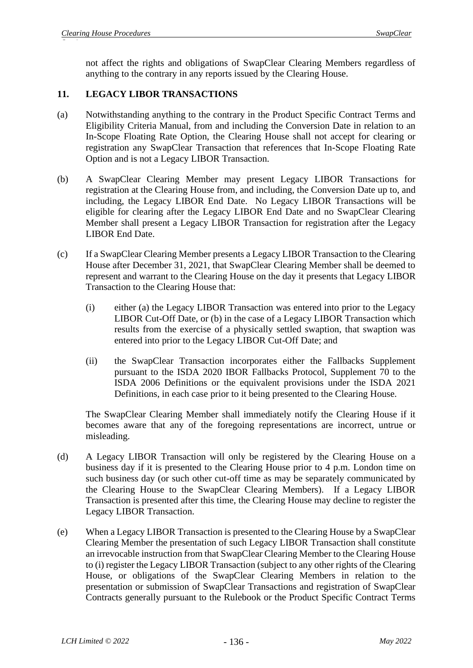not affect the rights and obligations of SwapClear Clearing Members regardless of anything to the contrary in any reports issued by the Clearing House.

## **11. LEGACY LIBOR TRANSACTIONS**

- (a) Notwithstanding anything to the contrary in the Product Specific Contract Terms and Eligibility Criteria Manual, from and including the Conversion Date in relation to an In-Scope Floating Rate Option, the Clearing House shall not accept for clearing or registration any SwapClear Transaction that references that In-Scope Floating Rate Option and is not a Legacy LIBOR Transaction.
- (b) A SwapClear Clearing Member may present Legacy LIBOR Transactions for registration at the Clearing House from, and including, the Conversion Date up to, and including, the Legacy LIBOR End Date. No Legacy LIBOR Transactions will be eligible for clearing after the Legacy LIBOR End Date and no SwapClear Clearing Member shall present a Legacy LIBOR Transaction for registration after the Legacy LIBOR End Date.
- (c) If a SwapClear Clearing Member presents a Legacy LIBOR Transaction to the Clearing House after December 31, 2021, that SwapClear Clearing Member shall be deemed to represent and warrant to the Clearing House on the day it presents that Legacy LIBOR Transaction to the Clearing House that:
	- (i) either (a) the Legacy LIBOR Transaction was entered into prior to the Legacy LIBOR Cut-Off Date, or (b) in the case of a Legacy LIBOR Transaction which results from the exercise of a physically settled swaption, that swaption was entered into prior to the Legacy LIBOR Cut-Off Date; and
	- (ii) the SwapClear Transaction incorporates either the Fallbacks Supplement pursuant to the ISDA 2020 IBOR Fallbacks Protocol, Supplement 70 to the ISDA 2006 Definitions or the equivalent provisions under the ISDA 2021 Definitions, in each case prior to it being presented to the Clearing House.

The SwapClear Clearing Member shall immediately notify the Clearing House if it becomes aware that any of the foregoing representations are incorrect, untrue or misleading.

- (d) A Legacy LIBOR Transaction will only be registered by the Clearing House on a business day if it is presented to the Clearing House prior to 4 p.m. London time on such business day (or such other cut-off time as may be separately communicated by the Clearing House to the SwapClear Clearing Members). If a Legacy LIBOR Transaction is presented after this time, the Clearing House may decline to register the Legacy LIBOR Transaction.
- (e) When a Legacy LIBOR Transaction is presented to the Clearing House by a SwapClear Clearing Member the presentation of such Legacy LIBOR Transaction shall constitute an irrevocable instruction from that SwapClear Clearing Member to the Clearing House to (i) register the Legacy LIBOR Transaction (subject to any other rights of the Clearing House, or obligations of the SwapClear Clearing Members in relation to the presentation or submission of SwapClear Transactions and registration of SwapClear Contracts generally pursuant to the Rulebook or the Product Specific Contract Terms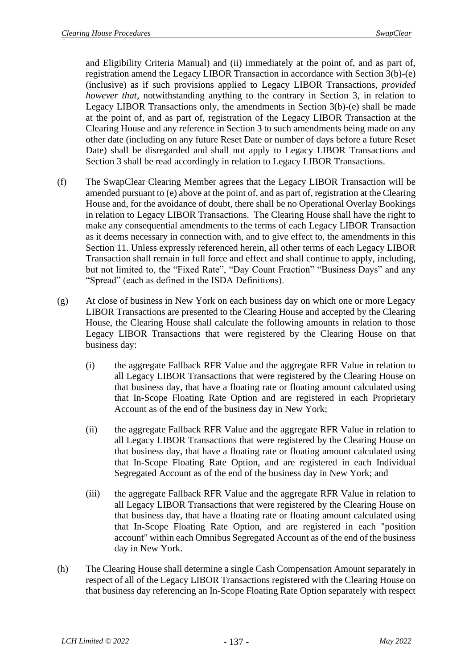and Eligibility Criteria Manual) and (ii) immediately at the point of, and as part of, registration amend the Legacy LIBOR Transaction in accordance with Section 3(b)-(e) (inclusive) as if such provisions applied to Legacy LIBOR Transactions, *provided however that*, notwithstanding anything to the contrary in Section 3, in relation to Legacy LIBOR Transactions only, the amendments in Section 3(b)-(e) shall be made at the point of, and as part of, registration of the Legacy LIBOR Transaction at the Clearing House and any reference in Section 3 to such amendments being made on any other date (including on any future Reset Date or number of days before a future Reset Date) shall be disregarded and shall not apply to Legacy LIBOR Transactions and Section 3 shall be read accordingly in relation to Legacy LIBOR Transactions.

- (f) The SwapClear Clearing Member agrees that the Legacy LIBOR Transaction will be amended pursuant to (e) above at the point of, and as part of, registration at the Clearing House and, for the avoidance of doubt, there shall be no Operational Overlay Bookings in relation to Legacy LIBOR Transactions. The Clearing House shall have the right to make any consequential amendments to the terms of each Legacy LIBOR Transaction as it deems necessary in connection with, and to give effect to, the amendments in this Section 11. Unless expressly referenced herein, all other terms of each Legacy LIBOR Transaction shall remain in full force and effect and shall continue to apply, including, but not limited to, the "Fixed Rate", "Day Count Fraction" "Business Days" and any "Spread" (each as defined in the ISDA Definitions).
- (g) At close of business in New York on each business day on which one or more Legacy LIBOR Transactions are presented to the Clearing House and accepted by the Clearing House, the Clearing House shall calculate the following amounts in relation to those Legacy LIBOR Transactions that were registered by the Clearing House on that business day:
	- (i) the aggregate Fallback RFR Value and the aggregate RFR Value in relation to all Legacy LIBOR Transactions that were registered by the Clearing House on that business day, that have a floating rate or floating amount calculated using that In-Scope Floating Rate Option and are registered in each Proprietary Account as of the end of the business day in New York;
	- (ii) the aggregate Fallback RFR Value and the aggregate RFR Value in relation to all Legacy LIBOR Transactions that were registered by the Clearing House on that business day, that have a floating rate or floating amount calculated using that In-Scope Floating Rate Option, and are registered in each Individual Segregated Account as of the end of the business day in New York; and
	- (iii) the aggregate Fallback RFR Value and the aggregate RFR Value in relation to all Legacy LIBOR Transactions that were registered by the Clearing House on that business day, that have a floating rate or floating amount calculated using that In-Scope Floating Rate Option, and are registered in each "position account" within each Omnibus Segregated Account as of the end of the business day in New York.
- (h) The Clearing House shall determine a single Cash Compensation Amount separately in respect of all of the Legacy LIBOR Transactions registered with the Clearing House on that business day referencing an In-Scope Floating Rate Option separately with respect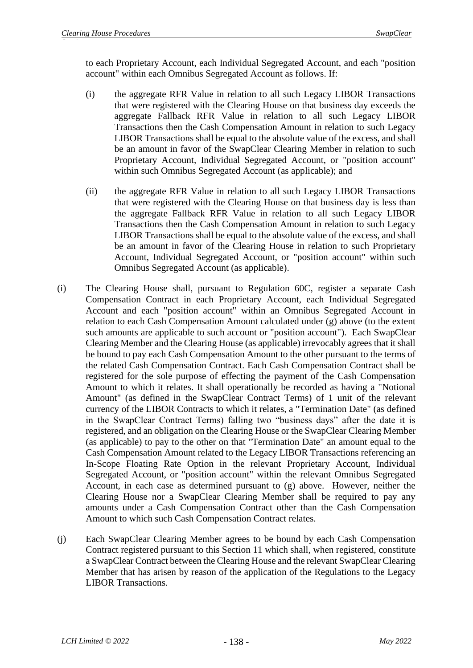to each Proprietary Account, each Individual Segregated Account, and each "position account" within each Omnibus Segregated Account as follows. If:

- (i) the aggregate RFR Value in relation to all such Legacy LIBOR Transactions that were registered with the Clearing House on that business day exceeds the aggregate Fallback RFR Value in relation to all such Legacy LIBOR Transactions then the Cash Compensation Amount in relation to such Legacy LIBOR Transactions shall be equal to the absolute value of the excess, and shall be an amount in favor of the SwapClear Clearing Member in relation to such Proprietary Account, Individual Segregated Account, or "position account" within such Omnibus Segregated Account (as applicable); and
- (ii) the aggregate RFR Value in relation to all such Legacy LIBOR Transactions that were registered with the Clearing House on that business day is less than the aggregate Fallback RFR Value in relation to all such Legacy LIBOR Transactions then the Cash Compensation Amount in relation to such Legacy LIBOR Transactions shall be equal to the absolute value of the excess, and shall be an amount in favor of the Clearing House in relation to such Proprietary Account, Individual Segregated Account, or "position account" within such Omnibus Segregated Account (as applicable).
- (i) The Clearing House shall, pursuant to Regulation 60C, register a separate Cash Compensation Contract in each Proprietary Account, each Individual Segregated Account and each "position account" within an Omnibus Segregated Account in relation to each Cash Compensation Amount calculated under (g) above (to the extent such amounts are applicable to such account or "position account"). Each SwapClear Clearing Member and the Clearing House (as applicable) irrevocably agrees that it shall be bound to pay each Cash Compensation Amount to the other pursuant to the terms of the related Cash Compensation Contract. Each Cash Compensation Contract shall be registered for the sole purpose of effecting the payment of the Cash Compensation Amount to which it relates. It shall operationally be recorded as having a "Notional Amount" (as defined in the SwapClear Contract Terms) of 1 unit of the relevant currency of the LIBOR Contracts to which it relates, a "Termination Date" (as defined in the SwapClear Contract Terms) falling two "business days" after the date it is registered, and an obligation on the Clearing House or the SwapClear Clearing Member (as applicable) to pay to the other on that "Termination Date" an amount equal to the Cash Compensation Amount related to the Legacy LIBOR Transactions referencing an In-Scope Floating Rate Option in the relevant Proprietary Account, Individual Segregated Account, or "position account" within the relevant Omnibus Segregated Account, in each case as determined pursuant to (g) above. However, neither the Clearing House nor a SwapClear Clearing Member shall be required to pay any amounts under a Cash Compensation Contract other than the Cash Compensation Amount to which such Cash Compensation Contract relates.
- (j) Each SwapClear Clearing Member agrees to be bound by each Cash Compensation Contract registered pursuant to this Section 11 which shall, when registered, constitute a SwapClear Contract between the Clearing House and the relevant SwapClear Clearing Member that has arisen by reason of the application of the Regulations to the Legacy LIBOR Transactions.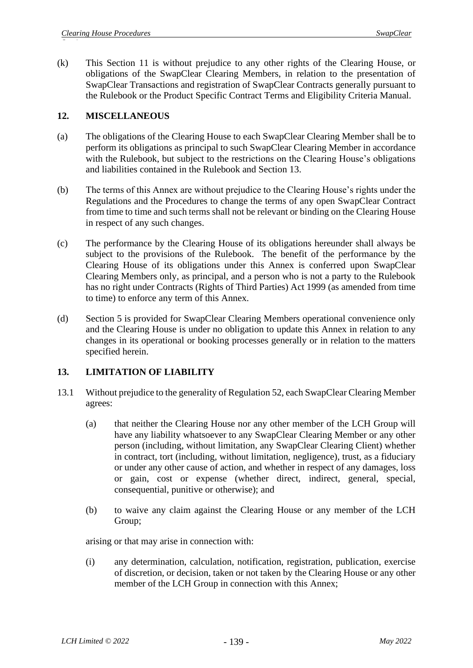(k) This Section 11 is without prejudice to any other rights of the Clearing House, or obligations of the SwapClear Clearing Members, in relation to the presentation of SwapClear Transactions and registration of SwapClear Contracts generally pursuant to the Rulebook or the Product Specific Contract Terms and Eligibility Criteria Manual.

## **12. MISCELLANEOUS**

- (a) The obligations of the Clearing House to each SwapClear Clearing Member shall be to perform its obligations as principal to such SwapClear Clearing Member in accordance with the Rulebook, but subject to the restrictions on the Clearing House's obligations and liabilities contained in the Rulebook and Section 13.
- (b) The terms of this Annex are without prejudice to the Clearing House's rights under the Regulations and the Procedures to change the terms of any open SwapClear Contract from time to time and such terms shall not be relevant or binding on the Clearing House in respect of any such changes.
- (c) The performance by the Clearing House of its obligations hereunder shall always be subject to the provisions of the Rulebook. The benefit of the performance by the Clearing House of its obligations under this Annex is conferred upon SwapClear Clearing Members only, as principal, and a person who is not a party to the Rulebook has no right under Contracts (Rights of Third Parties) Act 1999 (as amended from time to time) to enforce any term of this Annex.
- (d) Section 5 is provided for SwapClear Clearing Members operational convenience only and the Clearing House is under no obligation to update this Annex in relation to any changes in its operational or booking processes generally or in relation to the matters specified herein.

# **13. LIMITATION OF LIABILITY**

- 13.1 Without prejudice to the generality of Regulation 52, each SwapClear Clearing Member agrees:
	- (a) that neither the Clearing House nor any other member of the LCH Group will have any liability whatsoever to any SwapClear Clearing Member or any other person (including, without limitation, any SwapClear Clearing Client) whether in contract, tort (including, without limitation, negligence), trust, as a fiduciary or under any other cause of action, and whether in respect of any damages, loss or gain, cost or expense (whether direct, indirect, general, special, consequential, punitive or otherwise); and
	- (b) to waive any claim against the Clearing House or any member of the LCH Group;

arising or that may arise in connection with:

(i) any determination, calculation, notification, registration, publication, exercise of discretion, or decision, taken or not taken by the Clearing House or any other member of the LCH Group in connection with this Annex;